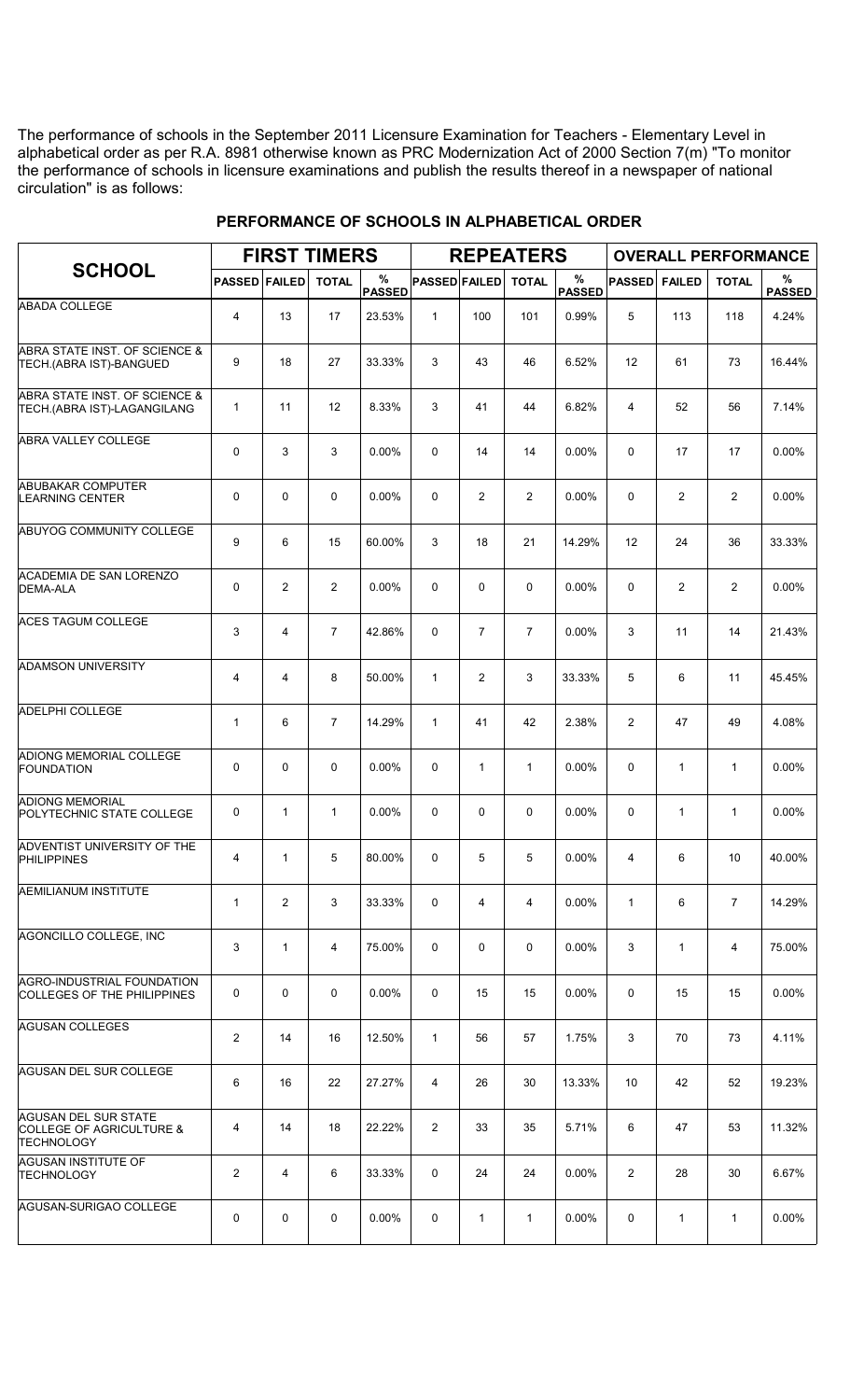The performance of schools in the September 2011 Licensure Examination for Teachers - Elementary Level in alphabetical order as per R.A. 8981 otherwise known as PRC Modernization Act of 2000 Section 7(m) "To monitor the performance of schools in licensure examinations and publish the results thereof in a newspaper of national circulation" is as follows:

|                                                                       |                      |                | <b>FIRST TIMERS</b> |                    |                      |                | <b>REPEATERS</b> |                       |                |                | <b>OVERALL PERFORMANCE</b> |                    |
|-----------------------------------------------------------------------|----------------------|----------------|---------------------|--------------------|----------------------|----------------|------------------|-----------------------|----------------|----------------|----------------------------|--------------------|
| <b>SCHOOL</b>                                                         | <b>PASSED FAILED</b> |                | <b>TOTAL</b>        | %<br><b>PASSED</b> | <b>PASSED FAILED</b> |                | <b>TOTAL</b>     | $\%$<br><b>PASSED</b> | <b>PASSED</b>  | <b>FAILED</b>  | <b>TOTAL</b>               | %<br><b>PASSED</b> |
| <b>ABADA COLLEGE</b>                                                  | 4                    | 13             | 17                  | 23.53%             | $\mathbf{1}$         | 100            | 101              | 0.99%                 | 5              | 113            | 118                        | 4.24%              |
| ABRA STATE INST. OF SCIENCE &<br>TECH.(ABRA IST)-BANGUED              | 9                    | 18             | 27                  | 33.33%             | 3                    | 43             | 46               | 6.52%                 | 12             | 61             | 73                         | 16.44%             |
| ABRA STATE INST. OF SCIENCE &<br>TECH.(ABRA IST)-LAGANGILANG          | $\mathbf{1}$         | 11             | 12                  | 8.33%              | 3                    | 41             | 44               | 6.82%                 | 4              | 52             | 56                         | 7.14%              |
| <b>ABRA VALLEY COLLEGE</b>                                            | $\mathbf 0$          | 3              | 3                   | 0.00%              | $\Omega$             | 14             | 14               | $0.00\%$              | $\Omega$       | 17             | 17                         | 0.00%              |
| <b>ABUBAKAR COMPUTER</b><br><b>LEARNING CENTER</b>                    | $\mathbf 0$          | 0              | $\mathbf 0$         | 0.00%              | 0                    | $\overline{2}$ | 2                | 0.00%                 | $\mathbf 0$    | $\overline{2}$ | $\overline{2}$             | 0.00%              |
| ABUYOG COMMUNITY COLLEGE                                              | 9                    | 6              | 15                  | 60.00%             | 3                    | 18             | 21               | 14.29%                | 12             | 24             | 36                         | 33.33%             |
| <b>ACADEMIA DE SAN LORENZO</b><br><b>DEMA-ALA</b>                     | $\mathbf 0$          | $\overline{2}$ | $\overline{2}$      | $0.00\%$           | $\Omega$             | 0              | $\mathbf 0$      | $0.00\%$              | $\Omega$       | $\overline{2}$ | $\overline{2}$             | $0.00\%$           |
| <b>ACES TAGUM COLLEGE</b>                                             | 3                    | 4              | $\overline{7}$      | 42.86%             | 0                    | $\overline{7}$ | $\overline{7}$   | 0.00%                 | 3              | 11             | 14                         | 21.43%             |
| <b>ADAMSON UNIVERSITY</b>                                             | 4                    | 4              | 8                   | 50.00%             | $\mathbf{1}$         | $\overline{2}$ | 3                | 33.33%                | 5              | 6              | 11                         | 45.45%             |
| <b>ADELPHI COLLEGE</b>                                                | $\mathbf{1}$         | 6              | $\overline{7}$      | 14.29%             | $\mathbf{1}$         | 41             | 42               | 2.38%                 | $\overline{2}$ | 47             | 49                         | 4.08%              |
| ADIONG MEMORIAL COLLEGE<br><b>FOUNDATION</b>                          | $\mathbf 0$          | 0              | $\mathbf 0$         | 0.00%              | 0                    | $\mathbf{1}$   | $\mathbf{1}$     | 0.00%                 | $\mathbf 0$    | $\mathbf{1}$   | $\mathbf{1}$               | 0.00%              |
| <b>ADIONG MEMORIAL</b><br>POLYTECHNIC STATE COLLEGE                   | 0                    | $\mathbf{1}$   | $\mathbf{1}$        | 0.00%              | 0                    | $\mathbf 0$    | $\mathbf 0$      | $0.00\%$              | $\mathbf 0$    | $\mathbf{1}$   | $\mathbf{1}$               | 0.00%              |
| ADVENTIST UNIVERSITY OF THE<br><b>PHILIPPINES</b>                     | 4                    | 1              | 5                   | 80.00%             | 0                    | 5              | 5                | 0.00%                 | 4              | 6              | 10                         | 40.00%             |
| AEMILIANUM INSTITUTE                                                  | $\mathbf 1$          | $\overline{2}$ | 3                   | 33.33%             | 0                    | 4              | 4                | 0.00%                 | $\mathbf{1}$   | 6              | $\overline{7}$             | 14.29%             |
| AGONCILLO COLLEGE. INC                                                | 3                    | $\mathbf{1}$   | 4                   | 75.00%             | 0                    | 0              | 0                | $0.00\%$              | 3              | $\mathbf{1}$   | $\overline{4}$             | 75.00%             |
| <b>AGRO-INDUSTRIAL FOUNDATION</b><br>COLLEGES OF THE PHILIPPINES      | 0                    | 0              | 0                   | $0.00\%$           | 0                    | 15             | 15               | $0.00\%$              | 0              | 15             | 15                         | $0.00\%$           |
| <b>AGUSAN COLLEGES</b>                                                | $\overline{2}$       | 14             | 16                  | 12.50%             | $\mathbf{1}$         | 56             | 57               | 1.75%                 | 3              | 70             | 73                         | 4.11%              |
| AGUSAN DEL SUR COLLEGE                                                | 6                    | 16             | 22                  | 27.27%             | 4                    | 26             | 30               | 13.33%                | 10             | 42             | 52                         | 19.23%             |
| <b>AGUSAN DEL SUR STATE</b><br>COLLEGE OF AGRICULTURE &<br>TECHNOLOGY | 4                    | 14             | 18                  | 22.22%             | $\overline{2}$       | 33             | 35               | 5.71%                 | 6              | 47             | 53                         | 11.32%             |
| <b>AGUSAN INSTITUTE OF</b><br><b>TECHNOLOGY</b>                       | $\overline{2}$       | 4              | 6                   | 33.33%             | 0                    | 24             | 24               | 0.00%                 | 2              | 28             | 30                         | 6.67%              |
| AGUSAN-SURIGAO COLLEGE                                                | 0                    | 0              | 0                   | $0.00\%$           | 0                    | $\mathbf{1}$   | $\mathbf{1}$     | $0.00\%$              | 0              | $\mathbf{1}$   | $\mathbf{1}$               | $0.00\%$           |

## **PERFORMANCE OF SCHOOLS IN ALPHABETICAL ORDER**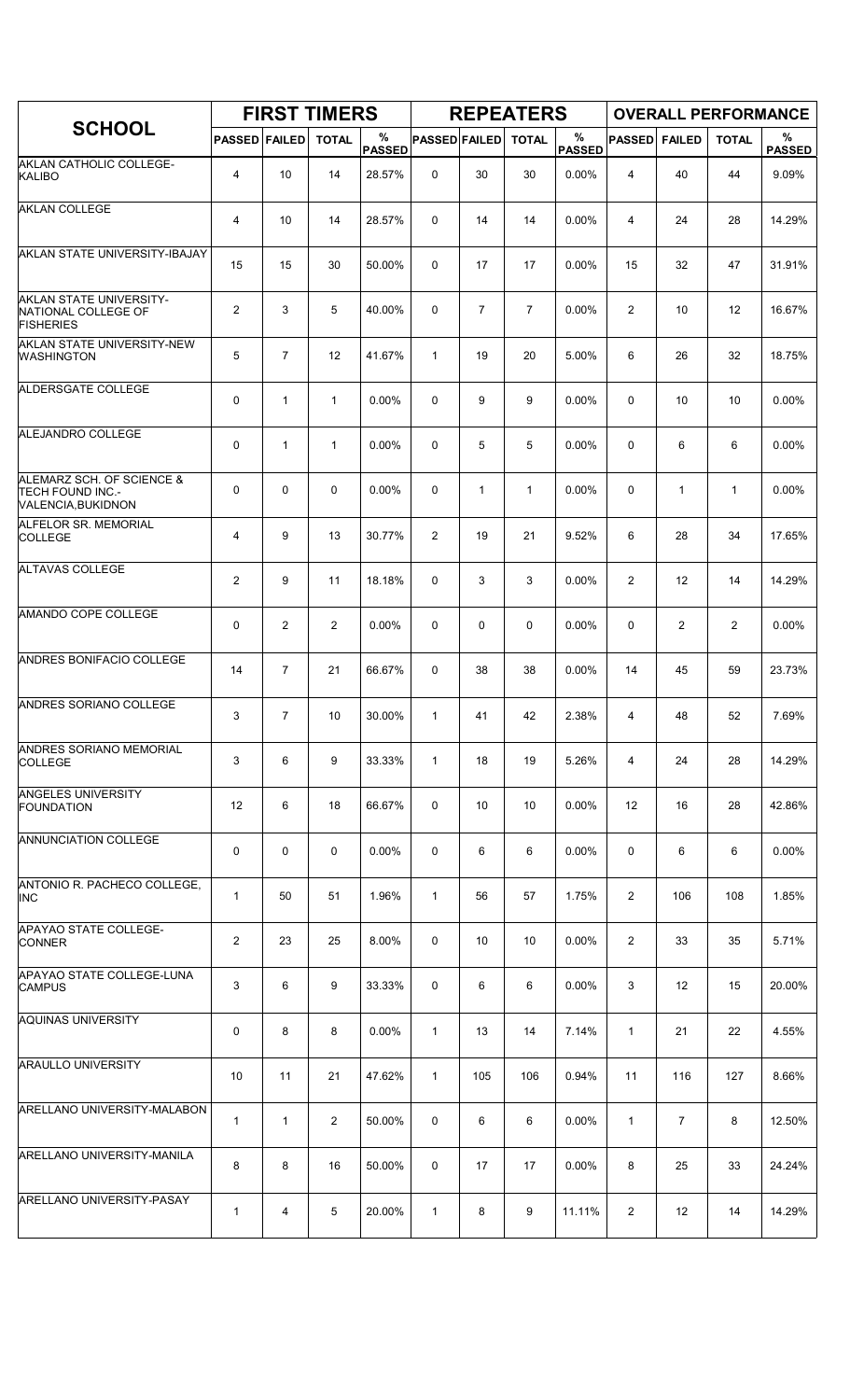|                                                                            |                |                | <b>FIRST TIMERS</b> |                    |                      |                | <b>REPEATERS</b> |                    |                |                | <b>OVERALL PERFORMANCE</b> |                       |
|----------------------------------------------------------------------------|----------------|----------------|---------------------|--------------------|----------------------|----------------|------------------|--------------------|----------------|----------------|----------------------------|-----------------------|
| <b>SCHOOL</b>                                                              | <b>PASSED</b>  | <b>FAILED</b>  | <b>TOTAL</b>        | %<br><b>PASSED</b> | <b>PASSED FAILED</b> |                | <b>TOTAL</b>     | %<br><b>PASSED</b> | <b>PASSED</b>  | <b>FAILED</b>  | <b>TOTAL</b>               | $\%$<br><b>PASSED</b> |
| AKLAN CATHOLIC COLLEGE-<br><b>KALIBO</b>                                   | $\overline{4}$ | 10             | 14                  | 28.57%             | 0                    | 30             | 30               | 0.00%              | 4              | 40             | 44                         | 9.09%                 |
| <b>AKLAN COLLEGE</b>                                                       | 4              | 10             | 14                  | 28.57%             | $\mathbf 0$          | 14             | 14               | 0.00%              | 4              | 24             | 28                         | 14.29%                |
| AKLAN STATE UNIVERSITY-IBAJAY                                              | 15             | 15             | 30                  | 50.00%             | $\mathbf 0$          | 17             | 17               | 0.00%              | 15             | 32             | 47                         | 31.91%                |
| AKLAN STATE UNIVERSITY-<br>NATIONAL COLLEGE OF<br><b>FISHERIES</b>         | $\overline{2}$ | 3              | 5                   | 40.00%             | 0                    | $\overline{7}$ | $\overline{7}$   | 0.00%              | $\overline{2}$ | 10             | 12                         | 16.67%                |
| AKLAN STATE UNIVERSITY-NEW<br><b>WASHINGTON</b>                            | 5              | $\overline{7}$ | 12                  | 41.67%             | $\mathbf{1}$         | 19             | 20               | 5.00%              | 6              | 26             | 32                         | 18.75%                |
| ALDERSGATE COLLEGE                                                         | 0              | 1              | $\mathbf{1}$        | 0.00%              | 0                    | 9              | 9                | 0.00%              | $\mathbf 0$    | 10             | 10                         | 0.00%                 |
| ALEJANDRO COLLEGE                                                          | 0              | $\mathbf{1}$   | $\mathbf{1}$        | 0.00%              | $\mathbf 0$          | 5              | 5                | 0.00%              | $\mathbf 0$    | 6              | 6                          | 0.00%                 |
| ALEMARZ SCH. OF SCIENCE &<br><b>TECH FOUND INC.-</b><br>VALENCIA, BUKIDNON | 0              | 0              | $\mathbf 0$         | 0.00%              | 0                    | $\mathbf{1}$   | $\mathbf{1}$     | 0.00%              | 0              | 1              | $\mathbf{1}$               | 0.00%                 |
| <b>ALFELOR SR. MEMORIAL</b><br><b>COLLEGE</b>                              | 4              | 9              | 13                  | 30.77%             | 2                    | 19             | 21               | 9.52%              | 6              | 28             | 34                         | 17.65%                |
| <b>ALTAVAS COLLEGE</b>                                                     | $\overline{2}$ | 9              | 11                  | 18.18%             | $\mathbf 0$          | 3              | 3                | 0.00%              | $\overline{2}$ | 12             | 14                         | 14.29%                |
| AMANDO COPE COLLEGE                                                        | 0              | 2              | $\overline{2}$      | 0.00%              | 0                    | 0              | 0                | 0.00%              | 0              | $\overline{c}$ | $\overline{2}$             | 0.00%                 |
| ANDRES BONIFACIO COLLEGE                                                   | 14             | $\overline{7}$ | 21                  | 66.67%             | $\mathbf 0$          | 38             | 38               | 0.00%              | 14             | 45             | 59                         | 23.73%                |
| ANDRES SORIANO COLLEGE                                                     | 3              | $\overline{7}$ | 10                  | 30.00%             | $\mathbf{1}$         | 41             | 42               | 2.38%              | 4              | 48             | 52                         | 7.69%                 |
| <b>ANDRES SORIANO MEMORIAL</b><br><b>COLLEGE</b>                           | 3              | 6              | 9                   | 33.33%             | $\mathbf{1}$         | 18             | 19               | 5.26%              | 4              | 24             | 28                         | 14.29%                |
| <b>ANGELES UNIVERSITY</b><br><b>FOUNDATION</b>                             | 12             | 6              | 18                  | 66.67%             | 0                    | 10             | 10               | 0.00%              | 12             | 16             | 28                         | 42.86%                |
| ANNUNCIATION COLLEGE                                                       | $\mathbf 0$    | 0              | $\mathbf 0$         | $0.00\%$           | 0                    | 6              | 6                | $0.00\%$           | 0              | 6              | 6                          | $0.00\%$              |
| ANTONIO R. PACHECO COLLEGE,<br><b>INC</b>                                  | $\mathbf{1}$   | 50             | 51                  | 1.96%              | $\mathbf{1}$         | 56             | 57               | 1.75%              | $\overline{2}$ | 106            | 108                        | 1.85%                 |
| <b>APAYAO STATE COLLEGE-</b><br><b>CONNER</b>                              | $\overline{2}$ | 23             | 25                  | 8.00%              | 0                    | 10             | 10               | 0.00%              | $\overline{2}$ | 33             | 35                         | 5.71%                 |
| APAYAO STATE COLLEGE-LUNA<br><b>CAMPUS</b>                                 | 3              | 6              | 9                   | 33.33%             | 0                    | 6              | 6                | $0.00\%$           | 3              | 12             | 15                         | 20.00%                |
| <b>AQUINAS UNIVERSITY</b>                                                  | 0              | 8              | 8                   | 0.00%              | $\mathbf{1}$         | 13             | 14               | 7.14%              | $\mathbf{1}$   | 21             | 22                         | 4.55%                 |
| <b>ARAULLO UNIVERSITY</b>                                                  | 10             | 11             | 21                  | 47.62%             | $\mathbf{1}$         | 105            | 106              | 0.94%              | 11             | 116            | 127                        | 8.66%                 |
| ARELLANO UNIVERSITY-MALABON                                                | $\mathbf{1}$   | $\mathbf{1}$   | $\overline{2}$      | 50.00%             | 0                    | 6              | 6                | 0.00%              | $\mathbf{1}$   | 7              | 8                          | 12.50%                |
| ARELLANO UNIVERSITY-MANILA                                                 | 8              | 8              | 16                  | 50.00%             | 0                    | 17             | 17               | 0.00%              | 8              | 25             | 33                         | 24.24%                |
| <b>ARELLANO UNIVERSITY-PASAY</b>                                           | $\mathbf{1}$   | 4              | 5                   | 20.00%             | $\mathbf{1}$         | 8              | 9                | 11.11%             | $\overline{2}$ | 12             | 14                         | 14.29%                |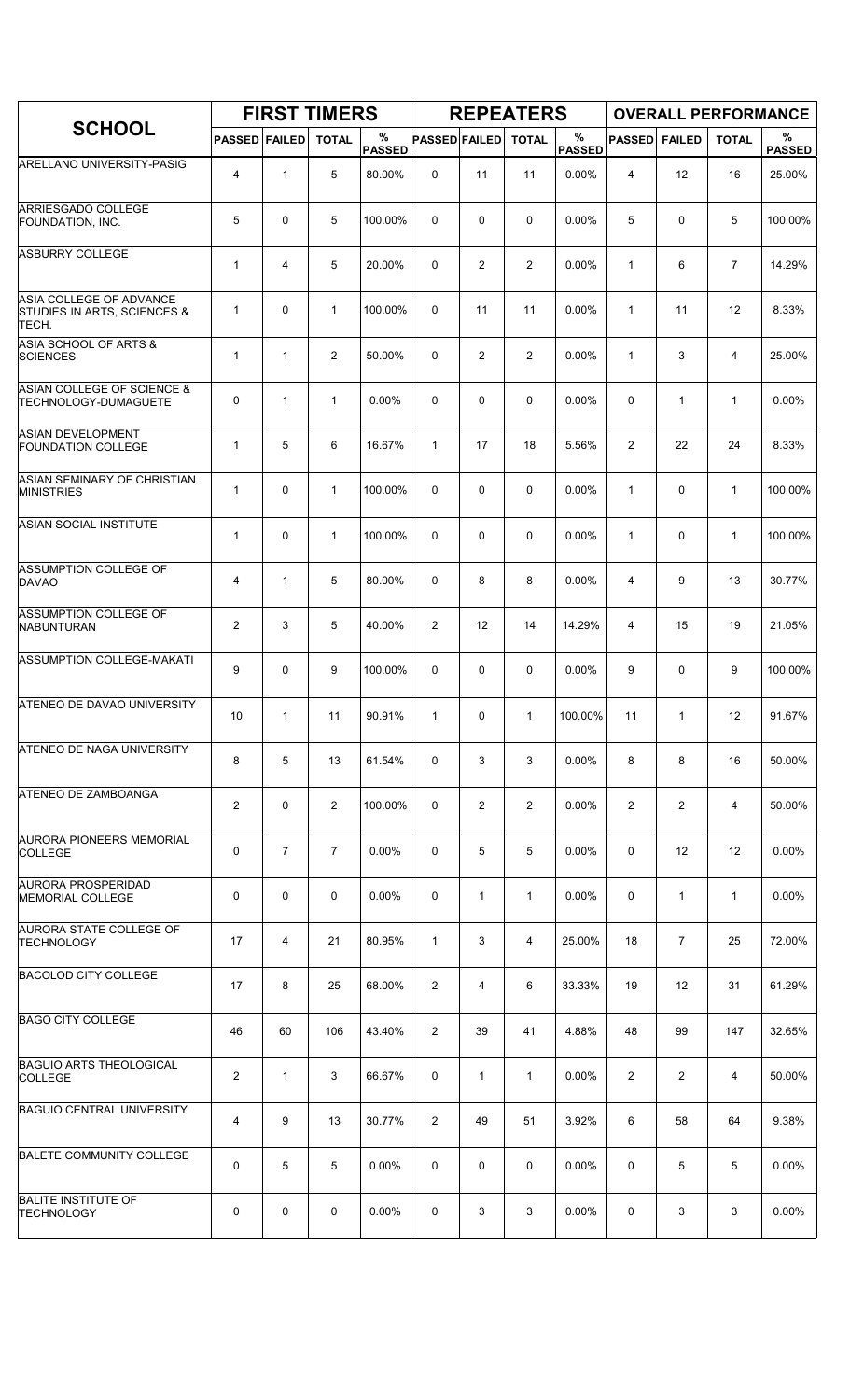|                                                                 |                      |                | <b>FIRST TIMERS</b> |                    |                      |                | <b>REPEATERS</b> |                       |                         |                |                | <b>OVERALL PERFORMANCE</b> |
|-----------------------------------------------------------------|----------------------|----------------|---------------------|--------------------|----------------------|----------------|------------------|-----------------------|-------------------------|----------------|----------------|----------------------------|
| <b>SCHOOL</b>                                                   | <b>PASSED FAILED</b> |                | <b>TOTAL</b>        | %<br><b>PASSED</b> | <b>PASSED FAILED</b> |                | <b>TOTAL</b>     | $\%$<br><b>PASSED</b> | <b>PASSED</b>           | <b>FAILED</b>  | <b>TOTAL</b>   | %<br><b>PASSED</b>         |
| ARELLANO UNIVERSITY-PASIG                                       | 4                    | $\mathbf{1}$   | 5                   | 80.00%             | 0                    | 11             | 11               | 0.00%                 | $\overline{\mathbf{4}}$ | 12             | 16             | 25.00%                     |
| ARRIESGADO COLLEGE<br>FOUNDATION, INC.                          | 5                    | 0              | 5                   | 100.00%            | $\mathbf 0$          | 0              | $\mathbf 0$      | 0.00%                 | 5                       | 0              | 5              | 100.00%                    |
| <b>ASBURRY COLLEGE</b>                                          | $\mathbf{1}$         | 4              | 5                   | 20.00%             | 0                    | $\overline{2}$ | $\overline{2}$   | 0.00%                 | 1                       | 6              | $\overline{7}$ | 14.29%                     |
| ASIA COLLEGE OF ADVANCE<br>STUDIES IN ARTS, SCIENCES &<br>TECH. | $\mathbf{1}$         | 0              | $\mathbf{1}$        | 100.00%            | 0                    | 11             | 11               | 0.00%                 | 1                       | 11             | 12             | 8.33%                      |
| ASIA SCHOOL OF ARTS &<br><b>SCIENCES</b>                        | $\mathbf{1}$         | $\mathbf{1}$   | $\overline{2}$      | 50.00%             | 0                    | 2              | $\overline{2}$   | 0.00%                 | $\mathbf{1}$            | 3              | 4              | 25.00%                     |
| ASIAN COLLEGE OF SCIENCE &<br><b>TECHNOLOGY-DUMAGUETE</b>       | 0                    | $\mathbf{1}$   | $\mathbf{1}$        | 0.00%              | 0                    | 0              | $\mathbf 0$      | 0.00%                 | $\mathbf 0$             | $\mathbf{1}$   | $\mathbf{1}$   | 0.00%                      |
| <b>ASIAN DEVELOPMENT</b><br><b>FOUNDATION COLLEGE</b>           | $\mathbf{1}$         | 5              | 6                   | 16.67%             | $\mathbf{1}$         | 17             | 18               | 5.56%                 | $\overline{2}$          | 22             | 24             | 8.33%                      |
| ASIAN SEMINARY OF CHRISTIAN<br><b>MINISTRIES</b>                | $\mathbf{1}$         | $\Omega$       | $\mathbf{1}$        | 100.00%            | 0                    | 0              | 0                | 0.00%                 | $\mathbf{1}$            | 0              | $\mathbf{1}$   | 100.00%                    |
| <b>ASIAN SOCIAL INSTITUTE</b>                                   | $\mathbf{1}$         | 0              | $\mathbf{1}$        | 100.00%            | 0                    | 0              | $\mathbf 0$      | 0.00%                 | 1                       | 0              | $\mathbf{1}$   | 100.00%                    |
| ASSUMPTION COLLEGE OF<br><b>DAVAO</b>                           | 4                    | $\mathbf{1}$   | 5                   | 80.00%             | 0                    | 8              | 8                | 0.00%                 | 4                       | 9              | 13             | 30.77%                     |
| <b>ASSUMPTION COLLEGE OF</b><br><b>NABUNTURAN</b>               | $\overline{2}$       | 3              | 5                   | 40.00%             | 2                    | 12             | 14               | 14.29%                | $\overline{4}$          | 15             | 19             | 21.05%                     |
| ASSUMPTION COLLEGE-MAKATI                                       | 9                    | 0              | 9                   | 100.00%            | $\mathbf 0$          | 0              | $\mathbf 0$      | 0.00%                 | 9                       | 0              | 9              | 100.00%                    |
| ATENEO DE DAVAO UNIVERSITY                                      | 10                   | $\mathbf{1}$   | 11                  | 90.91%             | $\mathbf{1}$         | 0              | $\mathbf{1}$     | 100.00%               | 11                      | 1              | 12             | 91.67%                     |
| <b>ATENEO DE NAGA UNIVERSITY</b>                                | 8                    | 5              | 13                  | 61.54%             | 0                    | 3              | 3                | $0.00\%$              | 8                       | 8              | 16             | 50.00%                     |
| ATENEO DE ZAMBOANGA                                             | 2                    | 0              | $\overline{2}$      | 100.00%            | 0                    | 2              | $\overline{2}$   | $0.00\%$              | $\overline{2}$          | 2              | 4              | 50.00%                     |
| <b>AURORA PIONEERS MEMORIAL</b><br><b>COLLEGE</b>               | 0                    | $\overline{7}$ | $\overline{7}$      | 0.00%              | 0                    | 5              | 5                | $0.00\%$              | 0                       | 12             | 12             | 0.00%                      |
| AURORA PROSPERIDAD<br><b>MEMORIAL COLLEGE</b>                   | 0                    | 0              | 0                   | $0.00\%$           | 0                    | 1              | $\mathbf{1}$     | $0.00\%$              | 0                       | $\mathbf{1}$   | $\mathbf{1}$   | 0.00%                      |
| AURORA STATE COLLEGE OF<br>TECHNOLOGY                           | 17                   | 4              | 21                  | 80.95%             | $\mathbf{1}$         | 3              | 4                | 25.00%                | 18                      | $\overline{7}$ | 25             | 72.00%                     |
| <b>BACOLOD CITY COLLEGE</b>                                     | 17                   | 8              | 25                  | 68.00%             | $\overline{2}$       | 4              | 6                | 33.33%                | 19                      | 12             | 31             | 61.29%                     |
| <b>BAGO CITY COLLEGE</b>                                        | 46                   | 60             | 106                 | 43.40%             | 2                    | 39             | 41               | 4.88%                 | 48                      | 99             | 147            | 32.65%                     |
| <b>BAGUIO ARTS THEOLOGICAL</b><br><b>COLLEGE</b>                | 2                    | $\mathbf{1}$   | 3                   | 66.67%             | 0                    | $\mathbf{1}$   | $\mathbf{1}$     | $0.00\%$              | $\overline{2}$          | 2              | 4              | 50.00%                     |
| <b>BAGUIO CENTRAL UNIVERSITY</b>                                | 4                    | 9              | 13                  | 30.77%             | 2                    | 49             | 51               | 3.92%                 | 6                       | 58             | 64             | 9.38%                      |
| <b>BALETE COMMUNITY COLLEGE</b>                                 | 0                    | 5              | 5                   | $0.00\%$           | 0                    | 0              | 0                | $0.00\%$              | 0                       | 5              | 5              | 0.00%                      |
| <b>BALITE INSTITUTE OF</b><br><b>TECHNOLOGY</b>                 | 0                    | 0              | 0                   | 0.00%              | 0                    | 3              | 3                | 0.00%                 | 0                       | 3              | 3              | 0.00%                      |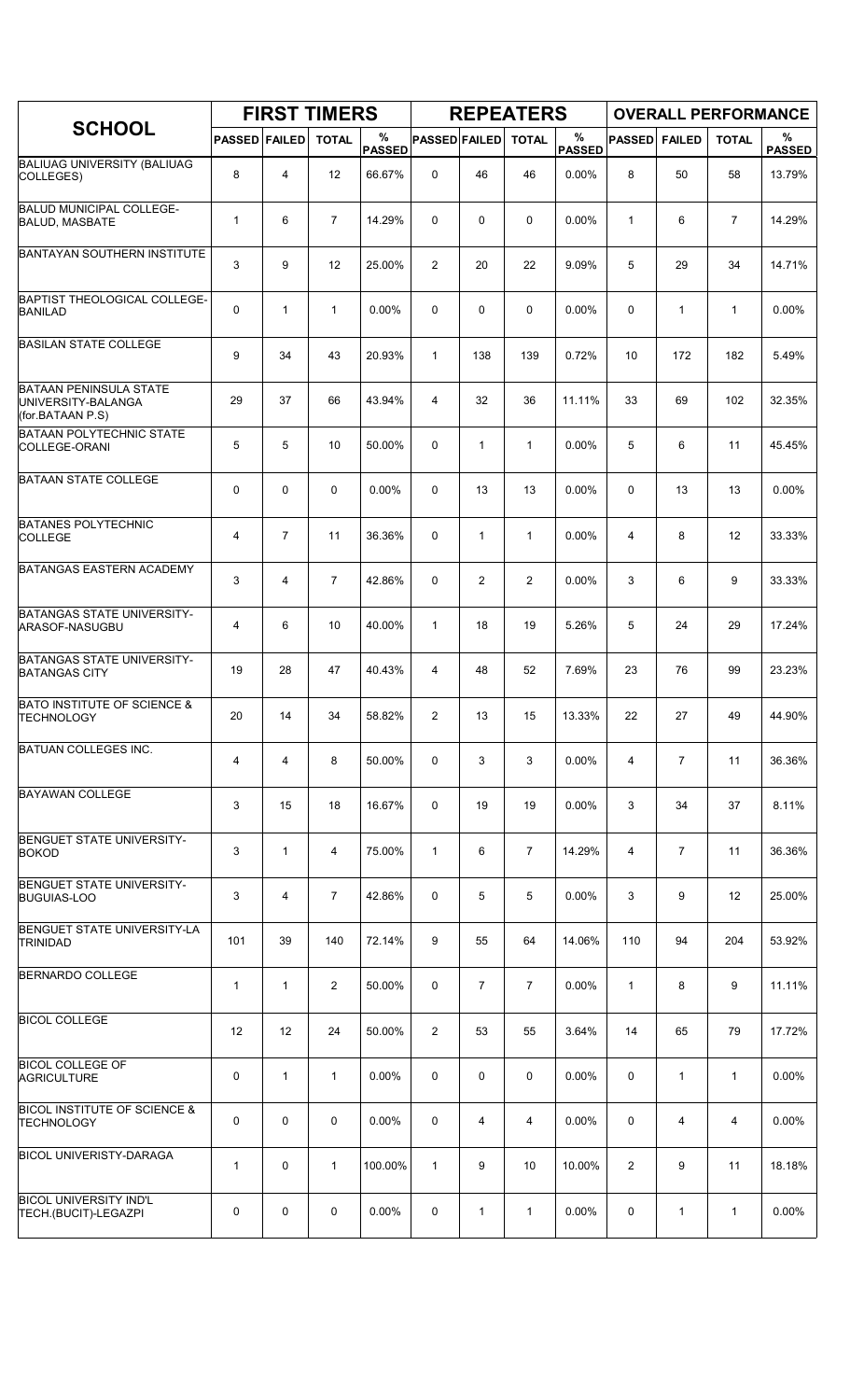|                                                                         |                      |                | <b>FIRST TIMERS</b> |                    |                      |                | <b>REPEATERS</b> |                       |               |                | <b>OVERALL PERFORMANCE</b> |                    |
|-------------------------------------------------------------------------|----------------------|----------------|---------------------|--------------------|----------------------|----------------|------------------|-----------------------|---------------|----------------|----------------------------|--------------------|
| <b>SCHOOL</b>                                                           | <b>PASSED FAILED</b> |                | <b>TOTAL</b>        | %<br><b>PASSED</b> | <b>PASSED FAILED</b> |                | <b>TOTAL</b>     | $\%$<br><b>PASSED</b> | <b>PASSED</b> | <b>FAILED</b>  | <b>TOTAL</b>               | %<br><b>PASSED</b> |
| <b>BALIUAG UNIVERSITY (BALIUAG</b><br>COLLEGES)                         | 8                    | 4              | 12                  | 66.67%             | 0                    | 46             | 46               | 0.00%                 | 8             | 50             | 58                         | 13.79%             |
| <b>BALUD MUNICIPAL COLLEGE-</b><br><b>BALUD, MASBATE</b>                | 1                    | 6              | $\overline{7}$      | 14.29%             | 0                    | 0              | 0                | 0.00%                 | $\mathbf{1}$  | 6              | $\overline{7}$             | 14.29%             |
| <b>BANTAYAN SOUTHERN INSTITUTE</b>                                      | 3                    | 9              | 12                  | 25.00%             | 2                    | 20             | 22               | 9.09%                 | 5             | 29             | 34                         | 14.71%             |
| <b>BAPTIST THEOLOGICAL COLLEGE-</b><br><b>BANILAD</b>                   | 0                    | $\mathbf{1}$   | $\mathbf{1}$        | 0.00%              | 0                    | 0              | 0                | 0.00%                 | $\mathbf 0$   | $\mathbf{1}$   | $\mathbf{1}$               | 0.00%              |
| <b>BASILAN STATE COLLEGE</b>                                            | 9                    | 34             | 43                  | 20.93%             | $\mathbf{1}$         | 138            | 139              | 0.72%                 | 10            | 172            | 182                        | 5.49%              |
| <b>BATAAN PENINSULA STATE</b><br>UNIVERSITY-BALANGA<br>(for.BATAAN P.S) | 29                   | 37             | 66                  | 43.94%             | 4                    | 32             | 36               | 11.11%                | 33            | 69             | 102                        | 32.35%             |
| <b>BATAAN POLYTECHNIC STATE</b><br><b>COLLEGE-ORANI</b>                 | 5                    | 5              | 10                  | 50.00%             | 0                    | $\mathbf{1}$   | $\mathbf{1}$     | 0.00%                 | 5             | 6              | 11                         | 45.45%             |
| <b>BATAAN STATE COLLEGE</b>                                             | 0                    | $\mathbf 0$    | $\mathbf 0$         | 0.00%              | 0                    | 13             | 13               | 0.00%                 | 0             | 13             | 13                         | 0.00%              |
| <b>BATANES POLYTECHNIC</b><br><b>COLLEGE</b>                            | 4                    | 7              | 11                  | 36.36%             | 0                    | $\mathbf{1}$   | $\mathbf{1}$     | 0.00%                 | 4             | 8              | 12                         | 33.33%             |
| <b>BATANGAS EASTERN ACADEMY</b>                                         | 3                    | $\overline{4}$ | $\overline{7}$      | 42.86%             | 0                    | $\overline{c}$ | $\overline{2}$   | 0.00%                 | 3             | 6              | 9                          | 33.33%             |
| <b>BATANGAS STATE UNIVERSITY-</b><br>ARASOF-NASUGBU                     | 4                    | 6              | 10                  | 40.00%             | $\mathbf{1}$         | 18             | 19               | 5.26%                 | 5             | 24             | 29                         | 17.24%             |
| BATANGAS STATE UNIVERSITY-<br><b>BATANGAS CITY</b>                      | 19                   | 28             | 47                  | 40.43%             | 4                    | 48             | 52               | 7.69%                 | 23            | 76             | 99                         | 23.23%             |
| <b>BATO INSTITUTE OF SCIENCE &amp;</b><br><b>TECHNOLOGY</b>             | 20                   | 14             | 34                  | 58.82%             | 2                    | 13             | 15               | 13.33%                | 22            | 27             | 49                         | 44.90%             |
| <b>BATUAN COLLEGES INC.</b>                                             | 4                    | 4              | 8                   | 50.00%             | 0                    | 3              | 3                | 0.00%                 | 4             | 7              | 11                         | 36.36%             |
| <b>BAYAWAN COLLEGE</b>                                                  | 3                    | 15             | 18                  | 16.67%             | 0                    | 19             | 19               | 0.00%                 | 3             | 34             | 37                         | 8.11%              |
| <b>BENGUET STATE UNIVERSITY-</b><br><b>BOKOD</b>                        | 3                    | $\mathbf{1}$   | 4                   | 75.00%             | $\mathbf{1}$         | 6              | $\overline{7}$   | 14.29%                | 4             | $\overline{7}$ | 11                         | 36.36%             |
| BENGUET STATE UNIVERSITY-<br><b>BUGUIAS-LOO</b>                         | 3                    | 4              | $\overline{7}$      | 42.86%             | 0                    | 5              | 5                | 0.00%                 | 3             | 9              | 12                         | 25.00%             |
| BENGUET STATE UNIVERSITY-LA<br><b>TRINIDAD</b>                          | 101                  | 39             | 140                 | 72.14%             | 9                    | 55             | 64               | 14.06%                | 110           | 94             | 204                        | 53.92%             |
| <b>BERNARDO COLLEGE</b>                                                 | 1                    | $\mathbf{1}$   | $\overline{2}$      | 50.00%             | 0                    | $\overline{7}$ | $\overline{7}$   | 0.00%                 | 1             | 8              | 9                          | 11.11%             |
| <b>BICOL COLLEGE</b>                                                    | 12                   | 12             | 24                  | 50.00%             | 2                    | 53             | 55               | 3.64%                 | 14            | 65             | 79                         | 17.72%             |
| <b>BICOL COLLEGE OF</b><br><b>AGRICULTURE</b>                           | 0                    | $\mathbf{1}$   | $\mathbf{1}$        | 0.00%              | 0                    | 0              | 0                | 0.00%                 | 0             | $\mathbf{1}$   | $\mathbf{1}$               | 0.00%              |
| <b>BICOL INSTITUTE OF SCIENCE &amp;</b><br><b>TECHNOLOGY</b>            | 0                    | $\mathbf 0$    | 0                   | 0.00%              | 0                    | 4              | 4                | 0.00%                 | 0             | 4              | 4                          | 0.00%              |
| <b>BICOL UNIVERISTY-DARAGA</b>                                          | 1                    | 0              | $\mathbf{1}$        | 100.00%            | $\mathbf{1}$         | 9              | 10               | 10.00%                | 2             | 9              | 11                         | 18.18%             |
| <b>BICOL UNIVERSITY IND'L</b><br>TECH.(BUCIT)-LEGAZPI                   | 0                    | 0              | 0                   | $0.00\%$           | 0                    | 1              | $\mathbf{1}$     | 0.00%                 | 0             | $\mathbf{1}$   | $\mathbf{1}$               | 0.00%              |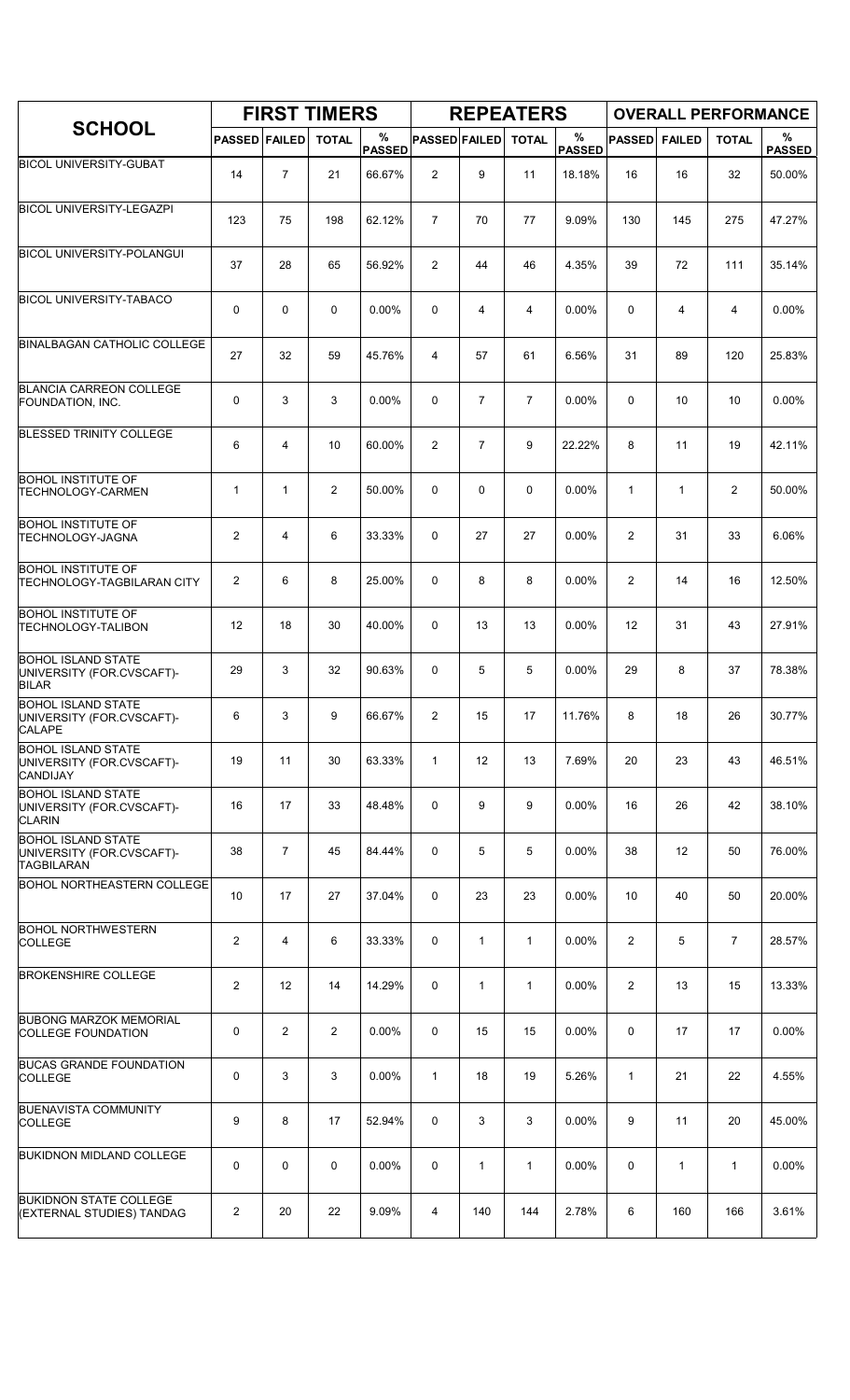|                                                                             |                      |                | <b>FIRST TIMERS</b> |                    |                      |                | <b>REPEATERS</b> |                    |                |                | <b>OVERALL PERFORMANCE</b> |                    |
|-----------------------------------------------------------------------------|----------------------|----------------|---------------------|--------------------|----------------------|----------------|------------------|--------------------|----------------|----------------|----------------------------|--------------------|
| <b>SCHOOL</b>                                                               | <b>PASSED FAILED</b> |                | <b>TOTAL</b>        | %<br><b>PASSED</b> | <b>PASSED FAILED</b> |                | <b>TOTAL</b>     | %<br><b>PASSED</b> | <b>PASSED</b>  | <b>FAILED</b>  | <b>TOTAL</b>               | %<br><b>PASSED</b> |
| <b>BICOL UNIVERSITY-GUBAT</b>                                               | 14                   | $\overline{7}$ | 21                  | 66.67%             | $\overline{2}$       | 9              | 11               | 18.18%             | 16             | 16             | 32                         | 50.00%             |
| <b>BICOL UNIVERSITY-LEGAZPI</b>                                             | 123                  | 75             | 198                 | 62.12%             | $\overline{7}$       | 70             | 77               | 9.09%              | 130            | 145            | 275                        | 47.27%             |
| <b>BICOL UNIVERSITY-POLANGUI</b>                                            | 37                   | 28             | 65                  | 56.92%             | $\overline{2}$       | 44             | 46               | 4.35%              | 39             | 72             | 111                        | 35.14%             |
| <b>BICOL UNIVERSITY-TABACO</b>                                              | 0                    | 0              | 0                   | 0.00%              | 0                    | 4              | 4                | 0.00%              | 0              | $\overline{4}$ | $\overline{4}$             | $0.00\%$           |
| <b>BINALBAGAN CATHOLIC COLLEGE</b>                                          | 27                   | 32             | 59                  | 45.76%             | 4                    | 57             | 61               | 6.56%              | 31             | 89             | 120                        | 25.83%             |
| <b>BLANCIA CARREON COLLEGE</b><br><b>FOUNDATION, INC.</b>                   | 0                    | 3              | 3                   | 0.00%              | 0                    | $\overline{7}$ | $\overline{7}$   | 0.00%              | 0              | 10             | 10                         | 0.00%              |
| <b>BLESSED TRINITY COLLEGE</b>                                              | 6                    | 4              | 10                  | 60.00%             | 2                    | $\overline{7}$ | 9                | 22.22%             | 8              | 11             | 19                         | 42.11%             |
| <b>BOHOL INSTITUTE OF</b><br><b>TECHNOLOGY-CARMEN</b>                       | $\mathbf{1}$         | $\mathbf{1}$   | 2                   | 50.00%             | $\Omega$             | 0              | 0                | $0.00\%$           | $\mathbf{1}$   | $\mathbf{1}$   | 2                          | 50.00%             |
| <b>BOHOL INSTITUTE OF</b><br><b>TECHNOLOGY-JAGNA</b>                        | 2                    | 4              | 6                   | 33.33%             | 0                    | 27             | 27               | 0.00%              | 2              | 31             | 33                         | 6.06%              |
| <b>BOHOL INSTITUTE OF</b><br><b>TECHNOLOGY-TAGBILARAN CITY</b>              | $\overline{2}$       | 6              | 8                   | 25.00%             | 0                    | 8              | 8                | 0.00%              | $\overline{c}$ | 14             | 16                         | 12.50%             |
| <b>BOHOL INSTITUTE OF</b><br>TECHNOLOGY-TALIBON                             | 12                   | 18             | 30                  | 40.00%             | 0                    | 13             | 13               | 0.00%              | 12             | 31             | 43                         | 27.91%             |
| <b>BOHOL ISLAND STATE</b><br>UNIVERSITY (FOR.CVSCAFT)-<br><b>BILAR</b>      | 29                   | 3              | 32                  | 90.63%             | 0                    | 5              | 5                | 0.00%              | 29             | 8              | 37                         | 78.38%             |
| <b>BOHOL ISLAND STATE</b><br>UNIVERSITY (FOR.CVSCAFT)-<br><b>CALAPE</b>     | 6                    | 3              | 9                   | 66.67%             | 2                    | 15             | 17               | 11.76%             | 8              | 18             | 26                         | 30.77%             |
| <b>BOHOL ISLAND STATE</b><br>UNIVERSITY (FOR.CVSCAFT)-<br><b>CANDIJAY</b>   | 19                   | 11             | 30                  | 63.33%             | $\mathbf{1}$         | 12             | 13               | 7.69%              | 20             | 23             | 43                         | 46.51%             |
| <b>BOHOL ISLAND STATE</b><br>UNIVERSITY (FOR.CVSCAFT)-<br><b>CLARIN</b>     | 16                   | 17             | 33                  | 48.48%             | 0                    | 9              | 9                | 0.00%              | 16             | 26             | 42                         | 38.10%             |
| <b>BOHOL ISLAND STATE</b><br>UNIVERSITY (FOR.CVSCAFT)-<br><b>TAGBILARAN</b> | 38                   | $\overline{7}$ | 45                  | 84.44%             | 0                    | 5              | 5                | 0.00%              | 38             | 12             | 50                         | 76.00%             |
| <b>BOHOL NORTHEASTERN COLLEGE</b>                                           | 10                   | 17             | 27                  | 37.04%             | 0                    | 23             | 23               | $0.00\%$           | 10             | 40             | 50                         | 20.00%             |
| <b>BOHOL NORTHWESTERN</b><br><b>COLLEGE</b>                                 | $\overline{2}$       | 4              | 6                   | 33.33%             | 0                    | $\mathbf{1}$   | $\mathbf{1}$     | 0.00%              | $\overline{2}$ | 5              | $\overline{7}$             | 28.57%             |
| <b>BROKENSHIRE COLLEGE</b>                                                  | $\overline{2}$       | 12             | 14                  | 14.29%             | 0                    | $\mathbf{1}$   | $\mathbf{1}$     | 0.00%              | $\overline{2}$ | 13             | 15                         | 13.33%             |
| <b>BUBONG MARZOK MEMORIAL</b><br><b>COLLEGE FOUNDATION</b>                  | 0                    | $\overline{2}$ | $\overline{2}$      | 0.00%              | 0                    | 15             | 15               | $0.00\%$           | 0              | 17             | 17                         | $0.00\%$           |
| <b>BUCAS GRANDE FOUNDATION</b><br><b>COLLEGE</b>                            | 0                    | 3              | 3                   | 0.00%              | $\mathbf{1}$         | 18             | 19               | 5.26%              | $\mathbf{1}$   | 21             | 22                         | 4.55%              |
| <b>BUENAVISTA COMMUNITY</b><br><b>COLLEGE</b>                               | 9                    | 8              | 17                  | 52.94%             | 0                    | 3              | 3                | 0.00%              | 9              | 11             | 20                         | 45.00%             |
| <b>BUKIDNON MIDLAND COLLEGE</b>                                             | 0                    | 0              | 0                   | 0.00%              | 0                    | $\mathbf{1}$   | $\mathbf{1}$     | 0.00%              | $\mathbf 0$    | $\mathbf{1}$   | $\mathbf{1}$               | 0.00%              |
| <b>BUKIDNON STATE COLLEGE</b><br>(EXTERNAL STUDIES) TANDAG                  | $\overline{2}$       | 20             | 22                  | 9.09%              | 4                    | 140            | 144              | 2.78%              | 6              | 160            | 166                        | 3.61%              |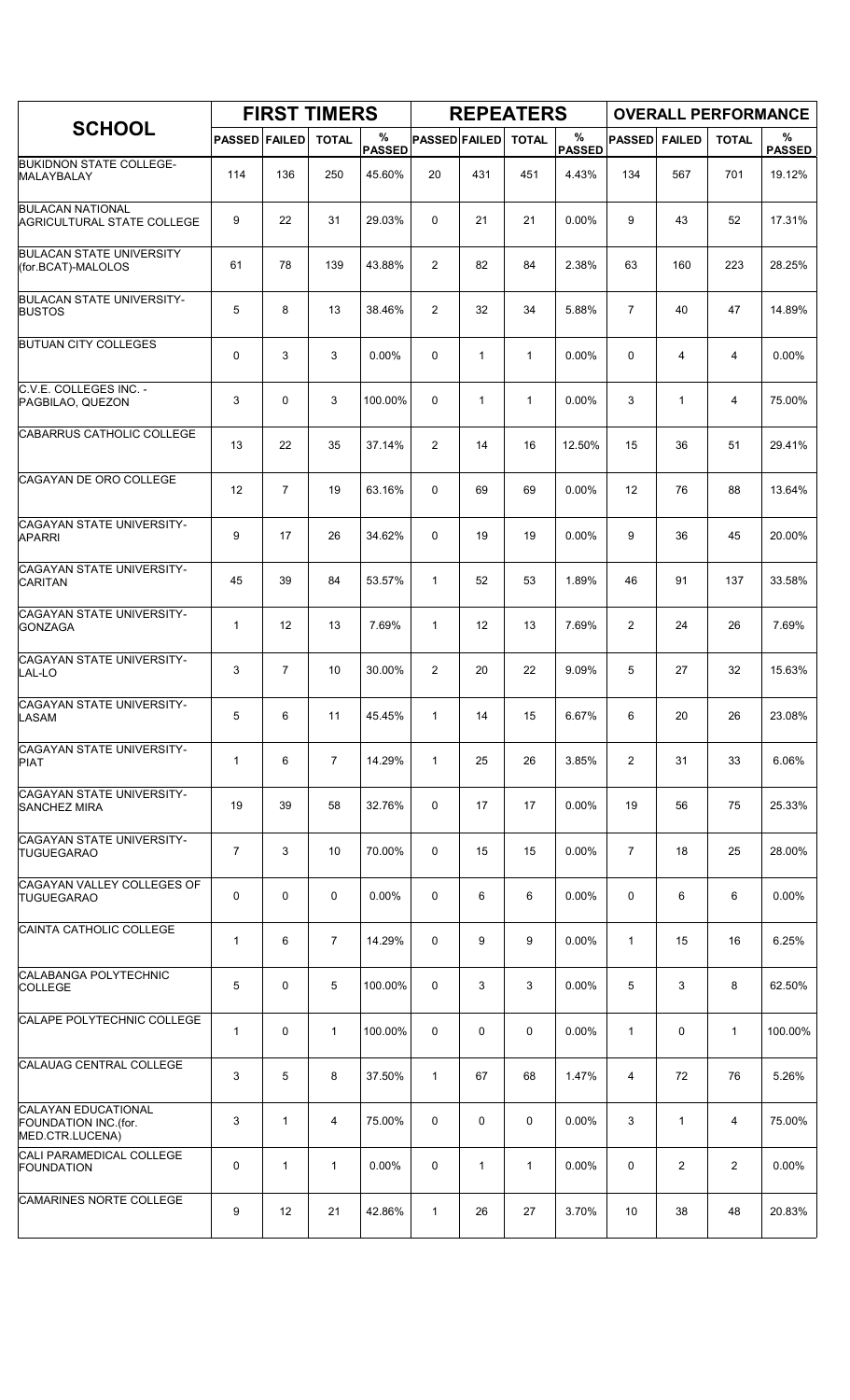|                                                                       |                      |                | <b>FIRST TIMERS</b> |                    |                      |              | <b>REPEATERS</b> |                       |                |                | <b>OVERALL PERFORMANCE</b> |                    |
|-----------------------------------------------------------------------|----------------------|----------------|---------------------|--------------------|----------------------|--------------|------------------|-----------------------|----------------|----------------|----------------------------|--------------------|
| <b>SCHOOL</b>                                                         | <b>PASSED FAILED</b> |                | <b>TOTAL</b>        | %<br><b>PASSED</b> | <b>PASSED FAILED</b> |              | <b>TOTAL</b>     | $\%$<br><b>PASSED</b> | <b>PASSED</b>  | <b>FAILED</b>  | <b>TOTAL</b>               | %<br><b>PASSED</b> |
| <b>BUKIDNON STATE COLLEGE-</b><br>MALAYBALAY                          | 114                  | 136            | 250                 | 45.60%             | 20                   | 431          | 451              | 4.43%                 | 134            | 567            | 701                        | 19.12%             |
| <b>BULACAN NATIONAL</b><br><b>AGRICULTURAL STATE COLLEGE</b>          | 9                    | 22             | 31                  | 29.03%             | $\Omega$             | 21           | 21               | 0.00%                 | 9              | 43             | 52                         | 17.31%             |
| <b>BULACAN STATE UNIVERSITY</b><br>(for.BCAT)-MALOLOS                 | 61                   | 78             | 139                 | 43.88%             | 2                    | 82           | 84               | 2.38%                 | 63             | 160            | 223                        | 28.25%             |
| <b>BULACAN STATE UNIVERSITY-</b><br><b>BUSTOS</b>                     | 5                    | 8              | 13                  | 38.46%             | 2                    | 32           | 34               | 5.88%                 | $\overline{7}$ | 40             | 47                         | 14.89%             |
| <b>BUTUAN CITY COLLEGES</b>                                           | 0                    | 3              | 3                   | 0.00%              | 0                    | $\mathbf{1}$ | $\mathbf{1}$     | 0.00%                 | 0              | 4              | 4                          | 0.00%              |
| C.V.E. COLLEGES INC. -<br>PAGBILAO, QUEZON                            | 3                    | 0              | 3                   | 100.00%            | 0                    | $\mathbf{1}$ | $\mathbf{1}$     | 0.00%                 | 3              | $\mathbf{1}$   | 4                          | 75.00%             |
| CABARRUS CATHOLIC COLLEGE                                             | 13                   | 22             | 35                  | 37.14%             | 2                    | 14           | 16               | 12.50%                | 15             | 36             | 51                         | 29.41%             |
| CAGAYAN DE ORO COLLEGE                                                | 12                   | $\overline{7}$ | 19                  | 63.16%             | $\Omega$             | 69           | 69               | $0.00\%$              | 12             | 76             | 88                         | 13.64%             |
| CAGAYAN STATE UNIVERSITY-<br><b>APARRI</b>                            | 9                    | 17             | 26                  | 34.62%             | 0                    | 19           | 19               | 0.00%                 | 9              | 36             | 45                         | 20.00%             |
| CAGAYAN STATE UNIVERSITY-<br><b>CARITAN</b>                           | 45                   | 39             | 84                  | 53.57%             | $\mathbf{1}$         | 52           | 53               | 1.89%                 | 46             | 91             | 137                        | 33.58%             |
| CAGAYAN STATE UNIVERSITY-<br><b>GONZAGA</b>                           | $\mathbf{1}$         | 12             | 13                  | 7.69%              | $\mathbf{1}$         | 12           | 13               | 7.69%                 | $\overline{2}$ | 24             | 26                         | 7.69%              |
| CAGAYAN STATE UNIVERSITY-<br>LAL-LO                                   | 3                    | $\overline{7}$ | 10                  | 30.00%             | 2                    | 20           | 22               | 9.09%                 | 5              | 27             | 32                         | 15.63%             |
| CAGAYAN STATE UNIVERSITY-<br>LASAM                                    | 5                    | 6              | 11                  | 45.45%             | $\mathbf{1}$         | 14           | 15               | 6.67%                 | 6              | 20             | 26                         | 23.08%             |
| CAGAYAN STATE UNIVERSITY-<br><b>PIAT</b>                              | $\mathbf{1}$         | 6              | $\overline{7}$      | 14.29%             | $\mathbf{1}$         | 25           | 26               | 3.85%                 | 2              | 31             | 33                         | 6.06%              |
| CAGAYAN STATE UNIVERSITY-<br><b>SANCHEZ MIRA</b>                      | 19                   | 39             | 58                  | 32.76%             | 0                    | 17           | 17               | 0.00%                 | 19             | 56             | 75                         | 25.33%             |
| CAGAYAN STATE UNIVERSITY-<br><b>TUGUEGARAO</b>                        | $\overline{7}$       | 3              | 10                  | 70.00%             | 0                    | 15           | 15               | 0.00%                 | $\overline{7}$ | 18             | 25                         | 28.00%             |
| CAGAYAN VALLEY COLLEGES OF<br><b>TUGUEGARAO</b>                       | 0                    | 0              | 0                   | 0.00%              | 0                    | 6            | 6                | 0.00%                 | 0              | 6              | 6                          | 0.00%              |
| CAINTA CATHOLIC COLLEGE                                               | $\mathbf{1}$         | 6              | $\overline{7}$      | 14.29%             | $\Omega$             | 9            | 9                | 0.00%                 | $\mathbf{1}$   | 15             | 16                         | 6.25%              |
| CALABANGA POLYTECHNIC<br><b>COLLEGE</b>                               | 5                    | 0              | 5                   | 100.00%            | 0                    | 3            | 3                | $0.00\%$              | 5              | 3              | 8                          | 62.50%             |
| CALAPE POLYTECHNIC COLLEGE                                            | $\mathbf{1}$         | 0              | $\mathbf{1}$        | 100.00%            | 0                    | 0            | 0                | $0.00\%$              | $\mathbf{1}$   | 0              | $\mathbf{1}$               | 100.00%            |
| CALAUAG CENTRAL COLLEGE                                               | 3                    | 5              | 8                   | 37.50%             | $\mathbf{1}$         | 67           | 68               | 1.47%                 | 4              | 72             | 76                         | 5.26%              |
| <b>CALAYAN EDUCATIONAL</b><br>FOUNDATION INC.(for.<br>MED.CTR.LUCENA) | 3                    | $\mathbf{1}$   | 4                   | 75.00%             | 0                    | 0            | 0                | 0.00%                 | 3              | $\mathbf{1}$   | $\overline{4}$             | 75.00%             |
| CALI PARAMEDICAL COLLEGE<br><b>FOUNDATION</b>                         | 0                    | $\mathbf{1}$   | $\mathbf{1}$        | 0.00%              | 0                    | $\mathbf{1}$ | $\mathbf{1}$     | $0.00\%$              | 0              | $\overline{2}$ | $\overline{2}$             | $0.00\%$           |
| <b>CAMARINES NORTE COLLEGE</b>                                        | 9                    | 12             | 21                  | 42.86%             | $\mathbf{1}$         | 26           | 27               | 3.70%                 | 10             | 38             | 48                         | 20.83%             |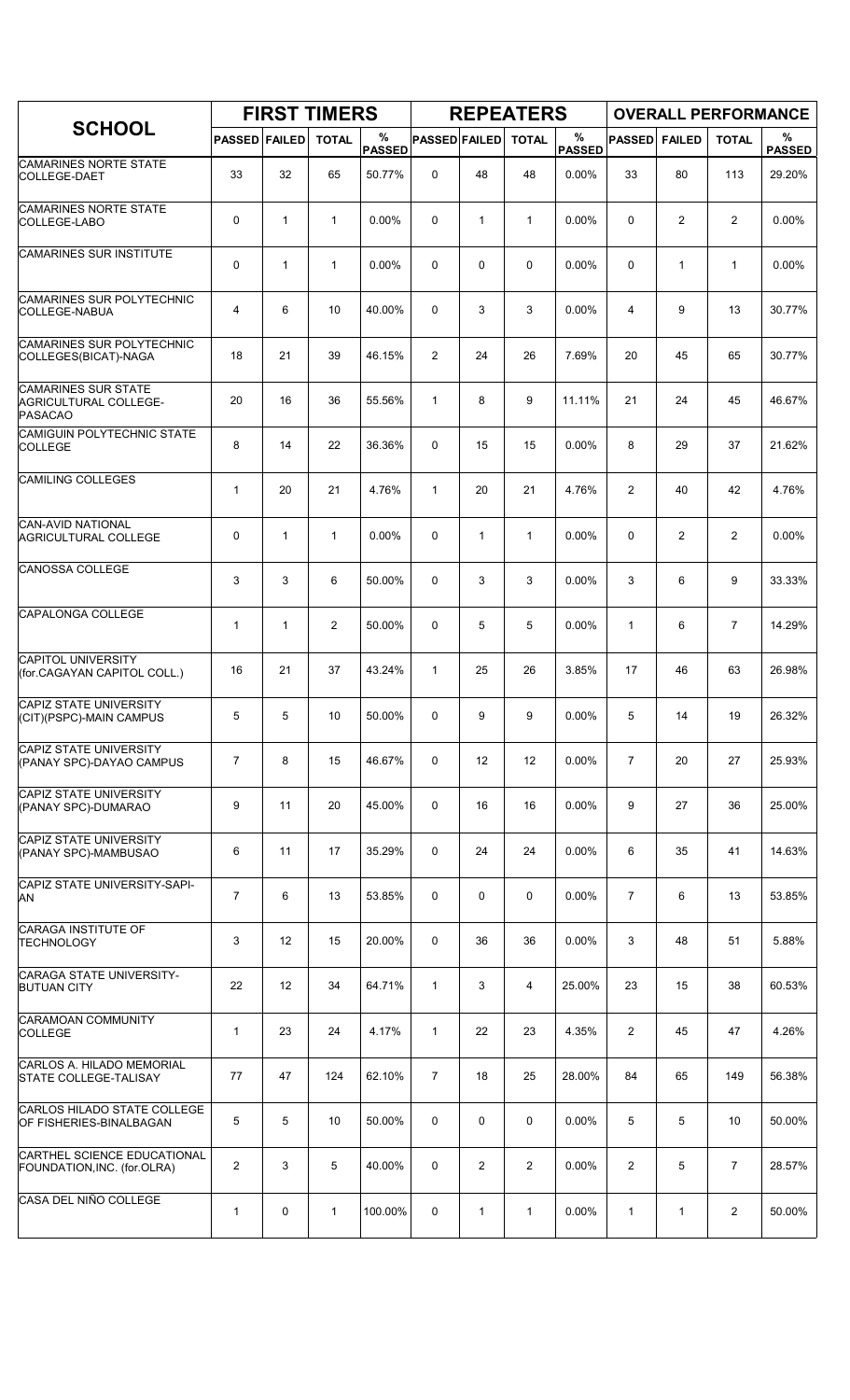|                                                                       |                      |              | <b>FIRST TIMERS</b> |                    |                      |                | <b>REPEATERS</b> |                       |                |                | <b>OVERALL PERFORMANCE</b> |                    |
|-----------------------------------------------------------------------|----------------------|--------------|---------------------|--------------------|----------------------|----------------|------------------|-----------------------|----------------|----------------|----------------------------|--------------------|
| <b>SCHOOL</b>                                                         | <b>PASSED FAILED</b> |              | <b>TOTAL</b>        | %<br><b>PASSED</b> | <b>PASSED FAILED</b> |                | <b>TOTAL</b>     | $\%$<br><b>PASSED</b> | <b>PASSED</b>  | <b>FAILED</b>  | <b>TOTAL</b>               | %<br><b>PASSED</b> |
| CAMARINES NORTE STATE<br>COLLEGE-DAET                                 | 33                   | 32           | 65                  | 50.77%             | 0                    | 48             | 48               | 0.00%                 | 33             | 80             | 113                        | 29.20%             |
| <b>CAMARINES NORTE STATE</b><br>COLLEGE-LABO                          | 0                    | $\mathbf{1}$ | $\mathbf{1}$        | 0.00%              | 0                    | $\mathbf{1}$   | $\mathbf{1}$     | 0.00%                 | $\mathbf 0$    | $\overline{c}$ | $\overline{c}$             | 0.00%              |
| <b>CAMARINES SUR INSTITUTE</b>                                        | 0                    | $\mathbf{1}$ | $\mathbf{1}$        | 0.00%              | 0                    | 0              | 0                | 0.00%                 | $\Omega$       | $\mathbf{1}$   | $\mathbf{1}$               | 0.00%              |
| <b>CAMARINES SUR POLYTECHNIC</b><br>COLLEGE-NABUA                     | 4                    | 6            | 10                  | 40.00%             | 0                    | 3              | 3                | 0.00%                 | 4              | 9              | 13                         | 30.77%             |
| CAMARINES SUR POLYTECHNIC<br>COLLEGES(BICAT)-NAGA                     | 18                   | 21           | 39                  | 46.15%             | 2                    | 24             | 26               | 7.69%                 | 20             | 45             | 65                         | 30.77%             |
| CAMARINES SUR STATE<br><b>AGRICULTURAL COLLEGE-</b><br><b>PASACAO</b> | 20                   | 16           | 36                  | 55.56%             | $\mathbf{1}$         | 8              | 9                | 11.11%                | 21             | 24             | 45                         | 46.67%             |
| CAMIGUIN POLYTECHNIC STATE<br><b>COLLEGE</b>                          | 8                    | 14           | 22                  | 36.36%             | 0                    | 15             | 15               | 0.00%                 | 8              | 29             | 37                         | 21.62%             |
| <b>CAMILING COLLEGES</b>                                              | 1                    | 20           | 21                  | 4.76%              | $\mathbf{1}$         | 20             | 21               | 4.76%                 | $\overline{2}$ | 40             | 42                         | 4.76%              |
| CAN-AVID NATIONAL<br><b>AGRICULTURAL COLLEGE</b>                      | 0                    | $\mathbf{1}$ | $\mathbf{1}$        | 0.00%              | 0                    | $\mathbf{1}$   | $\mathbf{1}$     | 0.00%                 | $\mathbf 0$    | 2              | 2                          | 0.00%              |
| CANOSSA COLLEGE                                                       | 3                    | 3            | 6                   | 50.00%             | 0                    | 3              | 3                | 0.00%                 | 3              | 6              | 9                          | 33.33%             |
| CAPALONGA COLLEGE                                                     | 1                    | $\mathbf{1}$ | $\overline{2}$      | 50.00%             | 0                    | 5              | 5                | 0.00%                 | $\mathbf{1}$   | 6              | $\overline{7}$             | 14.29%             |
| <b>CAPITOL UNIVERSITY</b><br>(for.CAGAYAN CAPITOL COLL.)              | 16                   | 21           | 37                  | 43.24%             | $\mathbf{1}$         | 25             | 26               | 3.85%                 | 17             | 46             | 63                         | 26.98%             |
| CAPIZ STATE UNIVERSITY<br>(CIT)(PSPC)-MAIN CAMPUS                     | 5                    | 5            | 10                  | 50.00%             | 0                    | 9              | 9                | 0.00%                 | 5              | 14             | 19                         | 26.32%             |
| <b>CAPIZ STATE UNIVERSITY</b><br>(PANAY SPC)-DAYAO CAMPUS             | $\overline{7}$       | 8            | 15                  | 46.67%             | 0                    | 12             | 12               | 0.00%                 | $\overline{7}$ | 20             | 27                         | 25.93%             |
| CAPIZ STATE UNIVERSITY<br>(PANAY SPC)-DUMARAO                         | 9                    | 11           | 20                  | 45.00%             | 0                    | 16             | 16               | 0.00%                 | 9              | 27             | 36                         | 25.00%             |
| CAPIZ STATE UNIVERSITY<br>(PANAY SPC)-MAMBUSAO                        | 6                    | 11           | 17                  | 35.29%             | 0                    | 24             | 24               | 0.00%                 | 6              | 35             | 41                         | 14.63%             |
| CAPIZ STATE UNIVERSITY-SAPI-<br>AN                                    | $\overline{7}$       | 6            | 13                  | 53.85%             | 0                    | 0              | 0                | 0.00%                 | $\overline{7}$ | 6              | 13                         | 53.85%             |
| <b>CARAGA INSTITUTE OF</b><br><b>TECHNOLOGY</b>                       | 3                    | 12           | 15                  | 20.00%             | 0                    | 36             | 36               | 0.00%                 | 3              | 48             | 51                         | 5.88%              |
| CARAGA STATE UNIVERSITY-<br><b>BUTUAN CITY</b>                        | 22                   | 12           | 34                  | 64.71%             | $\mathbf{1}$         | 3              | 4                | 25.00%                | 23             | 15             | 38                         | 60.53%             |
| CARAMOAN COMMUNITY<br><b>COLLEGE</b>                                  | 1                    | 23           | 24                  | 4.17%              | $\mathbf{1}$         | 22             | 23               | 4.35%                 | $\overline{2}$ | 45             | 47                         | 4.26%              |
| CARLOS A. HILADO MEMORIAL<br><b>STATE COLLEGE-TALISAY</b>             | 77                   | 47           | 124                 | 62.10%             | $\overline{7}$       | 18             | 25               | 28.00%                | 84             | 65             | 149                        | 56.38%             |
| CARLOS HILADO STATE COLLEGE<br>OF FISHERIES-BINALBAGAN                | 5                    | 5            | 10                  | 50.00%             | 0                    | 0              | 0                | 0.00%                 | 5              | 5              | 10                         | 50.00%             |
| CARTHEL SCIENCE EDUCATIONAL<br>FOUNDATION, INC. (for. OLRA)           | $\overline{2}$       | 3            | 5                   | 40.00%             | 0                    | $\overline{2}$ | $\overline{2}$   | 0.00%                 | $\overline{2}$ | 5              | $\overline{7}$             | 28.57%             |
| CASA DEL NIÑO COLLEGE                                                 | 1                    | 0            | $\mathbf 1$         | 100.00%            | 0                    | 1              | 1                | 0.00%                 | 1              | 1              | 2                          | 50.00%             |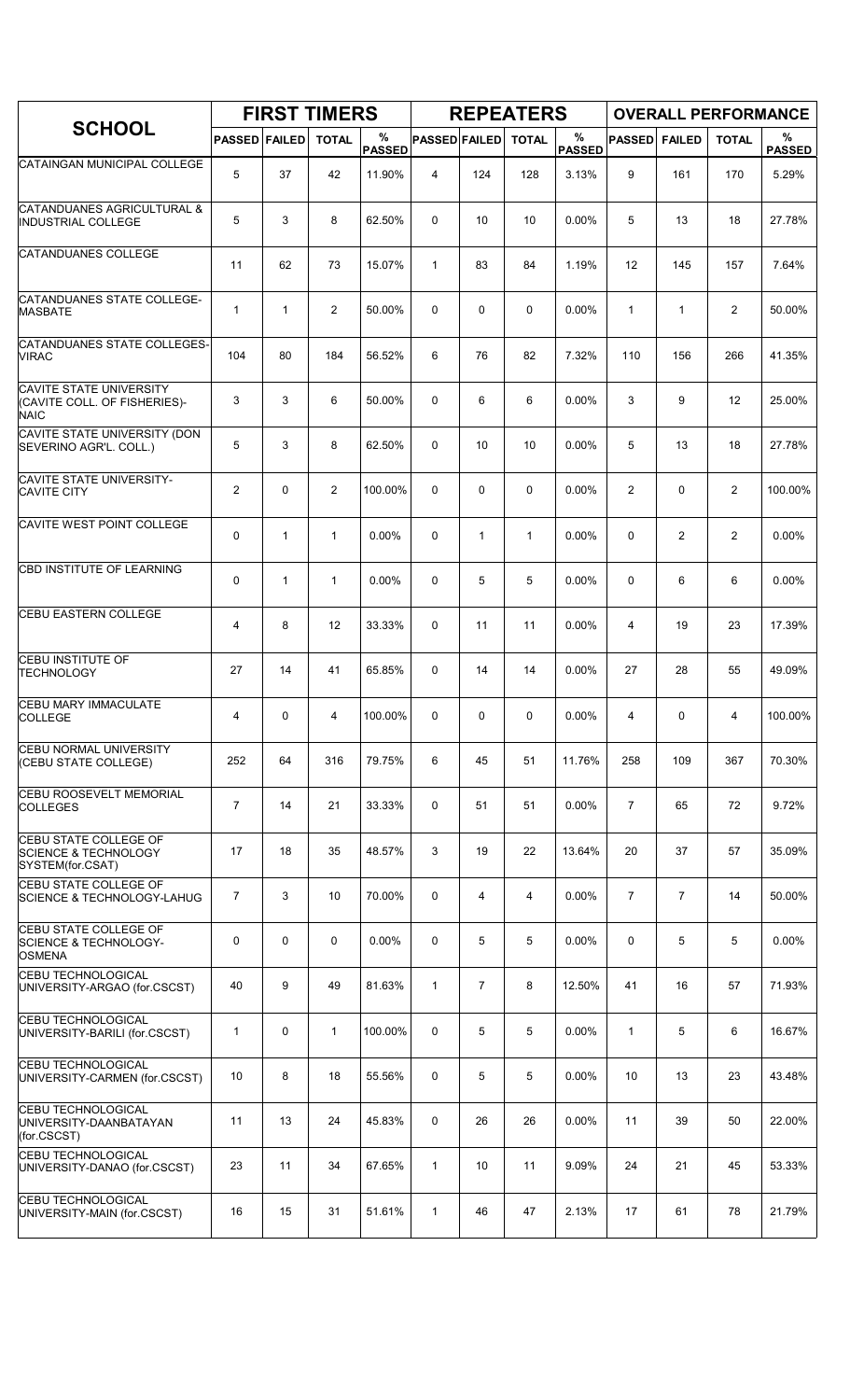|                                                                                   |                      |              | <b>FIRST TIMERS</b> |                    |                      |                | <b>REPEATERS</b> |                    |                |               | <b>OVERALL PERFORMANCE</b> |                    |
|-----------------------------------------------------------------------------------|----------------------|--------------|---------------------|--------------------|----------------------|----------------|------------------|--------------------|----------------|---------------|----------------------------|--------------------|
| <b>SCHOOL</b>                                                                     | <b>PASSED FAILED</b> |              | <b>TOTAL</b>        | %<br><b>PASSED</b> | <b>PASSED FAILED</b> |                | <b>TOTAL</b>     | %<br><b>PASSED</b> | <b>PASSED</b>  | <b>FAILED</b> | <b>TOTAL</b>               | %<br><b>PASSED</b> |
| CATAINGAN MUNICIPAL COLLEGE                                                       | 5                    | 37           | 42                  | 11.90%             | 4                    | 124            | 128              | 3.13%              | 9              | 161           | 170                        | 5.29%              |
| CATANDUANES AGRICULTURAL &<br><b>INDUSTRIAL COLLEGE</b>                           | 5                    | 3            | 8                   | 62.50%             | $\Omega$             | 10             | 10               | 0.00%              | 5              | 13            | 18                         | 27.78%             |
| CATANDUANES COLLEGE                                                               | 11                   | 62           | 73                  | 15.07%             | $\mathbf{1}$         | 83             | 84               | 1.19%              | 12             | 145           | 157                        | 7.64%              |
| <b>CATANDUANES STATE COLLEGE-</b><br><b>MASBATE</b>                               | 1                    | $\mathbf{1}$ | $\overline{2}$      | 50.00%             | 0                    | 0              | $\mathbf 0$      | 0.00%              | $\mathbf{1}$   | 1             | 2                          | 50.00%             |
| CATANDUANES STATE COLLEGES-<br><b>VIRAC</b>                                       | 104                  | 80           | 184                 | 56.52%             | 6                    | 76             | 82               | 7.32%              | 110            | 156           | 266                        | 41.35%             |
| CAVITE STATE UNIVERSITY<br>(CAVITE COLL. OF FISHERIES)-<br><b>NAIC</b>            | 3                    | 3            | 6                   | 50.00%             | 0                    | 6              | 6                | 0.00%              | 3              | 9             | 12                         | 25.00%             |
| CAVITE STATE UNIVERSITY (DON<br>SEVERINO AGR'L. COLL.)                            | 5                    | 3            | 8                   | 62.50%             | 0                    | 10             | 10               | 0.00%              | 5              | 13            | 18                         | 27.78%             |
| <b>CAVITE STATE UNIVERSITY-</b><br><b>CAVITE CITY</b>                             | 2                    | 0            | 2                   | 100.00%            | 0                    | 0              | 0                | $0.00\%$           | 2              | 0             | $\overline{c}$             | 100.00%            |
| CAVITE WEST POINT COLLEGE                                                         | 0                    | $\mathbf{1}$ | $\mathbf{1}$        | $0.00\%$           | 0                    | 1              | $\mathbf{1}$     | 0.00%              | $\mathbf 0$    | 2             | 2                          | 0.00%              |
| CBD INSTITUTE OF LEARNING                                                         | 0                    | $\mathbf{1}$ | $\mathbf{1}$        | 0.00%              | 0                    | 5              | 5                | 0.00%              | $\mathbf 0$    | 6             | 6                          | 0.00%              |
| <b>CEBU EASTERN COLLEGE</b>                                                       | 4                    | 8            | 12                  | 33.33%             | 0                    | 11             | 11               | 0.00%              | $\overline{4}$ | 19            | 23                         | 17.39%             |
| CEBU INSTITUTE OF<br><b>TECHNOLOGY</b>                                            | 27                   | 14           | 41                  | 65.85%             | 0                    | 14             | 14               | 0.00%              | 27             | 28            | 55                         | 49.09%             |
| CEBU MARY IMMACULATE<br>COLLEGE                                                   | 4                    | 0            | 4                   | 100.00%            | 0                    | 0              | 0                | 0.00%              | 4              | 0             | 4                          | 100.00%            |
| <b>CEBU NORMAL UNIVERSITY</b><br>(CEBU STATE COLLEGE)                             | 252                  | 64           | 316                 | 79.75%             | 6                    | 45             | 51               | 11.76%             | 258            | 109           | 367                        | 70.30%             |
| CEBU ROOSEVELT MEMORIAL<br><b>COLLEGES</b>                                        | $\overline{7}$       | 14           | 21                  | 33.33%             | 0                    | 51             | 51               | 0.00%              | $\overline{7}$ | 65            | 72                         | 9.72%              |
| CEBU STATE COLLEGE OF<br><b>SCIENCE &amp; TECHNOLOGY</b><br>SYSTEM(for.CSAT)      | 17                   | 18           | 35                  | 48.57%             | 3                    | 19             | 22               | 13.64%             | 20             | 37            | 57                         | 35.09%             |
| CEBU STATE COLLEGE OF<br><b>SCIENCE &amp; TECHNOLOGY-LAHUG</b>                    | $\overline{7}$       | 3            | 10                  | 70.00%             | 0                    | 4              | $\overline{4}$   | 0.00%              | $\overline{7}$ | 7             | 14                         | 50.00%             |
| <b>CEBU STATE COLLEGE OF</b><br><b>SCIENCE &amp; TECHNOLOGY-</b><br><b>OSMENA</b> | 0                    | $\mathbf 0$  | $\mathbf 0$         | $0.00\%$           | 0                    | 5              | 5                | $0.00\%$           | 0              | 5             | 5                          | 0.00%              |
| <b>CEBU TECHNOLOGICAL</b><br>UNIVERSITY-ARGAO (for.CSCST)                         | 40                   | 9            | 49                  | 81.63%             | $\mathbf{1}$         | $\overline{7}$ | 8                | 12.50%             | 41             | 16            | 57                         | 71.93%             |
| <b>CEBU TECHNOLOGICAL</b><br>UNIVERSITY-BARILI (for.CSCST)                        | 1                    | $\mathbf 0$  | $\mathbf{1}$        | 100.00%            | 0                    | 5              | 5                | 0.00%              | $\mathbf{1}$   | 5             | 6                          | 16.67%             |
| <b>CEBU TECHNOLOGICAL</b><br>UNIVERSITY-CARMEN (for.CSCST)                        | 10                   | 8            | 18                  | 55.56%             | 0                    | 5              | 5                | 0.00%              | 10             | 13            | 23                         | 43.48%             |
| CEBU TECHNOLOGICAL<br>UNIVERSITY-DAANBATAYAN<br>(for.CSCST)                       | 11                   | 13           | 24                  | 45.83%             | 0                    | 26             | 26               | 0.00%              | 11             | 39            | 50                         | 22.00%             |
| <b>CEBU TECHNOLOGICAL</b><br>UNIVERSITY-DANAO (for.CSCST)                         | 23                   | 11           | 34                  | 67.65%             | $\mathbf{1}$         | 10             | 11               | 9.09%              | 24             | 21            | 45                         | 53.33%             |
| <b>CEBU TECHNOLOGICAL</b><br>UNIVERSITY-MAIN (for.CSCST)                          | 16                   | 15           | 31                  | 51.61%             | $\mathbf{1}$         | 46             | 47               | 2.13%              | 17             | 61            | 78                         | 21.79%             |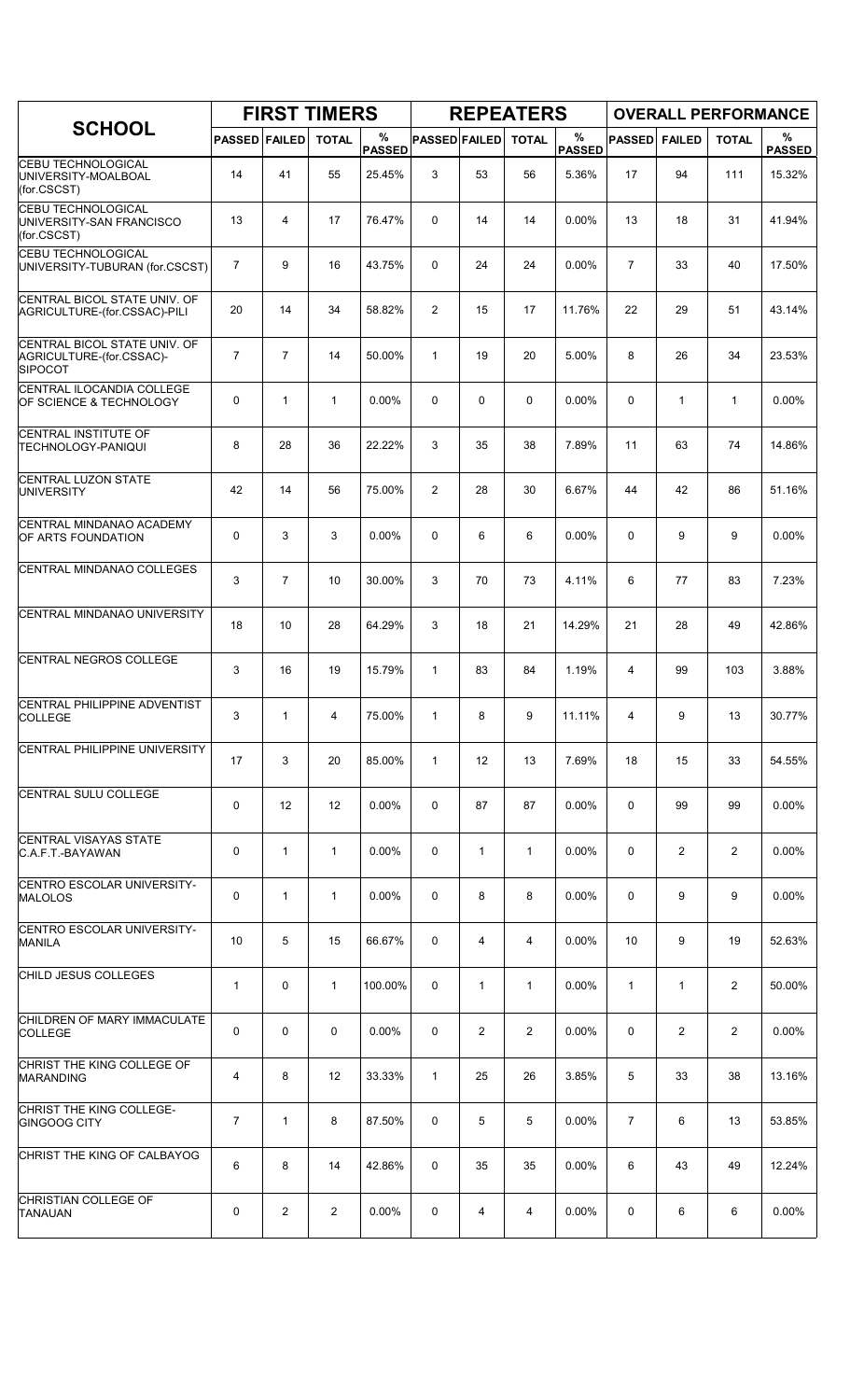|                                                                            |                      |                | <b>FIRST TIMERS</b> |                    |                      |                   | <b>REPEATERS</b> |                       |                |                | <b>OVERALL PERFORMANCE</b> |                    |
|----------------------------------------------------------------------------|----------------------|----------------|---------------------|--------------------|----------------------|-------------------|------------------|-----------------------|----------------|----------------|----------------------------|--------------------|
| <b>SCHOOL</b>                                                              | <b>PASSED FAILED</b> |                | <b>TOTAL</b>        | %<br><b>PASSED</b> | <b>PASSED FAILED</b> |                   | <b>TOTAL</b>     | $\%$<br><b>PASSED</b> | <b>PASSED</b>  | <b>FAILED</b>  | <b>TOTAL</b>               | %<br><b>PASSED</b> |
| <b>CEBU TECHNOLOGICAL</b><br>UNIVERSITY-MOALBOAL<br>(for.CSCST)            | 14                   | 41             | 55                  | 25.45%             | 3                    | 53                | 56               | 5.36%                 | 17             | 94             | 111                        | 15.32%             |
| <b>CEBU TECHNOLOGICAL</b><br>UNIVERSITY-SAN FRANCISCO<br>(for.CSCST)       | 13                   | $\overline{4}$ | 17                  | 76.47%             | $\Omega$             | 14                | 14               | 0.00%                 | 13             | 18             | 31                         | 41.94%             |
| <b>CEBU TECHNOLOGICAL</b><br>UNIVERSITY-TUBURAN (for.CSCST)                | $\overline{7}$       | 9              | 16                  | 43.75%             | 0                    | 24                | 24               | 0.00%                 | $\overline{7}$ | 33             | 40                         | 17.50%             |
| CENTRAL BICOL STATE UNIV. OF<br>AGRICULTURE-(for.CSSAC)-PILI               | 20                   | 14             | 34                  | 58.82%             | $\overline{2}$       | 15                | 17               | 11.76%                | 22             | 29             | 51                         | 43.14%             |
| CENTRAL BICOL STATE UNIV. OF<br>AGRICULTURE-(for.CSSAC)-<br><b>SIPOCOT</b> | $\overline{7}$       | $\overline{7}$ | 14                  | 50.00%             | $\mathbf{1}$         | 19                | 20               | 5.00%                 | 8              | 26             | 34                         | 23.53%             |
| CENTRAL ILOCANDIA COLLEGE<br>OF SCIENCE & TECHNOLOGY                       | 0                    | $\mathbf{1}$   | $\mathbf{1}$        | 0.00%              | 0                    | 0                 | 0                | 0.00%                 | 0              | $\mathbf{1}$   | $\mathbf{1}$               | 0.00%              |
| CENTRAL INSTITUTE OF<br><b>TECHNOLOGY-PANIQUI</b>                          | 8                    | 28             | 36                  | 22.22%             | 3                    | 35                | 38               | 7.89%                 | 11             | 63             | 74                         | 14.86%             |
| <b>CENTRAL LUZON STATE</b><br>UNIVERSITY                                   | 42                   | 14             | 56                  | 75.00%             | 2                    | 28                | 30               | 6.67%                 | 44             | 42             | 86                         | 51.16%             |
| CENTRAL MINDANAO ACADEMY<br>OF ARTS FOUNDATION                             | 0                    | 3              | 3                   | 0.00%              | 0                    | 6                 | 6                | 0.00%                 | 0              | 9              | 9                          | 0.00%              |
| CENTRAL MINDANAO COLLEGES                                                  | 3                    | $\overline{7}$ | 10                  | 30.00%             | 3                    | 70                | 73               | 4.11%                 | 6              | 77             | 83                         | 7.23%              |
| CENTRAL MINDANAO UNIVERSITY                                                | 18                   | 10             | 28                  | 64.29%             | 3                    | 18                | 21               | 14.29%                | 21             | 28             | 49                         | 42.86%             |
| CENTRAL NEGROS COLLEGE                                                     | 3                    | 16             | 19                  | 15.79%             | $\mathbf{1}$         | 83                | 84               | 1.19%                 | 4              | 99             | 103                        | 3.88%              |
| CENTRAL PHILIPPINE ADVENTIST<br><b>COLLEGE</b>                             | 3                    | $\mathbf{1}$   | 4                   | 75.00%             | $\mathbf{1}$         | 8                 | 9                | 11.11%                | $\overline{4}$ | 9              | 13                         | 30.77%             |
| CENTRAL PHILIPPINE UNIVERSITY                                              | 17                   | 3              | 20                  | 85.00%             | $\mathbf{1}$         | $12 \overline{ }$ | 13               | 7.69%                 | 18             | 15             | 33                         | 54.55%             |
| <b>CENTRAL SULU COLLEGE</b>                                                | 0                    | 12             | 12                  | 0.00%              | 0                    | 87                | 87               | 0.00%                 | 0              | 99             | 99                         | 0.00%              |
| CENTRAL VISAYAS STATE<br>C.A.F.T.-BAYAWAN                                  | 0                    | $\mathbf{1}$   | $\mathbf{1}$        | $0.00\%$           | 0                    | 1                 | 1                | $0.00\%$              | 0              | $\overline{2}$ | $\overline{2}$             | $0.00\%$           |
| CENTRO ESCOLAR UNIVERSITY-<br><b>MALOLOS</b>                               | 0                    | $\mathbf{1}$   | 1                   | $0.00\%$           | 0                    | 8                 | 8                | 0.00%                 | 0              | 9              | 9                          | 0.00%              |
| CENTRO ESCOLAR UNIVERSITY-<br>MANILA                                       | 10                   | 5              | 15                  | 66.67%             | 0                    | 4                 | 4                | 0.00%                 | 10             | 9              | 19                         | 52.63%             |
| CHILD JESUS COLLEGES                                                       | $\mathbf{1}$         | 0              | $\mathbf{1}$        | 100.00%            | 0                    | $\mathbf{1}$      | $\mathbf{1}$     | 0.00%                 | 1              | 1              | 2                          | 50.00%             |
| CHILDREN OF MARY IMMACULATE<br><b>COLLEGE</b>                              | 0                    | 0              | 0                   | $0.00\%$           | 0                    | 2                 | $\overline{2}$   | $0.00\%$              | 0              | $\overline{2}$ | 2                          | 0.00%              |
| CHRIST THE KING COLLEGE OF<br><b>MARANDING</b>                             | 4                    | 8              | $12 \overline{ }$   | 33.33%             | $\mathbf{1}$         | 25                | 26               | 3.85%                 | 5              | 33             | 38                         | 13.16%             |
| CHRIST THE KING COLLEGE-<br><b>GINGOOG CITY</b>                            | 7                    | 1              | 8                   | 87.50%             | 0                    | 5                 | 5                | 0.00%                 | $\overline{7}$ | 6              | 13                         | 53.85%             |
| CHRIST THE KING OF CALBAYOG                                                | 6                    | 8              | 14                  | 42.86%             | 0                    | 35                | 35               | 0.00%                 | 6              | 43             | 49                         | 12.24%             |
| CHRISTIAN COLLEGE OF<br><b>TANAUAN</b>                                     | 0                    | 2              | 2                   | $0.00\%$           | 0                    | 4                 | 4                | 0.00%                 | 0              | 6              | 6                          | 0.00%              |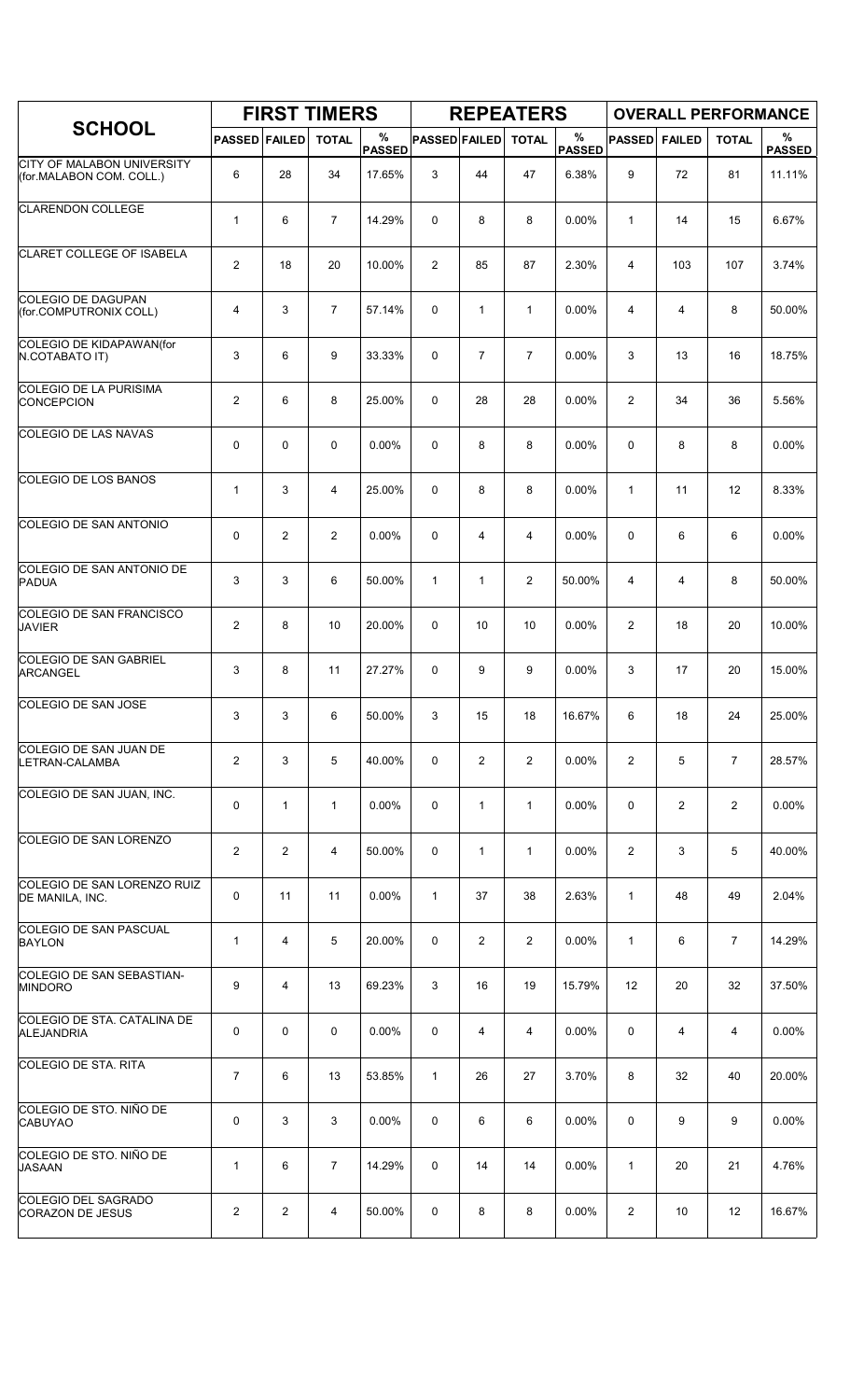|                                                               |                      |                | <b>FIRST TIMERS</b> |                    |                      |                | <b>REPEATERS</b> |                       |                |               | <b>OVERALL PERFORMANCE</b> |                    |
|---------------------------------------------------------------|----------------------|----------------|---------------------|--------------------|----------------------|----------------|------------------|-----------------------|----------------|---------------|----------------------------|--------------------|
| <b>SCHOOL</b>                                                 | <b>PASSED FAILED</b> |                | <b>TOTAL</b>        | %<br><b>PASSED</b> | <b>PASSED FAILED</b> |                | <b>TOTAL</b>     | $\%$<br><b>PASSED</b> | <b>PASSED</b>  | <b>FAILED</b> | <b>TOTAL</b>               | %<br><b>PASSED</b> |
| <b>CITY OF MALABON UNIVERSITY</b><br>(for.MALABON COM. COLL.) | 6                    | 28             | 34                  | 17.65%             | 3                    | 44             | 47               | 6.38%                 | 9              | 72            | 81                         | 11.11%             |
| <b>CLARENDON COLLEGE</b>                                      | 1                    | 6              | $\overline{7}$      | 14.29%             | 0                    | 8              | 8                | 0.00%                 | $\mathbf{1}$   | 14            | 15                         | 6.67%              |
| CLARET COLLEGE OF ISABELA                                     | $\overline{2}$       | 18             | 20                  | 10.00%             | 2                    | 85             | 87               | 2.30%                 | 4              | 103           | 107                        | 3.74%              |
| <b>COLEGIO DE DAGUPAN</b><br>(for.COMPUTRONIX COLL)           | 4                    | 3              | $\overline{7}$      | 57.14%             | 0                    | $\mathbf{1}$   | $\mathbf{1}$     | 0.00%                 | $\overline{4}$ | 4             | 8                          | 50.00%             |
| COLEGIO DE KIDAPAWAN(for<br>N.COTABATO IT)                    | 3                    | 6              | 9                   | 33.33%             | 0                    | $\overline{7}$ | $\overline{7}$   | 0.00%                 | 3              | 13            | 16                         | 18.75%             |
| COLEGIO DE LA PURISIMA<br>CONCEPCION                          | 2                    | 6              | 8                   | 25.00%             | 0                    | 28             | 28               | 0.00%                 | $\overline{2}$ | 34            | 36                         | 5.56%              |
| COLEGIO DE LAS NAVAS                                          | 0                    | $\mathbf 0$    | $\mathbf 0$         | 0.00%              | 0                    | 8              | 8                | 0.00%                 | $\mathbf 0$    | 8             | 8                          | 0.00%              |
| <b>COLEGIO DE LOS BANOS</b>                                   | $\mathbf{1}$         | 3              | $\overline{4}$      | 25.00%             | 0                    | 8              | 8                | 0.00%                 | $\mathbf{1}$   | 11            | 12                         | 8.33%              |
| COLEGIO DE SAN ANTONIO                                        | 0                    | $\overline{c}$ | $\overline{2}$      | 0.00%              | 0                    | 4              | 4                | 0.00%                 | $\mathbf 0$    | 6             | 6                          | 0.00%              |
| <b>COLEGIO DE SAN ANTONIO DE</b><br>PADUA                     | 3                    | 3              | 6                   | 50.00%             | $\mathbf{1}$         | $\mathbf{1}$   | $\overline{2}$   | 50.00%                | 4              | 4             | 8                          | 50.00%             |
| <b>COLEGIO DE SAN FRANCISCO</b><br><b>JAVIER</b>              | $\overline{2}$       | 8              | 10                  | 20.00%             | 0                    | 10             | 10               | 0.00%                 | $\overline{2}$ | 18            | 20                         | 10.00%             |
| COLEGIO DE SAN GABRIEL<br><b>ARCANGEL</b>                     | 3                    | 8              | 11                  | 27.27%             | 0                    | 9              | 9                | 0.00%                 | 3              | 17            | 20                         | 15.00%             |
| <b>COLEGIO DE SAN JOSE</b>                                    | 3                    | 3              | 6                   | 50.00%             | 3                    | 15             | 18               | 16.67%                | 6              | 18            | 24                         | 25.00%             |
| COLEGIO DE SAN JUAN DE<br>LETRAN-CALAMBA                      | $\overline{2}$       | 3              | 5                   | 40.00%             | 0                    | 2              | $\overline{2}$   | $0.00\%$              | $\overline{2}$ | 5             | $\overline{7}$             | 28.57%             |
| COLEGIO DE SAN JUAN, INC.                                     | 0                    | $\mathbf{1}$   | $\mathbf{1}$        | 0.00%              | 0                    | $\mathbf{1}$   | $\mathbf{1}$     | 0.00%                 | 0              | 2             | 2                          | 0.00%              |
| COLEGIO DE SAN LORENZO                                        | $\overline{2}$       | $\overline{2}$ | 4                   | 50.00%             | 0                    | $\mathbf{1}$   | $\mathbf{1}$     | $0.00\%$              | 2              | 3             | 5                          | 40.00%             |
| COLEGIO DE SAN LORENZO RUIZ<br>DE MANILA, INC.                | 0                    | 11             | 11                  | $0.00\%$           | $\mathbf{1}$         | 37             | 38               | 2.63%                 | $\mathbf{1}$   | 48            | 49                         | 2.04%              |
| <b>COLEGIO DE SAN PASCUAL</b><br><b>BAYLON</b>                | 1                    | 4              | 5                   | 20.00%             | 0                    | $\overline{2}$ | $\overline{2}$   | 0.00%                 | $\mathbf{1}$   | 6             | $\overline{7}$             | 14.29%             |
| <b>COLEGIO DE SAN SEBASTIAN-</b><br><b>MINDORO</b>            | 9                    | 4              | 13                  | 69.23%             | 3                    | 16             | 19               | 15.79%                | 12             | 20            | 32                         | 37.50%             |
| COLEGIO DE STA. CATALINA DE<br><b>ALEJANDRIA</b>              | 0                    | 0              | 0                   | $0.00\%$           | 0                    | 4              | 4                | $0.00\%$              | 0              | 4             | 4                          | 0.00%              |
| COLEGIO DE STA. RITA                                          | $\overline{7}$       | 6              | 13                  | 53.85%             | $\mathbf{1}$         | 26             | 27               | 3.70%                 | 8              | 32            | 40                         | 20.00%             |
| COLEGIO DE STO. NIÑO DE<br>CABUYAO                            | 0                    | 3              | 3                   | 0.00%              | 0                    | 6              | 6                | 0.00%                 | 0              | 9             | 9                          | 0.00%              |
| COLEGIO DE STO. NIÑO DE<br><b>JASAAN</b>                      | 1                    | 6              | $\overline{7}$      | 14.29%             | 0                    | 14             | 14               | $0.00\%$              | 1              | 20            | 21                         | 4.76%              |
| <b>COLEGIO DEL SAGRADO</b><br><b>CORAZON DE JESUS</b>         | $\overline{c}$       | $\overline{2}$ | 4                   | 50.00%             | 0                    | 8              | 8                | $0.00\%$              | $\overline{2}$ | 10            | 12                         | 16.67%             |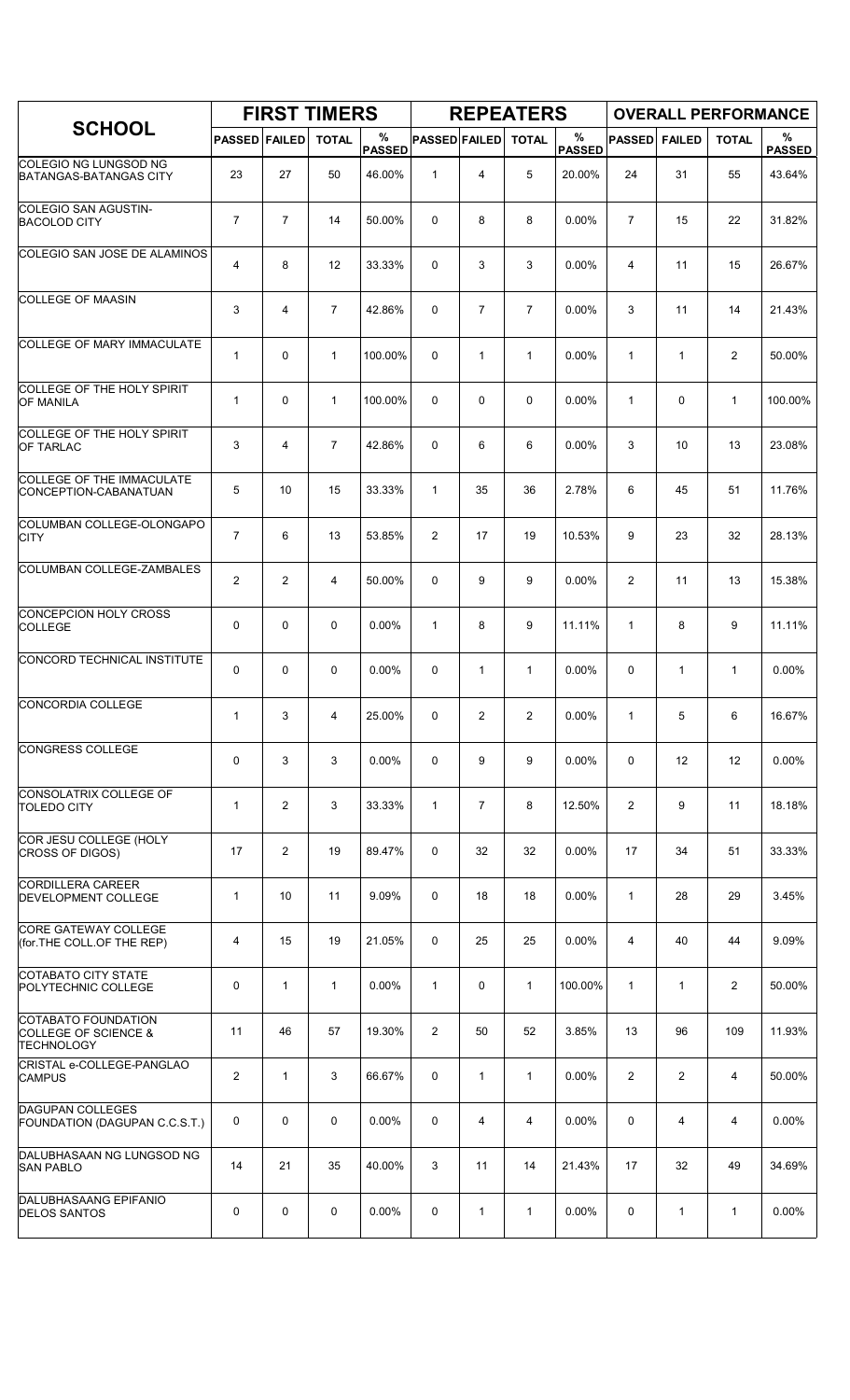|                                                                             |                      |                | <b>FIRST TIMERS</b> |                    |                      |                | <b>REPEATERS</b> |                    |                |                |                | <b>OVERALL PERFORMANCE</b> |
|-----------------------------------------------------------------------------|----------------------|----------------|---------------------|--------------------|----------------------|----------------|------------------|--------------------|----------------|----------------|----------------|----------------------------|
| <b>SCHOOL</b>                                                               | <b>PASSED FAILED</b> |                | <b>TOTAL</b>        | %<br><b>PASSED</b> | <b>PASSED FAILED</b> |                | <b>TOTAL</b>     | %<br><b>PASSED</b> | <b>PASSED</b>  | <b>FAILED</b>  | <b>TOTAL</b>   | %<br><b>PASSED</b>         |
| COLEGIO NG LUNGSOD NG<br><b>BATANGAS-BATANGAS CITY</b>                      | 23                   | 27             | 50                  | 46.00%             | $\mathbf{1}$         | 4              | 5                | 20.00%             | 24             | 31             | 55             | 43.64%                     |
| COLEGIO SAN AGUSTIN-<br><b>BACOLOD CITY</b>                                 | 7                    | $\overline{7}$ | 14                  | 50.00%             | 0                    | 8              | 8                | 0.00%              | $\overline{7}$ | 15             | 22             | 31.82%                     |
| COLEGIO SAN JOSE DE ALAMINOS                                                | 4                    | 8              | 12                  | 33.33%             | 0                    | 3              | 3                | 0.00%              | $\overline{4}$ | 11             | 15             | 26.67%                     |
| <b>COLLEGE OF MAASIN</b>                                                    | 3                    | 4              | $\overline{7}$      | 42.86%             | 0                    | $\overline{7}$ | $\overline{7}$   | 0.00%              | 3              | 11             | 14             | 21.43%                     |
| COLLEGE OF MARY IMMACULATE                                                  | $\mathbf{1}$         | 0              | $\mathbf{1}$        | 100.00%            | 0                    | 1              | $\mathbf{1}$     | 0.00%              | $\mathbf{1}$   | $\mathbf{1}$   | $\overline{2}$ | 50.00%                     |
| COLLEGE OF THE HOLY SPIRIT<br><b>OF MANILA</b>                              | $\mathbf{1}$         | 0              | $\mathbf{1}$        | 100.00%            | 0                    | 0              | $\mathbf 0$      | 0.00%              | $\mathbf{1}$   | 0              | $\mathbf{1}$   | 100.00%                    |
| COLLEGE OF THE HOLY SPIRIT<br><b>OF TARLAC</b>                              | 3                    | 4              | $\overline{7}$      | 42.86%             | 0                    | 6              | 6                | 0.00%              | 3              | 10             | 13             | 23.08%                     |
| COLLEGE OF THE IMMACULATE<br>CONCEPTION-CABANATUAN                          | 5                    | 10             | 15                  | 33.33%             | $\mathbf{1}$         | 35             | 36               | 2.78%              | 6              | 45             | 51             | 11.76%                     |
| COLUMBAN COLLEGE-OLONGAPO<br><b>CITY</b>                                    | 7                    | 6              | 13                  | 53.85%             | 2                    | 17             | 19               | 10.53%             | 9              | 23             | 32             | 28.13%                     |
| COLUMBAN COLLEGE-ZAMBALES                                                   | 2                    | 2              | 4                   | 50.00%             | 0                    | 9              | 9                | 0.00%              | $\overline{2}$ | 11             | 13             | 15.38%                     |
| CONCEPCION HOLY CROSS<br><b>COLLEGE</b>                                     | 0                    | 0              | $\mathbf 0$         | 0.00%              | $\mathbf{1}$         | 8              | 9                | 11.11%             | $\mathbf{1}$   | 8              | 9              | 11.11%                     |
| CONCORD TECHNICAL INSTITUTE                                                 | 0                    | $\Omega$       | $\mathbf 0$         | 0.00%              | 0                    | 1              | 1                | 0.00%              | 0              | 1              | $\mathbf{1}$   | 0.00%                      |
| CONCORDIA COLLEGE                                                           | $\mathbf{1}$         | 3              | 4                   | 25.00%             | 0                    | 2              | $\overline{2}$   | 0.00%              | $\mathbf{1}$   | 5              | 6              | 16.67%                     |
| <b>CONGRESS COLLEGE</b>                                                     | 0                    | 3              | 3                   | 0.00%              | 0                    | 9              | 9                | 0.00%              | 0              | 12             | 12             | 0.00%                      |
| CONSOLATRIX COLLEGE OF<br><b>TOLEDO CITY</b>                                | $\mathbf{1}$         | $\overline{c}$ | 3                   | 33.33%             | $\mathbf{1}$         | 7              | 8                | 12.50%             | $\overline{2}$ | 9              | 11             | 18.18%                     |
| COR JESU COLLEGE (HOLY<br>CROSS OF DIGOS)                                   | 17                   | 2              | 19                  | 89.47%             | 0                    | 32             | 32               | 0.00%              | 17             | 34             | 51             | 33.33%                     |
| CORDILLERA CAREER<br><b>DEVELOPMENT COLLEGE</b>                             | $\mathbf{1}$         | 10             | 11                  | 9.09%              | 0                    | 18             | 18               | 0.00%              | $\mathbf{1}$   | 28             | 29             | 3.45%                      |
| <b>CORE GATEWAY COLLEGE</b><br>(for.THE COLL.OF THE REP)                    | 4                    | 15             | 19                  | 21.05%             | 0                    | 25             | 25               | 0.00%              | 4              | 40             | 44             | 9.09%                      |
| COTABATO CITY STATE<br>POLYTECHNIC COLLEGE                                  | 0                    | $\mathbf{1}$   | $\mathbf{1}$        | 0.00%              | $\mathbf{1}$         | 0              | $\mathbf{1}$     | 100.00%            | $\mathbf{1}$   | $\mathbf{1}$   | $\overline{2}$ | 50.00%                     |
| COTABATO FOUNDATION<br><b>COLLEGE OF SCIENCE &amp;</b><br><b>TECHNOLOGY</b> | 11                   | 46             | 57                  | 19.30%             | $\overline{2}$       | 50             | 52               | 3.85%              | 13             | 96             | 109            | 11.93%                     |
| CRISTAL e-COLLEGE-PANGLAO<br><b>CAMPUS</b>                                  | 2                    | $\mathbf{1}$   | 3                   | 66.67%             | 0                    | $\mathbf{1}$   | $\mathbf{1}$     | 0.00%              | $\overline{2}$ | $\overline{2}$ | $\overline{4}$ | 50.00%                     |
| <b>DAGUPAN COLLEGES</b><br>FOUNDATION (DAGUPAN C.C.S.T.)                    | 0                    | 0              | 0                   | 0.00%              | $\mathbf 0$          | 4              | 4                | 0.00%              | $\mathbf 0$    | 4              | 4              | 0.00%                      |
| DALUBHASAAN NG LUNGSOD NG<br><b>SAN PABLO</b>                               | 14                   | 21             | 35                  | 40.00%             | 3                    | 11             | 14               | 21.43%             | 17             | 32             | 49             | 34.69%                     |
| <b>DALUBHASAANG EPIFANIO</b><br><b>DELOS SANTOS</b>                         | 0                    | 0              | 0                   | 0.00%              | 0                    | 1              | $\mathbf{1}$     | 0.00%              | 0              | 1              | $\mathbf{1}$   | 0.00%                      |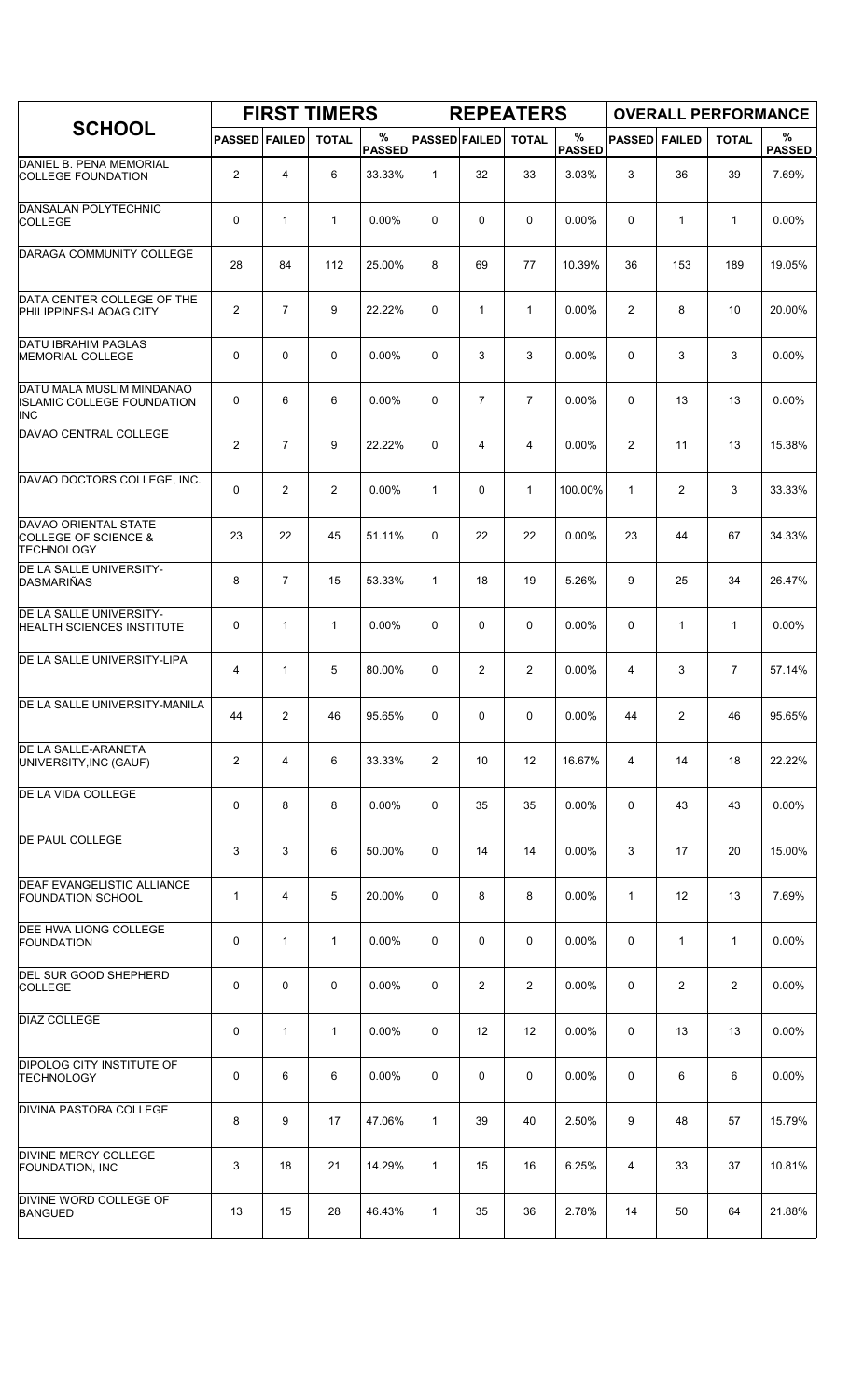|                                                                              |                      |                | <b>FIRST TIMERS</b> |                    |                      |                | <b>REPEATERS</b> |                       |                |                | <b>OVERALL PERFORMANCE</b> |                    |
|------------------------------------------------------------------------------|----------------------|----------------|---------------------|--------------------|----------------------|----------------|------------------|-----------------------|----------------|----------------|----------------------------|--------------------|
| <b>SCHOOL</b>                                                                | <b>PASSED FAILED</b> |                | <b>TOTAL</b>        | %<br><b>PASSED</b> | <b>PASSED FAILED</b> |                | <b>TOTAL</b>     | $\%$<br><b>PASSED</b> | <b>PASSED</b>  | <b>FAILED</b>  | <b>TOTAL</b>               | %<br><b>PASSED</b> |
| DANIEL B. PENA MEMORIAL<br><b>COLLEGE FOUNDATION</b>                         | $\overline{2}$       | 4              | 6                   | 33.33%             | $\mathbf{1}$         | 32             | 33               | 3.03%                 | 3              | 36             | 39                         | 7.69%              |
| DANSALAN POLYTECHNIC<br>COLLEGE                                              | 0                    | $\mathbf{1}$   | $\mathbf{1}$        | 0.00%              | 0                    | 0              | 0                | 0.00%                 | 0              | 1              | $\mathbf{1}$               | 0.00%              |
| DARAGA COMMUNITY COLLEGE                                                     | 28                   | 84             | 112                 | 25.00%             | 8                    | 69             | 77               | 10.39%                | 36             | 153            | 189                        | 19.05%             |
| DATA CENTER COLLEGE OF THE<br>PHILIPPINES-LAOAG CITY                         | $\overline{2}$       | $\overline{7}$ | 9                   | 22.22%             | 0                    | $\mathbf{1}$   | $\mathbf{1}$     | $0.00\%$              | $\overline{2}$ | 8              | 10                         | 20.00%             |
| <b>DATU IBRAHIM PAGLAS</b><br><b>MEMORIAL COLLEGE</b>                        | 0                    | $\mathbf 0$    | $\mathbf 0$         | 0.00%              | 0                    | 3              | 3                | 0.00%                 | $\mathbf 0$    | 3              | 3                          | 0.00%              |
| DATU MALA MUSLIM MINDANAO<br><b>ISLAMIC COLLEGE FOUNDATION</b><br><b>INC</b> | 0                    | 6              | 6                   | 0.00%              | 0                    | $\overline{7}$ | $\overline{7}$   | 0.00%                 | $\Omega$       | 13             | 13                         | 0.00%              |
| DAVAO CENTRAL COLLEGE                                                        | $\mathbf{2}$         | $\overline{7}$ | 9                   | 22.22%             | 0                    | 4              | 4                | 0.00%                 | 2              | 11             | 13                         | 15.38%             |
| DAVAO DOCTORS COLLEGE, INC.                                                  | 0                    | $\overline{2}$ | $\overline{2}$      | $0.00\%$           | $\mathbf{1}$         | 0              | $\mathbf{1}$     | 100.00%               | $\mathbf{1}$   | $\overline{2}$ | 3                          | 33.33%             |
| DAVAO ORIENTAL STATE<br>COLLEGE OF SCIENCE &<br><b>TECHNOLOGY</b>            | 23                   | 22             | 45                  | 51.11%             | 0                    | 22             | 22               | 0.00%                 | 23             | 44             | 67                         | 34.33%             |
| DE LA SALLE UNIVERSITY-<br>DASMARIÑAS                                        | 8                    | $\overline{7}$ | 15                  | 53.33%             | $\mathbf{1}$         | 18             | 19               | 5.26%                 | 9              | 25             | 34                         | 26.47%             |
| DE LA SALLE UNIVERSITY-<br><b>HEALTH SCIENCES INSTITUTE</b>                  | 0                    | $\mathbf{1}$   | $\mathbf{1}$        | 0.00%              | 0                    | 0              | 0                | 0.00%                 | 0              | $\mathbf{1}$   | $\mathbf{1}$               | 0.00%              |
| DE LA SALLE UNIVERSITY-LIPA                                                  | 4                    | $\mathbf{1}$   | 5                   | 80.00%             | 0                    | $\overline{c}$ | 2                | 0.00%                 | 4              | 3              | $\overline{7}$             | 57.14%             |
| DE LA SALLE UNIVERSITY-MANILA                                                | 44                   | $\overline{c}$ | 46                  | 95.65%             | 0                    | 0              | 0                | 0.00%                 | 44             | 2              | 46                         | 95.65%             |
| <b>DE LA SALLE-ARANETA</b><br>UNIVERSITY, INC (GAUF)                         | $\overline{c}$       | 4              | 6                   | 33.33%             | 2                    | 10             | 12               | 16.67%                | 4              | 14             | 18                         | 22.22%             |
| <b>DE LA VIDA COLLEGE</b>                                                    | 0                    | 8              | 8                   | 0.00%              | 0                    | 35             | 35               | $0.00\%$              | 0              | 43             | 43                         | 0.00%              |
| DE PAUL COLLEGE                                                              | 3                    | 3              | 6                   | 50.00%             | 0                    | 14             | 14               | $0.00\%$              | 3              | 17             | 20                         | 15.00%             |
| <b>DEAF EVANGELISTIC ALLIANCE</b><br><b>FOUNDATION SCHOOL</b>                | $\mathbf{1}$         | 4              | 5                   | 20.00%             | 0                    | 8              | 8                | $0.00\%$              | 1              | 12             | 13                         | 7.69%              |
| DEE HWA LIONG COLLEGE<br>FOUNDATION                                          | 0                    | $\mathbf{1}$   | $\mathbf{1}$        | 0.00%              | 0                    | 0              | 0                | 0.00%                 | 0              | $\mathbf{1}$   | $\mathbf{1}$               | 0.00%              |
| <b>DEL SUR GOOD SHEPHERD</b><br><b>COLLEGE</b>                               | 0                    | $\mathbf 0$    | $\mathbf 0$         | 0.00%              | 0                    | 2              | $\overline{2}$   | 0.00%                 | 0              | 2              | 2                          | 0.00%              |
| DIAZ COLLEGE                                                                 | 0                    | 1              | $\mathbf{1}$        | $0.00\%$           | 0                    | 12             | 12               | $0.00\%$              | 0              | 13             | 13                         | 0.00%              |
| <b>DIPOLOG CITY INSTITUTE OF</b><br><b>TECHNOLOGY</b>                        | 0                    | 6              | 6                   | 0.00%              | 0                    | 0              | 0                | 0.00%                 | 0              | 6              | 6                          | 0.00%              |
| DIVINA PASTORA COLLEGE                                                       | 8                    | 9              | 17                  | 47.06%             | $\mathbf{1}$         | 39             | 40               | 2.50%                 | 9              | 48             | 57                         | 15.79%             |
| DIVINE MERCY COLLEGE<br><b>FOUNDATION, INC</b>                               | 3                    | 18             | 21                  | 14.29%             | $\mathbf{1}$         | 15             | 16               | 6.25%                 | 4              | 33             | 37                         | 10.81%             |
| DIVINE WORD COLLEGE OF<br><b>BANGUED</b>                                     | 13                   | 15             | 28                  | 46.43%             | $\mathbf{1}$         | 35             | 36               | 2.78%                 | 14             | 50             | 64                         | 21.88%             |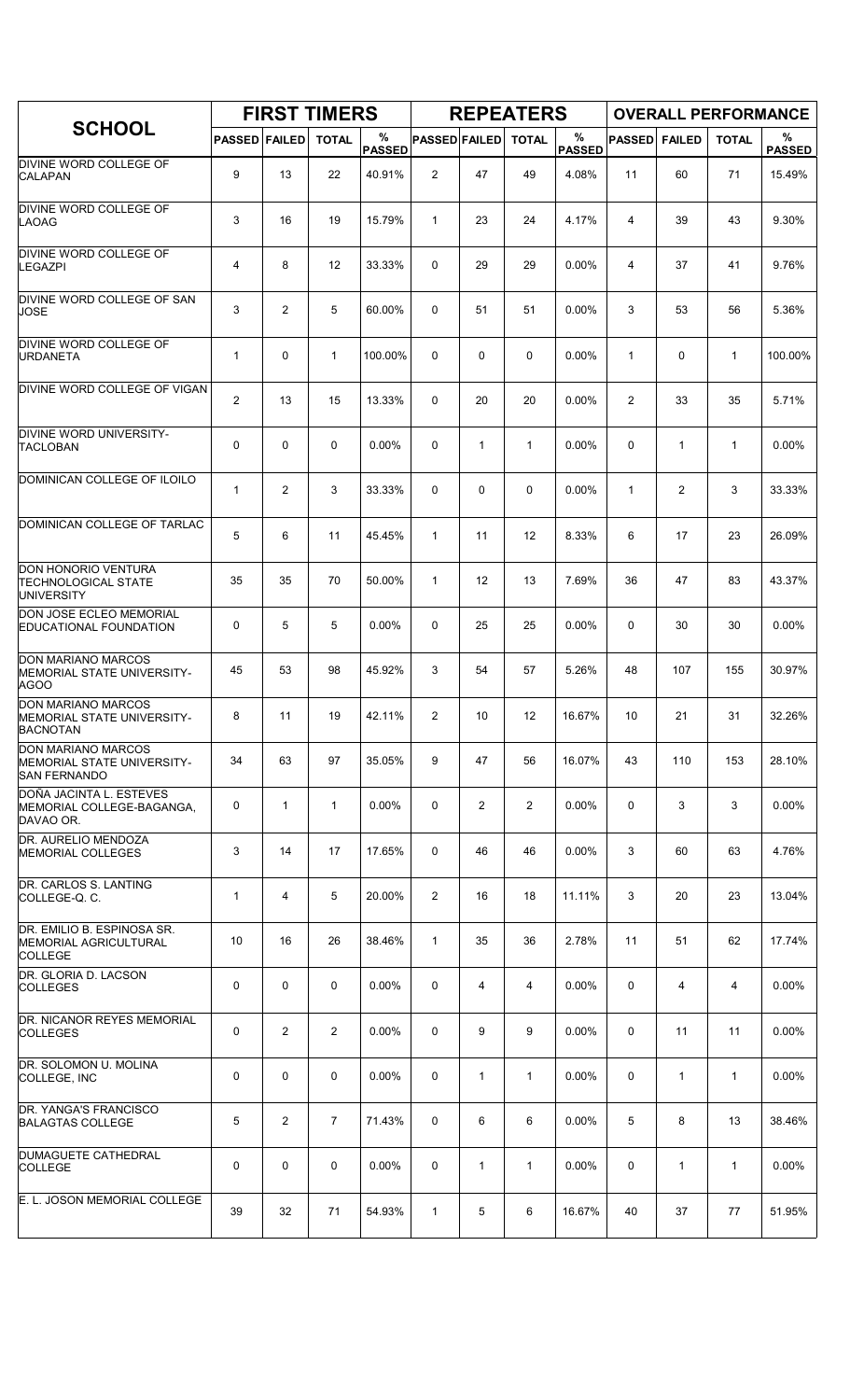|                                                                                |                      |                | <b>FIRST TIMERS</b> |                    |                      |              | <b>REPEATERS</b> |                    |                |                | <b>OVERALL PERFORMANCE</b> |                    |
|--------------------------------------------------------------------------------|----------------------|----------------|---------------------|--------------------|----------------------|--------------|------------------|--------------------|----------------|----------------|----------------------------|--------------------|
| <b>SCHOOL</b>                                                                  | <b>PASSED FAILED</b> |                | <b>TOTAL</b>        | %<br><b>PASSED</b> | <b>PASSED FAILED</b> |              | <b>TOTAL</b>     | %<br><b>PASSED</b> | <b>PASSED</b>  | <b>FAILED</b>  | <b>TOTAL</b>               | %<br><b>PASSED</b> |
| DIVINE WORD COLLEGE OF<br><b>CALAPAN</b>                                       | 9                    | 13             | 22                  | 40.91%             | $\overline{2}$       | 47           | 49               | 4.08%              | 11             | 60             | 71                         | 15.49%             |
| DIVINE WORD COLLEGE OF<br><b>LAOAG</b>                                         | 3                    | 16             | 19                  | 15.79%             | $\mathbf{1}$         | 23           | 24               | 4.17%              | 4              | 39             | 43                         | 9.30%              |
| DIVINE WORD COLLEGE OF<br><b>LEGAZPI</b>                                       | 4                    | 8              | $12 \overline{ }$   | 33.33%             | 0                    | 29           | 29               | 0.00%              | 4              | 37             | 41                         | 9.76%              |
| DIVINE WORD COLLEGE OF SAN<br><b>JOSE</b>                                      | 3                    | $\overline{2}$ | 5                   | 60.00%             | 0                    | 51           | 51               | 0.00%              | 3              | 53             | 56                         | 5.36%              |
| DIVINE WORD COLLEGE OF<br><b>URDANETA</b>                                      | 1                    | 0              | $\mathbf{1}$        | 100.00%            | 0                    | 0            | 0                | $0.00\%$           | 1              | 0              | $\mathbf{1}$               | 100.00%            |
| DIVINE WORD COLLEGE OF VIGAN                                                   | 2                    | 13             | 15                  | 13.33%             | 0                    | 20           | 20               | 0.00%              | $\overline{2}$ | 33             | 35                         | 5.71%              |
| DIVINE WORD UNIVERSITY-<br><b>TACLOBAN</b>                                     | 0                    | $\mathbf 0$    | $\mathbf 0$         | 0.00%              | 0                    | $\mathbf{1}$ | $\mathbf{1}$     | 0.00%              | 0              | 1              | $\mathbf{1}$               | 0.00%              |
| DOMINICAN COLLEGE OF ILOILO                                                    | 1                    | $\overline{2}$ | 3                   | 33.33%             | 0                    | 0            | 0                | $0.00\%$           | 1              | $\overline{2}$ | 3                          | 33.33%             |
| DOMINICAN COLLEGE OF TARLAC                                                    | 5                    | 6              | 11                  | 45.45%             | $\mathbf{1}$         | 11           | 12               | 8.33%              | 6              | 17             | 23                         | 26.09%             |
| DON HONORIO VENTURA<br><b>TECHNOLOGICAL STATE</b><br><b>UNIVERSITY</b>         | 35                   | 35             | 70                  | 50.00%             | $\mathbf{1}$         | 12           | 13               | 7.69%              | 36             | 47             | 83                         | 43.37%             |
| DON JOSE ECLEO MEMORIAL<br>EDUCATIONAL FOUNDATION                              | 0                    | 5              | 5                   | 0.00%              | 0                    | 25           | 25               | 0.00%              | $\mathbf{0}$   | 30             | 30                         | 0.00%              |
| DON MARIANO MARCOS<br>MEMORIAL STATE UNIVERSITY-<br>AGOO                       | 45                   | 53             | 98                  | 45.92%             | 3                    | 54           | 57               | 5.26%              | 48             | 107            | 155                        | 30.97%             |
| DON MARIANO MARCOS<br>MEMORIAL STATE UNIVERSITY-<br><b>BACNOTAN</b>            | 8                    | 11             | 19                  | 42.11%             | 2                    | 10           | 12               | 16.67%             | 10             | 21             | 31                         | 32.26%             |
| <b>DON MARIANO MARCOS</b><br>MEMORIAL STATE UNIVERSITY-<br><b>SAN FERNANDO</b> | 34                   | 63             | 97                  | 35.05%             | 9                    | 47           | 56               | 16.07%             | 43             | 110            | 153                        | 28.10%             |
| DOÑA JACINTA L. ESTEVES<br>MEMORIAL COLLEGE-BAGANGA,<br>DAVAO OR.              | 0                    | $\mathbf{1}$   | $\mathbf{1}$        | 0.00%              | 0                    | 2            | $\overline{2}$   | 0.00%              | 0              | 3              | 3                          | 0.00%              |
| DR. AURELIO MENDOZA<br><b>MEMORIAL COLLEGES</b>                                | 3                    | 14             | 17                  | 17.65%             | 0                    | 46           | 46               | $0.00\%$           | 3              | 60             | 63                         | 4.76%              |
| DR. CARLOS S. LANTING<br>COLLEGE-Q.C.                                          | 1                    | $\overline{4}$ | 5                   | 20.00%             | 2                    | 16           | 18               | 11.11%             | 3              | 20             | 23                         | 13.04%             |
| DR. EMILIO B. ESPINOSA SR.<br>MEMORIAL AGRICULTURAL<br><b>COLLEGE</b>          | 10                   | 16             | 26                  | 38.46%             | $\mathbf{1}$         | 35           | 36               | 2.78%              | 11             | 51             | 62                         | 17.74%             |
| DR. GLORIA D. LACSON<br><b>COLLEGES</b>                                        | 0                    | $\mathbf 0$    | $\mathbf 0$         | 0.00%              | 0                    | 4            | 4                | 0.00%              | 0              | 4              | 4                          | 0.00%              |
| DR. NICANOR REYES MEMORIAL<br><b>COLLEGES</b>                                  | 0                    | $\overline{2}$ | $\overline{2}$      | 0.00%              | 0                    | 9            | 9                | 0.00%              | 0              | 11             | 11                         | 0.00%              |
| DR. SOLOMON U. MOLINA<br>COLLEGE, INC                                          | 0                    | $\mathbf 0$    | 0                   | 0.00%              | 0                    | $\mathbf{1}$ | $\mathbf{1}$     | 0.00%              | $\mathbf 0$    | $\mathbf{1}$   | $\mathbf{1}$               | 0.00%              |
| DR. YANGA'S FRANCISCO<br><b>BALAGTAS COLLEGE</b>                               | 5                    | $\overline{2}$ | $\overline{7}$      | 71.43%             | 0                    | 6            | 6                | 0.00%              | 5              | 8              | 13                         | 38.46%             |
| DUMAGUETE CATHEDRAL<br><b>COLLEGE</b>                                          | 0                    | $\mathbf 0$    | 0                   | 0.00%              | 0                    | $\mathbf{1}$ | $\mathbf{1}$     | 0.00%              | 0              | $\mathbf{1}$   | $\mathbf{1}$               | 0.00%              |
| E. L. JOSON MEMORIAL COLLEGE                                                   | 39                   | 32             | 71                  | 54.93%             | $\mathbf{1}$         | 5            | 6                | 16.67%             | 40             | 37             | 77                         | 51.95%             |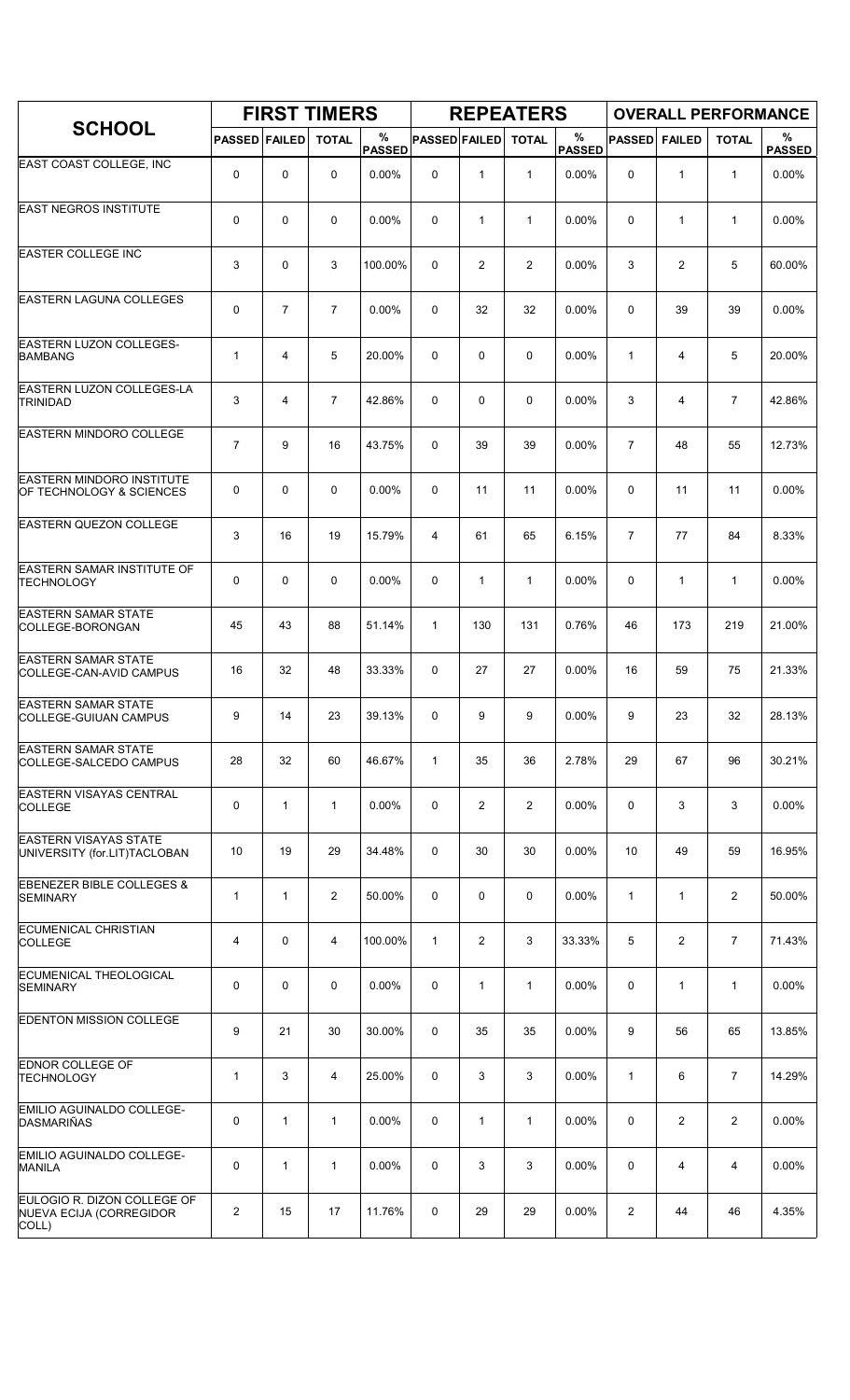|                                                                 |                      |                | <b>FIRST TIMERS</b> |                    |                      |                | <b>REPEATERS</b> |                       |                |                |                | <b>OVERALL PERFORMANCE</b> |
|-----------------------------------------------------------------|----------------------|----------------|---------------------|--------------------|----------------------|----------------|------------------|-----------------------|----------------|----------------|----------------|----------------------------|
| <b>SCHOOL</b>                                                   | <b>PASSED FAILED</b> |                | <b>TOTAL</b>        | %<br><b>PASSED</b> | <b>PASSED FAILED</b> |                | <b>TOTAL</b>     | $\%$<br><b>PASSED</b> | <b>PASSED</b>  | <b>FAILED</b>  | <b>TOTAL</b>   | %<br><b>PASSED</b>         |
| EAST COAST COLLEGE, INC                                         | 0                    | 0              | 0                   | $0.00\%$           | 0                    | 1              | $\mathbf{1}$     | 0.00%                 | 0              | 1              | $\mathbf{1}$   | $0.00\%$                   |
| <b>EAST NEGROS INSTITUTE</b>                                    | 0                    | 0              | $\mathbf 0$         | 0.00%              | 0                    | $\mathbf{1}$   | 1                | 0.00%                 | 0              | $\mathbf{1}$   | $\mathbf{1}$   | 0.00%                      |
| <b>EASTER COLLEGE INC</b>                                       | 3                    | 0              | 3                   | 100.00%            | 0                    | $\overline{2}$ | $\overline{2}$   | $0.00\%$              | 3              | $\overline{2}$ | 5              | 60.00%                     |
| <b>EASTERN LAGUNA COLLEGES</b>                                  | 0                    | $\overline{7}$ | $\overline{7}$      | $0.00\%$           | 0                    | 32             | 32               | 0.00%                 | 0              | 39             | 39             | 0.00%                      |
| <b>EASTERN LUZON COLLEGES-</b><br><b>BAMBANG</b>                | $\mathbf{1}$         | 4              | 5                   | 20.00%             | 0                    | 0              | 0                | $0.00\%$              | $\mathbf{1}$   | 4              | 5              | 20.00%                     |
| <b>EASTERN LUZON COLLEGES-LA</b><br><b>TRINIDAD</b>             | 3                    | 4              | $\overline{7}$      | 42.86%             | 0                    | 0              | 0                | 0.00%                 | 3              | 4              | $\overline{7}$ | 42.86%                     |
| <b>EASTERN MINDORO COLLEGE</b>                                  | $\overline{7}$       | 9              | 16                  | 43.75%             | 0                    | 39             | 39               | 0.00%                 | $\overline{7}$ | 48             | 55             | 12.73%                     |
| <b>EASTERN MINDORO INSTITUTE</b><br>OF TECHNOLOGY & SCIENCES    | 0                    | $\Omega$       | $\mathbf 0$         | $0.00\%$           | $\Omega$             | 11             | 11               | $0.00\%$              | 0              | 11             | 11             | $0.00\%$                   |
| <b>EASTERN QUEZON COLLEGE</b>                                   | 3                    | 16             | 19                  | 15.79%             | 4                    | 61             | 65               | 6.15%                 | $\overline{7}$ | 77             | 84             | 8.33%                      |
| EASTERN SAMAR INSTITUTE OF<br><b>TECHNOLOGY</b>                 | 0                    | 0              | $\mathbf 0$         | 0.00%              | 0                    | $\mathbf{1}$   | $\mathbf{1}$     | 0.00%                 | $\mathbf 0$    | $\mathbf{1}$   | $\mathbf{1}$   | 0.00%                      |
| <b>EASTERN SAMAR STATE</b><br>COLLEGE-BORONGAN                  | 45                   | 43             | 88                  | 51.14%             | $\mathbf{1}$         | 130            | 131              | 0.76%                 | 46             | 173            | 219            | 21.00%                     |
| <b>EASTERN SAMAR STATE</b><br>COLLEGE-CAN-AVID CAMPUS           | 16                   | 32             | 48                  | 33.33%             | 0                    | 27             | 27               | 0.00%                 | 16             | 59             | 75             | 21.33%                     |
| <b>EASTERN SAMAR STATE</b><br>COLLEGE-GUIUAN CAMPUS             | 9                    | 14             | 23                  | 39.13%             | 0                    | 9              | 9                | 0.00%                 | 9              | 23             | 32             | 28.13%                     |
| <b>EASTERN SAMAR STATE</b><br>COLLEGE-SALCEDO CAMPUS            | 28                   | 32             | 60                  | 46.67%             | $\mathbf{1}$         | 35             | 36               | 2.78%                 | 29             | 67             | 96             | 30.21%                     |
| <b>EASTERN VISAYAS CENTRAL</b><br><b>COLLEGE</b>                | 0                    | $\mathbf{1}$   | $\mathbf{1}$        | 0.00%              | 0                    | 2              | $\overline{2}$   | 0.00%                 | 0              | 3              | 3              | 0.00%                      |
| <b>EASTERN VISAYAS STATE</b><br>UNIVERSITY (for.LIT)TACLOBAN    | 10                   | 19             | 29                  | 34.48%             | 0                    | 30             | 30               | 0.00%                 | 10             | 49             | 59             | 16.95%                     |
| <b>EBENEZER BIBLE COLLEGES &amp;</b><br><b>SEMINARY</b>         | $\mathbf{1}$         | $\mathbf{1}$   | $\overline{2}$      | 50.00%             | 0                    | 0              | 0                | $0.00\%$              | $\mathbf{1}$   | 1              | $\overline{2}$ | 50.00%                     |
| <b>ECUMENICAL CHRISTIAN</b><br><b>COLLEGE</b>                   | 4                    | 0              | 4                   | 100.00%            | $\mathbf{1}$         | 2              | 3                | 33.33%                | 5              | $\overline{2}$ | $\overline{7}$ | 71.43%                     |
| <b>ECUMENICAL THEOLOGICAL</b><br><b>SEMINARY</b>                | 0                    | 0              | $\mathbf 0$         | 0.00%              | 0                    | $\mathbf{1}$   | $\mathbf{1}$     | 0.00%                 | 0              | $\mathbf{1}$   | $\mathbf{1}$   | 0.00%                      |
| <b>EDENTON MISSION COLLEGE</b>                                  | 9                    | 21             | 30                  | 30.00%             | 0                    | 35             | 35               | $0.00\%$              | 9              | 56             | 65             | 13.85%                     |
| <b>EDNOR COLLEGE OF</b><br><b>TECHNOLOGY</b>                    | $\mathbf{1}$         | 3              | 4                   | 25.00%             | 0                    | 3              | 3                | 0.00%                 | $\mathbf{1}$   | 6              | $\overline{7}$ | 14.29%                     |
| EMILIO AGUINALDO COLLEGE-<br>DASMARIÑAS                         | 0                    | $\mathbf{1}$   | $\mathbf{1}$        | 0.00%              | 0                    | 1              | $\mathbf{1}$     | 0.00%                 | 0              | 2              | $\overline{2}$ | 0.00%                      |
| EMILIO AGUINALDO COLLEGE-<br>MANILA                             | 0                    | $\mathbf{1}$   | $\mathbf{1}$        | 0.00%              | 0                    | 3              | 3                | 0.00%                 | 0              | 4              | 4              | 0.00%                      |
| EULOGIO R. DIZON COLLEGE OF<br>NUEVA ECIJA (CORREGIDOR<br>COLL) | 2                    | 15             | 17                  | 11.76%             | 0                    | 29             | 29               | 0.00%                 | $\overline{2}$ | 44             | 46             | 4.35%                      |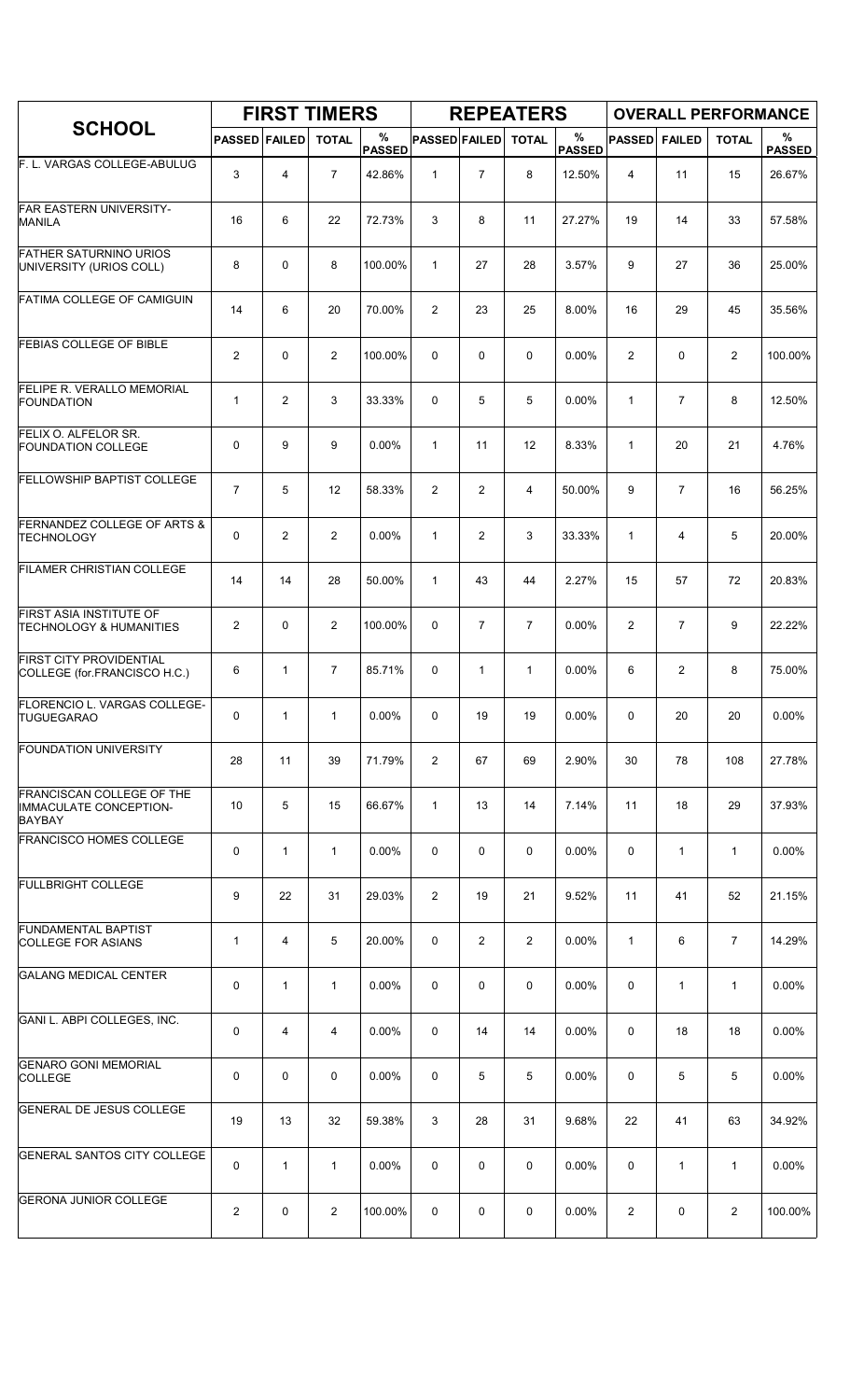|                                                                             |                      |              | <b>FIRST TIMERS</b> |                    |                      |                | <b>REPEATERS</b> |                       |                |                | <b>OVERALL PERFORMANCE</b> |                    |
|-----------------------------------------------------------------------------|----------------------|--------------|---------------------|--------------------|----------------------|----------------|------------------|-----------------------|----------------|----------------|----------------------------|--------------------|
| <b>SCHOOL</b>                                                               | <b>PASSED FAILED</b> |              | <b>TOTAL</b>        | %<br><b>PASSED</b> | <b>PASSED FAILED</b> |                | <b>TOTAL</b>     | $\%$<br><b>PASSED</b> | <b>PASSED</b>  | <b>FAILED</b>  | <b>TOTAL</b>               | %<br><b>PASSED</b> |
| F. L. VARGAS COLLEGE-ABULUG                                                 | 3                    | 4            | $\overline{7}$      | 42.86%             | $\mathbf{1}$         | $\overline{7}$ | 8                | 12.50%                | 4              | 11             | 15                         | 26.67%             |
| <b>FAR EASTERN UNIVERSITY-</b><br><b>MANILA</b>                             | 16                   | 6            | 22                  | 72.73%             | 3                    | 8              | 11               | 27.27%                | 19             | 14             | 33                         | 57.58%             |
| <b>FATHER SATURNINO URIOS</b><br>UNIVERSITY (URIOS COLL)                    | 8                    | 0            | 8                   | 100.00%            | $\mathbf{1}$         | 27             | 28               | 3.57%                 | 9              | 27             | 36                         | 25.00%             |
| FATIMA COLLEGE OF CAMIGUIN                                                  | 14                   | 6            | 20                  | 70.00%             | 2                    | 23             | 25               | 8.00%                 | 16             | 29             | 45                         | 35.56%             |
| <b>FEBIAS COLLEGE OF BIBLE</b>                                              | $\mathbf{2}$         | 0            | $\overline{2}$      | 100.00%            | $\mathbf 0$          | 0              | $\mathbf 0$      | 0.00%                 | $\overline{2}$ | 0              | $\overline{2}$             | 100.00%            |
| FELIPE R. VERALLO MEMORIAL<br><b>FOUNDATION</b>                             | $\mathbf{1}$         | 2            | 3                   | 33.33%             | $\mathbf 0$          | 5              | 5                | 0.00%                 | $\mathbf{1}$   | $\overline{7}$ | 8                          | 12.50%             |
| FELIX O. ALFELOR SR.<br><b>FOUNDATION COLLEGE</b>                           | 0                    | 9            | 9                   | 0.00%              | $\mathbf{1}$         | 11             | 12               | 8.33%                 | $\mathbf{1}$   | 20             | 21                         | 4.76%              |
| <b>FELLOWSHIP BAPTIST COLLEGE</b>                                           | $\overline{7}$       | 5            | 12                  | 58.33%             | $\overline{2}$       | $\overline{2}$ | $\overline{4}$   | 50.00%                | 9              | $\overline{7}$ | 16                         | 56.25%             |
| FERNANDEZ COLLEGE OF ARTS &<br><b>TECHNOLOGY</b>                            | 0                    | 2            | 2                   | 0.00%              | $\mathbf{1}$         | $\overline{2}$ | 3                | 33.33%                | $\mathbf{1}$   | 4              | 5                          | 20.00%             |
| FILAMER CHRISTIAN COLLEGE                                                   | 14                   | 14           | 28                  | 50.00%             | $\mathbf{1}$         | 43             | 44               | 2.27%                 | 15             | 57             | 72                         | 20.83%             |
| FIRST ASIA INSTITUTE OF<br><b>TECHNOLOGY &amp; HUMANITIES</b>               | $\overline{2}$       | 0            | $\overline{2}$      | 100.00%            | 0                    | $\overline{7}$ | $\overline{7}$   | 0.00%                 | 2              | $\overline{7}$ | 9                          | 22.22%             |
| <b>FIRST CITY PROVIDENTIAL</b><br>COLLEGE (for FRANCISCO H.C.)              | 6                    | $\mathbf{1}$ | $\overline{7}$      | 85.71%             | $\mathbf 0$          | $\mathbf{1}$   | $\mathbf{1}$     | 0.00%                 | 6              | 2              | 8                          | 75.00%             |
| FLORENCIO L. VARGAS COLLEGE-<br><b>TUGUEGARAO</b>                           | 0                    | $\mathbf{1}$ | $\mathbf{1}$        | 0.00%              | $\mathbf 0$          | 19             | 19               | 0.00%                 | 0              | 20             | 20                         | 0.00%              |
| <b>FOUNDATION UNIVERSITY</b>                                                | 28                   | 11           | 39                  | 71.79%             | 2                    | 67             | 69               | 2.90%                 | 30             | 78             | 108                        | 27.78%             |
| <b>FRANCISCAN COLLEGE OF THE</b><br>IMMACULATE CONCEPTION-<br><b>BAYBAY</b> | 10                   | 5            | 15                  | 66.67%             | $\mathbf{1}$         | 13             | 14               | 7.14%                 | 11             | 18             | 29                         | 37.93%             |
| <b>FRANCISCO HOMES COLLEGE</b>                                              | 0                    | $\mathbf{1}$ | $\mathbf{1}$        | 0.00%              | 0                    | 0              | 0                | 0.00%                 | 0              | 1              | $\mathbf{1}$               | 0.00%              |
| <b>FULLBRIGHT COLLEGE</b>                                                   | 9                    | 22           | 31                  | 29.03%             | $\overline{2}$       | 19             | 21               | 9.52%                 | 11             | 41             | 52                         | 21.15%             |
| <b>FUNDAMENTAL BAPTIST</b><br><b>COLLEGE FOR ASIANS</b>                     | $\mathbf 1$          | 4            | 5                   | 20.00%             | 0                    | $\overline{2}$ | $\overline{2}$   | 0.00%                 | $\mathbf{1}$   | 6              | $\overline{7}$             | 14.29%             |
| <b>GALANG MEDICAL CENTER</b>                                                | 0                    | 1            | $\mathbf{1}$        | 0.00%              | 0                    | 0              | $\mathbf 0$      | 0.00%                 | 0              | $\mathbf{1}$   | $\mathbf{1}$               | 0.00%              |
| GANI L. ABPI COLLEGES, INC.                                                 | 0                    | 4            | $\overline{4}$      | $0.00\%$           | 0                    | 14             | 14               | $0.00\%$              | 0              | 18             | 18                         | 0.00%              |
| <b>GENARO GONI MEMORIAL</b><br><b>COLLEGE</b>                               | 0                    | 0            | 0                   | 0.00%              | 0                    | 5              | 5                | 0.00%                 | 0              | 5              | 5                          | 0.00%              |
| <b>GENERAL DE JESUS COLLEGE</b>                                             | 19                   | 13           | 32                  | 59.38%             | 3                    | 28             | 31               | 9.68%                 | 22             | 41             | 63                         | 34.92%             |
| <b>GENERAL SANTOS CITY COLLEGE</b>                                          | 0                    | $\mathbf{1}$ | $\mathbf{1}$        | $0.00\%$           | 0                    | 0              | 0                | 0.00%                 | 0              | $\mathbf{1}$   | 1                          | $0.00\%$           |
| <b>GERONA JUNIOR COLLEGE</b>                                                | 2                    | 0            | $\overline{2}$      | 100.00%            | 0                    | 0              | 0                | 0.00%                 | 2              | 0              | $\overline{2}$             | 100.00%            |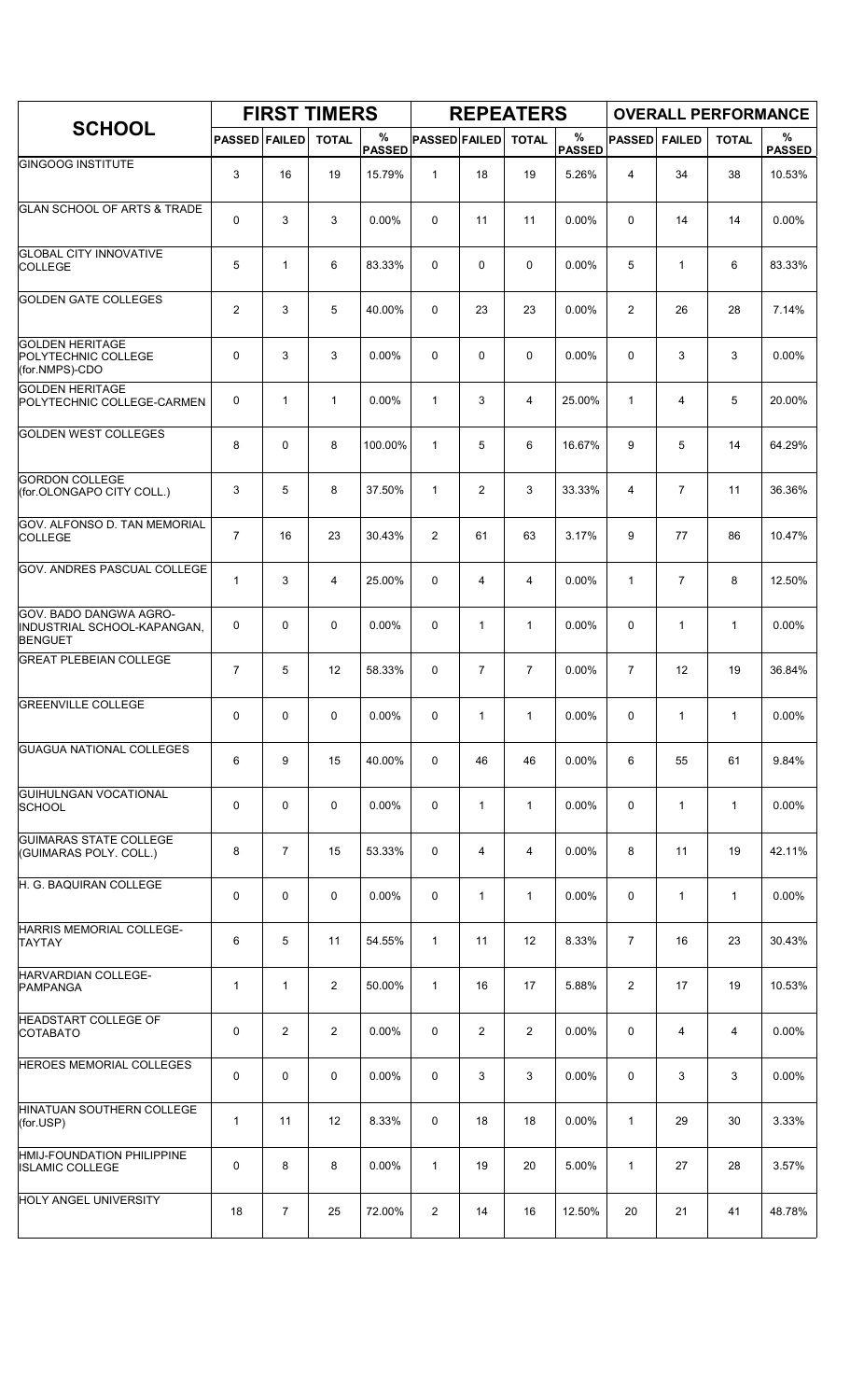|                                                                         |                      |                | <b>FIRST TIMERS</b> |                    |                      |                | <b>REPEATERS</b> |                       |                         |                |              | <b>OVERALL PERFORMANCE</b> |
|-------------------------------------------------------------------------|----------------------|----------------|---------------------|--------------------|----------------------|----------------|------------------|-----------------------|-------------------------|----------------|--------------|----------------------------|
| <b>SCHOOL</b>                                                           | <b>PASSED FAILED</b> |                | <b>TOTAL</b>        | %<br><b>PASSED</b> | <b>PASSED FAILED</b> |                | <b>TOTAL</b>     | $\%$<br><b>PASSED</b> | <b>PASSED</b>           | <b>FAILED</b>  | <b>TOTAL</b> | %<br><b>PASSED</b>         |
| <b>GINGOOG INSTITUTE</b>                                                | 3                    | 16             | 19                  | 15.79%             | $\mathbf{1}$         | 18             | 19               | 5.26%                 | $\overline{\mathbf{4}}$ | 34             | 38           | 10.53%                     |
| <b>GLAN SCHOOL OF ARTS &amp; TRADE</b>                                  | 0                    | 3              | 3                   | 0.00%              | $\mathbf 0$          | 11             | 11               | 0.00%                 | 0                       | 14             | 14           | 0.00%                      |
| <b>GLOBAL CITY INNOVATIVE</b><br><b>COLLEGE</b>                         | 5                    | $\mathbf{1}$   | 6                   | 83.33%             | 0                    | 0              | 0                | $0.00\%$              | 5                       | $\mathbf{1}$   | 6            | 83.33%                     |
| <b>GOLDEN GATE COLLEGES</b>                                             | $\overline{2}$       | 3              | 5                   | 40.00%             | 0                    | 23             | 23               | 0.00%                 | 2                       | 26             | 28           | 7.14%                      |
| <b>GOLDEN HERITAGE</b><br>POLYTECHNIC COLLEGE<br>(for.NMPS)-CDO         | 0                    | 3              | 3                   | 0.00%              | 0                    | 0              | $\mathbf 0$      | $0.00\%$              | 0                       | 3              | 3            | 0.00%                      |
| <b>GOLDEN HERITAGE</b><br>POLYTECHNIC COLLEGE-CARMEN                    | 0                    | $\mathbf{1}$   | $\mathbf{1}$        | 0.00%              | $\mathbf{1}$         | 3              | $\overline{4}$   | 25.00%                | $\mathbf{1}$            | 4              | 5            | 20.00%                     |
| <b>GOLDEN WEST COLLEGES</b>                                             | 8                    | 0              | 8                   | 100.00%            | $\mathbf{1}$         | 5              | 6                | 16.67%                | 9                       | 5              | 14           | 64.29%                     |
| <b>GORDON COLLEGE</b><br>(for.OLONGAPO CITY COLL.)                      | 3                    | 5              | 8                   | 37.50%             | $\mathbf{1}$         | $\overline{2}$ | 3                | 33.33%                | 4                       | $\overline{7}$ | 11           | 36.36%                     |
| GOV. ALFONSO D. TAN MEMORIAL<br><b>COLLEGE</b>                          | $\overline{7}$       | 16             | 23                  | 30.43%             | 2                    | 61             | 63               | 3.17%                 | 9                       | 77             | 86           | 10.47%                     |
| <b>GOV. ANDRES PASCUAL COLLEGE</b>                                      | $\mathbf{1}$         | 3              | 4                   | 25.00%             | 0                    | 4              | 4                | 0.00%                 | $\mathbf{1}$            | $\overline{7}$ | 8            | 12.50%                     |
| GOV. BADO DANGWA AGRO-<br>INDUSTRIAL SCHOOL-KAPANGAN,<br><b>BENGUET</b> | 0                    | 0              | $\mathbf 0$         | 0.00%              | 0                    | $\mathbf{1}$   | $\mathbf{1}$     | 0.00%                 | 0                       | $\mathbf{1}$   | $\mathbf{1}$ | 0.00%                      |
| <b>GREAT PLEBEIAN COLLEGE</b>                                           | $\overline{7}$       | 5              | 12                  | 58.33%             | $\mathbf 0$          | $\overline{7}$ | $\overline{7}$   | 0.00%                 | $\overline{7}$          | 12             | 19           | 36.84%                     |
| <b>GREENVILLE COLLEGE</b>                                               | 0                    | 0              | 0                   | 0.00%              | 0                    | $\mathbf{1}$   | $\mathbf{1}$     | 0.00%                 | $\Omega$                | $\mathbf{1}$   | $\mathbf{1}$ | 0.00%                      |
| <b>GUAGUA NATIONAL COLLEGES</b>                                         | 6                    | 9              | 15                  | 40.00%             | 0                    | 46             | 46               | 0.00%                 | 6                       | 55             | 61           | 9.84%                      |
| <b>GUIHULNGAN VOCATIONAL</b><br><b>SCHOOL</b>                           | 0                    | 0              | 0                   | 0.00%              | 0                    | $\mathbf{1}$   | $\mathbf{1}$     | 0.00%                 | 0                       | $\mathbf{1}$   | $\mathbf{1}$ | 0.00%                      |
| <b>GUIMARAS STATE COLLEGE</b><br>(GUIMARAS POLY. COLL.)                 | 8                    | $\overline{7}$ | 15                  | 53.33%             | 0                    | 4              | 4                | 0.00%                 | 8                       | 11             | 19           | 42.11%                     |
| H. G. BAQUIRAN COLLEGE                                                  | 0                    | 0              | 0                   | $0.00\%$           | 0                    | 1              | $\mathbf{1}$     | 0.00%                 | 0                       | $\mathbf{1}$   | $\mathbf{1}$ | 0.00%                      |
| HARRIS MEMORIAL COLLEGE-<br>TAYTAY                                      | 6                    | 5              | 11                  | 54.55%             | $\mathbf{1}$         | 11             | 12               | 8.33%                 | $\overline{7}$          | 16             | 23           | 30.43%                     |
| HARVARDIAN COLLEGE-<br><b>PAMPANGA</b>                                  | $\mathbf{1}$         | $\mathbf{1}$   | $\overline{2}$      | 50.00%             | $\mathbf{1}$         | 16             | 17               | 5.88%                 | $\overline{2}$          | 17             | 19           | 10.53%                     |
| <b>HEADSTART COLLEGE OF</b><br><b>COTABATO</b>                          | 0                    | $\overline{2}$ | $\overline{2}$      | $0.00\%$           | 0                    | 2              | $\overline{2}$   | $0.00\%$              | 0                       | 4              | 4            | 0.00%                      |
| <b>HEROES MEMORIAL COLLEGES</b>                                         | 0                    | 0              | $\mathbf 0$         | 0.00%              | 0                    | 3              | 3                | 0.00%                 | 0                       | 3              | 3            | 0.00%                      |
| HINATUAN SOUTHERN COLLEGE<br>(for.USP)                                  | $\mathbf 1$          | 11             | 12                  | 8.33%              | 0                    | 18             | 18               | 0.00%                 | $\mathbf{1}$            | 29             | 30           | 3.33%                      |
| HMIJ-FOUNDATION PHILIPPINE<br><b>ISLAMIC COLLEGE</b>                    | 0                    | 8              | 8                   | 0.00%              | $\mathbf{1}$         | 19             | 20               | 5.00%                 | $\mathbf{1}$            | 27             | 28           | 3.57%                      |
| <b>HOLY ANGEL UNIVERSITY</b>                                            | 18                   | 7              | 25                  | 72.00%             | $\overline{2}$       | 14             | 16               | 12.50%                | 20                      | 21             | 41           | 48.78%                     |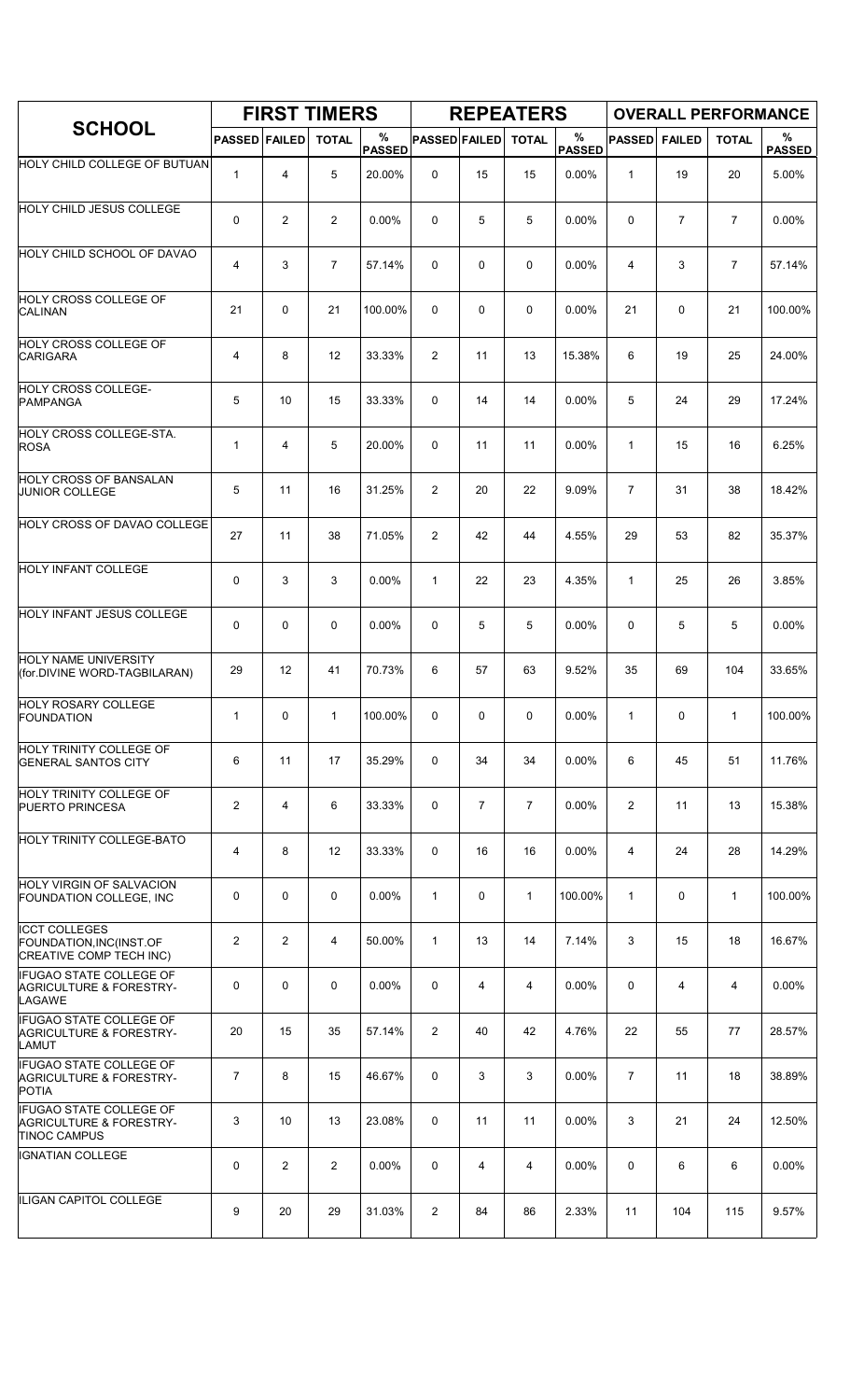|                                                                                             |                      |                | <b>FIRST TIMERS</b> |                    |                      |    | <b>REPEATERS</b> |                    |                |               | <b>OVERALL PERFORMANCE</b> |                    |
|---------------------------------------------------------------------------------------------|----------------------|----------------|---------------------|--------------------|----------------------|----|------------------|--------------------|----------------|---------------|----------------------------|--------------------|
| <b>SCHOOL</b>                                                                               | <b>PASSED FAILED</b> |                | <b>TOTAL</b>        | %<br><b>PASSED</b> | <b>PASSED FAILED</b> |    | <b>TOTAL</b>     | %<br><b>PASSED</b> | <b>PASSED</b>  | <b>FAILED</b> | <b>TOTAL</b>               | %<br><b>PASSED</b> |
| HOLY CHILD COLLEGE OF BUTUAN                                                                | $\mathbf{1}$         | 4              | 5                   | 20.00%             | 0                    | 15 | 15               | 0.00%              | 1              | 19            | 20                         | 5.00%              |
| <b>HOLY CHILD JESUS COLLEGE</b>                                                             | 0                    | $\overline{c}$ | 2                   | 0.00%              | 0                    | 5  | 5                | 0.00%              | 0              | 7             | 7                          | 0.00%              |
| <b>HOLY CHILD SCHOOL OF DAVAO</b>                                                           | 4                    | 3              | $\overline{7}$      | 57.14%             | 0                    | 0  | 0                | 0.00%              | 4              | 3             | $\overline{7}$             | 57.14%             |
| <b>HOLY CROSS COLLEGE OF</b><br><b>CALINAN</b>                                              | 21                   | 0              | 21                  | 100.00%            | 0                    | 0  | 0                | 0.00%              | 21             | 0             | 21                         | 100.00%            |
| HOLY CROSS COLLEGE OF<br><b>CARIGARA</b>                                                    | 4                    | 8              | 12                  | 33.33%             | 2                    | 11 | 13               | 15.38%             | 6              | 19            | 25                         | 24.00%             |
| HOLY CROSS COLLEGE-<br><b>PAMPANGA</b>                                                      | 5                    | 10             | 15                  | 33.33%             | 0                    | 14 | 14               | 0.00%              | 5              | 24            | 29                         | 17.24%             |
| HOLY CROSS COLLEGE-STA.<br><b>ROSA</b>                                                      | $\mathbf{1}$         | 4              | 5                   | 20.00%             | 0                    | 11 | 11               | 0.00%              | 1              | 15            | 16                         | 6.25%              |
| <b>HOLY CROSS OF BANSALAN</b><br><b>JUNIOR COLLEGE</b>                                      | 5                    | 11             | 16                  | 31.25%             | $\overline{2}$       | 20 | 22               | 9.09%              | $\overline{7}$ | 31            | 38                         | 18.42%             |
| HOLY CROSS OF DAVAO COLLEGE                                                                 | 27                   | 11             | 38                  | 71.05%             | 2                    | 42 | 44               | 4.55%              | 29             | 53            | 82                         | 35.37%             |
| <b>HOLY INFANT COLLEGE</b>                                                                  | 0                    | 3              | 3                   | 0.00%              | $\mathbf{1}$         | 22 | 23               | 4.35%              | $\mathbf{1}$   | 25            | 26                         | 3.85%              |
| <b>HOLY INFANT JESUS COLLEGE</b>                                                            | 0                    | 0              | $\mathbf 0$         | 0.00%              | 0                    | 5  | 5                | 0.00%              | 0              | 5             | 5                          | 0.00%              |
| HOLY NAME UNIVERSITY<br>(for.DIVINE WORD-TAGBILARAN)                                        | 29                   | 12             | 41                  | 70.73%             | 6                    | 57 | 63               | 9.52%              | 35             | 69            | 104                        | 33.65%             |
| <b>HOLY ROSARY COLLEGE</b><br><b>FOUNDATION</b>                                             | $\mathbf{1}$         | 0              | 1                   | 100.00%            | 0                    | 0  | 0                | 0.00%              | 1              | 0             | 1                          | 100.00%            |
| <b>HOLY TRINITY COLLEGE OF</b><br><b>GENERAL SANTOS CITY</b>                                | 6                    | 11             | 17                  | 35.29%             | 0                    | 34 | 34               | 0.00%              | 6              | 45            | 51                         | 11.76%             |
| HOLY TRINITY COLLEGE OF<br><b>PUERTO PRINCESA</b>                                           | $\overline{2}$       | 4              | 6                   | 33.33%             | 0                    | 7  | $\overline{7}$   | 0.00%              | $\overline{2}$ | 11            | 13                         | 15.38%             |
| HOLY TRINITY COLLEGE-BATO                                                                   | 4                    | 8              | 12                  | 33.33%             | 0                    | 16 | 16               | 0.00%              | 4              | 24            | 28                         | 14.29%             |
| HOLY VIRGIN OF SALVACION<br>FOUNDATION COLLEGE, INC                                         | 0                    | 0              | $\mathbf 0$         | $0.00\%$           | $\mathbf{1}$         | 0  | $\mathbf{1}$     | 100.00%            | 1              | 0             | $\mathbf{1}$               | 100.00%            |
| <b>ICCT COLLEGES</b><br>FOUNDATION, INC(INST.OF<br>CREATIVE COMP TECH INC)                  | $\overline{2}$       | 2              | 4                   | 50.00%             | $\mathbf{1}$         | 13 | 14               | 7.14%              | 3              | 15            | 18                         | 16.67%             |
| <b>IFUGAO STATE COLLEGE OF</b><br><b>AGRICULTURE &amp; FORESTRY-</b><br>LAGAWE              | 0                    | 0              | $\mathbf 0$         | 0.00%              | 0                    | 4  | 4                | 0.00%              | 0              | 4             | 4                          | 0.00%              |
| <b>IFUGAO STATE COLLEGE OF</b><br><b>AGRICULTURE &amp; FORESTRY-</b><br><b>LAMUT</b>        | 20                   | 15             | 35                  | 57.14%             | $\overline{2}$       | 40 | 42               | 4.76%              | 22             | 55            | 77                         | 28.57%             |
| <b>IFUGAO STATE COLLEGE OF</b><br><b>AGRICULTURE &amp; FORESTRY-</b><br><b>POTIA</b>        | $\overline{7}$       | 8              | 15                  | 46.67%             | 0                    | 3  | 3                | 0.00%              | $\overline{7}$ | 11            | 18                         | 38.89%             |
| <b>IFUGAO STATE COLLEGE OF</b><br><b>AGRICULTURE &amp; FORESTRY-</b><br><b>TINOC CAMPUS</b> | 3                    | 10             | 13                  | 23.08%             | 0                    | 11 | 11               | 0.00%              | 3              | 21            | 24                         | 12.50%             |
| IGNATIAN COLLEGE                                                                            | 0                    | $\overline{2}$ | $\overline{2}$      | 0.00%              | 0                    | 4  | 4                | 0.00%              | 0              | 6             | 6                          | $0.00\%$           |
| ILIGAN CAPITOL COLLEGE                                                                      | 9                    | 20             | 29                  | 31.03%             | $\overline{2}$       | 84 | 86               | 2.33%              | 11             | 104           | 115                        | 9.57%              |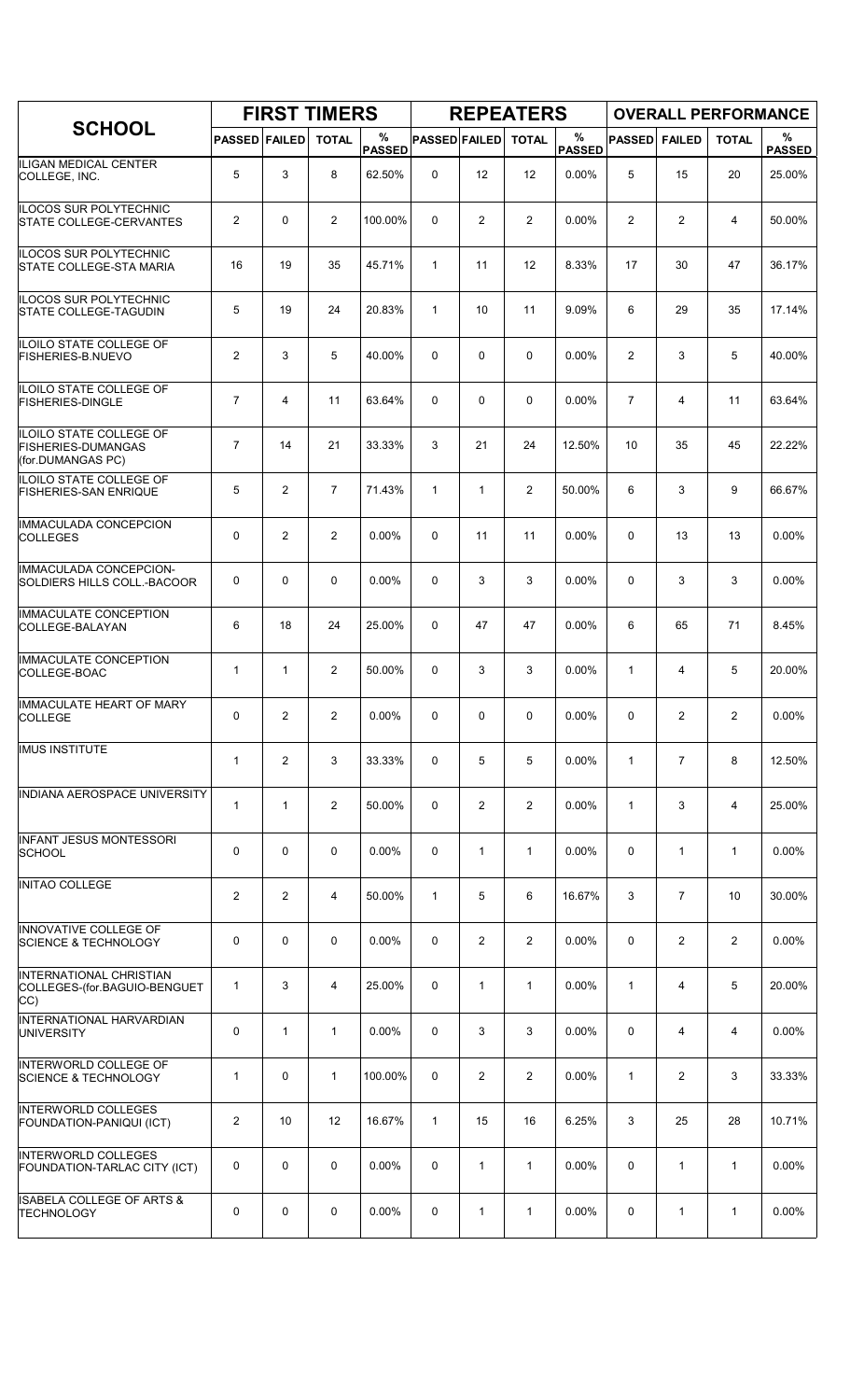|                                                                                  |                      |                | <b>FIRST TIMERS</b> |                    |                      |                | <b>REPEATERS</b> |                    |                |                | <b>OVERALL PERFORMANCE</b> |                    |
|----------------------------------------------------------------------------------|----------------------|----------------|---------------------|--------------------|----------------------|----------------|------------------|--------------------|----------------|----------------|----------------------------|--------------------|
| <b>SCHOOL</b>                                                                    | <b>PASSED FAILED</b> |                | <b>TOTAL</b>        | %<br><b>PASSED</b> | <b>PASSED FAILED</b> |                | <b>TOTAL</b>     | %<br><b>PASSED</b> | <b>PASSED</b>  | <b>FAILED</b>  | <b>TOTAL</b>               | %<br><b>PASSED</b> |
| ILIGAN MEDICAL CENTER<br>COLLEGE, INC.                                           | 5                    | 3              | 8                   | 62.50%             | 0                    | 12             | 12               | 0.00%              | 5              | 15             | 20                         | 25.00%             |
| <b>ILOCOS SUR POLYTECHNIC</b><br><b>STATE COLLEGE-CERVANTES</b>                  | $\overline{2}$       | $\mathbf 0$    | 2                   | 100.00%            | $\Omega$             | $\overline{2}$ | 2                | 0.00%              | 2              | 2              | 4                          | 50.00%             |
| <b>ILOCOS SUR POLYTECHNIC</b><br><b>STATE COLLEGE-STA MARIA</b>                  | 16                   | 19             | 35                  | 45.71%             | $\mathbf{1}$         | 11             | 12               | 8.33%              | 17             | 30             | 47                         | 36.17%             |
| <b>ILOCOS SUR POLYTECHNIC</b><br><b>STATE COLLEGE-TAGUDIN</b>                    | 5                    | 19             | 24                  | 20.83%             | $\mathbf{1}$         | 10             | 11               | 9.09%              | 6              | 29             | 35                         | 17.14%             |
| ILOILO STATE COLLEGE OF<br><b>FISHERIES-B NUEVO</b>                              | $\overline{2}$       | 3              | 5                   | 40.00%             | 0                    | 0              | 0                | 0.00%              | $\overline{2}$ | 3              | 5                          | 40.00%             |
| ILOILO STATE COLLEGE OF<br><b>FISHERIES-DINGLE</b>                               | $\overline{7}$       | 4              | 11                  | 63.64%             | 0                    | 0              | $\mathbf 0$      | 0.00%              | $\overline{7}$ | 4              | 11                         | 63.64%             |
| <b>ILOILO STATE COLLEGE OF</b><br><b>FISHERIES-DUMANGAS</b><br>(for.DUMANGAS PC) | $\overline{7}$       | 14             | 21                  | 33.33%             | 3                    | 21             | 24               | 12.50%             | 10             | 35             | 45                         | 22.22%             |
| ILOILO STATE COLLEGE OF<br><b>FISHERIES-SAN ENRIQUE</b>                          | 5                    | 2              | $\overline{7}$      | 71.43%             | $\mathbf{1}$         | $\mathbf{1}$   | $\overline{2}$   | 50.00%             | 6              | 3              | 9                          | 66.67%             |
| IMMACULADA CONCEPCION<br><b>COLLEGES</b>                                         | 0                    | $\overline{2}$ | $\overline{2}$      | 0.00%              | 0                    | 11             | 11               | 0.00%              | $\Omega$       | 13             | 13                         | 0.00%              |
| <b>IMMACULADA CONCEPCION-</b><br>SOLDIERS HILLS COLL.-BACOOR                     | 0                    | $\mathbf 0$    | 0                   | $0.00\%$           | 0                    | 3              | 3                | 0.00%              | 0              | 3              | 3                          | 0.00%              |
| <b>IMMACULATE CONCEPTION</b><br>COLLEGE-BALAYAN                                  | 6                    | 18             | 24                  | 25.00%             | 0                    | 47             | 47               | 0.00%              | 6              | 65             | 71                         | 8.45%              |
| <b>IMMACULATE CONCEPTION</b><br>COLLEGE-BOAC                                     | 1                    | $\mathbf{1}$   | $\overline{2}$      | 50.00%             | $\Omega$             | 3              | 3                | 0.00%              | 1              | 4              | 5                          | 20.00%             |
| <b>IMMACULATE HEART OF MARY</b><br><b>COLLEGE</b>                                | 0                    | $\overline{2}$ | $\overline{c}$      | 0.00%              | 0                    | 0              | 0                | 0.00%              | 0              | 2              | $\overline{2}$             | 0.00%              |
| <b>IMUS INSTITUTE</b>                                                            | 1                    | $\overline{2}$ | 3                   | 33.33%             | 0                    | 5              | 5                | 0.00%              | $\mathbf{1}$   | $\overline{7}$ | 8                          | 12.50%             |
| INDIANA AEROSPACE UNIVERSITY                                                     | $\mathbf{1}$         | $\mathbf{1}$   | $\overline{2}$      | 50.00%             | 0                    | $\overline{2}$ | $\overline{2}$   | 0.00%              | $\mathbf{1}$   | 3              | 4                          | 25.00%             |
| <b>INFANT JESUS MONTESSORI</b><br><b>SCHOOL</b>                                  | 0                    | 0              | 0                   | $0.00\%$           | 0                    | $\mathbf{1}$   | $\mathbf{1}$     | $0.00\%$           | 0              | $\mathbf{1}$   | $\mathbf{1}$               | $0.00\%$           |
| <b>INITAO COLLEGE</b>                                                            | $\overline{c}$       | $\overline{2}$ | 4                   | 50.00%             | $\mathbf{1}$         | 5              | 6                | 16.67%             | 3              | $\overline{7}$ | 10                         | 30.00%             |
| <b>INNOVATIVE COLLEGE OF</b><br><b>SCIENCE &amp; TECHNOLOGY</b>                  | 0                    | 0              | $\mathbf 0$         | 0.00%              | 0                    | $\overline{2}$ | $\overline{2}$   | 0.00%              | 0              | $\overline{2}$ | 2                          | 0.00%              |
| <b>INTERNATIONAL CHRISTIAN</b><br>COLLEGES-(for.BAGUIO-BENGUET<br>CC)            | 1                    | 3              | 4                   | 25.00%             | 0                    | $\mathbf{1}$   | $\mathbf{1}$     | $0.00\%$           | $\mathbf{1}$   | 4              | 5                          | 20.00%             |
| <b>INTERNATIONAL HARVARDIAN</b><br><b>UNIVERSITY</b>                             | 0                    | $\mathbf{1}$   | $\mathbf 1$         | 0.00%              | 0                    | 3              | 3                | 0.00%              | $\mathbf 0$    | 4              | 4                          | 0.00%              |
| <b>INTERWORLD COLLEGE OF</b><br><b>SCIENCE &amp; TECHNOLOGY</b>                  | $\mathbf{1}$         | 0              | $\mathbf{1}$        | 100.00%            | 0                    | $\overline{2}$ | $\overline{2}$   | 0.00%              | $\mathbf{1}$   | 2              | 3                          | 33.33%             |
| INTERWORLD COLLEGES<br>FOUNDATION-PANIQUI (ICT)                                  | $\overline{c}$       | 10             | 12                  | 16.67%             | $\mathbf{1}$         | 15             | 16               | 6.25%              | 3              | 25             | 28                         | 10.71%             |
| <b>INTERWORLD COLLEGES</b><br>FOUNDATION-TARLAC CITY (ICT)                       | 0                    | 0              | $\mathbf 0$         | $0.00\%$           | 0                    | 1              | $\mathbf{1}$     | 0.00%              | 0              | $\mathbf{1}$   | $\mathbf{1}$               | 0.00%              |
| <b>ISABELA COLLEGE OF ARTS &amp;</b><br><b>TECHNOLOGY</b>                        | 0                    | 0              | 0                   | $0.00\%$           | 0                    | 1              | 1                | $0.00\%$           | 0              | 1              | $\mathbf{1}$               | 0.00%              |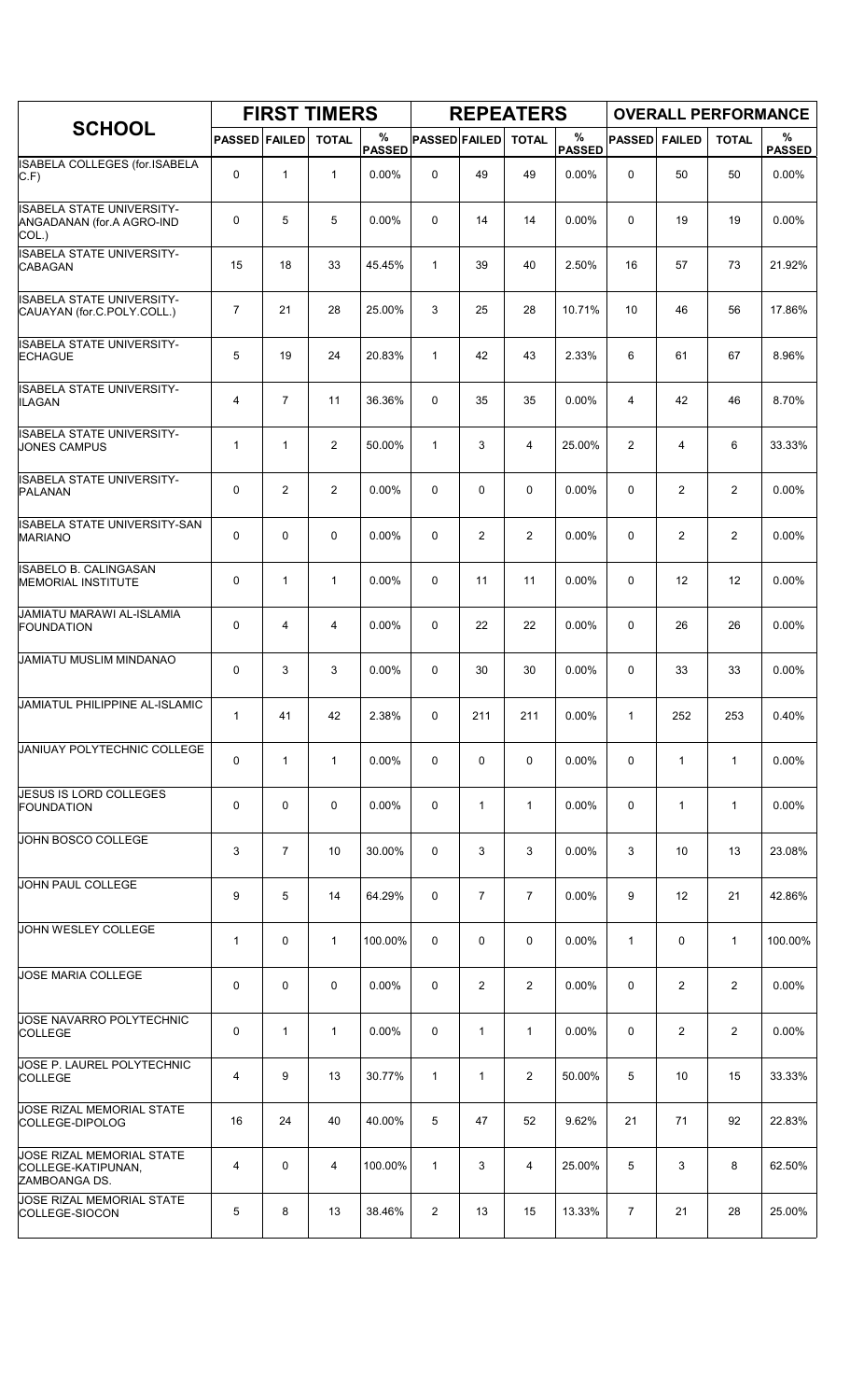|                                                                        |                      |                | <b>FIRST TIMERS</b> |                    |                      |                | <b>REPEATERS</b> |                       |                |                | <b>OVERALL PERFORMANCE</b> |                    |
|------------------------------------------------------------------------|----------------------|----------------|---------------------|--------------------|----------------------|----------------|------------------|-----------------------|----------------|----------------|----------------------------|--------------------|
| <b>SCHOOL</b>                                                          | <b>PASSED FAILED</b> |                | <b>TOTAL</b>        | %<br><b>PASSED</b> | <b>PASSED FAILED</b> |                | <b>TOTAL</b>     | $\%$<br><b>PASSED</b> | <b>PASSED</b>  | <b>FAILED</b>  | <b>TOTAL</b>               | %<br><b>PASSED</b> |
| ISABELA COLLEGES (for.ISABELA<br>C.F                                   | 0                    | $\mathbf{1}$   | $\mathbf{1}$        | 0.00%              | 0                    | 49             | 49               | 0.00%                 | $\mathbf 0$    | 50             | 50                         | 0.00%              |
| <b>ISABELA STATE UNIVERSITY-</b><br>ANGADANAN (for.A AGRO-IND<br>COL.) | 0                    | 5              | 5                   | $0.00\%$           | 0                    | 14             | 14               | 0.00%                 | 0              | 19             | 19                         | 0.00%              |
| <b>ISABELA STATE UNIVERSITY-</b><br><b>CABAGAN</b>                     | 15                   | 18             | 33                  | 45.45%             | $\mathbf{1}$         | 39             | 40               | 2.50%                 | 16             | 57             | 73                         | 21.92%             |
| <b>ISABELA STATE UNIVERSITY-</b><br>CAUAYAN (for C.POLY.COLL.)         | $\overline{7}$       | 21             | 28                  | 25.00%             | 3                    | 25             | 28               | 10.71%                | 10             | 46             | 56                         | 17.86%             |
| ISABELA STATE UNIVERSITY-<br><b>ECHAGUE</b>                            | 5                    | 19             | 24                  | 20.83%             | $\mathbf{1}$         | 42             | 43               | 2.33%                 | 6              | 61             | 67                         | 8.96%              |
| ISABELA STATE UNIVERSITY-<br>ILAGAN                                    | 4                    | $\overline{7}$ | 11                  | 36.36%             | 0                    | 35             | 35               | 0.00%                 | $\overline{4}$ | 42             | 46                         | 8.70%              |
| <b>ISABELA STATE UNIVERSITY-</b><br><b>JONES CAMPUS</b>                | 1                    | $\mathbf{1}$   | $\overline{2}$      | 50.00%             | $\mathbf{1}$         | 3              | 4                | 25.00%                | 2              | 4              | 6                          | 33.33%             |
| <b>ISABELA STATE UNIVERSITY-</b><br><b>PALANAN</b>                     | 0                    | 2              | 2                   | $0.00\%$           | 0                    | 0              | 0                | 0.00%                 | 0              | $\overline{2}$ | $\overline{2}$             | $0.00\%$           |
| ISABELA STATE UNIVERSITY-SAN<br><b>MARIANO</b>                         | 0                    | $\mathbf 0$    | $\mathbf 0$         | 0.00%              | 0                    | 2              | $\overline{2}$   | 0.00%                 | $\mathbf 0$    | $\overline{c}$ | 2                          | 0.00%              |
| <b>ISABELO B. CALINGASAN</b><br><b>MEMORIAL INSTITUTE</b>              | 0                    | $\mathbf{1}$   | $\mathbf 1$         | 0.00%              | 0                    | 11             | 11               | 0.00%                 | $\mathbf 0$    | 12             | 12                         | 0.00%              |
| JAMIATU MARAWI AL-ISLAMIA<br><b>FOUNDATION</b>                         | 0                    | 4              | 4                   | 0.00%              | 0                    | 22             | 22               | 0.00%                 | 0              | 26             | 26                         | 0.00%              |
| JAMIATU MUSLIM MINDANAO                                                | 0                    | 3              | 3                   | 0.00%              | 0                    | 30             | 30               | 0.00%                 | 0              | 33             | 33                         | 0.00%              |
| JAMIATUL PHILIPPINE AL-ISLAMIC                                         | 1                    | 41             | 42                  | 2.38%              | 0                    | 211            | 211              | 0.00%                 | $\mathbf{1}$   | 252            | 253                        | 0.40%              |
| JANIUAY POLYTECHNIC COLLEGE                                            | 0                    | $\mathbf{1}$   | $\mathbf{1}$        | 0.00%              | 0                    | 0              | 0                | 0.00%                 | 0              | $\mathbf{1}$   | $\mathbf{1}$               | 0.00%              |
| JESUS IS LORD COLLEGES<br>FOUNDATION                                   | 0                    | $\mathbf 0$    | $\mathbf 0$         | 0.00%              | 0                    | $\mathbf{1}$   | $\mathbf{1}$     | 0.00%                 | 0              | $\mathbf{1}$   | $\mathbf{1}$               | 0.00%              |
| JOHN BOSCO COLLEGE                                                     | 3                    | $\overline{7}$ | 10                  | 30.00%             | 0                    | 3              | 3                | $0.00\%$              | 3              | 10             | 13                         | 23.08%             |
| JOHN PAUL COLLEGE                                                      | 9                    | 5              | 14                  | 64.29%             | 0                    | $\overline{7}$ | $\overline{7}$   | 0.00%                 | 9              | 12             | 21                         | 42.86%             |
| <b>JOHN WESLEY COLLEGE</b>                                             | 1                    | $\mathbf 0$    | $\mathbf{1}$        | 100.00%            | 0                    | 0              | 0                | $0.00\%$              | $\mathbf{1}$   | 0              | $\mathbf{1}$               | 100.00%            |
| JOSE MARIA COLLEGE                                                     | 0                    | 0              | 0                   | $0.00\%$           | 0                    | 2              | $\overline{2}$   | $0.00\%$              | 0              | 2              | 2                          | $0.00\%$           |
| JOSE NAVARRO POLYTECHNIC<br><b>COLLEGE</b>                             | 0                    | $\mathbf{1}$   | 1                   | 0.00%              | 0                    | 1              | $\mathbf{1}$     | $0.00\%$              | 0              | $\overline{2}$ | 2                          | 0.00%              |
| JOSE P. LAUREL POLYTECHNIC<br><b>COLLEGE</b>                           | 4                    | 9              | 13                  | 30.77%             | $\mathbf{1}$         | 1              | $\overline{2}$   | 50.00%                | 5              | 10             | 15                         | 33.33%             |
| JOSE RIZAL MEMORIAL STATE<br>COLLEGE-DIPOLOG                           | 16                   | 24             | 40                  | 40.00%             | 5                    | 47             | 52               | 9.62%                 | 21             | 71             | 92                         | 22.83%             |
| JOSE RIZAL MEMORIAL STATE<br>COLLEGE-KATIPUNAN,<br>ZAMBOANGA DS.       | 4                    | 0              | 4                   | 100.00%            | $\mathbf{1}$         | 3              | 4                | 25.00%                | 5              | 3              | 8                          | 62.50%             |
| <b>JOSE RIZAL MEMORIAL STATE</b><br>COLLEGE-SIOCON                     | 5                    | 8              | 13                  | 38.46%             | 2                    | 13             | 15               | 13.33%                | $\overline{7}$ | 21             | 28                         | 25.00%             |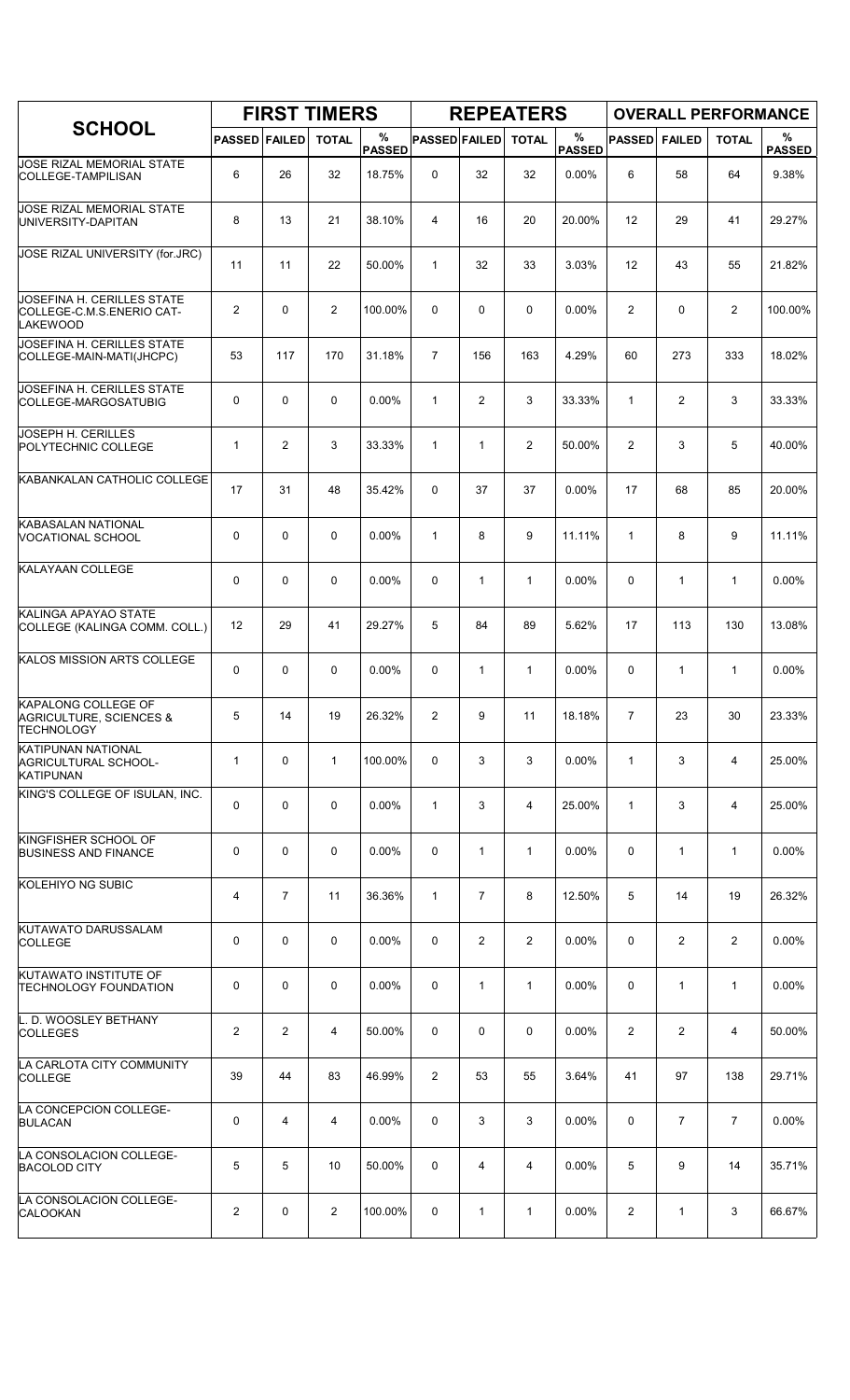|                                                                                       |                      |                | <b>FIRST TIMERS</b> |                    |                      |                | <b>REPEATERS</b> |                       |                |                | <b>OVERALL PERFORMANCE</b> |                    |
|---------------------------------------------------------------------------------------|----------------------|----------------|---------------------|--------------------|----------------------|----------------|------------------|-----------------------|----------------|----------------|----------------------------|--------------------|
| <b>SCHOOL</b>                                                                         | <b>PASSED FAILED</b> |                | <b>TOTAL</b>        | %<br><b>PASSED</b> | <b>PASSED FAILED</b> |                | <b>TOTAL</b>     | $\%$<br><b>PASSED</b> | <b>PASSED</b>  | <b>FAILED</b>  | <b>TOTAL</b>               | %<br><b>PASSED</b> |
| JOSE RIZAL MEMORIAL STATE<br><b>COLLEGE-TAMPILISAN</b>                                | 6                    | 26             | 32                  | 18.75%             | 0                    | 32             | 32               | 0.00%                 | 6              | 58             | 64                         | 9.38%              |
| <b>JOSE RIZAL MEMORIAL STATE</b><br>UNIVERSITY-DAPITAN                                | 8                    | 13             | 21                  | 38.10%             | 4                    | 16             | 20               | 20.00%                | 12             | 29             | 41                         | 29.27%             |
| JOSE RIZAL UNIVERSITY (for.JRC)                                                       | 11                   | 11             | 22                  | 50.00%             | $\mathbf{1}$         | 32             | 33               | 3.03%                 | 12             | 43             | 55                         | 21.82%             |
| JOSEFINA H. CERILLES STATE<br>COLLEGE-C.M.S.ENERIO CAT-<br><b>LAKEWOOD</b>            | $\overline{c}$       | $\mathbf 0$    | $\overline{2}$      | 100.00%            | 0                    | 0              | 0                | 0.00%                 | $\overline{2}$ | 0              | $\overline{c}$             | 100.00%            |
| JOSEFINA H. CERILLES STATE<br>COLLEGE-MAIN-MATI(JHCPC)                                | 53                   | 117            | 170                 | 31.18%             | $\overline{7}$       | 156            | 163              | 4.29%                 | 60             | 273            | 333                        | 18.02%             |
| JOSEFINA H. CERILLES STATE<br>COLLEGE-MARGOSATUBIG                                    | $\mathbf 0$          | $\mathbf 0$    | 0                   | 0.00%              | $\mathbf{1}$         | $\overline{2}$ | 3                | 33.33%                | $\mathbf{1}$   | $\overline{2}$ | 3                          | 33.33%             |
| JOSEPH H. CERILLES<br>POLYTECHNIC COLLEGE                                             | 1                    | $\overline{2}$ | 3                   | 33.33%             | $\mathbf{1}$         | $\mathbf{1}$   | $\overline{2}$   | 50.00%                | 2              | 3              | 5                          | 40.00%             |
| KABANKALAN CATHOLIC COLLEGE                                                           | 17                   | 31             | 48                  | 35.42%             | $\Omega$             | 37             | 37               | $0.00\%$              | 17             | 68             | 85                         | 20.00%             |
| KABASALAN NATIONAL<br><b>VOCATIONAL SCHOOL</b>                                        | 0                    | $\mathbf 0$    | $\mathbf 0$         | 0.00%              | $\mathbf{1}$         | 8              | 9                | 11.11%                | $\mathbf{1}$   | 8              | 9                          | 11.11%             |
| <b>KALAYAAN COLLEGE</b>                                                               | 0                    | $\mathbf 0$    | $\mathbf 0$         | 0.00%              | 0                    | $\mathbf{1}$   | $\mathbf{1}$     | 0.00%                 | 0              | $\mathbf{1}$   | $\mathbf{1}$               | 0.00%              |
| KALINGA APAYAO STATE<br>COLLEGE (KALINGA COMM. COLL.)                                 | 12                   | 29             | 41                  | 29.27%             | 5                    | 84             | 89               | 5.62%                 | 17             | 113            | 130                        | 13.08%             |
| KALOS MISSION ARTS COLLEGE                                                            | 0                    | $\mathbf 0$    | 0                   | 0.00%              | 0                    | $\mathbf{1}$   | 1                | 0.00%                 | 0              | 1              | $\mathbf{1}$               | 0.00%              |
| <b>KAPALONG COLLEGE OF</b><br><b>AGRICULTURE, SCIENCES &amp;</b><br><b>TECHNOLOGY</b> | 5                    | 14             | 19                  | 26.32%             | 2                    | 9              | 11               | 18.18%                | $\overline{7}$ | 23             | 30                         | 23.33%             |
| <b>KATIPUNAN NATIONAL</b><br>AGRICULTURAL SCHOOL-<br><b>KATIPUNAN</b>                 | 1                    | 0              | $\mathbf{1}$        | 100.00%            | 0                    | 3              | 3                | 0.00%                 | $\mathbf{1}$   | 3              | 4                          | 25.00%             |
| KING'S COLLEGE OF ISULAN, INC.                                                        | 0                    | $\mathbf 0$    | $\mathbf 0$         | 0.00%              | $\mathbf{1}$         | 3              | 4                | 25.00%                | $\mathbf{1}$   | 3              | 4                          | 25.00%             |
| KINGFISHER SCHOOL OF<br><b>BUSINESS AND FINANCE</b>                                   | 0                    | $\mathbf 0$    | $\mathbf 0$         | $0.00\%$           | 0                    | $\mathbf{1}$   | $\mathbf{1}$     | $0.00\%$              | $\mathbf 0$    | $\mathbf{1}$   | $\mathbf{1}$               | 0.00%              |
| KOLEHIYO NG SUBIC                                                                     | 4                    | $\overline{7}$ | 11                  | 36.36%             | $\mathbf{1}$         | $\overline{7}$ | 8                | 12.50%                | 5              | 14             | 19                         | 26.32%             |
| KUTAWATO DARUSSALAM<br><b>COLLEGE</b>                                                 | 0                    | $\mathbf 0$    | $\mathbf 0$         | 0.00%              | 0                    | $\overline{2}$ | $\overline{2}$   | 0.00%                 | 0              | $\overline{2}$ | 2                          | 0.00%              |
| <b>KUTAWATO INSTITUTE OF</b><br><b>TECHNOLOGY FOUNDATION</b>                          | 0                    | 0              | 0                   | $0.00\%$           | 0                    | $\mathbf{1}$   | $\mathbf{1}$     | 0.00%                 | 0              | $\mathbf{1}$   | $\mathbf{1}$               | 0.00%              |
| L. D. WOOSLEY BETHANY<br><b>COLLEGES</b>                                              | $\overline{c}$       | $\overline{2}$ | 4                   | 50.00%             | 0                    | 0              | 0                | $0.00\%$              | $\overline{2}$ | $\overline{2}$ | 4                          | 50.00%             |
| LA CARLOTA CITY COMMUNITY<br><b>COLLEGE</b>                                           | 39                   | 44             | 83                  | 46.99%             | 2                    | 53             | 55               | 3.64%                 | 41             | 97             | 138                        | 29.71%             |
| LA CONCEPCION COLLEGE-<br><b>BULACAN</b>                                              | 0                    | 4              | 4                   | 0.00%              | 0                    | 3              | 3                | 0.00%                 | 0              | $\overline{7}$ | $\overline{7}$             | 0.00%              |
| LA CONSOLACION COLLEGE-<br><b>BACOLOD CITY</b>                                        | 5                    | 5              | 10                  | 50.00%             | 0                    | 4              | 4                | 0.00%                 | 5              | 9              | 14                         | 35.71%             |
| LA CONSOLACION COLLEGE-<br><b>CALOOKAN</b>                                            | $\overline{2}$       | 0              | 2                   | 100.00%            | 0                    | 1              | $\mathbf{1}$     | 0.00%                 | 2              | $\mathbf{1}$   | 3                          | 66.67%             |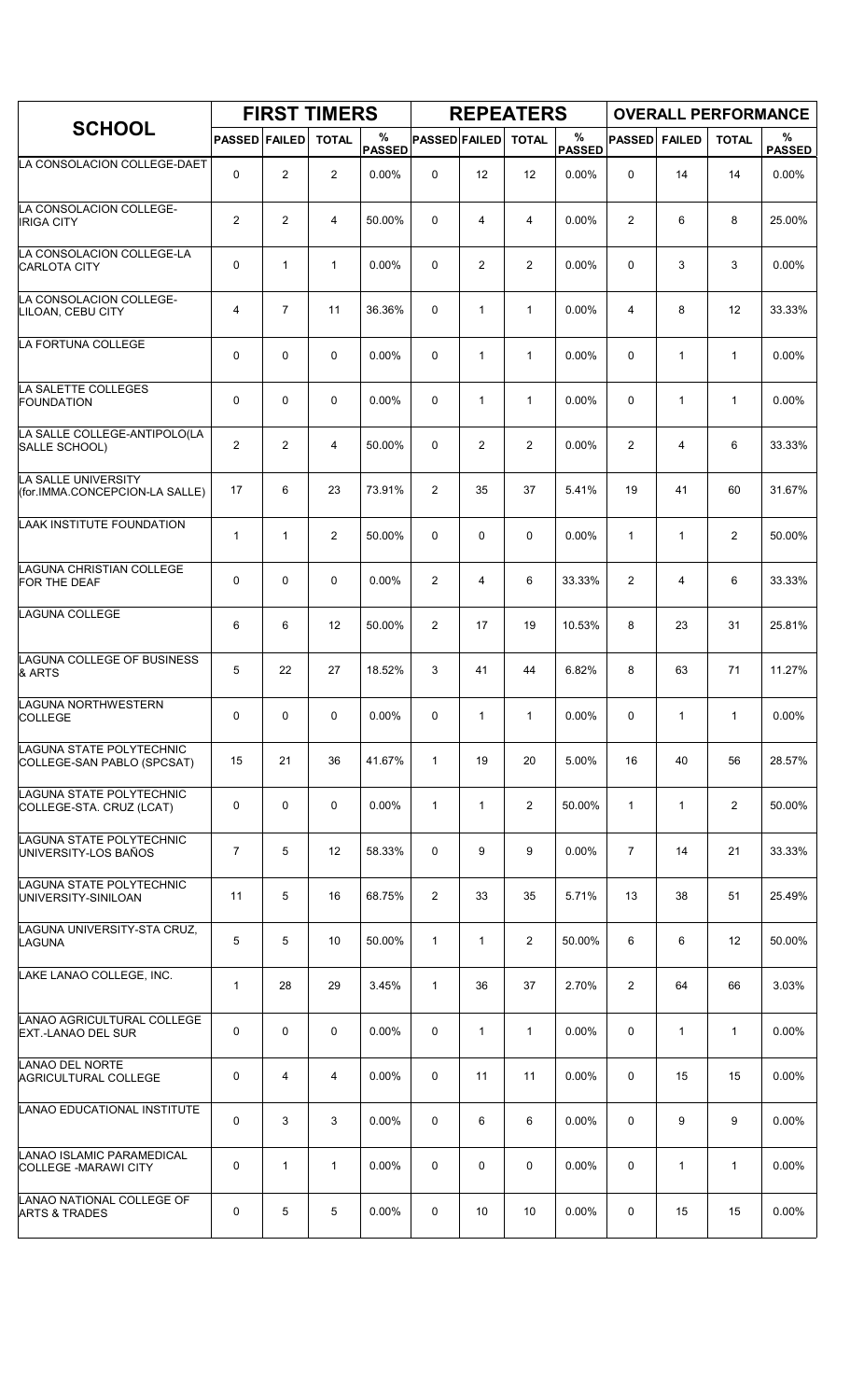|                                                         |                      |                | <b>FIRST TIMERS</b> |                    |                      |              | <b>REPEATERS</b> |                       |                |               | <b>OVERALL PERFORMANCE</b> |                    |
|---------------------------------------------------------|----------------------|----------------|---------------------|--------------------|----------------------|--------------|------------------|-----------------------|----------------|---------------|----------------------------|--------------------|
| <b>SCHOOL</b>                                           | <b>PASSED FAILED</b> |                | <b>TOTAL</b>        | %<br><b>PASSED</b> | <b>PASSED FAILED</b> |              | <b>TOTAL</b>     | $\%$<br><b>PASSED</b> | <b>PASSED</b>  | <b>FAILED</b> | <b>TOTAL</b>               | %<br><b>PASSED</b> |
| LA CONSOLACION COLLEGE-DAET                             | 0                    | $\overline{2}$ | $\overline{2}$      | 0.00%              | 0                    | 12           | 12               | 0.00%                 | 0              | 14            | 14                         | 0.00%              |
| LA CONSOLACION COLLEGE-<br><b>IRIGA CITY</b>            | $\overline{2}$       | 2              | 4                   | 50.00%             | 0                    | 4            | 4                | 0.00%                 | 2              | 6             | 8                          | 25.00%             |
| LA CONSOLACION COLLEGE-LA<br><b>CARLOTA CITY</b>        | 0                    | $\mathbf{1}$   | $\mathbf{1}$        | $0.00\%$           | 0                    | 2            | $\overline{2}$   | 0.00%                 | 0              | 3             | 3                          | 0.00%              |
| LA CONSOLACION COLLEGE-<br>LILOAN, CEBU CITY            | 4                    | 7              | 11                  | 36.36%             | 0                    | $\mathbf{1}$ | $\mathbf{1}$     | 0.00%                 | 4              | 8             | 12                         | 33.33%             |
| LA FORTUNA COLLEGE                                      | 0                    | $\mathbf 0$    | $\mathbf 0$         | $0.00\%$           | 0                    | 1            | $\mathbf{1}$     | 0.00%                 | $\mathbf 0$    | 1             | $\mathbf{1}$               | $0.00\%$           |
| LA SALETTE COLLEGES<br><b>FOUNDATION</b>                | 0                    | $\mathbf 0$    | $\mathbf 0$         | 0.00%              | 0                    | $\mathbf{1}$ | $\mathbf{1}$     | 0.00%                 | $\mathbf 0$    | $\mathbf{1}$  | $\mathbf{1}$               | 0.00%              |
| LA SALLE COLLEGE-ANTIPOLO(LA<br>SALLE SCHOOL)           | $\overline{2}$       | $\overline{2}$ | 4                   | 50.00%             | 0                    | 2            | $\overline{2}$   | 0.00%                 | 2              | 4             | 6                          | 33.33%             |
| LA SALLE UNIVERSITY<br>(for.IMMA.CONCEPCION-LA SALLE)   | 17                   | 6              | 23                  | 73.91%             | 2                    | 35           | 37               | 5.41%                 | 19             | 41            | 60                         | 31.67%             |
| LAAK INSTITUTE FOUNDATION                               | 1                    | $\mathbf{1}$   | $\overline{c}$      | 50.00%             | 0                    | 0            | $\mathbf 0$      | 0.00%                 | $\mathbf{1}$   | $\mathbf{1}$  | 2                          | 50.00%             |
| LAGUNA CHRISTIAN COLLEGE<br>FOR THE DEAF                | 0                    | $\mathbf 0$    | $\mathbf 0$         | 0.00%              | 2                    | 4            | 6                | 33.33%                | $\overline{2}$ | 4             | 6                          | 33.33%             |
| LAGUNA COLLEGE                                          | 6                    | 6              | 12                  | 50.00%             | 2                    | 17           | 19               | 10.53%                | 8              | 23            | 31                         | 25.81%             |
| LAGUNA COLLEGE OF BUSINESS<br>& ARTS                    | 5                    | 22             | 27                  | 18.52%             | 3                    | 41           | 44               | 6.82%                 | 8              | 63            | 71                         | 11.27%             |
| LAGUNA NORTHWESTERN<br><b>COLLEGE</b>                   | 0                    | 0              | $\mathbf 0$         | 0.00%              | 0                    | 1            | 1                | 0.00%                 | 0              | 1             | $\mathbf{1}$               | 0.00%              |
| LAGUNA STATE POLYTECHNIC<br>COLLEGE-SAN PABLO (SPCSAT)  | 15                   | 21             | 36                  | 41.67%             | $\mathbf{1}$         | 19           | 20               | 5.00%                 | 16             | 40            | 56                         | 28.57%             |
| LAGUNA STATE POLYTECHNIC<br>COLLEGE-STA. CRUZ (LCAT)    | 0                    | $\mathbf 0$    | 0                   | 0.00%              | $\mathbf{1}$         | $\mathbf{1}$ | $\overline{2}$   | 50.00%                | $\mathbf{1}$   | $\mathbf{1}$  | $\overline{2}$             | 50.00%             |
| LAGUNA STATE POLYTECHNIC<br>UNIVERSITY-LOS BAÑOS        | $\overline{7}$       | 5              | 12                  | 58.33%             | 0                    | 9            | 9                | 0.00%                 | $\overline{7}$ | 14            | 21                         | 33.33%             |
| LAGUNA STATE POLYTECHNIC<br>UNIVERSITY-SINILOAN         | 11                   | 5              | 16                  | 68.75%             | 2                    | 33           | 35               | 5.71%                 | 13             | 38            | 51                         | 25.49%             |
| LAGUNA UNIVERSITY-STA CRUZ,<br>LAGUNA                   | 5                    | 5              | 10                  | 50.00%             | $\mathbf{1}$         | $\mathbf{1}$ | $\overline{2}$   | 50.00%                | 6              | 6             | 12                         | 50.00%             |
| LAKE LANAO COLLEGE, INC.                                | 1                    | 28             | 29                  | 3.45%              | $\mathbf{1}$         | 36           | 37               | 2.70%                 | $\overline{2}$ | 64            | 66                         | 3.03%              |
| LANAO AGRICULTURAL COLLEGE<br><b>EXT.-LANAO DEL SUR</b> | 0                    | $\mathbf 0$    | $\mathsf 0$         | 0.00%              | 0                    | 1            | $\mathbf{1}$     | $0.00\%$              | 0              | 1             | $\mathbf{1}$               | 0.00%              |
| LANAO DEL NORTE<br><b>AGRICULTURAL COLLEGE</b>          | 0                    | 4              | 4                   | 0.00%              | 0                    | 11           | 11               | 0.00%                 | 0              | 15            | 15                         | 0.00%              |
| LANAO EDUCATIONAL INSTITUTE                             | 0                    | 3              | 3                   | 0.00%              | 0                    | 6            | 6                | 0.00%                 | $\mathbf 0$    | 9             | 9                          | 0.00%              |
| LANAO ISLAMIC PARAMEDICAL<br>COLLEGE - MARAWI CITY      | 0                    | $\mathbf{1}$   | $\mathbf{1}$        | 0.00%              | 0                    | 0            | 0                | 0.00%                 | 0              | $\mathbf{1}$  | $\mathbf{1}$               | 0.00%              |
| LANAO NATIONAL COLLEGE OF<br><b>ARTS &amp; TRADES</b>   | 0                    | 5              | 5                   | $0.00\%$           | 0                    | 10           | 10               | 0.00%                 | 0              | 15            | 15                         | $0.00\%$           |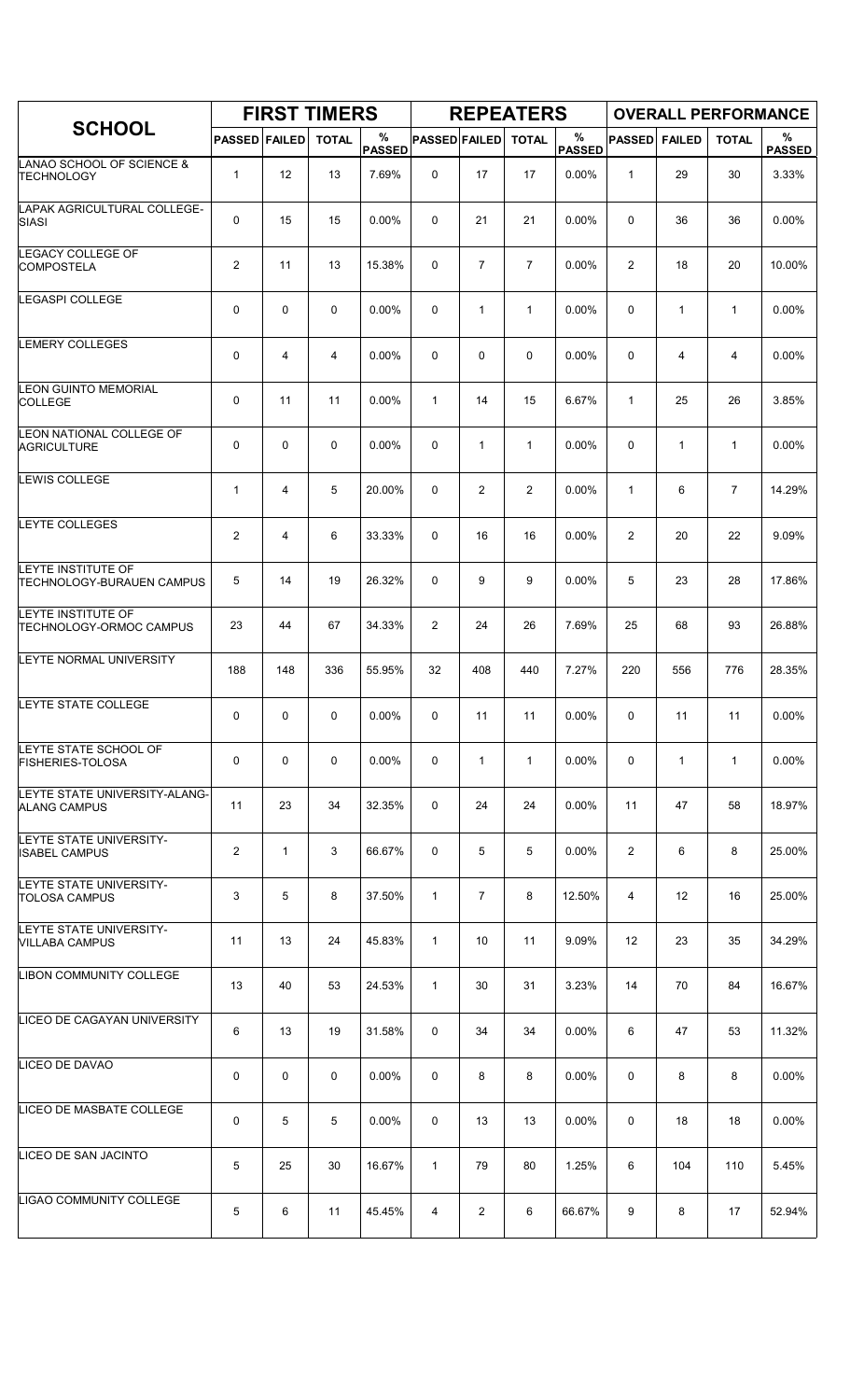|                                                      |                      |              | <b>FIRST TIMERS</b> |                    |                      |                | <b>REPEATERS</b> |                       |                |               | <b>OVERALL PERFORMANCE</b> |                    |
|------------------------------------------------------|----------------------|--------------|---------------------|--------------------|----------------------|----------------|------------------|-----------------------|----------------|---------------|----------------------------|--------------------|
| <b>SCHOOL</b>                                        | <b>PASSED FAILED</b> |              | <b>TOTAL</b>        | %<br><b>PASSED</b> | <b>PASSED FAILED</b> |                | <b>TOTAL</b>     | $\%$<br><b>PASSED</b> | <b>PASSED</b>  | <b>FAILED</b> | <b>TOTAL</b>               | %<br><b>PASSED</b> |
| LANAO SCHOOL OF SCIENCE &<br><b>TECHNOLOGY</b>       | 1                    | 12           | 13                  | 7.69%              | 0                    | 17             | 17               | 0.00%                 | $\mathbf{1}$   | 29            | 30                         | 3.33%              |
| LAPAK AGRICULTURAL COLLEGE-<br>SIASI                 | 0                    | 15           | 15                  | 0.00%              | 0                    | 21             | 21               | 0.00%                 | 0              | 36            | 36                         | 0.00%              |
| LEGACY COLLEGE OF<br><b>COMPOSTELA</b>               | $\overline{c}$       | 11           | 13                  | 15.38%             | 0                    | $\overline{7}$ | $\overline{7}$   | 0.00%                 | $\overline{2}$ | 18            | 20                         | 10.00%             |
| LEGASPI COLLEGE                                      | 0                    | $\mathbf 0$  | $\mathbf 0$         | 0.00%              | 0                    | $\mathbf{1}$   | $\mathbf{1}$     | 0.00%                 | 0              | $\mathbf{1}$  | $\mathbf{1}$               | $0.00\%$           |
| <b>LEMERY COLLEGES</b>                               | 0                    | 4            | $\overline{4}$      | 0.00%              | 0                    | 0              | $\mathbf 0$      | 0.00%                 | $\mathbf 0$    | 4             | 4                          | 0.00%              |
| LEON GUINTO MEMORIAL<br><b>COLLEGE</b>               | 0                    | 11           | 11                  | 0.00%              | $\mathbf{1}$         | 14             | 15               | 6.67%                 | $\mathbf{1}$   | 25            | 26                         | 3.85%              |
| LEON NATIONAL COLLEGE OF<br><b>AGRICULTURE</b>       | 0                    | $\mathbf 0$  | 0                   | 0.00%              | 0                    | $\mathbf{1}$   | $\mathbf{1}$     | 0.00%                 | 0              | $\mathbf{1}$  | $\mathbf{1}$               | 0.00%              |
| <b>LEWIS COLLEGE</b>                                 | 1                    | 4            | 5                   | 20.00%             | 0                    | $\overline{2}$ | $\overline{2}$   | 0.00%                 | $\mathbf{1}$   | 6             | $\overline{7}$             | 14.29%             |
| <b>LEYTE COLLEGES</b>                                | $\overline{2}$       | 4            | 6                   | 33.33%             | 0                    | 16             | 16               | 0.00%                 | 2              | 20            | 22                         | 9.09%              |
| LEYTE INSTITUTE OF<br>TECHNOLOGY-BURAUEN CAMPUS      | 5                    | 14           | 19                  | 26.32%             | 0                    | 9              | 9                | 0.00%                 | 5              | 23            | 28                         | 17.86%             |
| LEYTE INSTITUTE OF<br><b>TECHNOLOGY-ORMOC CAMPUS</b> | 23                   | 44           | 67                  | 34.33%             | 2                    | 24             | 26               | 7.69%                 | 25             | 68            | 93                         | 26.88%             |
| LEYTE NORMAL UNIVERSITY                              | 188                  | 148          | 336                 | 55.95%             | 32                   | 408            | 440              | 7.27%                 | 220            | 556           | 776                        | 28.35%             |
| LEYTE STATE COLLEGE                                  | 0                    | $\mathbf 0$  | 0                   | 0.00%              | 0                    | 11             | 11               | 0.00%                 | 0              | 11            | 11                         | 0.00%              |
| LEYTE STATE SCHOOL OF<br><b>FISHERIES-TOLOSA</b>     | 0                    | 0            | 0                   | $0.00\%$           | 0                    | 1              | $\mathbf{1}$     | 0.00%                 | 0              | $\mathbf{1}$  | $\mathbf{1}$               | $0.00\%$           |
| LEYTE STATE UNIVERSITY-ALANG-<br><b>ALANG CAMPUS</b> | 11                   | 23           | 34                  | 32.35%             | 0                    | 24             | 24               | $0.00\%$              | 11             | 47            | 58                         | 18.97%             |
| LEYTE STATE UNIVERSITY-<br><b>ISABEL CAMPUS</b>      | $\overline{2}$       | $\mathbf{1}$ | 3                   | 66.67%             | 0                    | 5              | 5                | $0.00\%$              | $\overline{2}$ | 6             | 8                          | 25.00%             |
| LEYTE STATE UNIVERSITY-<br><b>TOLOSA CAMPUS</b>      | 3                    | 5            | 8                   | 37.50%             | 1                    | $\overline{7}$ | 8                | 12.50%                | 4              | 12            | 16                         | 25.00%             |
| LEYTE STATE UNIVERSITY-<br><b>VILLABA CAMPUS</b>     | 11                   | 13           | 24                  | 45.83%             | $\mathbf{1}$         | 10             | 11               | 9.09%                 | 12             | 23            | 35                         | 34.29%             |
| LIBON COMMUNITY COLLEGE                              | 13                   | 40           | 53                  | 24.53%             | $\mathbf{1}$         | 30             | 31               | 3.23%                 | 14             | 70            | 84                         | 16.67%             |
| LICEO DE CAGAYAN UNIVERSITY                          | 6                    | 13           | 19                  | 31.58%             | 0                    | 34             | 34               | $0.00\%$              | 6              | 47            | 53                         | 11.32%             |
| LICEO DE DAVAO                                       | 0                    | 0            | 0                   | $0.00\%$           | 0                    | 8              | 8                | $0.00\%$              | 0              | 8             | 8                          | 0.00%              |
| LICEO DE MASBATE COLLEGE                             | 0                    | 5            | 5                   | $0.00\%$           | 0                    | 13             | 13               | 0.00%                 | 0              | 18            | 18                         | $0.00\%$           |
| LICEO DE SAN JACINTO                                 | 5                    | 25           | 30                  | 16.67%             | $\mathbf{1}$         | 79             | 80               | 1.25%                 | 6              | 104           | 110                        | 5.45%              |
| LIGAO COMMUNITY COLLEGE                              | 5                    | 6            | 11                  | 45.45%             | 4                    | 2              | 6                | 66.67%                | 9              | 8             | 17                         | 52.94%             |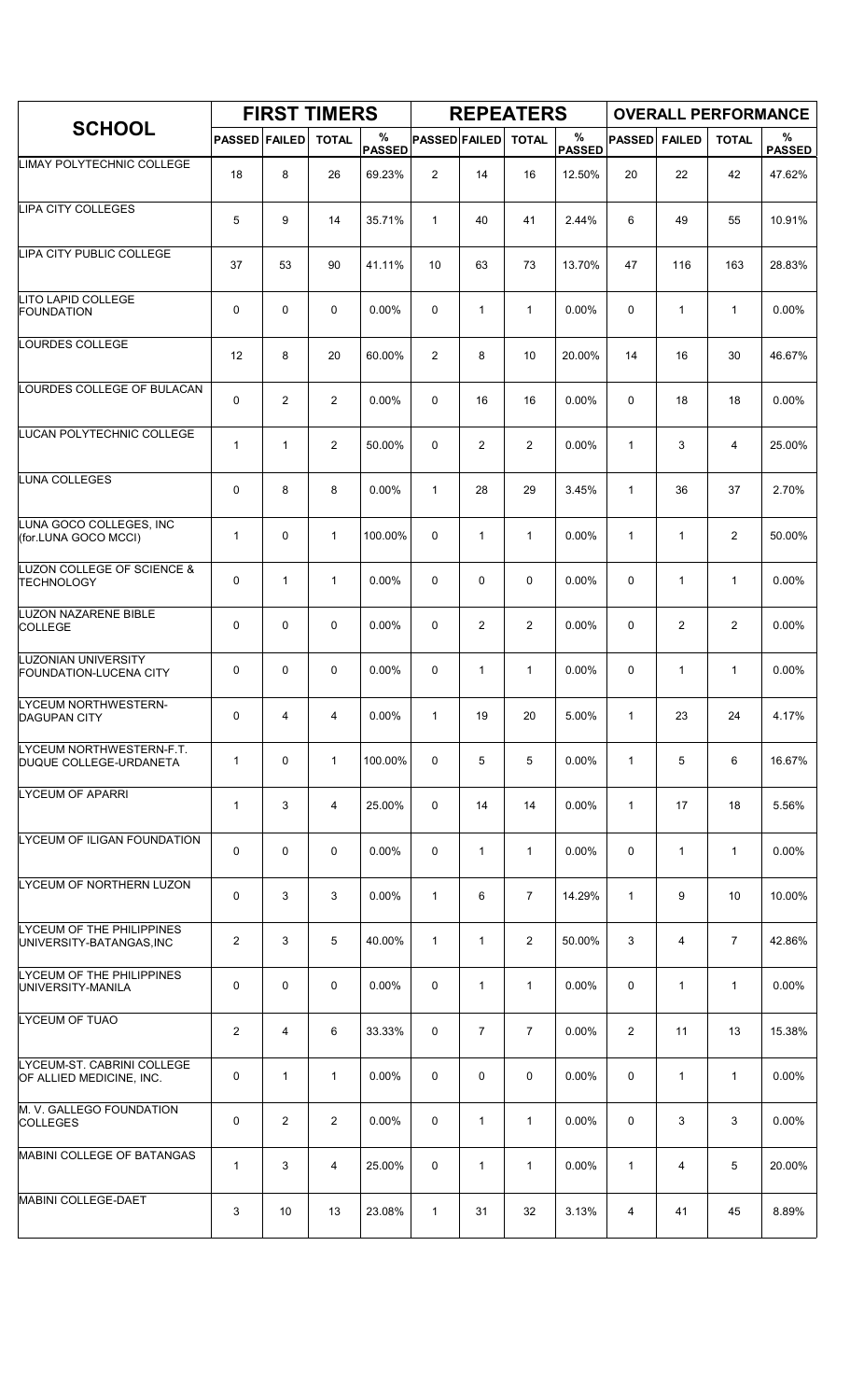|                                                        |                      |                | <b>FIRST TIMERS</b> |                    |                      |                | <b>REPEATERS</b> |                       |                |                |                | <b>OVERALL PERFORMANCE</b> |
|--------------------------------------------------------|----------------------|----------------|---------------------|--------------------|----------------------|----------------|------------------|-----------------------|----------------|----------------|----------------|----------------------------|
| <b>SCHOOL</b>                                          | <b>PASSED FAILED</b> |                | <b>TOTAL</b>        | %<br><b>PASSED</b> | <b>PASSED FAILED</b> |                | <b>TOTAL</b>     | $\%$<br><b>PASSED</b> | <b>PASSED</b>  | <b>FAILED</b>  | <b>TOTAL</b>   | %<br><b>PASSED</b>         |
| LIMAY POLYTECHNIC COLLEGE                              | 18                   | 8              | 26                  | 69.23%             | $\overline{2}$       | 14             | 16               | 12.50%                | 20             | 22             | 42             | 47.62%                     |
| LIPA CITY COLLEGES                                     | 5                    | 9              | 14                  | 35.71%             | $\mathbf{1}$         | 40             | 41               | 2.44%                 | 6              | 49             | 55             | 10.91%                     |
| LIPA CITY PUBLIC COLLEGE                               | 37                   | 53             | 90                  | 41.11%             | 10                   | 63             | 73               | 13.70%                | 47             | 116            | 163            | 28.83%                     |
| LITO LAPID COLLEGE<br><b>FOUNDATION</b>                | 0                    | 0              | $\mathbf 0$         | 0.00%              | $\mathbf 0$          | $\mathbf{1}$   | $\mathbf{1}$     | 0.00%                 | $\mathbf 0$    | $\mathbf{1}$   | $\mathbf{1}$   | 0.00%                      |
| LOURDES COLLEGE                                        | 12                   | 8              | 20                  | 60.00%             | $\overline{2}$       | 8              | 10               | 20.00%                | 14             | 16             | 30             | 46.67%                     |
| LOURDES COLLEGE OF BULACAN                             | 0                    | $\overline{2}$ | $\overline{2}$      | 0.00%              | $\mathbf 0$          | 16             | 16               | 0.00%                 | $\mathbf 0$    | 18             | 18             | 0.00%                      |
| LUCAN POLYTECHNIC COLLEGE                              | $\mathbf{1}$         | $\mathbf{1}$   | $\overline{2}$      | 50.00%             | $\mathbf 0$          | $\overline{2}$ | $\overline{2}$   | 0.00%                 | $\mathbf{1}$   | 3              | $\overline{4}$ | 25.00%                     |
| LUNA COLLEGES                                          | 0                    | 8              | 8                   | 0.00%              | $\mathbf{1}$         | 28             | 29               | 3.45%                 | $\mathbf{1}$   | 36             | 37             | 2.70%                      |
| LUNA GOCO COLLEGES, INC<br>(for.LUNA GOCO MCCI)        | $\mathbf{1}$         | 0              | $\mathbf{1}$        | 100.00%            | 0                    | $\mathbf{1}$   | $\mathbf{1}$     | 0.00%                 | $\mathbf{1}$   | $\mathbf{1}$   | $\overline{2}$ | 50.00%                     |
| LUZON COLLEGE OF SCIENCE &<br><b>TECHNOLOGY</b>        | 0                    | $\mathbf{1}$   | $\mathbf{1}$        | $0.00\%$           | 0                    | 0              | $\mathbf 0$      | 0.00%                 | 0              | $\mathbf{1}$   | $\mathbf{1}$   | 0.00%                      |
| <b>LUZON NAZARENE BIBLE</b><br><b>COLLEGE</b>          | 0                    | 0              | $\mathbf 0$         | 0.00%              | 0                    | $\overline{2}$ | $\overline{2}$   | 0.00%                 | $\mathbf 0$    | $\overline{c}$ | $\overline{2}$ | 0.00%                      |
| LUZONIAN UNIVERSITY<br><b>FOUNDATION-LUCENA CITY</b>   | 0                    | 0              | $\mathbf 0$         | 0.00%              | 0                    | 1              | $\mathbf{1}$     | 0.00%                 | $\mathbf 0$    | 1              | $\mathbf{1}$   | 0.00%                      |
| LYCEUM NORTHWESTERN-<br><b>DAGUPAN CITY</b>            | 0                    | 4              | 4                   | 0.00%              | $\mathbf{1}$         | 19             | 20               | 5.00%                 | $\mathbf{1}$   | 23             | 24             | 4.17%                      |
| LYCEUM NORTHWESTERN-F.T.<br>DUQUE COLLEGE-URDANETA     | $\mathbf{1}$         | 0              | $\mathbf{1}$        | 100.00%            | 0                    | 5              | 5                | 0.00%                 | $\mathbf{1}$   | 5              | 6              | 16.67%                     |
| <b>LYCEUM OF APARRI</b>                                | $\mathbf{1}$         | 3              | 4                   | 25.00%             | 0                    | 14             | 14               | 0.00%                 | $\mathbf{1}$   | 17             | 18             | 5.56%                      |
| LYCEUM OF ILIGAN FOUNDATION                            | 0                    | 0              | $\mathsf 0$         | 0.00%              | 0                    | 1              | $\mathbf{1}$     | $0.00\%$              | 0              | $\mathbf{1}$   | $\mathbf{1}$   | 0.00%                      |
| LYCEUM OF NORTHERN LUZON                               | 0                    | 3              | 3                   | $0.00\%$           | $\mathbf{1}$         | 6              | $\overline{7}$   | 14.29%                | $\mathbf{1}$   | 9              | 10             | 10.00%                     |
| LYCEUM OF THE PHILIPPINES<br>UNIVERSITY-BATANGAS, INC  | 2                    | 3              | 5                   | 40.00%             | $\mathbf{1}$         | $\mathbf{1}$   | $\overline{2}$   | 50.00%                | 3              | 4              | $\overline{7}$ | 42.86%                     |
| LYCEUM OF THE PHILIPPINES<br>UNIVERSITY-MANILA         | 0                    | 0              | $\mathbf 0$         | 0.00%              | 0                    | $\mathbf{1}$   | $\mathbf{1}$     | 0.00%                 | 0              | $\mathbf{1}$   | $\mathbf{1}$   | 0.00%                      |
| LYCEUM OF TUAO                                         | 2                    | 4              | 6                   | 33.33%             | 0                    | $\overline{7}$ | $\overline{7}$   | $0.00\%$              | $\overline{2}$ | 11             | 13             | 15.38%                     |
| LYCEUM-ST. CABRINI COLLEGE<br>OF ALLIED MEDICINE, INC. | 0                    | $\mathbf{1}$   | $\mathbf{1}$        | 0.00%              | 0                    | 0              | 0                | $0.00\%$              | 0              | $\mathbf{1}$   | $\mathbf{1}$   | 0.00%                      |
| M. V. GALLEGO FOUNDATION<br><b>COLLEGES</b>            | 0                    | 2              | $\overline{2}$      | 0.00%              | 0                    | $\mathbf{1}$   | $\mathbf{1}$     | 0.00%                 | 0              | 3              | 3              | 0.00%                      |
| MABINI COLLEGE OF BATANGAS                             | $\mathbf{1}$         | 3              | 4                   | 25.00%             | 0                    | $\mathbf{1}$   | $\mathbf{1}$     | 0.00%                 | $\mathbf{1}$   | 4              | 5              | 20.00%                     |
| MABINI COLLEGE-DAET                                    | 3                    | 10             | 13                  | 23.08%             | $\mathbf{1}$         | 31             | 32               | 3.13%                 | 4              | 41             | 45             | 8.89%                      |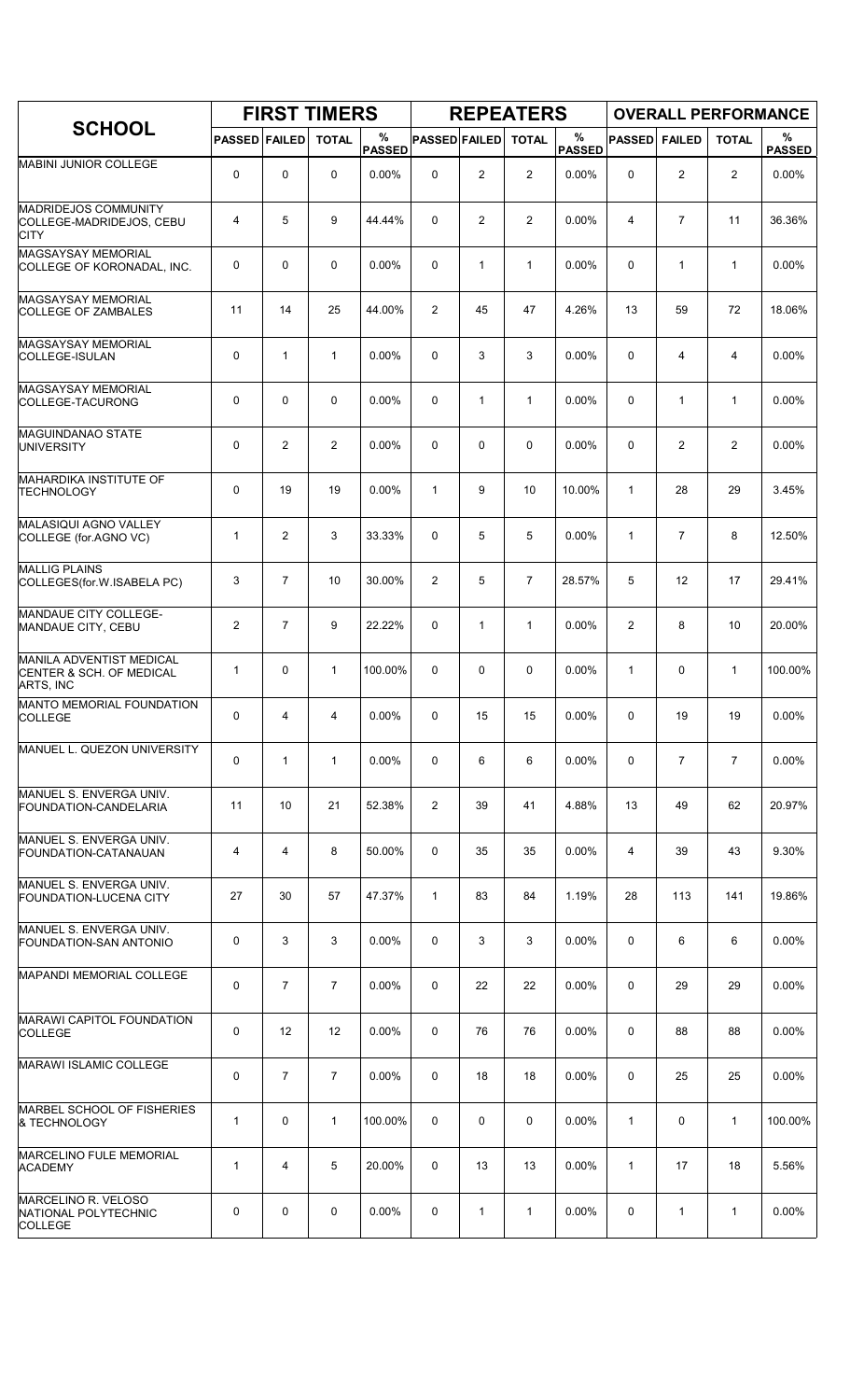|                                                                          |                      |                | <b>FIRST TIMERS</b> |                    |                      |                | <b>REPEATERS</b> |                    |                |                | <b>OVERALL PERFORMANCE</b> |                    |
|--------------------------------------------------------------------------|----------------------|----------------|---------------------|--------------------|----------------------|----------------|------------------|--------------------|----------------|----------------|----------------------------|--------------------|
| <b>SCHOOL</b>                                                            | <b>PASSED FAILED</b> |                | <b>TOTAL</b>        | %<br><b>PASSED</b> | <b>PASSED FAILED</b> |                | <b>TOTAL</b>     | %<br><b>PASSED</b> | <b>PASSED</b>  | <b>FAILED</b>  | <b>TOTAL</b>               | %<br><b>PASSED</b> |
| MABINI JUNIOR COLLEGE                                                    | 0                    | 0              | 0                   | 0.00%              | 0                    | $\overline{c}$ | $\overline{2}$   | 0.00%              | $\Omega$       | 2              | $\overline{2}$             | 0.00%              |
| <b>MADRIDEJOS COMMUNITY</b><br>COLLEGE-MADRIDEJOS, CEBU<br><b>CITY</b>   | 4                    | 5              | 9                   | 44.44%             | $\Omega$             | $\overline{2}$ | $\overline{2}$   | 0.00%              | $\overline{4}$ | $\overline{7}$ | 11                         | 36.36%             |
| <b>MAGSAYSAY MEMORIAL</b><br>COLLEGE OF KORONADAL, INC.                  | 0                    | $\mathbf 0$    | $\mathbf 0$         | 0.00%              | 0                    | $\mathbf{1}$   | $\mathbf{1}$     | 0.00%              | $\mathbf 0$    | $\mathbf{1}$   | $\mathbf{1}$               | 0.00%              |
| <b>MAGSAYSAY MEMORIAL</b><br><b>COLLEGE OF ZAMBALES</b>                  | 11                   | 14             | 25                  | 44.00%             | $\overline{c}$       | 45             | 47               | 4.26%              | 13             | 59             | 72                         | 18.06%             |
| <b>MAGSAYSAY MEMORIAL</b><br>COLLEGE-ISULAN                              | $\mathbf 0$          | $\mathbf{1}$   | $\mathbf{1}$        | $0.00\%$           | 0                    | 3              | 3                | 0.00%              | $\mathbf 0$    | 4              | 4                          | 0.00%              |
| <b>MAGSAYSAY MEMORIAL</b><br>COLLEGE-TACURONG                            | 0                    | 0              | 0                   | 0.00%              | 0                    | $\mathbf{1}$   | $\mathbf{1}$     | 0.00%              | $\mathbf 0$    | $\mathbf{1}$   | $\mathbf{1}$               | 0.00%              |
| <b>MAGUINDANAO STATE</b><br><b>UNIVERSITY</b>                            | 0                    | 2              | $\overline{2}$      | 0.00%              | 0                    | 0              | 0                | 0.00%              | $\mathbf 0$    | $\overline{2}$ | $\overline{c}$             | 0.00%              |
| <b>MAHARDIKA INSTITUTE OF</b><br><b>TECHNOLOGY</b>                       | 0                    | 19             | 19                  | 0.00%              | $\mathbf{1}$         | 9              | 10               | 10.00%             | $\mathbf{1}$   | 28             | 29                         | 3.45%              |
| MALASIQUI AGNO VALLEY<br>COLLEGE (for.AGNO VC)                           | 1                    | $\overline{2}$ | 3                   | 33.33%             | 0                    | 5              | 5                | 0.00%              | $\mathbf{1}$   | $\overline{7}$ | 8                          | 12.50%             |
| <b>MALLIG PLAINS</b><br>COLLEGES(for.W.ISABELA PC)                       | 3                    | $\overline{7}$ | 10                  | 30.00%             | 2                    | 5              | $\overline{7}$   | 28.57%             | 5              | 12             | 17                         | 29.41%             |
| MANDAUE CITY COLLEGE-<br>MANDAUE CITY, CEBU                              | $\overline{2}$       | $\overline{7}$ | 9                   | 22.22%             | 0                    | $\mathbf{1}$   | $\mathbf{1}$     | 0.00%              | 2              | 8              | 10                         | 20.00%             |
| <b>MANILA ADVENTIST MEDICAL</b><br>CENTER & SCH. OF MEDICAL<br>ARTS, INC | 1                    | $\mathbf 0$    | $\mathbf{1}$        | 100.00%            | 0                    | 0              | 0                | 0.00%              | 1              | 0              | $\mathbf{1}$               | 100.00%            |
| MANTO MEMORIAL FOUNDATION<br><b>COLLEGE</b>                              | 0                    | 4              | 4                   | 0.00%              | 0                    | 15             | 15               | 0.00%              | 0              | 19             | 19                         | 0.00%              |
| MANUEL L. QUEZON UNIVERSITY                                              | 0                    | $\mathbf{1}$   | $\mathbf{1}$        | 0.00%              | 0                    | 6              | 6                | 0.00%              | 0              | $\overline{7}$ | $\overline{7}$             | 0.00%              |
| MANUEL S. ENVERGA UNIV.<br>FOUNDATION-CANDELARIA                         | 11                   | 10             | 21                  | 52.38%             | $\overline{2}$       | 39             | 41               | 4.88%              | 13             | 49             | 62                         | 20.97%             |
| MANUEL S. ENVERGA UNIV.<br>FOUNDATION-CATANAUAN                          | 4                    | 4              | 8                   | 50.00%             | 0                    | 35             | 35               | $0.00\%$           | 4              | 39             | 43                         | 9.30%              |
| MANUEL S. ENVERGA UNIV.<br>FOUNDATION-LUCENA CITY                        | 27                   | 30             | 57                  | 47.37%             | $\mathbf{1}$         | 83             | 84               | 1.19%              | 28             | 113            | 141                        | 19.86%             |
| MANUEL S. ENVERGA UNIV.<br>FOUNDATION-SAN ANTONIO                        | 0                    | 3              | 3                   | 0.00%              | 0                    | 3              | 3                | $0.00\%$           | 0              | 6              | 6                          | $0.00\%$           |
| MAPANDI MEMORIAL COLLEGE                                                 | 0                    | $\overline{7}$ | $\overline{7}$      | 0.00%              | 0                    | 22             | 22               | $0.00\%$           | 0              | 29             | 29                         | $0.00\%$           |
| MARAWI CAPITOL FOUNDATION<br><b>COLLEGE</b>                              | 0                    | 12             | 12                  | 0.00%              | 0                    | 76             | 76               | $0.00\%$           | $\mathbf 0$    | 88             | 88                         | 0.00%              |
| MARAWI ISLAMIC COLLEGE                                                   | 0                    | $\overline{7}$ | $\overline{7}$      | 0.00%              | 0                    | 18             | 18               | $0.00\%$           | 0              | 25             | 25                         | $0.00\%$           |
| MARBEL SCHOOL OF FISHERIES<br>& TECHNOLOGY                               | 1                    | $\mathbf 0$    | $\mathbf{1}$        | 100.00%            | 0                    | 0              | 0                | 0.00%              | 1              | 0              | $\mathbf{1}$               | 100.00%            |
| MARCELINO FULE MEMORIAL<br><b>ACADEMY</b>                                | 1                    | 4              | 5                   | 20.00%             | 0                    | 13             | 13               | $0.00\%$           | 1              | 17             | 18                         | 5.56%              |
| MARCELINO R. VELOSO<br>NATIONAL POLYTECHNIC<br><b>COLLEGE</b>            | 0                    | 0              | 0                   | 0.00%              | 0                    | 1              | 1                | 0.00%              | 0              | 1              | 1                          | 0.00%              |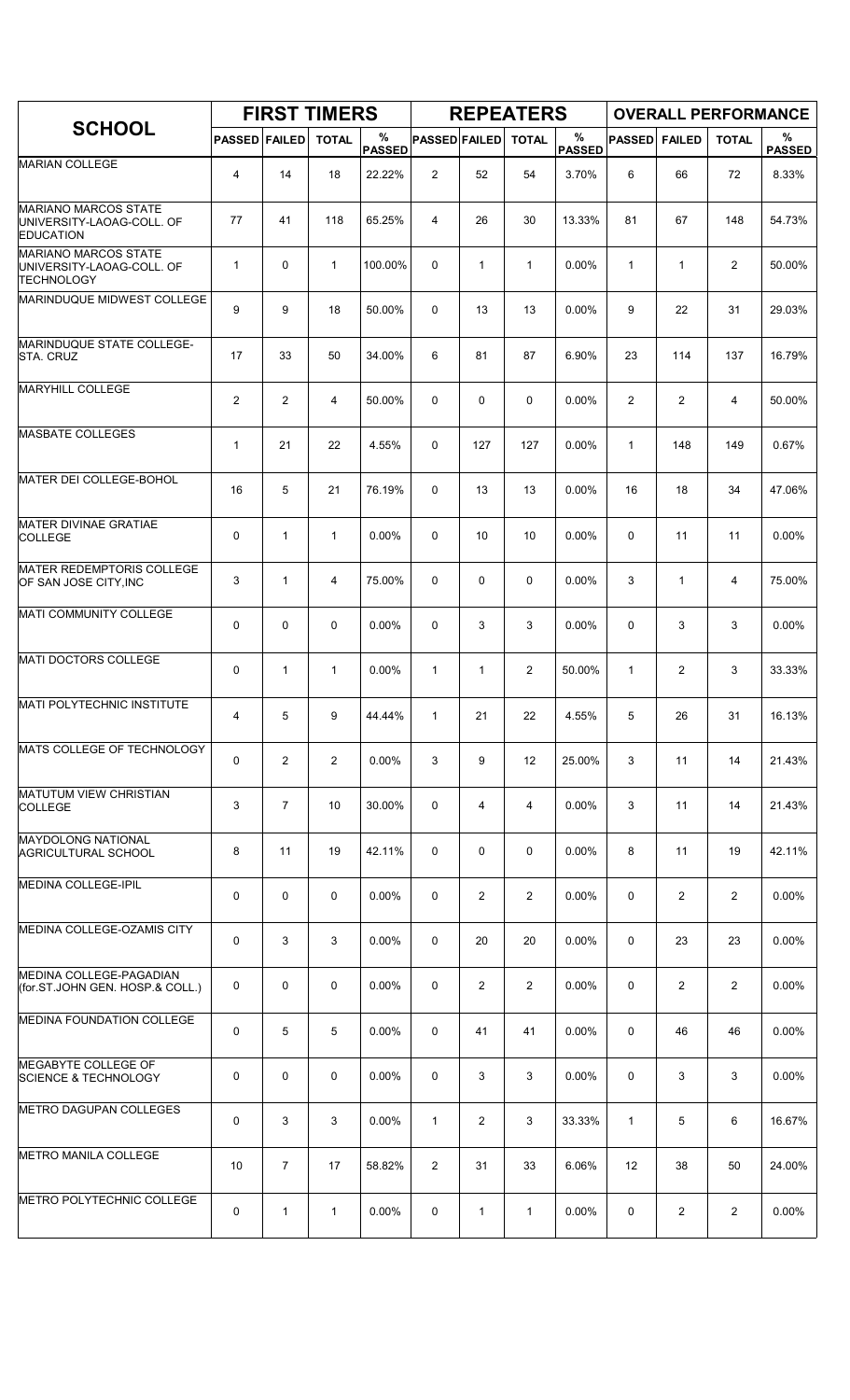|                                                                               |                      |                | <b>FIRST TIMERS</b> |                    |                      |                | <b>REPEATERS</b>  |                       |                |                |                | <b>OVERALL PERFORMANCE</b> |
|-------------------------------------------------------------------------------|----------------------|----------------|---------------------|--------------------|----------------------|----------------|-------------------|-----------------------|----------------|----------------|----------------|----------------------------|
| <b>SCHOOL</b>                                                                 | <b>PASSED FAILED</b> |                | <b>TOTAL</b>        | %<br><b>PASSED</b> | <b>PASSED FAILED</b> |                | <b>TOTAL</b>      | $\%$<br><b>PASSED</b> | <b>PASSED</b>  | <b>FAILED</b>  | <b>TOTAL</b>   | %<br><b>PASSED</b>         |
| <b>MARIAN COLLEGE</b>                                                         | 4                    | 14             | 18                  | 22.22%             | 2                    | 52             | 54                | 3.70%                 | 6              | 66             | 72             | 8.33%                      |
| <b>MARIANO MARCOS STATE</b><br>UNIVERSITY-LAOAG-COLL. OF<br><b>EDUCATION</b>  | 77                   | 41             | 118                 | 65.25%             | 4                    | 26             | 30                | 13.33%                | 81             | 67             | 148            | 54.73%                     |
| <b>MARIANO MARCOS STATE</b><br>UNIVERSITY-LAOAG-COLL. OF<br><b>TECHNOLOGY</b> | $\mathbf 1$          | 0              | $\mathbf{1}$        | 100.00%            | 0                    | $\mathbf{1}$   | $\mathbf{1}$      | 0.00%                 | 1              | $\mathbf{1}$   | $\overline{2}$ | 50.00%                     |
| MARINDUQUE MIDWEST COLLEGE                                                    | 9                    | 9              | 18                  | 50.00%             | 0                    | 13             | 13                | 0.00%                 | 9              | 22             | 31             | 29.03%                     |
| MARINDUQUE STATE COLLEGE-<br><b>STA. CRUZ</b>                                 | 17                   | 33             | 50                  | 34.00%             | 6                    | 81             | 87                | 6.90%                 | 23             | 114            | 137            | 16.79%                     |
| <b>MARYHILL COLLEGE</b>                                                       | 2                    | $\overline{c}$ | 4                   | 50.00%             | 0                    | 0              | 0                 | 0.00%                 | $\overline{2}$ | 2              | 4              | 50.00%                     |
| <b>MASBATE COLLEGES</b>                                                       | $\mathbf{1}$         | 21             | 22                  | 4.55%              | 0                    | 127            | 127               | 0.00%                 | $\mathbf{1}$   | 148            | 149            | 0.67%                      |
| MATER DEI COLLEGE-BOHOL                                                       | 16                   | 5              | 21                  | 76.19%             | $\Omega$             | 13             | 13                | 0.00%                 | 16             | 18             | 34             | 47.06%                     |
| <b>MATER DIVINAE GRATIAE</b><br><b>COLLEGE</b>                                | 0                    | 1              | 1                   | 0.00%              | 0                    | 10             | 10                | 0.00%                 | 0              | 11             | 11             | 0.00%                      |
| <b>MATER REDEMPTORIS COLLEGE</b><br>OF SAN JOSE CITY, INC                     | 3                    | 1              | 4                   | 75.00%             | 0                    | 0              | 0                 | 0.00%                 | 3              | $\mathbf{1}$   | 4              | 75.00%                     |
| MATI COMMUNITY COLLEGE                                                        | 0                    | 0              | $\mathbf 0$         | 0.00%              | 0                    | 3              | 3                 | 0.00%                 | 0              | 3              | 3              | 0.00%                      |
| MATI DOCTORS COLLEGE                                                          | 0                    | 1              | 1                   | 0.00%              | $\mathbf{1}$         | 1              | $\overline{2}$    | 50.00%                | $\mathbf{1}$   | $\overline{2}$ | 3              | 33.33%                     |
| <b>MATI POLYTECHNIC INSTITUTE</b>                                             | 4                    | 5              | 9                   | 44.44%             | 1                    | 21             | 22                | 4.55%                 | 5              | 26             | 31             | 16.13%                     |
| MATS COLLEGE OF TECHNOLOGY                                                    | 0                    | 2              | $\overline{2}$      | 0.00%              | 3                    | 9              | $12 \overline{ }$ | 25.00%                | 3              | 11             | 14             | 21.43%                     |
| <b>MATUTUM VIEW CHRISTIAN</b><br><b>COLLEGE</b>                               | 3                    | $\overline{7}$ | 10                  | 30.00%             | 0                    | 4              | 4                 | $0.00\%$              | 3              | 11             | 14             | 21.43%                     |
| <b>MAYDOLONG NATIONAL</b><br>AGRICULTURAL SCHOOL                              | 8                    | 11             | 19                  | 42.11%             | 0                    | 0              | 0                 | $0.00\%$              | 8              | 11             | 19             | 42.11%                     |
| <b>MEDINA COLLEGE-IPIL</b>                                                    | 0                    | 0              | 0                   | $0.00\%$           | 0                    | $\overline{2}$ | $\overline{2}$    | 0.00%                 | 0              | $\overline{2}$ | 2              | 0.00%                      |
| MEDINA COLLEGE-OZAMIS CITY                                                    | 0                    | 3              | 3                   | 0.00%              | 0                    | 20             | 20                | 0.00%                 | 0              | 23             | 23             | 0.00%                      |
| <b>IMEDINA COLLEGE-PAGADIAN</b><br>(for ST JOHN GEN. HOSP & COLL.)            | 0                    | 0              | $\mathbf 0$         | 0.00%              | 0                    | 2              | $\overline{2}$    | 0.00%                 | 0              | $\overline{2}$ | $\overline{2}$ | 0.00%                      |
| <b>MEDINA FOUNDATION COLLEGE</b>                                              | 0                    | 5              | 5                   | $0.00\%$           | 0                    | 41             | 41                | $0.00\%$              | 0              | 46             | 46             | 0.00%                      |
| MEGABYTE COLLEGE OF<br><b>SCIENCE &amp; TECHNOLOGY</b>                        | 0                    | 0              | $\mathbf 0$         | 0.00%              | 0                    | 3              | 3                 | 0.00%                 | 0              | 3              | 3              | 0.00%                      |
| METRO DAGUPAN COLLEGES                                                        | 0                    | 3              | 3                   | $0.00\%$           | $\mathbf{1}$         | 2              | 3                 | 33.33%                | $\mathbf{1}$   | 5              | 6              | 16.67%                     |
| <b>METRO MANILA COLLEGE</b>                                                   | 10                   | $\overline{7}$ | 17                  | 58.82%             | $\overline{2}$       | 31             | 33                | 6.06%                 | 12             | 38             | 50             | 24.00%                     |
| METRO POLYTECHNIC COLLEGE                                                     | 0                    | $\mathbf{1}$   | $\mathbf{1}$        | $0.00\%$           | 0                    | 1              | 1                 | 0.00%                 | 0              | 2              | $\overline{2}$ | 0.00%                      |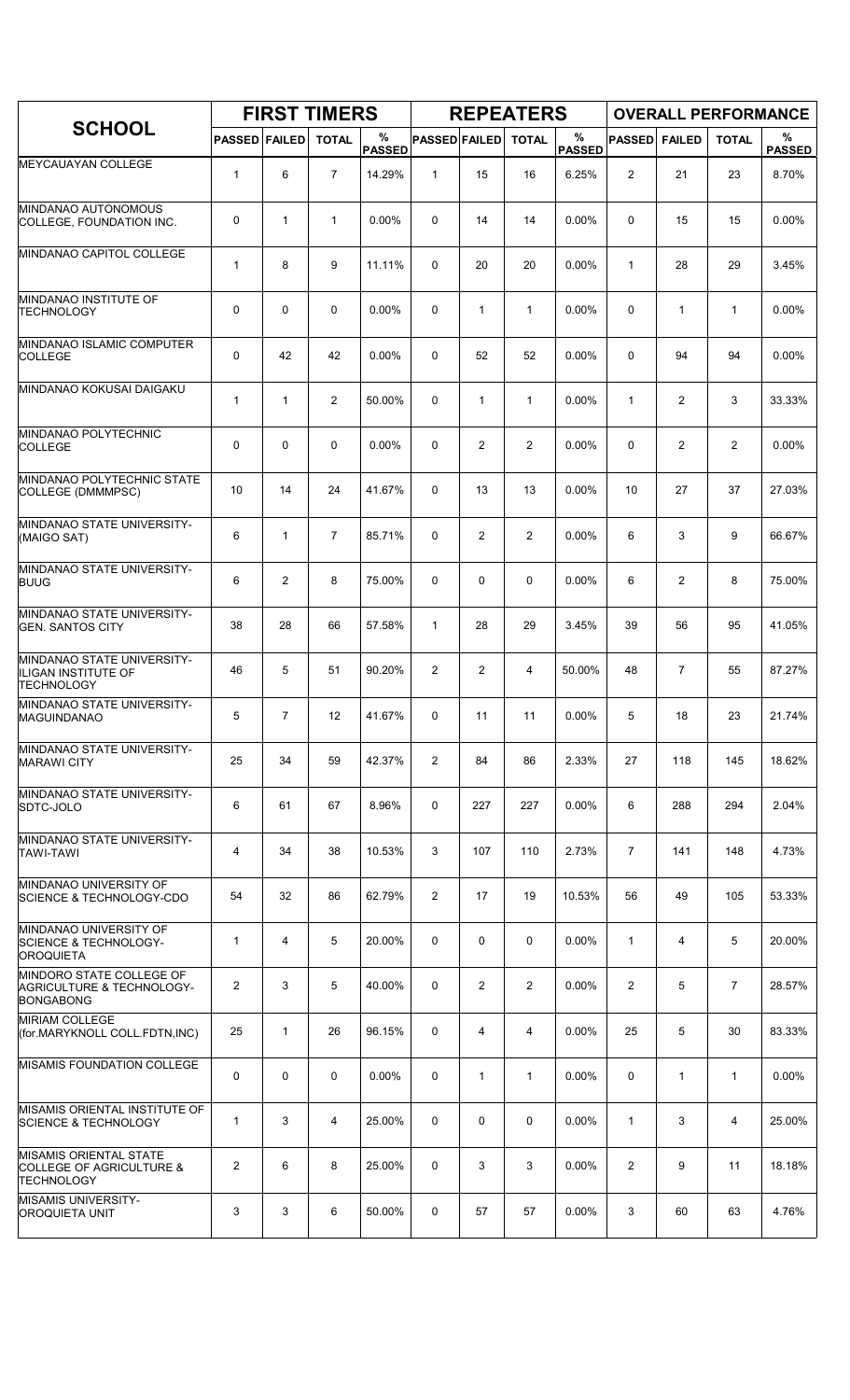|                                                                                           |                      |                | <b>FIRST TIMERS</b> |                    |                      |                | <b>REPEATERS</b> |                       |                |                | <b>OVERALL PERFORMANCE</b> |                    |
|-------------------------------------------------------------------------------------------|----------------------|----------------|---------------------|--------------------|----------------------|----------------|------------------|-----------------------|----------------|----------------|----------------------------|--------------------|
| <b>SCHOOL</b>                                                                             | <b>PASSED FAILED</b> |                | <b>TOTAL</b>        | %<br><b>PASSED</b> | <b>PASSED FAILED</b> |                | <b>TOTAL</b>     | $\%$<br><b>PASSED</b> | <b>PASSED</b>  | <b>FAILED</b>  | <b>TOTAL</b>               | %<br><b>PASSED</b> |
| MEYCAUAYAN COLLEGE                                                                        | $\mathbf{1}$         | 6              | $\overline{7}$      | 14.29%             | $\mathbf{1}$         | 15             | 16               | 6.25%                 | $\overline{2}$ | 21             | 23                         | 8.70%              |
| <b>MINDANAO AUTONOMOUS</b><br>COLLEGE, FOUNDATION INC.                                    | 0                    | $\mathbf{1}$   | $\mathbf{1}$        | 0.00%              | 0                    | 14             | 14               | 0.00%                 | 0              | 15             | 15                         | 0.00%              |
| MINDANAO CAPITOL COLLEGE                                                                  | 1                    | 8              | 9                   | 11.11%             | 0                    | 20             | 20               | 0.00%                 | $\mathbf{1}$   | 28             | 29                         | 3.45%              |
| MINDANAO INSTITUTE OF<br><b>TECHNOLOGY</b>                                                | 0                    | $\mathbf 0$    | $\mathbf 0$         | 0.00%              | 0                    | $\mathbf{1}$   | $\mathbf{1}$     | 0.00%                 | $\mathbf 0$    | $\mathbf{1}$   | $\mathbf{1}$               | 0.00%              |
| MINDANAO ISLAMIC COMPUTER<br><b>COLLEGE</b>                                               | 0                    | 42             | 42                  | 0.00%              | 0                    | 52             | 52               | 0.00%                 | $\mathbf 0$    | 94             | 94                         | 0.00%              |
| MINDANAO KOKUSAI DAIGAKU                                                                  | 1                    | $\mathbf{1}$   | 2                   | 50.00%             | 0                    | $\mathbf{1}$   | $\mathbf{1}$     | 0.00%                 | $\mathbf{1}$   | $\overline{c}$ | 3                          | 33.33%             |
| MINDANAO POLYTECHNIC<br><b>COLLEGE</b>                                                    | 0                    | $\mathbf 0$    | $\mathbf 0$         | 0.00%              | 0                    | $\overline{c}$ | $\overline{2}$   | 0.00%                 | 0              | $\overline{c}$ | $\overline{c}$             | 0.00%              |
| MINDANAO POLYTECHNIC STATE<br>COLLEGE (DMMMPSC)                                           | 10                   | 14             | 24                  | 41.67%             | 0                    | 13             | 13               | 0.00%                 | 10             | 27             | 37                         | 27.03%             |
| MINDANAO STATE UNIVERSITY-<br>(MAIGO SAT)                                                 | 6                    | $\mathbf{1}$   | 7                   | 85.71%             | 0                    | 2              | $\overline{2}$   | 0.00%                 | 6              | 3              | 9                          | 66.67%             |
| MINDANAO STATE UNIVERSITY-<br><b>BUUG</b>                                                 | 6                    | $\overline{2}$ | 8                   | 75.00%             | 0                    | 0              | $\mathbf 0$      | 0.00%                 | 6              | $\overline{c}$ | 8                          | 75.00%             |
| MINDANAO STATE UNIVERSITY-<br><b>GEN. SANTOS CITY</b>                                     | 38                   | 28             | 66                  | 57.58%             | $\mathbf{1}$         | 28             | 29               | 3.45%                 | 39             | 56             | 95                         | 41.05%             |
| MINDANAO STATE UNIVERSITY-<br>ILIGAN INSTITUTE OF<br><b>TECHNOLOGY</b>                    | 46                   | 5              | 51                  | 90.20%             | $\overline{2}$       | 2              | 4                | 50.00%                | 48             | $\overline{7}$ | 55                         | 87.27%             |
| MINDANAO STATE UNIVERSITY-<br>MAGUINDANAO                                                 | 5                    | $\overline{7}$ | 12                  | 41.67%             | 0                    | 11             | 11               | 0.00%                 | 5              | 18             | 23                         | 21.74%             |
| MINDANAO STATE UNIVERSITY-<br><b>MARAWI CITY</b>                                          | 25                   | 34             | 59                  | 42.37%             | 2                    | 84             | 86               | 2.33%                 | 27             | 118            | 145                        | 18.62%             |
| MINDANAO STATE UNIVERSITY-<br>SDTC-JOLO                                                   | 6                    | 61             | 67                  | 8.96%              | 0                    | 227            | 227              | 0.00%                 | 6              | 288            | 294                        | 2.04%              |
| MINDANAO STATE UNIVERSITY-<br><b>TAWI-TAWI</b>                                            | 4                    | 34             | 38                  | 10.53%             | 3                    | 107            | 110              | 2.73%                 | $\overline{7}$ | 141            | 148                        | 4.73%              |
| MINDANAO UNIVERSITY OF<br>SCIENCE & TECHNOLOGY-CDO                                        | 54                   | 32             | 86                  | 62.79%             | 2                    | 17             | 19               | 10.53%                | 56             | 49             | 105                        | 53.33%             |
| MINDANAO UNIVERSITY OF<br><b>SCIENCE &amp; TECHNOLOGY-</b><br><b>OROQUIETA</b>            | 1                    | 4              | 5                   | 20.00%             | 0                    | 0              | 0                | 0.00%                 | $\mathbf{1}$   | 4              | 5                          | 20.00%             |
| MINDORO STATE COLLEGE OF<br>AGRICULTURE & TECHNOLOGY-<br><b>BONGABONG</b>                 | 2                    | 3              | 5                   | 40.00%             | 0                    | 2              | $\overline{2}$   | $0.00\%$              | $\overline{2}$ | 5              | $\overline{7}$             | 28.57%             |
| <b>MIRIAM COLLEGE</b><br>(for.MARYKNOLL COLL.FDTN,INC)                                    | 25                   | $\mathbf{1}$   | 26                  | 96.15%             | 0                    | 4              | 4                | $0.00\%$              | 25             | 5              | 30                         | 83.33%             |
| MISAMIS FOUNDATION COLLEGE                                                                | 0                    | 0              | 0                   | 0.00%              | 0                    | 1              | $\mathbf{1}$     | $0.00\%$              | 0              | $\mathbf{1}$   | $\mathbf{1}$               | 0.00%              |
| MISAMIS ORIENTAL INSTITUTE OF<br>SCIENCE & TECHNOLOGY                                     | 1                    | 3              | 4                   | 25.00%             | 0                    | 0              | 0                | 0.00%                 | 1              | 3              | 4                          | 25.00%             |
| <b>MISAMIS ORIENTAL STATE</b><br><b>COLLEGE OF AGRICULTURE &amp;</b><br><b>TECHNOLOGY</b> | $\overline{2}$       | 6              | 8                   | 25.00%             | 0                    | 3              | 3                | $0.00\%$              | 2              | 9              | 11                         | 18.18%             |
| <b>MISAMIS UNIVERSITY-</b><br><b>OROQUIETA UNIT</b>                                       | 3                    | 3              | 6                   | 50.00%             | 0                    | 57             | 57               | 0.00%                 | 3              | 60             | 63                         | 4.76%              |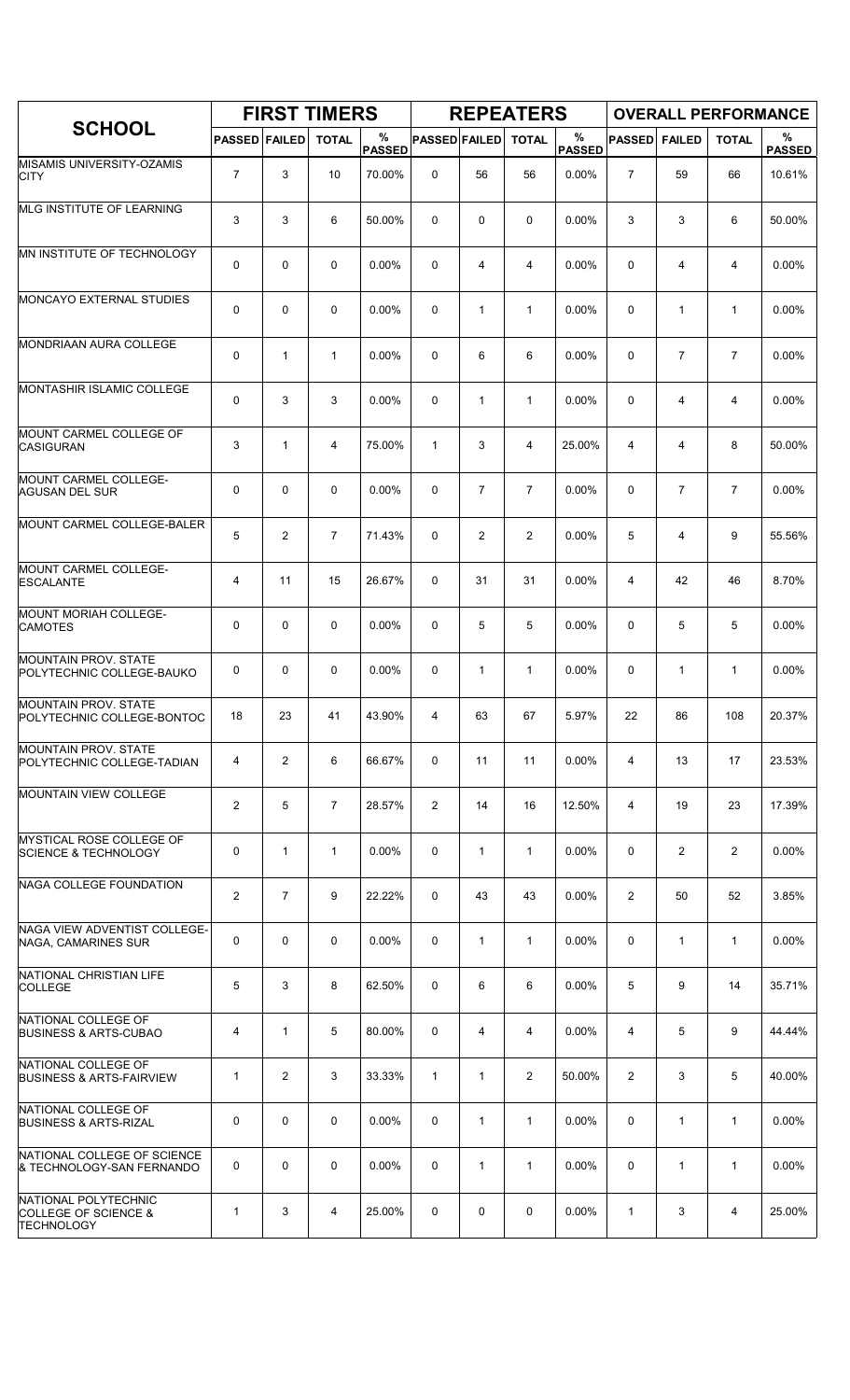|                                                                              |                         |                | <b>FIRST TIMERS</b> |                    |                      |                | <b>REPEATERS</b> |                    |                |                |                | <b>OVERALL PERFORMANCE</b> |
|------------------------------------------------------------------------------|-------------------------|----------------|---------------------|--------------------|----------------------|----------------|------------------|--------------------|----------------|----------------|----------------|----------------------------|
| <b>SCHOOL</b>                                                                | <b>PASSED FAILED</b>    |                | <b>TOTAL</b>        | %<br><b>PASSED</b> | <b>PASSED FAILED</b> |                | <b>TOTAL</b>     | %<br><b>PASSED</b> | <b>PASSED</b>  | <b>FAILED</b>  | <b>TOTAL</b>   | %<br><b>PASSED</b>         |
| <b>MISAMIS UNIVERSITY-OZAMIS</b><br><b>CITY</b>                              | $\overline{7}$          | 3              | 10                  | 70.00%             | $\mathbf 0$          | 56             | 56               | 0.00%              | $\overline{7}$ | 59             | 66             | 10.61%                     |
| MLG INSTITUTE OF LEARNING                                                    | 3                       | 3              | 6                   | 50.00%             | 0                    | 0              | 0                | 0.00%              | 3              | 3              | 6              | 50.00%                     |
| MN INSTITUTE OF TECHNOLOGY                                                   | 0                       | 0              | $\mathbf 0$         | 0.00%              | 0                    | 4              | 4                | 0.00%              | 0              | 4              | 4              | 0.00%                      |
| MONCAYO EXTERNAL STUDIES                                                     | 0                       | 0              | $\mathbf 0$         | 0.00%              | 0                    | $\mathbf{1}$   | $\mathbf{1}$     | $0.00\%$           | $\mathbf 0$    | $\mathbf{1}$   | $\mathbf{1}$   | 0.00%                      |
| <b>MONDRIAAN AURA COLLEGE</b>                                                | 0                       | 1              | 1                   | 0.00%              | 0                    | 6              | 6                | 0.00%              | $\mathbf 0$    | $\overline{7}$ | $\overline{7}$ | 0.00%                      |
| MONTASHIR ISLAMIC COLLEGE                                                    | 0                       | 3              | 3                   | 0.00%              | 0                    | 1              | $\mathbf{1}$     | 0.00%              | $\mathbf 0$    | 4              | 4              | 0.00%                      |
| MOUNT CARMEL COLLEGE OF<br><b>CASIGURAN</b>                                  | 3                       | $\mathbf{1}$   | 4                   | 75.00%             | $\mathbf{1}$         | 3              | 4                | 25.00%             | 4              | 4              | 8              | 50.00%                     |
| MOUNT CARMEL COLLEGE-<br><b>AGUSAN DEL SUR</b>                               | 0                       | 0              | $\mathbf 0$         | $0.00\%$           | 0                    | $\overline{7}$ | $\overline{7}$   | 0.00%              | 0              | $\overline{7}$ | $\overline{7}$ | 0.00%                      |
| MOUNT CARMEL COLLEGE-BALER                                                   | 5                       | $\overline{2}$ | $\overline{7}$      | 71.43%             | 0                    | $\overline{2}$ | $\overline{2}$   | 0.00%              | 5              | 4              | 9              | 55.56%                     |
| MOUNT CARMEL COLLEGE-<br><b>ESCALANTE</b>                                    | 4                       | 11             | 15                  | 26.67%             | 0                    | 31             | 31               | 0.00%              | 4              | 42             | 46             | 8.70%                      |
| MOUNT MORIAH COLLEGE-<br><b>CAMOTES</b>                                      | 0                       | 0              | $\mathbf 0$         | 0.00%              | 0                    | 5              | 5                | 0.00%              | $\mathbf 0$    | 5              | 5              | 0.00%                      |
| <b>MOUNTAIN PROV. STATE</b><br>POLYTECHNIC COLLEGE-BAUKO                     | 0                       | 0              | $\mathbf 0$         | 0.00%              | 0                    | 1              | $\mathbf{1}$     | 0.00%              | $\mathbf 0$    | 1              | $\mathbf{1}$   | 0.00%                      |
| <b>MOUNTAIN PROV. STATE</b><br>POLYTECHNIC COLLEGE-BONTOC                    | 18                      | 23             | 41                  | 43.90%             | 4                    | 63             | 67               | 5.97%              | 22             | 86             | 108            | 20.37%                     |
| <b>MOUNTAIN PROV. STATE</b><br>POLYTECHNIC COLLEGE-TADIAN                    | 4                       | 2              | 6                   | 66.67%             | 0                    | 11             | 11               | 0.00%              | 4              | 13             | 17             | 23.53%                     |
| <b>MOUNTAIN VIEW COLLEGE</b>                                                 | $\overline{\mathbf{c}}$ | 5              | $\overline{7}$      | 28.57%             | $\overline{2}$       | 14             | 16               | 12.50%             | $\overline{4}$ | 19             | 23             | 17.39%                     |
| <b>MYSTICAL ROSE COLLEGE OF</b><br><b>SCIENCE &amp; TECHNOLOGY</b>           | 0                       | $\mathbf{1}$   | $\mathbf{1}$        | 0.00%              | 0                    | $\mathbf{1}$   | $\mathbf{1}$     | $0.00\%$           | 0              | $\overline{2}$ | $\overline{2}$ | 0.00%                      |
| NAGA COLLEGE FOUNDATION                                                      | $\overline{2}$          | $\overline{7}$ | 9                   | 22.22%             | 0                    | 43             | 43               | 0.00%              | $\overline{2}$ | 50             | 52             | 3.85%                      |
| NAGA VIEW ADVENTIST COLLEGE-<br>NAGA, CAMARINES SUR                          | 0                       | 0              | $\mathbf 0$         | $0.00\%$           | 0                    | $\mathbf{1}$   | $\mathbf{1}$     | $0.00\%$           | 0              | $\mathbf{1}$   | $\mathbf{1}$   | 0.00%                      |
| NATIONAL CHRISTIAN LIFE<br><b>COLLEGE</b>                                    | 5                       | 3              | 8                   | 62.50%             | 0                    | 6              | 6                | 0.00%              | 5              | 9              | 14             | 35.71%                     |
| NATIONAL COLLEGE OF<br><b>BUSINESS &amp; ARTS-CUBAO</b>                      | 4                       | $\mathbf{1}$   | 5                   | 80.00%             | 0                    | 4              | 4                | $0.00\%$           | 4              | 5              | 9              | 44.44%                     |
| NATIONAL COLLEGE OF<br><b>BUSINESS &amp; ARTS-FAIRVIEW</b>                   | $\mathbf{1}$            | 2              | 3                   | 33.33%             | $\mathbf{1}$         | $\mathbf{1}$   | $\overline{2}$   | 50.00%             | $\overline{2}$ | 3              | 5              | 40.00%                     |
| NATIONAL COLLEGE OF<br><b>BUSINESS &amp; ARTS-RIZAL</b>                      | 0                       | 0              | 0                   | 0.00%              | 0                    | $\mathbf{1}$   | $\mathbf{1}$     | 0.00%              | 0              | $\mathbf{1}$   | $\mathbf{1}$   | 0.00%                      |
| NATIONAL COLLEGE OF SCIENCE<br>& TECHNOLOGY-SAN FERNANDO                     | 0                       | $\Omega$       | $\mathbf 0$         | 0.00%              | 0                    | $\mathbf{1}$   | $\mathbf{1}$     | 0.00%              | 0              | $\mathbf{1}$   | $\mathbf{1}$   | 0.00%                      |
| NATIONAL POLYTECHNIC<br><b>COLLEGE OF SCIENCE &amp;</b><br><b>TECHNOLOGY</b> | $\mathbf{1}$            | 3              | 4                   | 25.00%             | 0                    | 0              | 0                | 0.00%              | $\mathbf{1}$   | 3              | 4              | 25.00%                     |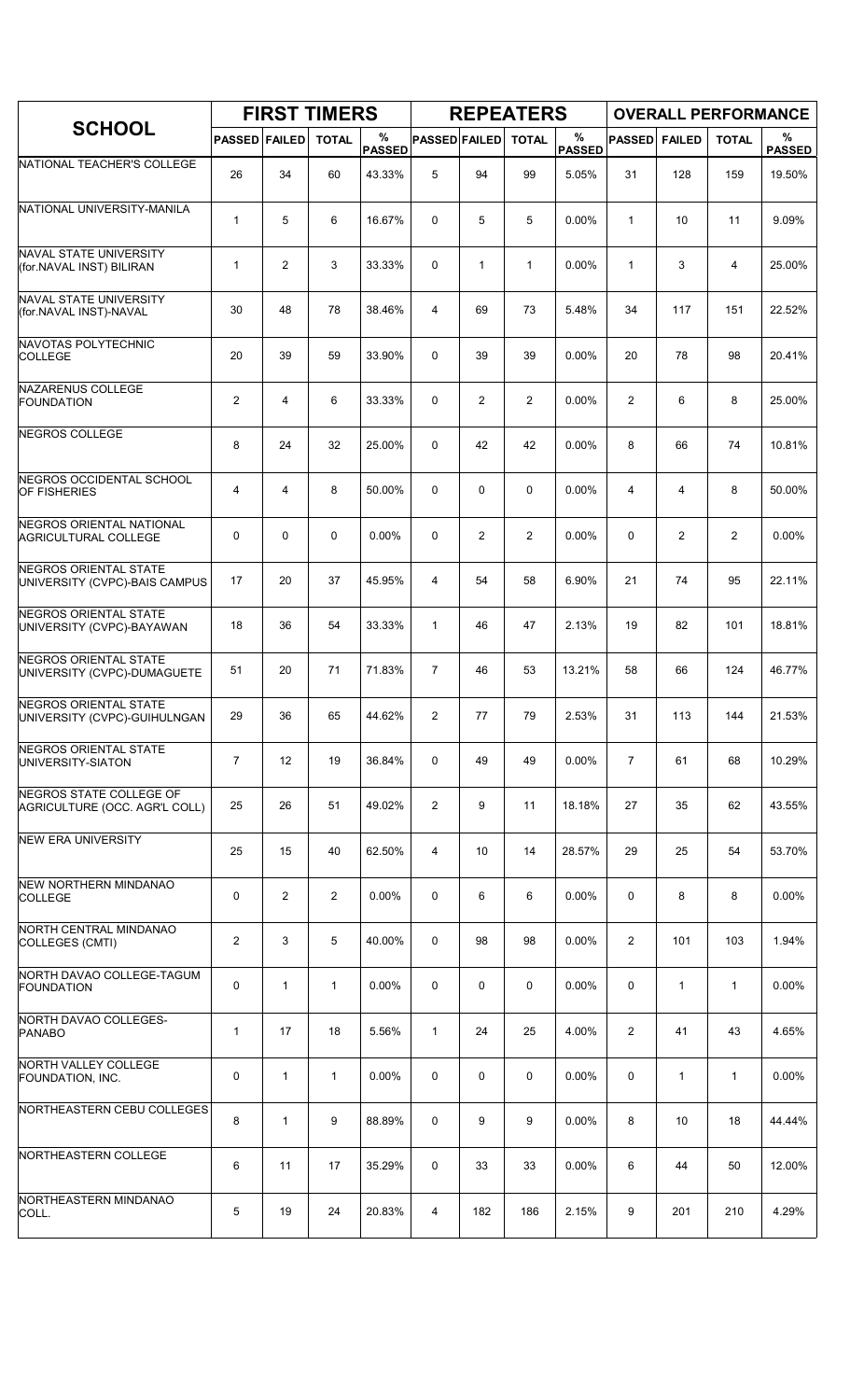|                                                              |                      |                   | <b>FIRST TIMERS</b> |                    |                      |                | <b>REPEATERS</b> |                       |                |               | <b>OVERALL PERFORMANCE</b> |                    |
|--------------------------------------------------------------|----------------------|-------------------|---------------------|--------------------|----------------------|----------------|------------------|-----------------------|----------------|---------------|----------------------------|--------------------|
| <b>SCHOOL</b>                                                | <b>PASSED FAILED</b> |                   | <b>TOTAL</b>        | %<br><b>PASSED</b> | <b>PASSED FAILED</b> |                | <b>TOTAL</b>     | $\%$<br><b>PASSED</b> | <b>PASSED</b>  | <b>FAILED</b> | <b>TOTAL</b>               | %<br><b>PASSED</b> |
| NATIONAL TEACHER'S COLLEGE                                   | 26                   | 34                | 60                  | 43.33%             | 5                    | 94             | 99               | 5.05%                 | 31             | 128           | 159                        | 19.50%             |
| NATIONAL UNIVERSITY-MANILA                                   | $\mathbf{1}$         | 5                 | 6                   | 16.67%             | $\Omega$             | 5              | 5                | 0.00%                 | $\mathbf{1}$   | 10            | 11                         | 9.09%              |
| NAVAL STATE UNIVERSITY<br>(for.NAVAL INST) BILIRAN           | $\mathbf{1}$         | $\overline{c}$    | 3                   | 33.33%             | 0                    | $\mathbf{1}$   | $\mathbf{1}$     | $0.00\%$              | $\mathbf{1}$   | 3             | $\overline{4}$             | 25.00%             |
| <b>NAVAL STATE UNIVERSITY</b><br>(for.NAVAL INST)-NAVAL      | 30                   | 48                | 78                  | 38.46%             | 4                    | 69             | 73               | 5.48%                 | 34             | 117           | 151                        | 22.52%             |
| NAVOTAS POLYTECHNIC<br><b>COLLEGE</b>                        | 20                   | 39                | 59                  | 33.90%             | $\Omega$             | 39             | 39               | 0.00%                 | 20             | 78            | 98                         | 20.41%             |
| NAZARENUS COLLEGE<br><b>FOUNDATION</b>                       | $\overline{2}$       | 4                 | 6                   | 33.33%             | 0                    | $\overline{2}$ | $\overline{2}$   | 0.00%                 | $\overline{2}$ | 6             | 8                          | 25.00%             |
| NEGROS COLLEGE                                               | 8                    | 24                | 32                  | 25.00%             | $\mathbf 0$          | 42             | 42               | 0.00%                 | 8              | 66            | 74                         | 10.81%             |
| NEGROS OCCIDENTAL SCHOOL<br><b>OF FISHERIES</b>              | 4                    | 4                 | 8                   | 50.00%             | $\Omega$             | 0              | 0                | $0.00\%$              | 4              | 4             | 8                          | 50.00%             |
| NEGROS ORIENTAL NATIONAL<br><b>AGRICULTURAL COLLEGE</b>      | 0                    | 0                 | $\mathbf 0$         | 0.00%              | 0                    | $\overline{c}$ | 2                | 0.00%                 | 0              | 2             | 2                          | 0.00%              |
| NEGROS ORIENTAL STATE<br>UNIVERSITY (CVPC)-BAIS CAMPUS       | 17                   | 20                | 37                  | 45.95%             | 4                    | 54             | 58               | 6.90%                 | 21             | 74            | 95                         | 22.11%             |
| NEGROS ORIENTAL STATE<br>UNIVERSITY (CVPC)-BAYAWAN           | 18                   | 36                | 54                  | 33.33%             | $\mathbf{1}$         | 46             | 47               | 2.13%                 | 19             | 82            | 101                        | 18.81%             |
| <b>NEGROS ORIENTAL STATE</b><br>UNIVERSITY (CVPC)-DUMAGUETE  | 51                   | 20                | 71                  | 71.83%             | $\overline{7}$       | 46             | 53               | 13.21%                | 58             | 66            | 124                        | 46.77%             |
| <b>NEGROS ORIENTAL STATE</b><br>UNIVERSITY (CVPC)-GUIHULNGAN | 29                   | 36                | 65                  | 44.62%             | $\overline{c}$       | 77             | 79               | 2.53%                 | 31             | 113           | 144                        | 21.53%             |
| NEGROS ORIENTAL STATE<br>UNIVERSITY-SIATON                   | $\overline{7}$       | $12 \overline{ }$ | 19                  | 36.84%             | 0                    | 49             | 49               | $0.00\%$              | $\overline{7}$ | 61            | 68                         | 10.29%             |
| NEGROS STATE COLLEGE OF<br>AGRICULTURE (OCC. AGR'L COLL)     | 25                   | 26                | 51                  | 49.02%             | $\overline{2}$       | 9              | 11               | 18.18%                | 27             | 35            | 62                         | 43.55%             |
| <b>NEW ERA UNIVERSITY</b>                                    | 25                   | 15                | 40                  | 62.50%             | 4                    | 10             | 14               | 28.57%                | 29             | 25            | 54                         | 53.70%             |
| <b>NEW NORTHERN MINDANAO</b><br><b>COLLEGE</b>               | 0                    | $\overline{2}$    | $\overline{2}$      | 0.00%              | 0                    | 6              | 6                | 0.00%                 | 0              | 8             | 8                          | 0.00%              |
| NORTH CENTRAL MINDANAO<br>COLLEGES (CMTI)                    | 2                    | 3                 | 5                   | 40.00%             | $\Omega$             | 98             | 98               | 0.00%                 | $\overline{2}$ | 101           | 103                        | 1.94%              |
| NORTH DAVAO COLLEGE-TAGUM<br><b>FOUNDATION</b>               | 0                    | $\mathbf{1}$      | $\mathbf{1}$        | 0.00%              | 0                    | 0              | 0                | $0.00\%$              | 0              | 1             | $\mathbf{1}$               | 0.00%              |
| NORTH DAVAO COLLEGES-<br><b>PANABO</b>                       | $\mathbf{1}$         | 17                | 18                  | 5.56%              | $\mathbf{1}$         | 24             | 25               | 4.00%                 | $\overline{2}$ | 41            | 43                         | 4.65%              |
| NORTH VALLEY COLLEGE<br>FOUNDATION, INC.                     | 0                    | $\mathbf{1}$      | $\mathbf 1$         | 0.00%              | 0                    | 0              | 0                | 0.00%                 | 0              | 1             | $\mathbf{1}$               | 0.00%              |
| NORTHEASTERN CEBU COLLEGES                                   | 8                    | 1                 | 9                   | 88.89%             | 0                    | 9              | 9                | 0.00%                 | 8              | 10            | 18                         | 44.44%             |
| NORTHEASTERN COLLEGE                                         | 6                    | 11                | 17                  | 35.29%             | 0                    | 33             | 33               | 0.00%                 | 6              | 44            | 50                         | 12.00%             |
| NORTHEASTERN MINDANAO<br>COLL.                               | 5                    | 19                | 24                  | 20.83%             | 4                    | 182            | 186              | 2.15%                 | 9              | 201           | 210                        | 4.29%              |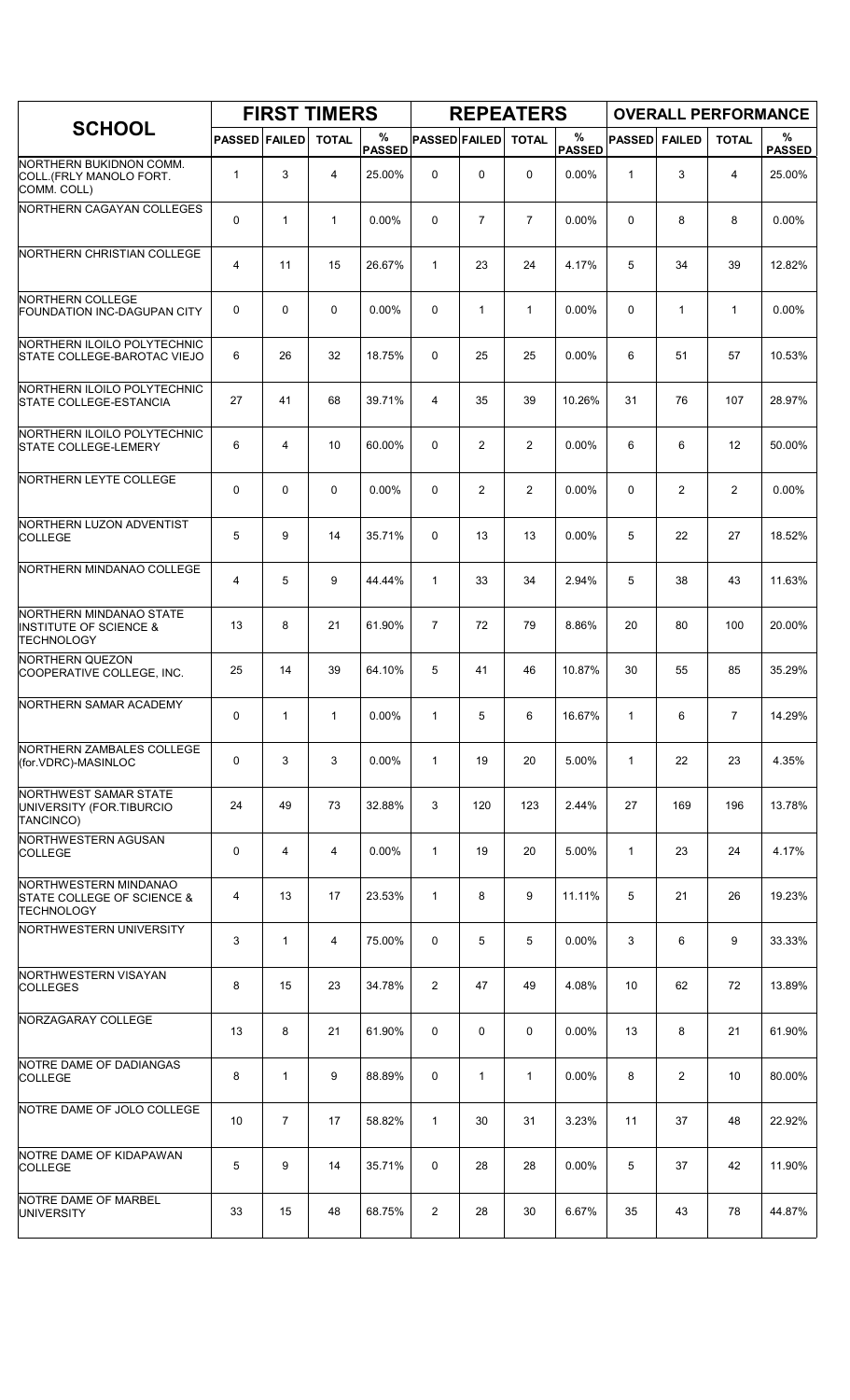|                                                                                   |                      |                | <b>FIRST TIMERS</b> |                    |                      |                | <b>REPEATERS</b> |                       |               |                |                | <b>OVERALL PERFORMANCE</b> |
|-----------------------------------------------------------------------------------|----------------------|----------------|---------------------|--------------------|----------------------|----------------|------------------|-----------------------|---------------|----------------|----------------|----------------------------|
| <b>SCHOOL</b>                                                                     | <b>PASSED FAILED</b> |                | <b>TOTAL</b>        | %<br><b>PASSED</b> | <b>PASSED FAILED</b> |                | <b>TOTAL</b>     | $\%$<br><b>PASSED</b> | <b>PASSED</b> | <b>FAILED</b>  | <b>TOTAL</b>   | %<br><b>PASSED</b>         |
| NORTHERN BUKIDNON COMM.<br>COLL (FRLY MANOLO FORT.<br>COMM. COLL)                 | $\mathbf{1}$         | 3              | 4                   | 25.00%             | 0                    | 0              | $\Omega$         | 0.00%                 | 1             | 3              | $\overline{4}$ | 25.00%                     |
| NORTHERN CAGAYAN COLLEGES                                                         | 0                    | 1              | 1                   | 0.00%              | $\mathbf 0$          | $\overline{7}$ | $\overline{7}$   | 0.00%                 | 0             | 8              | 8              | 0.00%                      |
| NORTHERN CHRISTIAN COLLEGE                                                        | 4                    | 11             | 15                  | 26.67%             | $\mathbf{1}$         | 23             | 24               | 4.17%                 | 5             | 34             | 39             | 12.82%                     |
| NORTHERN COLLEGE<br><b>FOUNDATION INC-DAGUPAN CITY</b>                            | 0                    | 0              | $\mathbf 0$         | $0.00\%$           | 0                    | $\mathbf{1}$   | $\mathbf{1}$     | 0.00%                 | 0             | $\mathbf{1}$   | $\mathbf{1}$   | 0.00%                      |
| NORTHERN ILOILO POLYTECHNIC<br>STATE COLLEGE-BAROTAC VIEJO                        | 6                    | 26             | 32                  | 18.75%             | $\Omega$             | 25             | 25               | 0.00%                 | 6             | 51             | 57             | 10.53%                     |
| NORTHERN ILOILO POLYTECHNIC<br><b>STATE COLLEGE-ESTANCIA</b>                      | 27                   | 41             | 68                  | 39.71%             | 4                    | 35             | 39               | 10.26%                | 31            | 76             | 107            | 28.97%                     |
| NORTHERN ILOILO POLYTECHNIC<br><b>STATE COLLEGE-LEMERY</b>                        | 6                    | 4              | 10                  | 60.00%             | $\mathbf 0$          | $\overline{2}$ | $\overline{2}$   | 0.00%                 | 6             | 6              | 12             | 50.00%                     |
| NORTHERN LEYTE COLLEGE                                                            | 0                    | 0              | $\mathbf 0$         | $0.00\%$           | $\Omega$             | $\overline{2}$ | $\overline{2}$   | 0.00%                 | $\Omega$      | $\overline{2}$ | 2              | $0.00\%$                   |
| NORTHERN LUZON ADVENTIST<br><b>COLLEGE</b>                                        | 5                    | 9              | 14                  | 35.71%             | 0                    | 13             | 13               | 0.00%                 | 5             | 22             | 27             | 18.52%                     |
| NORTHERN MINDANAO COLLEGE                                                         | 4                    | 5              | 9                   | 44.44%             | $\mathbf{1}$         | 33             | 34               | 2.94%                 | 5             | 38             | 43             | 11.63%                     |
| NORTHERN MINDANAO STATE<br><b>INSTITUTE OF SCIENCE &amp;</b><br><b>TECHNOLOGY</b> | 13                   | 8              | 21                  | 61.90%             | $\overline{7}$       | 72             | 79               | 8.86%                 | 20            | 80             | 100            | 20.00%                     |
| <b>NORTHERN QUEZON</b><br>COOPERATIVE COLLEGE, INC.                               | 25                   | 14             | 39                  | 64.10%             | 5                    | 41             | 46               | 10.87%                | 30            | 55             | 85             | 35.29%                     |
| NORTHERN SAMAR ACADEMY                                                            | 0                    | $\mathbf{1}$   | 1                   | 0.00%              | $\mathbf{1}$         | 5              | 6                | 16.67%                | 1             | 6              | $\overline{7}$ | 14.29%                     |
| NORTHERN ZAMBALES COLLEGE<br>(for.VDRC)-MASINLOC                                  | 0                    | 3              | 3                   | $0.00\%$           | $\mathbf{1}$         | 19             | 20               | 5.00%                 | $\mathbf{1}$  | 22             | 23             | 4.35%                      |
| <b>NORTHWEST SAMAR STATE</b><br>UNIVERSITY (FOR.TIBURCIO<br>TANCINCO)             | 24                   | 49             | 73                  | 32.88%             | 3                    | 120            | 123              | 2.44%                 | 27            | 169            | 196            | 13.78%                     |
| NORTHWESTERN AGUSAN<br><b>COLLEGE</b>                                             | 0                    | 4              | 4                   | 0.00%              | $\mathbf{1}$         | 19             | 20               | 5.00%                 | $\mathbf{1}$  | 23             | 24             | 4.17%                      |
| NORTHWESTERN MINDANAO<br>STATE COLLEGE OF SCIENCE &<br>TECHNOLOGY                 | 4                    | 13             | 17                  | 23.53%             | $\mathbf{1}$         | 8              | 9                | 11.11%                | 5             | 21             | 26             | 19.23%                     |
| NORTHWESTERN UNIVERSITY                                                           | 3                    | $\mathbf{1}$   | 4                   | 75.00%             | 0                    | 5              | 5                | 0.00%                 | 3             | 6              | 9              | 33.33%                     |
| NORTHWESTERN VISAYAN<br><b>COLLEGES</b>                                           | 8                    | 15             | 23                  | 34.78%             | $\overline{2}$       | 47             | 49               | 4.08%                 | 10            | 62             | 72             | 13.89%                     |
| NORZAGARAY COLLEGE                                                                | 13                   | 8              | 21                  | 61.90%             | 0                    | 0              | 0                | $0.00\%$              | 13            | 8              | 21             | 61.90%                     |
| NOTRE DAME OF DADIANGAS<br><b>COLLEGE</b>                                         | 8                    | $\mathbf{1}$   | 9                   | 88.89%             | 0                    | $\mathbf{1}$   | $\mathbf{1}$     | 0.00%                 | 8             | $\overline{2}$ | 10             | 80.00%                     |
| NOTRE DAME OF JOLO COLLEGE                                                        | 10                   | $\overline{7}$ | 17                  | 58.82%             | $\mathbf{1}$         | 30             | 31               | 3.23%                 | 11            | 37             | 48             | 22.92%                     |
| NOTRE DAME OF KIDAPAWAN<br><b>COLLEGE</b>                                         | 5                    | 9              | 14                  | 35.71%             | 0                    | 28             | 28               | 0.00%                 | 5             | 37             | 42             | 11.90%                     |
| NOTRE DAME OF MARBEL<br><b>UNIVERSITY</b>                                         | 33                   | 15             | 48                  | 68.75%             | $\overline{2}$       | 28             | 30               | 6.67%                 | 35            | 43             | 78             | 44.87%                     |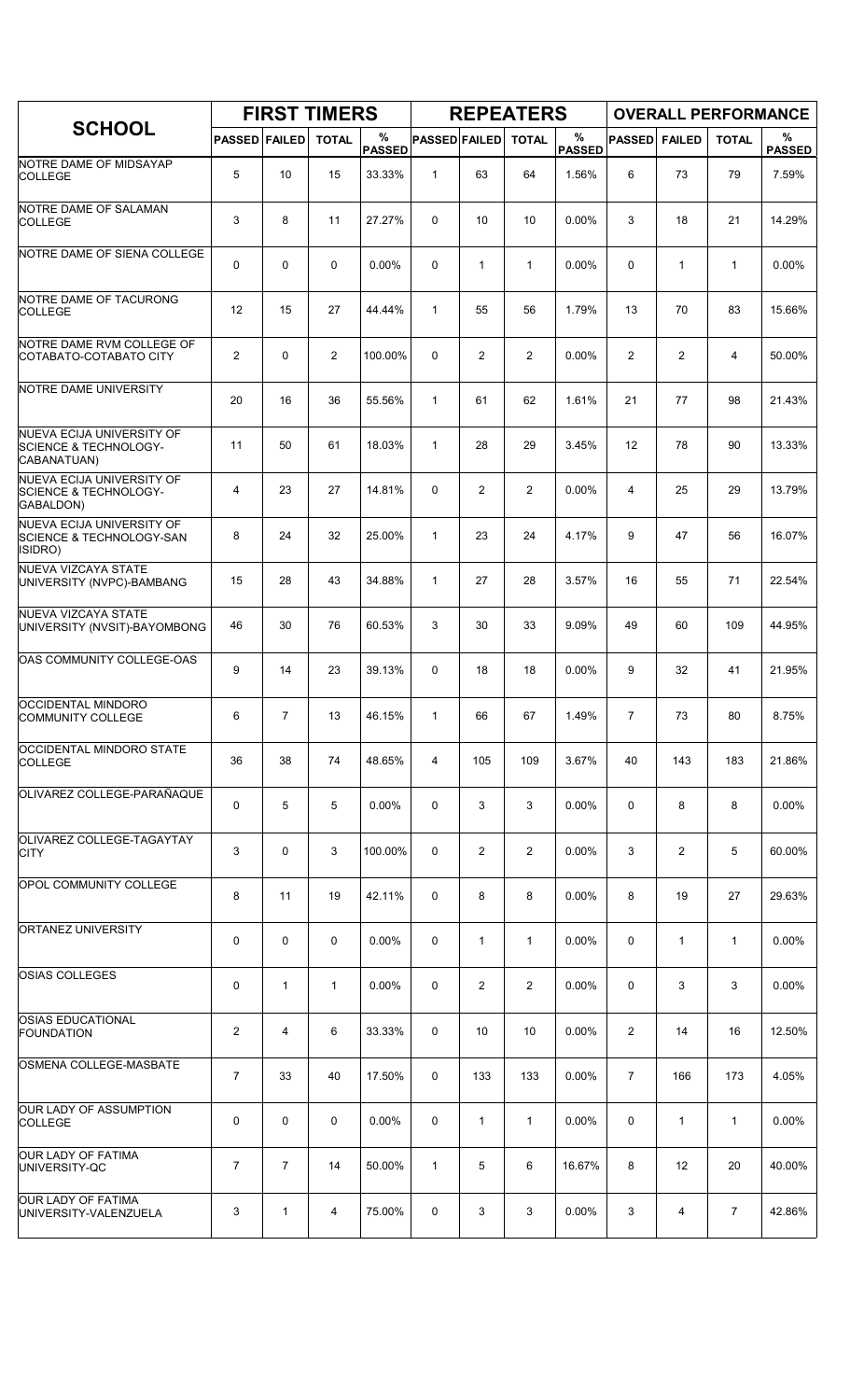|                                                                              |                      |                | <b>FIRST TIMERS</b> |                    |                      |                 | <b>REPEATERS</b> |                       |                |                | <b>OVERALL PERFORMANCE</b> |                    |
|------------------------------------------------------------------------------|----------------------|----------------|---------------------|--------------------|----------------------|-----------------|------------------|-----------------------|----------------|----------------|----------------------------|--------------------|
| <b>SCHOOL</b>                                                                | <b>PASSED FAILED</b> |                | <b>TOTAL</b>        | %<br><b>PASSED</b> | <b>PASSED FAILED</b> |                 | <b>TOTAL</b>     | $\%$<br><b>PASSED</b> | <b>PASSED</b>  | <b>FAILED</b>  | <b>TOTAL</b>               | %<br><b>PASSED</b> |
| NOTRE DAME OF MIDSAYAP<br><b>COLLEGE</b>                                     | 5                    | 10             | 15                  | 33.33%             | $\mathbf{1}$         | 63              | 64               | 1.56%                 | 6              | 73             | 79                         | 7.59%              |
| NOTRE DAME OF SALAMAN<br><b>COLLEGE</b>                                      | 3                    | 8              | 11                  | 27.27%             | $\Omega$             | 10 <sup>1</sup> | 10               | 0.00%                 | 3              | 18             | 21                         | 14.29%             |
| NOTRE DAME OF SIENA COLLEGE                                                  | 0                    | $\mathbf 0$    | $\mathbf 0$         | $0.00\%$           | 0                    | $\mathbf{1}$    | $\mathbf{1}$     | 0.00%                 | 0              | $\mathbf{1}$   | $\mathbf{1}$               | 0.00%              |
| NOTRE DAME OF TACURONG<br><b>COLLEGE</b>                                     | 12                   | 15             | 27                  | 44.44%             | $\mathbf{1}$         | 55              | 56               | 1.79%                 | 13             | 70             | 83                         | 15.66%             |
| NOTRE DAME RVM COLLEGE OF<br>COTABATO-COTABATO CITY                          | $\overline{c}$       | $\mathbf 0$    | $\overline{2}$      | 100.00%            | 0                    | $\overline{2}$  | $\overline{2}$   | 0.00%                 | 2              | $\overline{2}$ | 4                          | 50.00%             |
| NOTRE DAME UNIVERSITY                                                        | 20                   | 16             | 36                  | 55.56%             | $\mathbf{1}$         | 61              | 62               | 1.61%                 | 21             | 77             | 98                         | 21.43%             |
| NUEVA ECIJA UNIVERSITY OF<br><b>SCIENCE &amp; TECHNOLOGY-</b><br>CABANATUAN) | 11                   | 50             | 61                  | 18.03%             | $\mathbf{1}$         | 28              | 29               | 3.45%                 | 12             | 78             | 90                         | 13.33%             |
| NUEVA ECIJA UNIVERSITY OF<br><b>SCIENCE &amp; TECHNOLOGY-</b><br>GABALDON)   | 4                    | 23             | 27                  | 14.81%             | $\Omega$             | $\overline{2}$  | $\overline{2}$   | 0.00%                 | 4              | 25             | 29                         | 13.79%             |
| NUEVA ECIJA UNIVERSITY OF<br><b>SCIENCE &amp; TECHNOLOGY-SAN</b><br>ISIDRO)  | 8                    | 24             | 32                  | 25.00%             | $\mathbf{1}$         | 23              | 24               | 4.17%                 | 9              | 47             | 56                         | 16.07%             |
| NUEVA VIZCAYA STATE<br>UNIVERSITY (NVPC)-BAMBANG                             | 15                   | 28             | 43                  | 34.88%             | $\mathbf{1}$         | 27              | 28               | 3.57%                 | 16             | 55             | 71                         | 22.54%             |
| <b>NUEVA VIZCAYA STATE</b><br>UNIVERSITY (NVSIT)-BAYOMBONG                   | 46                   | 30             | 76                  | 60.53%             | 3                    | 30              | 33               | 9.09%                 | 49             | 60             | 109                        | 44.95%             |
| OAS COMMUNITY COLLEGE-OAS                                                    | 9                    | 14             | 23                  | 39.13%             | 0                    | 18              | 18               | 0.00%                 | 9              | 32             | 41                         | 21.95%             |
| OCCIDENTAL MINDORO<br><b>COMMUNITY COLLEGE</b>                               | 6                    | $\overline{7}$ | 13                  | 46.15%             | $\mathbf{1}$         | 66              | 67               | 1.49%                 | $\overline{7}$ | 73             | 80                         | 8.75%              |
| <b>OCCIDENTAL MINDORO STATE</b><br><b>COLLEGE</b>                            | 36                   | 38             | 74                  | 48.65%             | 4                    | 105             | 109              | 3.67%                 | 40             | 143            | 183                        | 21.86%             |
| OLIVAREZ COLLEGE-PARAÑAQUE                                                   | 0                    | 5              | 5                   | 0.00%              | 0                    | 3               | 3                | 0.00%                 | 0              | 8              | 8                          | 0.00%              |
| OLIVAREZ COLLEGE-TAGAYTAY<br><b>CITY</b>                                     | 3                    | 0              | 3                   | 100.00%            | 0                    | $\overline{2}$  | $\overline{2}$   | $0.00\%$              | 3              | 2              | 5                          | 60.00%             |
| <b>OPOL COMMUNITY COLLEGE</b>                                                | 8                    | 11             | 19                  | 42.11%             | 0                    | 8               | 8                | 0.00%                 | 8              | 19             | 27                         | 29.63%             |
| ORTANEZ UNIVERSITY                                                           | 0                    | 0              | 0                   | 0.00%              | 0                    | 1               | $\mathbf{1}$     | 0.00%                 | 0              | $\mathbf{1}$   | $\mathbf{1}$               | 0.00%              |
| <b>OSIAS COLLEGES</b>                                                        | 0                    | $\mathbf{1}$   | $\mathbf{1}$        | $0.00\%$           | 0                    | 2               | $\overline{2}$   | $0.00\%$              | 0              | 3              | 3                          | $0.00\%$           |
| <b>OSIAS EDUCATIONAL</b><br><b>FOUNDATION</b>                                | $\overline{c}$       | 4              | 6                   | 33.33%             | 0                    | 10              | 10               | $0.00\%$              | $\overline{2}$ | 14             | 16                         | 12.50%             |
| OSMENA COLLEGE-MASBATE                                                       | 7                    | 33             | 40                  | 17.50%             | 0                    | 133             | 133              | 0.00%                 | 7              | 166            | 173                        | 4.05%              |
| OUR LADY OF ASSUMPTION<br><b>COLLEGE</b>                                     | 0                    | $\mathbf 0$    | 0                   | 0.00%              | 0                    | 1               | 1                | 0.00%                 | 0              | 1              | 1                          | 0.00%              |
| <b>OUR LADY OF FATIMA</b><br>UNIVERSITY-QC                                   | $\overline{7}$       | $\overline{7}$ | 14                  | 50.00%             | $\mathbf{1}$         | 5               | 6                | 16.67%                | 8              | 12             | 20                         | 40.00%             |
| <b>OUR LADY OF FATIMA</b><br>UNIVERSITY-VALENZUELA                           | 3                    | 1              | 4                   | 75.00%             | 0                    | 3               | 3                | 0.00%                 | 3              | 4              | $\overline{7}$             | 42.86%             |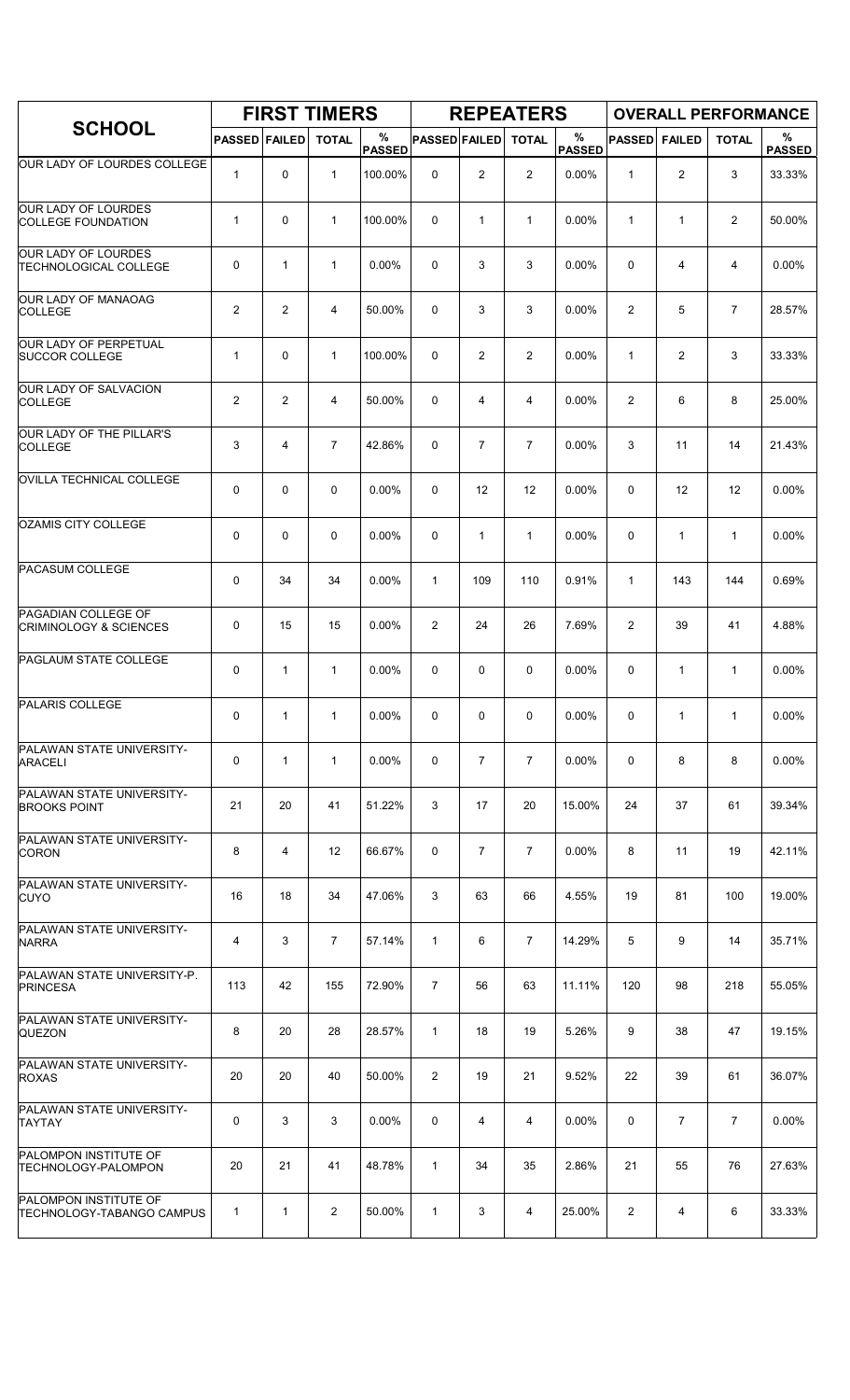|                                                           |                      |                | <b>FIRST TIMERS</b> |                    |                      |                | <b>REPEATERS</b> |                       |                |                | <b>OVERALL PERFORMANCE</b> |                    |
|-----------------------------------------------------------|----------------------|----------------|---------------------|--------------------|----------------------|----------------|------------------|-----------------------|----------------|----------------|----------------------------|--------------------|
| <b>SCHOOL</b>                                             | <b>PASSED FAILED</b> |                | <b>TOTAL</b>        | %<br><b>PASSED</b> | <b>PASSED FAILED</b> |                | <b>TOTAL</b>     | $\%$<br><b>PASSED</b> | <b>PASSED</b>  | <b>FAILED</b>  | <b>TOTAL</b>               | %<br><b>PASSED</b> |
| OUR LADY OF LOURDES COLLEGE                               | $\mathbf{1}$         | 0              | $\mathbf{1}$        | 100.00%            | 0                    | $\overline{2}$ | $\overline{2}$   | 0.00%                 | $\mathbf{1}$   | $\overline{2}$ | 3                          | 33.33%             |
| <b>OUR LADY OF LOURDES</b><br><b>COLLEGE FOUNDATION</b>   | $\mathbf{1}$         | 0              | $\mathbf{1}$        | 100.00%            | $\mathbf 0$          | $\mathbf{1}$   | $\mathbf{1}$     | 0.00%                 | $\mathbf{1}$   | $\mathbf{1}$   | $\overline{2}$             | 50.00%             |
| OUR LADY OF LOURDES<br><b>TECHNOLOGICAL COLLEGE</b>       | 0                    | $\mathbf{1}$   | $\mathbf{1}$        | 0.00%              | 0                    | 3              | 3                | 0.00%                 | 0              | 4              | 4                          | 0.00%              |
| <b>OUR LADY OF MANAOAG</b><br><b>COLLEGE</b>              | $\overline{2}$       | 2              | 4                   | 50.00%             | $\mathbf 0$          | 3              | 3                | 0.00%                 | 2              | 5              | $\overline{7}$             | 28.57%             |
| OUR LADY OF PERPETUAL<br><b>SUCCOR COLLEGE</b>            | $\mathbf{1}$         | 0              | $\mathbf{1}$        | 100.00%            | $\Omega$             | 2              | $\overline{2}$   | 0.00%                 | 1              | 2              | 3                          | 33.33%             |
| OUR LADY OF SALVACION<br><b>COLLEGE</b>                   | $\overline{2}$       | $\overline{c}$ | $\overline{4}$      | 50.00%             | 0                    | 4              | 4                | 0.00%                 | $\overline{c}$ | 6              | 8                          | 25.00%             |
| OUR LADY OF THE PILLAR'S<br><b>COLLEGE</b>                | 3                    | 4              | $\overline{7}$      | 42.86%             | $\mathbf 0$          | $\overline{7}$ | $\overline{7}$   | 0.00%                 | 3              | 11             | 14                         | 21.43%             |
| <b>OVILLA TECHNICAL COLLEGE</b>                           | 0                    | 0              | $\mathbf 0$         | 0.00%              | $\Omega$             | 12             | 12               | 0.00%                 | 0              | 12             | 12                         | 0.00%              |
| <b>OZAMIS CITY COLLEGE</b>                                | 0                    | $\mathbf 0$    | $\mathbf 0$         | 0.00%              | $\mathbf 0$          | $\mathbf{1}$   | $\mathbf{1}$     | 0.00%                 | 0              | 1              | $\mathbf{1}$               | 0.00%              |
| PACASUM COLLEGE                                           | 0                    | 34             | 34                  | 0.00%              | $\mathbf{1}$         | 109            | 110              | 0.91%                 | $\mathbf{1}$   | 143            | 144                        | 0.69%              |
| PAGADIAN COLLEGE OF<br><b>CRIMINOLOGY &amp; SCIENCES</b>  | 0                    | 15             | 15                  | 0.00%              | $\overline{2}$       | 24             | 26               | 7.69%                 | $\overline{2}$ | 39             | 41                         | 4.88%              |
| <b>PAGLAUM STATE COLLEGE</b>                              | 0                    | $\mathbf{1}$   | $\mathbf{1}$        | 0.00%              | $\Omega$             | 0              | 0                | 0.00%                 | 0              | 1              | $\mathbf{1}$               | 0.00%              |
| <b>PALARIS COLLEGE</b>                                    | 0                    | 1              | $\mathbf{1}$        | 0.00%              | 0                    | 0              | 0                | 0.00%                 | 0              | 1              | $\mathbf{1}$               | 0.00%              |
| PALAWAN STATE UNIVERSITY-<br><b>ARACELI</b>               | 0                    | $\mathbf{1}$   | $\mathbf{1}$        | 0.00%              | 0                    | $\overline{7}$ | $\overline{7}$   | 0.00%                 | 0              | 8              | 8                          | 0.00%              |
| PALAWAN STATE UNIVERSITY-<br><b>BROOKS POINT</b>          | 21                   | 20             | 41                  | 51.22%             | 3                    | 17             | 20               | 15.00%                | 24             | 37             | 61                         | 39.34%             |
| PALAWAN STATE UNIVERSITY-<br><b>CORON</b>                 | 8                    | 4              | 12                  | 66.67%             | 0                    | $\overline{7}$ | $\overline{7}$   | $0.00\%$              | 8              | 11             | 19                         | 42.11%             |
| PALAWAN STATE UNIVERSITY-<br><b>CUYO</b>                  | 16                   | 18             | 34                  | 47.06%             | 3                    | 63             | 66               | 4.55%                 | 19             | 81             | 100                        | 19.00%             |
| PALAWAN STATE UNIVERSITY-<br><b>NARRA</b>                 | 4                    | 3              | $\overline{7}$      | 57.14%             | $\mathbf{1}$         | 6              | $\overline{7}$   | 14.29%                | 5              | 9              | 14                         | 35.71%             |
| PALAWAN STATE UNIVERSITY-P.<br><b>PRINCESA</b>            | 113                  | 42             | 155                 | 72.90%             | $\overline{7}$       | 56             | 63               | 11.11%                | 120            | 98             | 218                        | 55.05%             |
| PALAWAN STATE UNIVERSITY-<br><b>QUEZON</b>                | 8                    | 20             | 28                  | 28.57%             | $\mathbf{1}$         | 18             | 19               | 5.26%                 | 9              | 38             | 47                         | 19.15%             |
| PALAWAN STATE UNIVERSITY-<br><b>ROXAS</b>                 | 20                   | 20             | 40                  | 50.00%             | 2                    | 19             | 21               | 9.52%                 | 22             | 39             | 61                         | 36.07%             |
| PALAWAN STATE UNIVERSITY-<br>TAYTAY                       | 0                    | 3              | 3                   | 0.00%              | 0                    | 4              | 4                | 0.00%                 | 0              | 7              | 7                          | 0.00%              |
| PALOMPON INSTITUTE OF<br>TECHNOLOGY-PALOMPON              | 20                   | 21             | 41                  | 48.78%             | $\mathbf{1}$         | 34             | 35               | 2.86%                 | 21             | 55             | 76                         | 27.63%             |
| PALOMPON INSTITUTE OF<br><b>TECHNOLOGY-TABANGO CAMPUS</b> | $\mathbf{1}$         | 1              | $\overline{2}$      | 50.00%             | $\mathbf{1}$         | 3              | 4                | 25.00%                | 2              | 4              | 6                          | 33.33%             |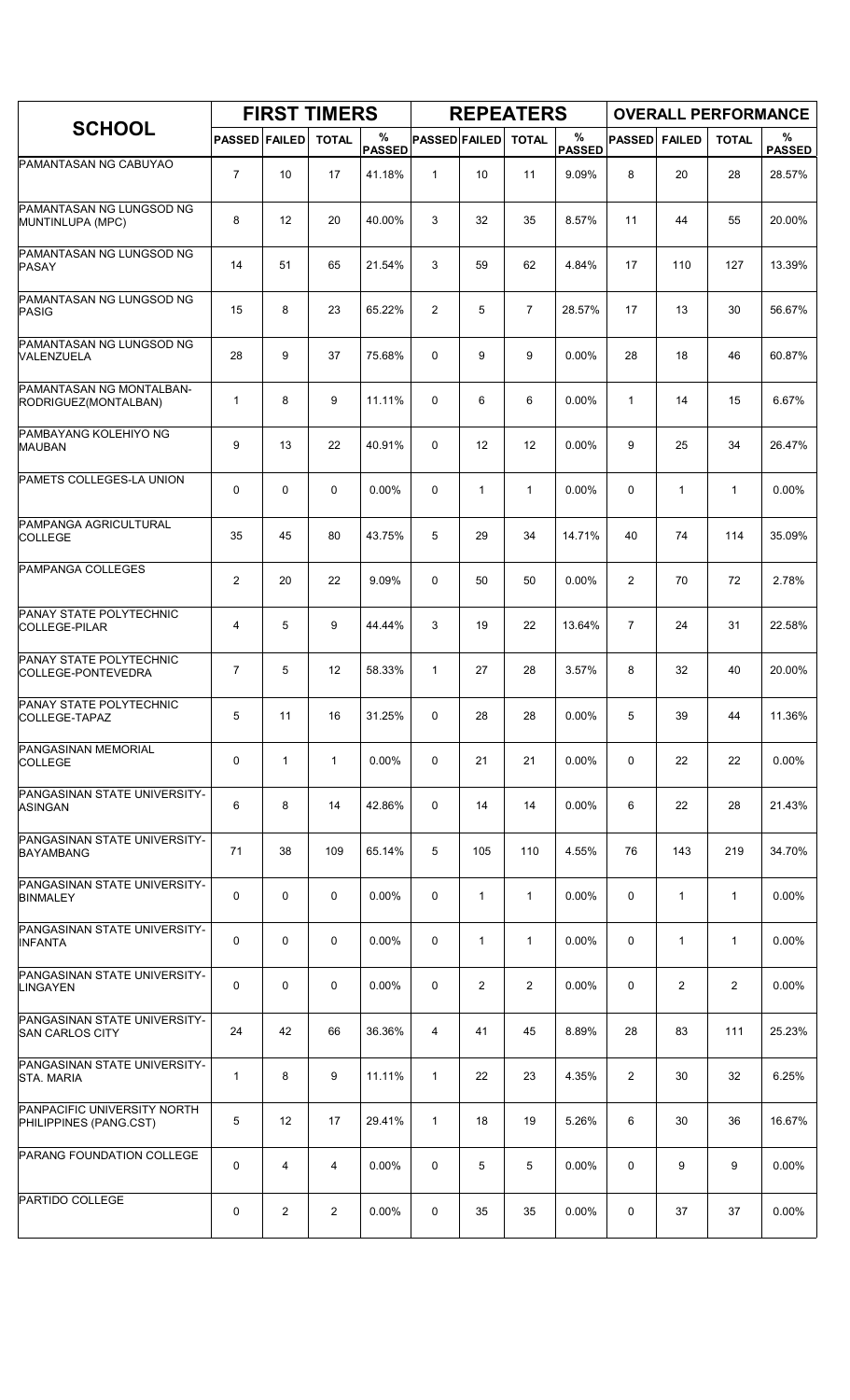|                                                        |                      |                | <b>FIRST TIMERS</b> |                    |                      |              | <b>REPEATERS</b> |                       |                |               | <b>OVERALL PERFORMANCE</b> |                    |
|--------------------------------------------------------|----------------------|----------------|---------------------|--------------------|----------------------|--------------|------------------|-----------------------|----------------|---------------|----------------------------|--------------------|
| <b>SCHOOL</b>                                          | <b>PASSED FAILED</b> |                | <b>TOTAL</b>        | %<br><b>PASSED</b> | <b>PASSED FAILED</b> |              | <b>TOTAL</b>     | $\%$<br><b>PASSED</b> | <b>PASSED</b>  | <b>FAILED</b> | <b>TOTAL</b>               | %<br><b>PASSED</b> |
| PAMANTASAN NG CABUYAO                                  | $\overline{7}$       | 10             | 17                  | 41.18%             | $\mathbf{1}$         | 10           | 11               | 9.09%                 | 8              | 20            | 28                         | 28.57%             |
| PAMANTASAN NG LUNGSOD NG<br>MUNTINLUPA (MPC)           | 8                    | 12             | 20                  | 40.00%             | 3                    | 32           | 35               | 8.57%                 | 11             | 44            | 55                         | 20.00%             |
| PAMANTASAN NG LUNGSOD NG<br>PASAY                      | 14                   | 51             | 65                  | 21.54%             | 3                    | 59           | 62               | 4.84%                 | 17             | 110           | 127                        | 13.39%             |
| PAMANTASAN NG LUNGSOD NG<br><b>PASIG</b>               | 15                   | 8              | 23                  | 65.22%             | $\overline{2}$       | 5            | $\overline{7}$   | 28.57%                | 17             | 13            | 30                         | 56.67%             |
| PAMANTASAN NG LUNGSOD NG<br>VALENZUELA                 | 28                   | 9              | 37                  | 75.68%             | 0                    | 9            | 9                | 0.00%                 | 28             | 18            | 46                         | 60.87%             |
| PAMANTASAN NG MONTALBAN-<br>RODRIGUEZ(MONTALBAN)       | 1                    | 8              | 9                   | 11.11%             | 0                    | 6            | 6                | 0.00%                 | $\mathbf{1}$   | 14            | 15                         | 6.67%              |
| PAMBAYANG KOLEHIYO NG<br><b>MAUBAN</b>                 | 9                    | 13             | 22                  | 40.91%             | 0                    | 12           | 12               | 0.00%                 | 9              | 25            | 34                         | 26.47%             |
| PAMETS COLLEGES-LA UNION                               | 0                    | $\mathbf 0$    | $\mathbf 0$         | 0.00%              | 0                    | $\mathbf{1}$ | $\mathbf{1}$     | 0.00%                 | 0              | $\mathbf{1}$  | $\mathbf{1}$               | $0.00\%$           |
| PAMPANGA AGRICULTURAL<br><b>COLLEGE</b>                | 35                   | 45             | 80                  | 43.75%             | 5                    | 29           | 34               | 14.71%                | 40             | 74            | 114                        | 35.09%             |
| <b>PAMPANGA COLLEGES</b>                               | $\mathbf{2}$         | 20             | 22                  | 9.09%              | 0                    | 50           | 50               | 0.00%                 | 2              | 70            | 72                         | 2.78%              |
| PANAY STATE POLYTECHNIC<br>COLLEGE-PILAR               | 4                    | 5              | 9                   | 44.44%             | 3                    | 19           | 22               | 13.64%                | $\overline{7}$ | 24            | 31                         | 22.58%             |
| PANAY STATE POLYTECHNIC<br>COLLEGE-PONTEVEDRA          | $\overline{7}$       | 5              | 12                  | 58.33%             | $\mathbf{1}$         | 27           | 28               | 3.57%                 | 8              | 32            | 40                         | 20.00%             |
| PANAY STATE POLYTECHNIC<br>COLLEGE-TAPAZ               | 5                    | 11             | 16                  | 31.25%             | 0                    | 28           | 28               | 0.00%                 | 5              | 39            | 44                         | 11.36%             |
| PANGASINAN MEMORIAL<br><b>COLLEGE</b>                  | 0                    | $\mathbf{1}$   | $\mathbf{1}$        | $0.00\%$           | 0                    | 21           | 21               | 0.00%                 | 0              | 22            | 22                         | 0.00%              |
| PANGASINAN STATE UNIVERSITY-<br>ASINGAN                | 6                    | 8              | 14                  | 42.86%             | 0                    | 14           | 14               | $0.00\%$              | 6              | 22            | 28                         | 21.43%             |
| PANGASINAN STATE UNIVERSITY-<br>BAYAMBANG              | 71                   | 38             | 109                 | 65.14%             | 5                    | 105          | 110              | 4.55%                 | 76             | 143           | 219                        | 34.70%             |
| PANGASINAN STATE UNIVERSITY-<br><b>BINMALEY</b>        | 0                    | 0              | 0                   | $0.00\%$           | 0                    | $\mathbf{1}$ | $\mathbf{1}$     | $0.00\%$              | 0              | $\mathbf{1}$  | 1                          | 0.00%              |
| PANGASINAN STATE UNIVERSITY-<br><b>INFANTA</b>         | 0                    | $\mathbf 0$    | 0                   | 0.00%              | 0                    | $\mathbf{1}$ | $\mathbf{1}$     | 0.00%                 | 0              | $\mathbf{1}$  | $\mathbf{1}$               | 0.00%              |
| PANGASINAN STATE UNIVERSITY-<br><b>LINGAYEN</b>        | 0                    | $\mathbf 0$    | 0                   | 0.00%              | 0                    | 2            | $\overline{2}$   | 0.00%                 | 0              | 2             | 2                          | 0.00%              |
| PANGASINAN STATE UNIVERSITY-<br><b>SAN CARLOS CITY</b> | 24                   | 42             | 66                  | 36.36%             | 4                    | 41           | 45               | 8.89%                 | 28             | 83            | 111                        | 25.23%             |
| PANGASINAN STATE UNIVERSITY-<br><b>STA. MARIA</b>      | 1                    | 8              | 9                   | 11.11%             | $\mathbf{1}$         | 22           | 23               | 4 3 5 %               | 2              | 30            | 32                         | 6.25%              |
| PANPACIFIC UNIVERSITY NORTH<br>PHILIPPINES (PANG.CST)  | 5                    | 12             | 17                  | 29.41%             | 1                    | 18           | 19               | 5.26%                 | 6              | 30            | 36                         | 16.67%             |
| PARANG FOUNDATION COLLEGE                              | 0                    | 4              | $\overline{4}$      | 0.00%              | 0                    | 5            | 5                | $0.00\%$              | 0              | 9             | 9                          | 0.00%              |
| PARTIDO COLLEGE                                        | 0                    | $\overline{2}$ | $\overline{2}$      | 0.00%              | 0                    | 35           | 35               | 0.00%                 | 0              | 37            | 37                         | 0.00%              |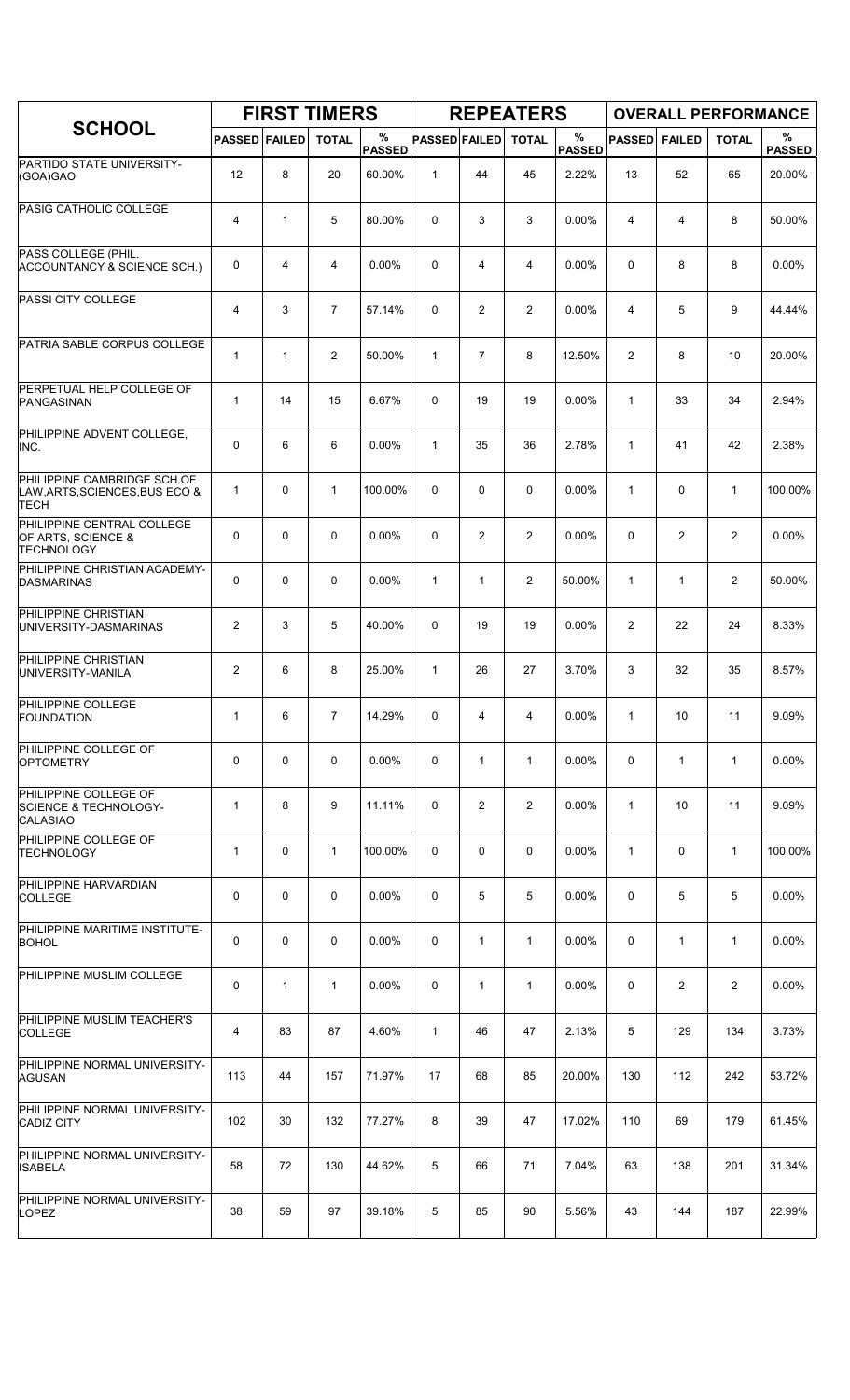|                                                                              |                      |              | <b>FIRST TIMERS</b> |                    |                      |                | <b>REPEATERS</b> |                       |               |                | <b>OVERALL PERFORMANCE</b> |                    |
|------------------------------------------------------------------------------|----------------------|--------------|---------------------|--------------------|----------------------|----------------|------------------|-----------------------|---------------|----------------|----------------------------|--------------------|
| <b>SCHOOL</b>                                                                | <b>PASSED FAILED</b> |              | <b>TOTAL</b>        | %<br><b>PASSED</b> | <b>PASSED FAILED</b> |                | <b>TOTAL</b>     | $\%$<br><b>PASSED</b> | <b>PASSED</b> | <b>FAILED</b>  | <b>TOTAL</b>               | %<br><b>PASSED</b> |
| PARTIDO STATE UNIVERSITY-<br>(GOA)GAO                                        | 12                   | 8            | 20                  | 60.00%             | $\mathbf{1}$         | 44             | 45               | 2.22%                 | 13            | 52             | 65                         | 20.00%             |
| PASIG CATHOLIC COLLEGE                                                       | 4                    | $\mathbf{1}$ | 5                   | 80.00%             | 0                    | 3              | 3                | 0.00%                 | 4             | 4              | 8                          | 50.00%             |
| PASS COLLEGE (PHIL.<br>ACCOUNTANCY & SCIENCE SCH.)                           | 0                    | 4            | 4                   | 0.00%              | 0                    | 4              | 4                | 0.00%                 | $\mathbf 0$   | 8              | 8                          | 0.00%              |
| <b>PASSI CITY COLLEGE</b>                                                    | 4                    | 3            | $\overline{7}$      | 57.14%             | 0                    | $\overline{c}$ | $\overline{2}$   | 0.00%                 | 4             | 5              | 9                          | 44.44%             |
| PATRIA SABLE CORPUS COLLEGE                                                  | $\mathbf 1$          | $\mathbf{1}$ | $\overline{2}$      | 50.00%             | $\mathbf{1}$         | $\overline{7}$ | 8                | 12.50%                | 2             | 8              | 10                         | 20.00%             |
| PERPETUAL HELP COLLEGE OF<br>PANGASINAN                                      | 1                    | 14           | 15                  | 6.67%              | 0                    | 19             | 19               | 0.00%                 | $\mathbf{1}$  | 33             | 34                         | 2.94%              |
| PHILIPPINE ADVENT COLLEGE,<br>INC.                                           | 0                    | 6            | 6                   | 0.00%              | $\mathbf{1}$         | 35             | 36               | 2.78%                 | $\mathbf{1}$  | 41             | 42                         | 2.38%              |
| PHILIPPINE CAMBRIDGE SCH.OF<br>LAW, ARTS, SCIENCES, BUS ECO &<br><b>TECH</b> | $\mathbf{1}$         | $\mathbf 0$  | $\mathbf{1}$        | 100.00%            | 0                    | 0              | 0                | 0.00%                 | $\mathbf{1}$  | $\mathbf 0$    | $\mathbf{1}$               | 100.00%            |
| PHILIPPINE CENTRAL COLLEGE<br>OF ARTS, SCIENCE &<br><b>TECHNOLOGY</b>        | 0                    | $\mathbf 0$  | $\mathbf 0$         | 0.00%              | 0                    | $\overline{c}$ | 2                | 0.00%                 | $\Omega$      | $\overline{2}$ | $\overline{c}$             | 0.00%              |
| PHILIPPINE CHRISTIAN ACADEMY-<br><b>DASMARINAS</b>                           | 0                    | $\mathbf 0$  | $\mathbf 0$         | $0.00\%$           | $\mathbf{1}$         | 1              | $\overline{2}$   | 50.00%                | $\mathbf{1}$  | $\mathbf{1}$   | 2                          | 50.00%             |
| PHILIPPINE CHRISTIAN<br>UNIVERSITY-DASMARINAS                                | $\overline{2}$       | 3            | 5                   | 40.00%             | 0                    | 19             | 19               | 0.00%                 | 2             | 22             | 24                         | 8.33%              |
| PHILIPPINE CHRISTIAN<br>UNIVERSITY-MANILA                                    | $\overline{2}$       | 6            | 8                   | 25.00%             | $\mathbf{1}$         | 26             | 27               | 3.70%                 | 3             | 32             | 35                         | 8.57%              |
| PHILIPPINE COLLEGE<br><b>FOUNDATION</b>                                      | 1                    | 6            | $\overline{7}$      | 14.29%             | 0                    | 4              | 4                | $0.00\%$              | 1             | 10             | 11                         | 9.09%              |
| PHILIPPINE COLLEGE OF<br><b>OPTOMETRY</b>                                    | 0                    | 0            | $\mathbf 0$         | 0.00%              | 0                    | $\mathbf{1}$   | $\mathbf{1}$     | 0.00%                 | 0             | $\mathbf{1}$   | $\mathbf{1}$               | 0.00%              |
| PHILIPPINE COLLEGE OF<br><b>SCIENCE &amp; TECHNOLOGY-</b><br><b>CALASIAO</b> | 1                    | 8            | 9                   | 11.11%             | 0                    | $\overline{2}$ | $\overline{2}$   | 0.00%                 | $\mathbf{1}$  | 10             | 11                         | 9.09%              |
| PHILIPPINE COLLEGE OF<br>TECHNOLOGY                                          | 1                    | 0            | $\mathbf{1}$        | 100.00%            | 0                    | 0              | 0                | $0.00\%$              | 1             | 0              | 1                          | 100.00%            |
| PHILIPPINE HARVARDIAN<br><b>COLLEGE</b>                                      | 0                    | $\mathbf 0$  | 0                   | $0.00\%$           | 0                    | 5              | 5                | 0.00%                 | 0             | 5              | 5                          | 0.00%              |
| PHILIPPINE MARITIME INSTITUTE-<br><b>BOHOL</b>                               | 0                    | 0            | 0                   | $0.00\%$           | 0                    | 1              | $\mathbf{1}$     | $0.00\%$              | 0             | $\mathbf{1}$   | $\mathbf{1}$               | $0.00\%$           |
| PHILIPPINE MUSLIM COLLEGE                                                    | 0                    | $\mathbf{1}$ | 1                   | $0.00\%$           | 0                    | $\mathbf{1}$   | 1                | 0.00%                 | 0             | 2              | 2                          | $0.00\%$           |
| PHILIPPINE MUSLIM TEACHER'S<br><b>COLLEGE</b>                                | 4                    | 83           | 87                  | 4.60%              | $\mathbf{1}$         | 46             | 47               | 2.13%                 | 5             | 129            | 134                        | 3.73%              |
| PHILIPPINE NORMAL UNIVERSITY-<br>AGUSAN                                      | 113                  | 44           | 157                 | 71.97%             | 17                   | 68             | 85               | 20.00%                | 130           | 112            | 242                        | 53.72%             |
| PHILIPPINE NORMAL UNIVERSITY-<br><b>CADIZ CITY</b>                           | 102                  | 30           | 132                 | 77.27%             | 8                    | 39             | 47               | 17.02%                | 110           | 69             | 179                        | 61.45%             |
| PHILIPPINE NORMAL UNIVERSITY-<br><b>ISABELA</b>                              | 58                   | 72           | 130                 | 44.62%             | 5                    | 66             | 71               | 7.04%                 | 63            | 138            | 201                        | 31.34%             |
| PHILIPPINE NORMAL UNIVERSITY-<br><b>LOPEZ</b>                                | 38                   | 59           | 97                  | 39.18%             | 5                    | 85             | 90               | 5.56%                 | 43            | 144            | 187                        | 22.99%             |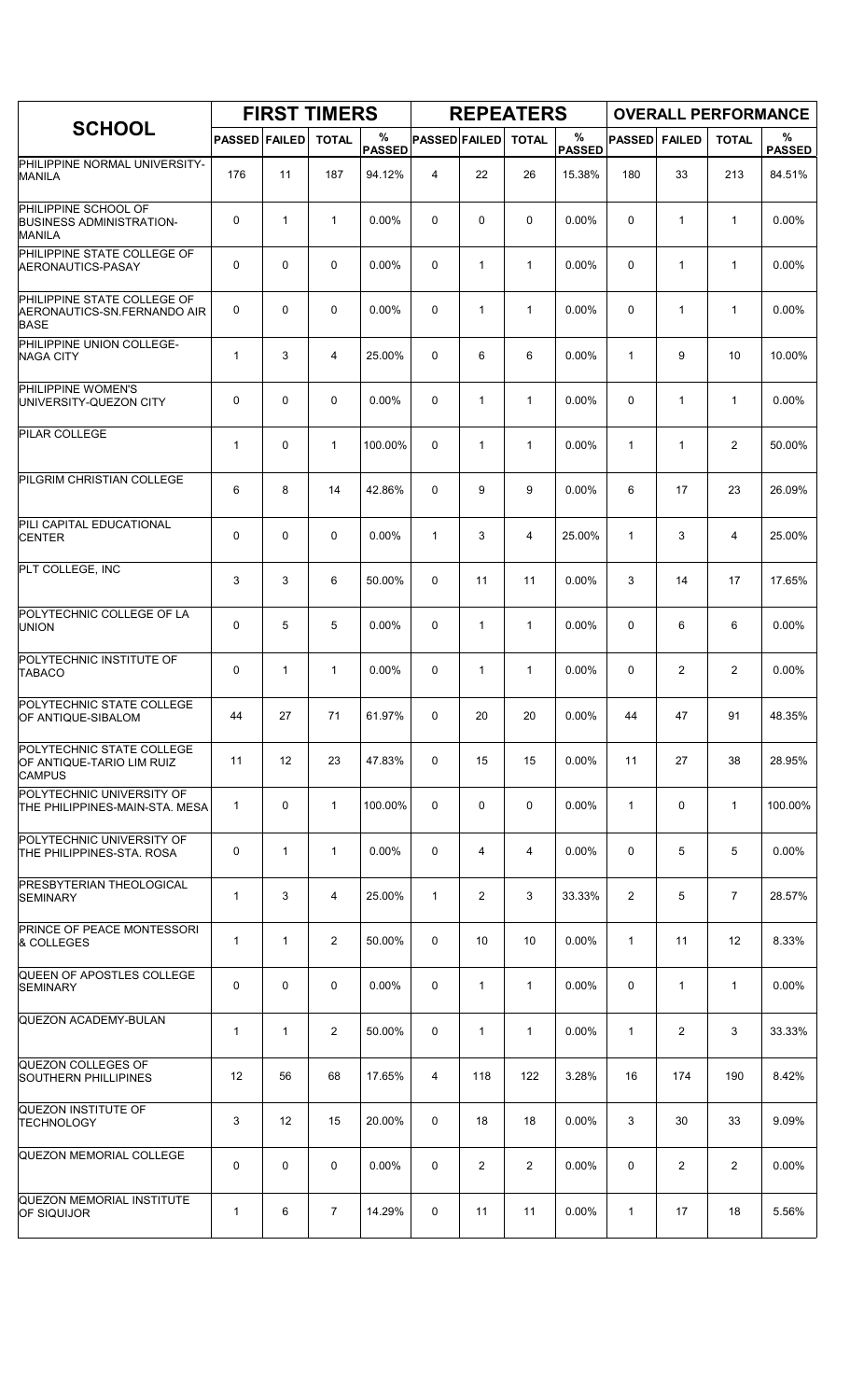|                                                                           |                      |              | <b>FIRST TIMERS</b> |                    |                      |                | <b>REPEATERS</b> |                       |               |                | <b>OVERALL PERFORMANCE</b> |                    |
|---------------------------------------------------------------------------|----------------------|--------------|---------------------|--------------------|----------------------|----------------|------------------|-----------------------|---------------|----------------|----------------------------|--------------------|
| <b>SCHOOL</b>                                                             | <b>PASSED FAILED</b> |              | <b>TOTAL</b>        | %<br><b>PASSED</b> | <b>PASSED FAILED</b> |                | <b>TOTAL</b>     | $\%$<br><b>PASSED</b> | <b>PASSED</b> | <b>FAILED</b>  | <b>TOTAL</b>               | %<br><b>PASSED</b> |
| PHILIPPINE NORMAL UNIVERSITY-<br><b>MANILA</b>                            | 176                  | 11           | 187                 | 94.12%             | 4                    | 22             | 26               | 15.38%                | 180           | 33             | 213                        | 84.51%             |
| PHILIPPINE SCHOOL OF<br><b>BUSINESS ADMINISTRATION-</b><br><b>MANILA</b>  | 0                    | $\mathbf{1}$ | $\mathbf{1}$        | 0.00%              | 0                    | 0              | $\mathbf 0$      | 0.00%                 | 0             | 1              | $\mathbf{1}$               | 0.00%              |
| PHILIPPINE STATE COLLEGE OF<br>AERONAUTICS-PASAY                          | 0                    | $\mathbf 0$  | $\mathbf 0$         | $0.00\%$           | 0                    | $\mathbf{1}$   | $\mathbf{1}$     | 0.00%                 | $\Omega$      | $\mathbf{1}$   | $\mathbf{1}$               | $0.00\%$           |
| PHILIPPINE STATE COLLEGE OF<br>AERONAUTICS-SN.FERNANDO AIR<br><b>BASE</b> | 0                    | 0            | $\mathbf 0$         | 0.00%              | 0                    | $\mathbf{1}$   | $\mathbf{1}$     | $0.00\%$              | $\mathbf 0$   | 1              | $\mathbf{1}$               | 0.00%              |
| PHILIPPINE UNION COLLEGE-<br><b>NAGA CITY</b>                             | 1                    | 3            | $\overline{4}$      | 25.00%             | 0                    | 6              | 6                | 0.00%                 | 1             | 9              | 10                         | 10.00%             |
| PHILIPPINE WOMEN'S<br>UNIVERSITY-QUEZON CITY                              | 0                    | $\mathbf 0$  | $\mathbf 0$         | $0.00\%$           | 0                    | 1              | $\mathbf{1}$     | 0.00%                 | $\Omega$      | 1              | $\mathbf{1}$               | 0.00%              |
| PILAR COLLEGE                                                             | 1                    | $\mathbf 0$  | $\mathbf 1$         | 100.00%            | 0                    | 1              | $\mathbf{1}$     | 0.00%                 | $\mathbf{1}$  | $\mathbf{1}$   | 2                          | 50.00%             |
| PILGRIM CHRISTIAN COLLEGE                                                 | 6                    | 8            | 14                  | 42.86%             | 0                    | 9              | 9                | 0.00%                 | 6             | 17             | 23                         | 26.09%             |
| PILI CAPITAL EDUCATIONAL<br><b>CENTER</b>                                 | 0                    | 0            | $\mathbf 0$         | 0.00%              | $\mathbf{1}$         | 3              | 4                | 25.00%                | $\mathbf{1}$  | 3              | 4                          | 25.00%             |
| PLT COLLEGE, INC                                                          | 3                    | 3            | 6                   | 50.00%             | 0                    | 11             | 11               | 0.00%                 | 3             | 14             | 17                         | 17.65%             |
| POLYTECHNIC COLLEGE OF LA<br><b>UNION</b>                                 | 0                    | 5            | 5                   | 0.00%              | 0                    | $\mathbf{1}$   | $\mathbf{1}$     | 0.00%                 | 0             | 6              | 6                          | 0.00%              |
| POLYTECHNIC INSTITUTE OF<br><b>TABACO</b>                                 | 0                    | $\mathbf{1}$ | $\mathbf{1}$        | $0.00\%$           | 0                    | 1              | 1                | 0.00%                 | $\mathbf 0$   | $\overline{2}$ | $\overline{2}$             | 0.00%              |
| POLYTECHNIC STATE COLLEGE<br>OF ANTIQUE-SIBALOM                           | 44                   | 27           | 71                  | 61.97%             | 0                    | 20             | 20               | 0.00%                 | 44            | 47             | 91                         | 48.35%             |
| POLYTECHNIC STATE COLLEGE<br>OF ANTIQUE-TARIO LIM RUIZ<br><b>CAMPUS</b>   | 11                   | 12           | 23                  | 47.83%             | 0                    | 15             | 15               | 0.00%                 | 11            | 27             | 38                         | 28.95%             |
| POLYTECHNIC UNIVERSITY OF<br>THE PHILIPPINES-MAIN-STA. MESA               | $\mathbf{1}$         | 0            | $\mathbf{1}$        | 100.00%            | 0                    | 0              | 0                | $0.00\%$              | $\mathbf{1}$  | 0              | $\mathbf{1}$               | 100.00%            |
| POLYTECHNIC UNIVERSITY OF<br>THE PHILIPPINES-STA. ROSA                    | 0                    | $\mathbf{1}$ | $\mathbf{1}$        | $0.00\%$           | 0                    | 4              | 4                | $0.00\%$              | 0             | 5              | 5                          | 0.00%              |
| PRESBYTERIAN THEOLOGICAL<br>SEMINARY                                      | $\mathbf{1}$         | 3            | 4                   | 25.00%             | 1                    | 2              | 3                | 33.33%                | 2             | 5              | $\overline{7}$             | 28.57%             |
| PRINCE OF PEACE MONTESSORI<br>& COLLEGES                                  | 1                    | $\mathbf{1}$ | $\overline{2}$      | 50.00%             | 0                    | 10             | 10               | 0.00%                 | $\mathbf{1}$  | 11             | 12                         | 8.33%              |
| QUEEN OF APOSTLES COLLEGE<br><b>SEMINARY</b>                              | 0                    | 0            | $\mathbf 0$         | 0.00%              | 0                    | 1              | $\mathbf{1}$     | 0.00%                 | 0             | $\mathbf{1}$   | $\mathbf{1}$               | 0.00%              |
| QUEZON ACADEMY-BULAN                                                      | 1                    | 1            | 2                   | 50.00%             | 0                    | 1              | $\mathbf{1}$     | $0.00\%$              | 1             | $\overline{2}$ | 3                          | 33.33%             |
| QUEZON COLLEGES OF<br><b>SOUTHERN PHILLIPINES</b>                         | 12                   | 56           | 68                  | 17.65%             | 4                    | 118            | 122              | 3.28%                 | 16            | 174            | 190                        | 8.42%              |
| QUEZON INSTITUTE OF<br>TECHNOLOGY                                         | 3                    | 12           | 15                  | 20.00%             | 0                    | 18             | 18               | 0.00%                 | 3             | 30             | 33                         | 9.09%              |
| QUEZON MEMORIAL COLLEGE                                                   | 0                    | 0            | 0                   | 0.00%              | 0                    | $\overline{2}$ | $\overline{2}$   | 0.00%                 | 0             | $\overline{2}$ | 2                          | $0.00\%$           |
| QUEZON MEMORIAL INSTITUTE<br><b>OF SIQUIJOR</b>                           | 1                    | 6            | 7                   | 14.29%             | 0                    | 11             | 11               | 0.00%                 | 1             | 17             | 18                         | 5.56%              |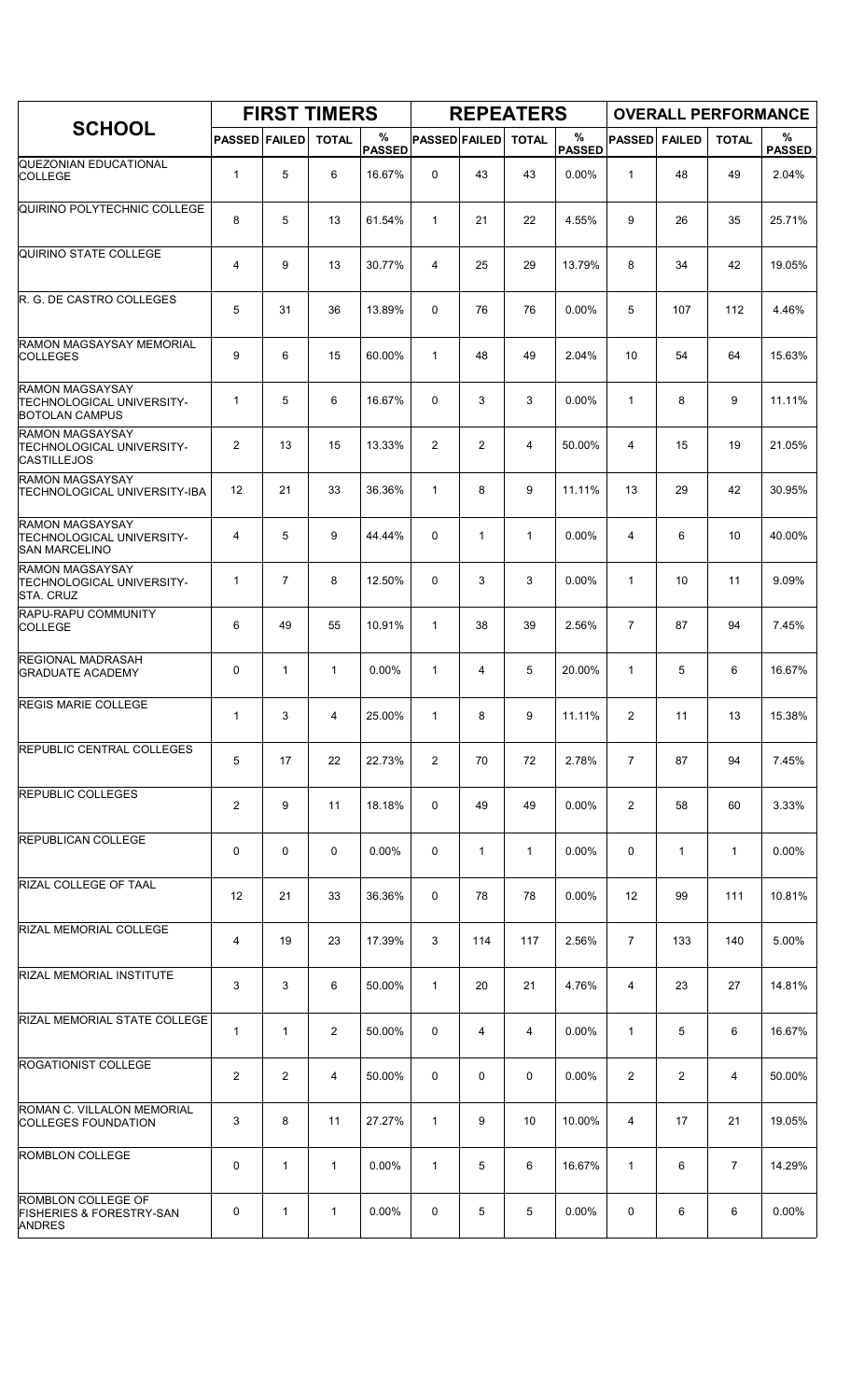|                                                                                    |                      |                | <b>FIRST TIMERS</b> |                    |                      |                | <b>REPEATERS</b> |                    |                |               | <b>OVERALL PERFORMANCE</b> |                    |
|------------------------------------------------------------------------------------|----------------------|----------------|---------------------|--------------------|----------------------|----------------|------------------|--------------------|----------------|---------------|----------------------------|--------------------|
| <b>SCHOOL</b>                                                                      | <b>PASSED FAILED</b> |                | <b>TOTAL</b>        | %<br><b>PASSED</b> | <b>PASSED FAILED</b> |                | <b>TOTAL</b>     | %<br><b>PASSED</b> | <b>PASSED</b>  | <b>FAILED</b> | <b>TOTAL</b>               | %<br><b>PASSED</b> |
| <b>QUEZONIAN EDUCATIONAL</b><br><b>COLLEGE</b>                                     | $\mathbf{1}$         | 5              | 6                   | 16.67%             | 0                    | 43             | 43               | 0.00%              | $\mathbf{1}$   | 48            | 49                         | 2.04%              |
| QUIRINO POLYTECHNIC COLLEGE                                                        | 8                    | 5              | 13                  | 61.54%             | $\mathbf{1}$         | 21             | 22               | 4.55%              | 9              | 26            | 35                         | 25.71%             |
| <b>QUIRINO STATE COLLEGE</b>                                                       | 4                    | 9              | 13                  | 30.77%             | 4                    | 25             | 29               | 13.79%             | 8              | 34            | 42                         | 19.05%             |
| R. G. DE CASTRO COLLEGES                                                           | 5                    | 31             | 36                  | 13.89%             | 0                    | 76             | 76               | 0.00%              | 5              | 107           | 112                        | 4.46%              |
| <b>RAMON MAGSAYSAY MEMORIAL</b><br><b>COLLEGES</b>                                 | 9                    | 6              | 15                  | 60.00%             | $\mathbf{1}$         | 48             | 49               | 2.04%              | 10             | 54            | 64                         | 15.63%             |
| <b>RAMON MAGSAYSAY</b><br>TECHNOLOGICAL UNIVERSITY-<br><b>BOTOLAN CAMPUS</b>       | $\mathbf{1}$         | 5              | 6                   | 16.67%             | 0                    | 3              | 3                | 0.00%              | $\mathbf{1}$   | 8             | 9                          | 11.11%             |
| <b>RAMON MAGSAYSAY</b><br><b>TECHNOLOGICAL UNIVERSITY-</b><br><b>CASTILLEJOS</b>   | $\overline{2}$       | 13             | 15                  | 13.33%             | 2                    | $\overline{c}$ | $\overline{4}$   | 50.00%             | 4              | 15            | 19                         | 21.05%             |
| <b>RAMON MAGSAYSAY</b><br>TECHNOLOGICAL UNIVERSITY-IBA                             | 12                   | 21             | 33                  | 36.36%             | $\mathbf{1}$         | 8              | 9                | 11.11%             | 13             | 29            | 42                         | 30.95%             |
| <b>RAMON MAGSAYSAY</b><br><b>TECHNOLOGICAL UNIVERSITY-</b><br><b>SAN MARCELINO</b> | 4                    | 5              | 9                   | 44.44%             | 0                    | $\mathbf{1}$   | $\mathbf{1}$     | 0.00%              | 4              | 6             | 10                         | 40.00%             |
| <b>RAMON MAGSAYSAY</b><br><b>TECHNOLOGICAL UNIVERSITY-</b><br><b>STA. CRUZ</b>     | 1                    | $\overline{7}$ | 8                   | 12.50%             | 0                    | 3              | 3                | 0.00%              | $\mathbf{1}$   | 10            | 11                         | 9.09%              |
| RAPU-RAPU COMMUNITY<br><b>COLLEGE</b>                                              | 6                    | 49             | 55                  | 10.91%             | $\mathbf{1}$         | 38             | 39               | 2.56%              | $\overline{7}$ | 87            | 94                         | 7.45%              |
| <b>REGIONAL MADRASAH</b><br><b>GRADUATE ACADEMY</b>                                | 0                    | $\mathbf{1}$   | $\mathbf{1}$        | 0.00%              | $\mathbf{1}$         | 4              | 5                | 20.00%             | 1              | 5             | 6                          | 16.67%             |
| <b>REGIS MARIE COLLEGE</b>                                                         | 1                    | 3              | 4                   | 25.00%             | $\mathbf{1}$         | 8              | 9                | 11.11%             | $\overline{c}$ | 11            | 13                         | 15.38%             |
| REPUBLIC CENTRAL COLLEGES                                                          | 5                    | 17             | 22                  | 22.73%             | 2                    | 70             | 72               | 2.78%              | $\overline{7}$ | 87            | 94                         | 7.45%              |
| <b>REPUBLIC COLLEGES</b>                                                           | $\overline{2}$       | 9              | 11                  | 18.18%             | 0                    | 49             | 49               | 0.00%              | $\overline{2}$ | 58            | 60                         | 3.33%              |
| <b>REPUBLICAN COLLEGE</b>                                                          | 0                    | 0              | 0                   | $0.00\%$           | 0                    | $\mathbf{1}$   | $\mathbf{1}$     | $0.00\%$           | 0              | $\mathbf{1}$  | $\mathbf{1}$               | 0.00%              |
| RIZAL COLLEGE OF TAAL                                                              | 12                   | 21             | 33                  | 36.36%             | 0                    | 78             | 78               | 0.00%              | 12             | 99            | 111                        | 10.81%             |
| RIZAL MEMORIAL COLLEGE                                                             | 4                    | 19             | 23                  | 17.39%             | 3                    | 114            | 117              | 2.56%              | $\overline{7}$ | 133           | 140                        | 5.00%              |
| RIZAL MEMORIAL INSTITUTE                                                           | 3                    | 3              | 6                   | 50.00%             | $\mathbf{1}$         | 20             | 21               | 4.76%              | 4              | 23            | 27                         | 14.81%             |
| RIZAL MEMORIAL STATE COLLEGE                                                       | 1                    | 1              | $\overline{2}$      | 50.00%             | 0                    | 4              | 4                | $0.00\%$           | $\mathbf{1}$   | 5             | 6                          | 16.67%             |
| ROGATIONIST COLLEGE                                                                | 2                    | $\overline{2}$ | 4                   | 50.00%             | 0                    | 0              | 0                | 0.00%              | 2              | 2             | 4                          | 50.00%             |
| ROMAN C. VILLALON MEMORIAL<br><b>COLLEGES FOUNDATION</b>                           | 3                    | 8              | 11                  | 27.27%             | 1                    | 9              | 10               | 10.00%             | 4              | 17            | 21                         | 19.05%             |
| ROMBLON COLLEGE                                                                    | 0                    | $\mathbf{1}$   | 1                   | $0.00\%$           | $\mathbf{1}$         | 5              | 6                | 16.67%             | 1              | 6             | $\overline{7}$             | 14.29%             |
| ROMBLON COLLEGE OF<br><b>FISHERIES &amp; FORESTRY-SAN</b><br><b>ANDRES</b>         | 0                    | 1              | 1                   | $0.00\%$           | 0                    | 5              | 5                | 0.00%              | 0              | 6             | 6                          | 0.00%              |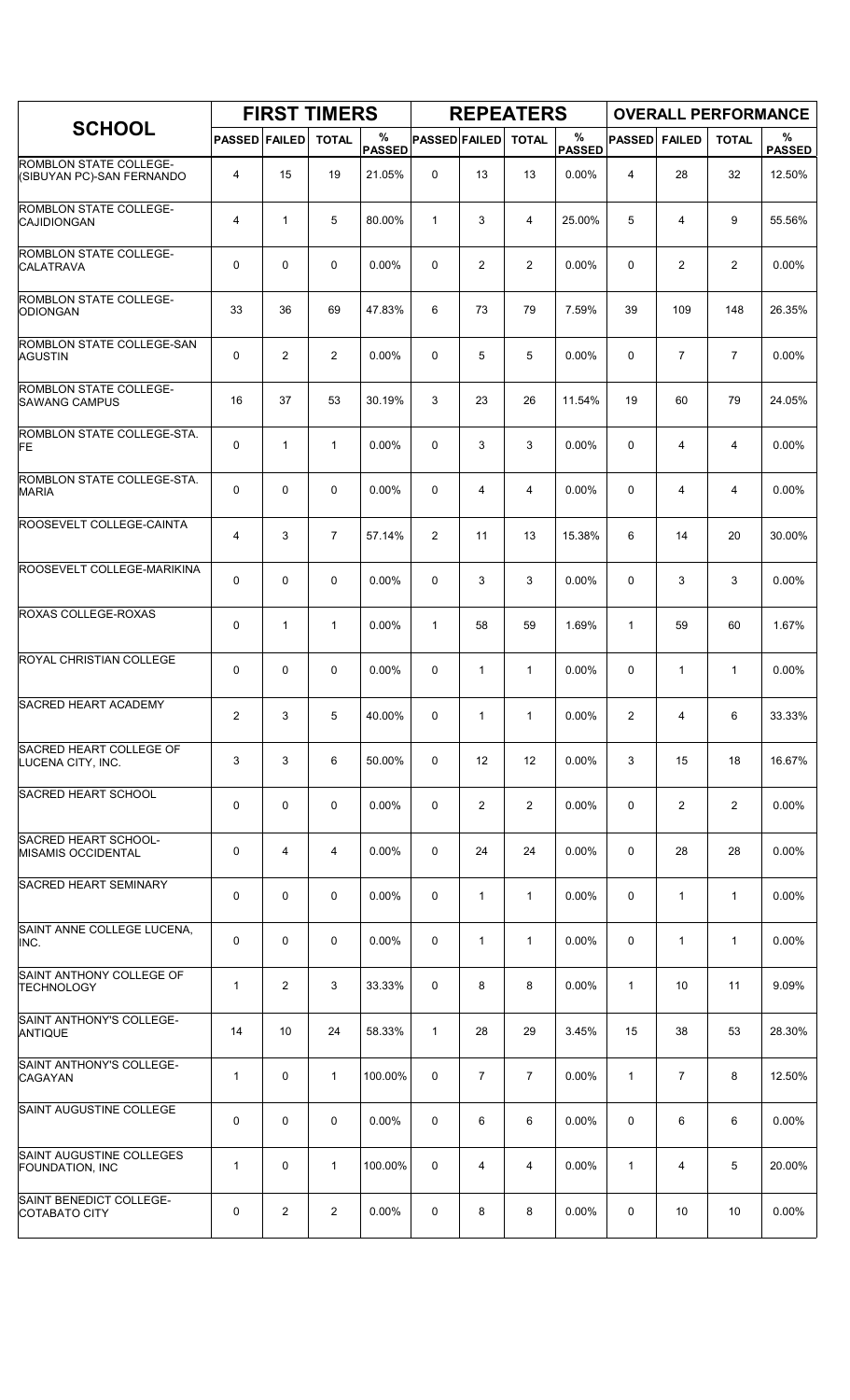|                                                     |                      |                | <b>FIRST TIMERS</b> |                    |                      |                | <b>REPEATERS</b> |                    |                |                |                | <b>OVERALL PERFORMANCE</b> |
|-----------------------------------------------------|----------------------|----------------|---------------------|--------------------|----------------------|----------------|------------------|--------------------|----------------|----------------|----------------|----------------------------|
| <b>SCHOOL</b>                                       | <b>PASSED FAILED</b> |                | <b>TOTAL</b>        | %<br><b>PASSED</b> | <b>PASSED FAILED</b> |                | <b>TOTAL</b>     | %<br><b>PASSED</b> | <b>PASSED</b>  | <b>FAILED</b>  | <b>TOTAL</b>   | %<br><b>PASSED</b>         |
| ROMBLON STATE COLLEGE-<br>(SIBUYAN PC)-SAN FERNANDO | 4                    | 15             | 19                  | 21.05%             | $\mathbf 0$          | 13             | 13               | 0.00%              | 4              | 28             | 32             | 12.50%                     |
| <b>ROMBLON STATE COLLEGE-</b><br>CAJIDIONGAN        | 4                    | $\mathbf{1}$   | 5                   | 80.00%             | $\mathbf{1}$         | 3              | 4                | 25.00%             | 5              | 4              | 9              | 55.56%                     |
| ROMBLON STATE COLLEGE-<br><b>CALATRAVA</b>          | 0                    | 0              | $\mathbf 0$         | $0.00\%$           | 0                    | $\overline{2}$ | $\overline{2}$   | 0.00%              | 0              | $\overline{c}$ | $\overline{2}$ | $0.00\%$                   |
| ROMBLON STATE COLLEGE-<br>ODIONGAN                  | 33                   | 36             | 69                  | 47.83%             | 6                    | 73             | 79               | 7.59%              | 39             | 109            | 148            | 26.35%                     |
| ROMBLON STATE COLLEGE-SAN<br><b>AGUSTIN</b>         | 0                    | $\overline{2}$ | 2                   | 0.00%              | 0                    | 5              | 5                | 0.00%              | $\mathbf 0$    | $\overline{7}$ | $\overline{7}$ | 0.00%                      |
| ROMBLON STATE COLLEGE-<br><b>SAWANG CAMPUS</b>      | 16                   | 37             | 53                  | 30.19%             | 3                    | 23             | 26               | 11.54%             | 19             | 60             | 79             | 24.05%                     |
| ROMBLON STATE COLLEGE-STA.<br><b>FE</b>             | 0                    | $\mathbf{1}$   | $\mathbf{1}$        | 0.00%              | 0                    | 3              | 3                | 0.00%              | 0              | 4              | $\overline{4}$ | 0.00%                      |
| ROMBLON STATE COLLEGE-STA.<br><b>MARIA</b>          | 0                    | 0              | $\mathbf 0$         | $0.00\%$           | 0                    | 4              | 4                | 0.00%              | 0              | 4              | 4              | $0.00\%$                   |
| ROOSEVELT COLLEGE-CAINTA                            | 4                    | 3              | $\overline{7}$      | 57.14%             | 2                    | 11             | 13               | 15.38%             | 6              | 14             | 20             | 30.00%                     |
| ROOSEVELT COLLEGE-MARIKINA                          | 0                    | 0              | $\mathbf 0$         | 0.00%              | 0                    | 3              | 3                | 0.00%              | $\mathbf 0$    | 3              | 3              | 0.00%                      |
| ROXAS COLLEGE-ROXAS                                 | 0                    | 1              | $\mathbf{1}$        | 0.00%              | $\mathbf{1}$         | 58             | 59               | 1.69%              | 1              | 59             | 60             | 1.67%                      |
| <b>ROYAL CHRISTIAN COLLEGE</b>                      | 0                    | 0              | $\mathbf 0$         | 0.00%              | 0                    | 1              | 1                | 0.00%              | $\mathbf 0$    | 1              | $\mathbf{1}$   | 0.00%                      |
| <b>SACRED HEART ACADEMY</b>                         | 2                    | 3              | 5                   | 40.00%             | 0                    | 1              | $\mathbf{1}$     | 0.00%              | $\overline{2}$ | 4              | 6              | 33.33%                     |
| SACRED HEART COLLEGE OF<br>LUCENA CITY, INC.        | 3                    | 3              | 6                   | 50.00%             | 0                    | 12             | 12               | 0.00%              | 3              | 15             | 18             | 16.67%                     |
| <b>SACRED HEART SCHOOL</b>                          | 0                    | 0              | $\mathbf 0$         | 0.00%              | 0                    | 2              | $\overline{2}$   | 0.00%              | 0              | $\overline{2}$ | $\overline{c}$ | 0.00%                      |
| SACRED HEART SCHOOL-<br>MISAMIS OCCIDENTAL          | 0                    | $\overline{4}$ | 4                   | 0.00%              | 0                    | 24             | 24               | 0.00%              | 0              | 28             | 28             | 0.00%                      |
| <b>SACRED HEART SEMINARY</b>                        | 0                    | 0              | 0                   | 0.00%              | 0                    | $\mathbf{1}$   | $\mathbf{1}$     | 0.00%              | 0              | $\mathbf{1}$   | $\mathbf{1}$   | 0.00%                      |
| SAINT ANNE COLLEGE LUCENA,<br>INC.                  | 0                    | 0              | 0                   | 0.00%              | 0                    | $\mathbf{1}$   | $\mathbf{1}$     | 0.00%              | 0              | $\mathbf{1}$   | $\mathbf{1}$   | 0.00%                      |
| SAINT ANTHONY COLLEGE OF<br>TECHNOLOGY              | $\mathbf{1}$         | $\overline{c}$ | 3                   | 33.33%             | 0                    | 8              | 8                | 0.00%              | $\mathbf{1}$   | 10             | 11             | 9.09%                      |
| SAINT ANTHONY'S COLLEGE-<br><b>ANTIQUE</b>          | 14                   | 10             | 24                  | 58.33%             | $\mathbf{1}$         | 28             | 29               | 3.45%              | 15             | 38             | 53             | 28.30%                     |
| SAINT ANTHONY'S COLLEGE-<br><b>CAGAYAN</b>          | $\mathbf{1}$         | 0              | $\mathbf{1}$        | 100.00%            | 0                    | $\overline{7}$ | $\overline{7}$   | 0.00%              | $\mathbf{1}$   | $\overline{7}$ | 8              | 12.50%                     |
| SAINT AUGUSTINE COLLEGE                             | 0                    | 0              | 0                   | 0.00%              | 0                    | 6              | 6                | 0.00%              | 0              | 6              | 6              | 0.00%                      |
| SAINT AUGUSTINE COLLEGES<br>FOUNDATION, INC         | $\mathbf{1}$         | 0              | $\mathbf{1}$        | 100.00%            | 0                    | 4              | 4                | 0.00%              | 1              | 4              | 5              | 20.00%                     |
| SAINT BENEDICT COLLEGE-<br>COTABATO CITY            | 0                    | 2              | $\overline{2}$      | 0.00%              | 0                    | 8              | 8                | 0.00%              | 0              | 10             | 10             | $0.00\%$                   |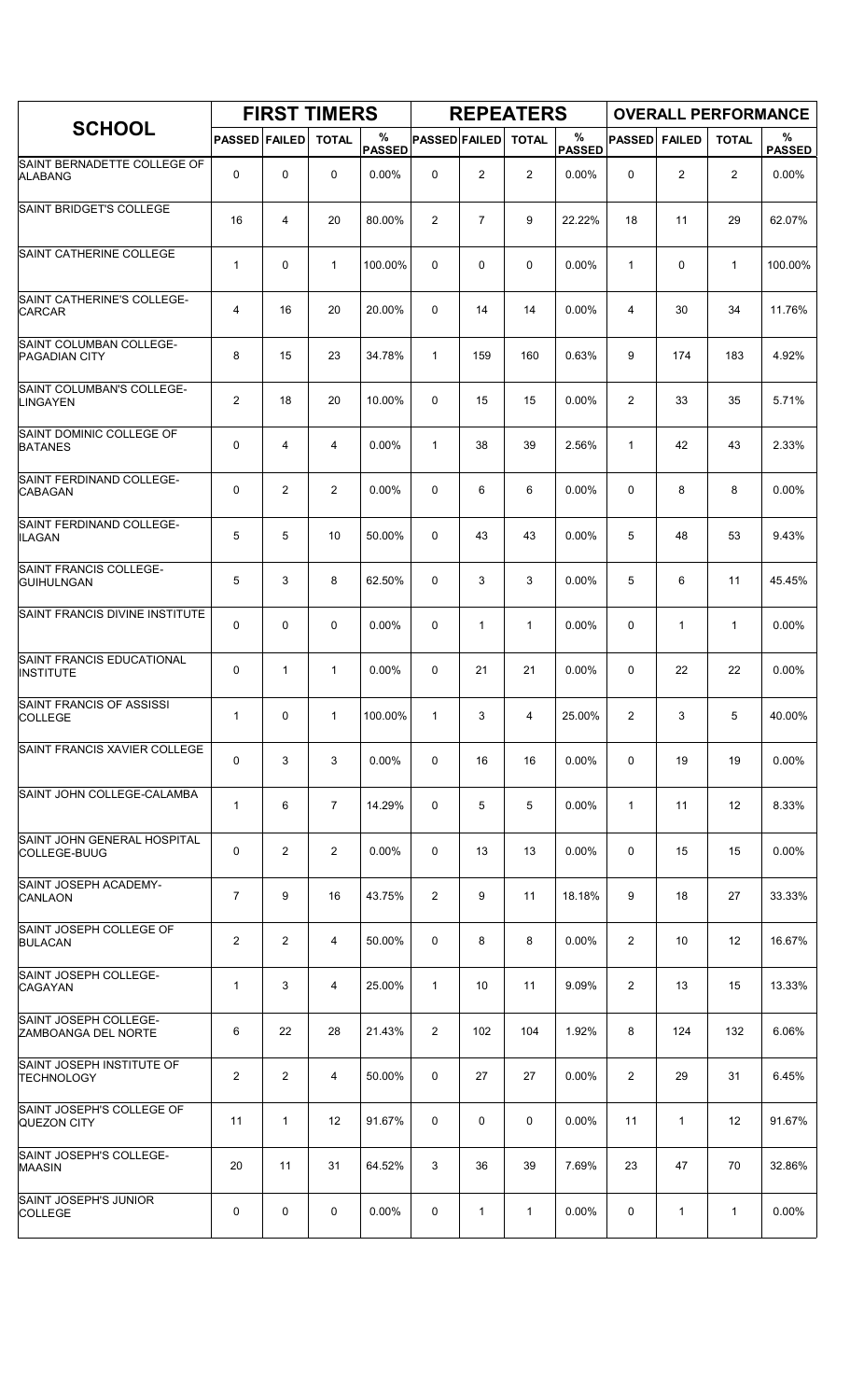|                                                 |                      |                | <b>FIRST TIMERS</b> |             |                      |                | <b>REPEATERS</b> |                    |                |                |              | <b>OVERALL PERFORMANCE</b> |
|-------------------------------------------------|----------------------|----------------|---------------------|-------------|----------------------|----------------|------------------|--------------------|----------------|----------------|--------------|----------------------------|
| <b>SCHOOL</b>                                   | <b>PASSED FAILED</b> |                | <b>TOTAL</b>        | %<br>PASSED | <b>PASSED FAILED</b> |                | <b>TOTAL</b>     | %<br><b>PASSED</b> | <b>PASSED</b>  | <b>FAILED</b>  | <b>TOTAL</b> | %<br><b>PASSED</b>         |
| SAINT BERNADETTE COLLEGE OF<br><b>ALABANG</b>   | 0                    | 0              | 0                   | 0.00%       | $\mathbf 0$          | $\overline{2}$ | $\overline{2}$   | 0.00%              | 0              | $\overline{2}$ | 2            | 0.00%                      |
| SAINT BRIDGET'S COLLEGE                         | 16                   | 4              | 20                  | 80.00%      | 2                    | $\overline{7}$ | 9                | 22.22%             | 18             | 11             | 29           | 62.07%                     |
| SAINT CATHERINE COLLEGE                         | $\mathbf{1}$         | 0              | $\mathbf{1}$        | 100.00%     | 0                    | 0              | 0                | 0.00%              | $\mathbf{1}$   | 0              | $\mathbf{1}$ | 100.00%                    |
| SAINT CATHERINE'S COLLEGE-<br><b>CARCAR</b>     | 4                    | 16             | 20                  | 20.00%      | 0                    | 14             | 14               | 0.00%              | 4              | 30             | 34           | 11.76%                     |
| SAINT COLUMBAN COLLEGE-<br><b>PAGADIAN CITY</b> | 8                    | 15             | 23                  | 34.78%      | $\mathbf{1}$         | 159            | 160              | 0.63%              | 9              | 174            | 183          | 4.92%                      |
| SAINT COLUMBAN'S COLLEGE-<br>LINGAYEN           | 2                    | 18             | 20                  | 10.00%      | 0                    | 15             | 15               | 0.00%              | $\overline{c}$ | 33             | 35           | 5.71%                      |
| SAINT DOMINIC COLLEGE OF<br><b>BATANES</b>      | 0                    | 4              | 4                   | 0.00%       | $\mathbf{1}$         | 38             | 39               | 2.56%              | 1              | 42             | 43           | 2.33%                      |
| SAINT FERDINAND COLLEGE-<br><b>CABAGAN</b>      | 0                    | $\overline{2}$ | 2                   | $0.00\%$    | 0                    | 6              | 6                | 0.00%              | 0              | 8              | 8            | $0.00\%$                   |
| SAINT FERDINAND COLLEGE-<br><b>ILAGAN</b>       | 5                    | 5              | 10                  | 50.00%      | 0                    | 43             | 43               | 0.00%              | 5              | 48             | 53           | 9.43%                      |
| SAINT FRANCIS COLLEGE-<br><b>GUIHULNGAN</b>     | 5                    | 3              | 8                   | 62.50%      | 0                    | 3              | 3                | 0.00%              | 5              | 6              | 11           | 45.45%                     |
| SAINT FRANCIS DIVINE INSTITUTE                  | 0                    | 0              | $\mathbf 0$         | 0.00%       | 0                    | 1              | $\mathbf{1}$     | 0.00%              | 0              | $\mathbf{1}$   | $\mathbf{1}$ | 0.00%                      |
| SAINT FRANCIS EDUCATIONAL<br><b>INSTITUTE</b>   | 0                    | 1              | 1                   | 0.00%       | 0                    | 21             | 21               | 0.00%              | 0              | 22             | 22           | 0.00%                      |
| SAINT FRANCIS OF ASSISSI<br><b>COLLEGE</b>      | $\mathbf{1}$         | 0              | 1                   | 100.00%     | 1                    | 3              | 4                | 25.00%             | $\overline{2}$ | 3              | 5            | 40.00%                     |
| SAINT FRANCIS XAVIER COLLEGE                    | 0                    | 3              | 3                   | 0.00%       | 0                    | 16             | 16               | $0.00\%$           | 0              | 19             | 19           | 0.00%                      |
| SAINT JOHN COLLEGE-CALAMBA                      | $\mathbf{1}$         | 6              | $\overline{7}$      | 14.29%      | 0                    | 5              | 5                | 0.00%              | $\mathbf{1}$   | 11             | 12           | 8.33%                      |
| SAINT JOHN GENERAL HOSPITAL<br> COLLEGE-BUUG    | 0                    | $\overline{c}$ | $\overline{2}$      | 0.00%       | 0                    | 13             | 13               | $0.00\%$           | 0              | 15             | 15           | 0.00%                      |
| SAINT JOSEPH ACADEMY-<br><b>CANLAON</b>         | $\overline{7}$       | 9              | 16                  | 43.75%      | 2                    | 9              | 11               | 18.18%             | 9              | 18             | 27           | 33.33%                     |
| SAINT JOSEPH COLLEGE OF<br><b>BULACAN</b>       | 2                    | 2              | 4                   | 50.00%      | 0                    | 8              | 8                | 0.00%              | $\overline{2}$ | 10             | 12           | 16.67%                     |
| SAINT JOSEPH COLLEGE-<br><b>CAGAYAN</b>         | $\mathbf{1}$         | 3              | 4                   | 25.00%      | $\mathbf{1}$         | 10             | 11               | 9.09%              | $\overline{2}$ | 13             | 15           | 13.33%                     |
| SAINT JOSEPH COLLEGE-<br>ZAMBOANGA DEL NORTE    | 6                    | 22             | 28                  | 21.43%      | $\overline{2}$       | 102            | 104              | 1.92%              | 8              | 124            | 132          | 6.06%                      |
| SAINT JOSEPH INSTITUTE OF<br>TECHNOLOGY         | 2                    | 2              | 4                   | 50.00%      | 0                    | 27             | 27               | 0.00%              | $\overline{2}$ | 29             | 31           | 6.45%                      |
| SAINT JOSEPH'S COLLEGE OF<br><b>QUEZON CITY</b> | 11                   | $\mathbf{1}$   | 12                  | 91.67%      | 0                    | 0              | 0                | 0.00%              | 11             | $\mathbf{1}$   | 12           | 91.67%                     |
| SAINT JOSEPH'S COLLEGE-<br><b>MAASIN</b>        | 20                   | 11             | 31                  | 64.52%      | 3                    | 36             | 39               | 7.69%              | 23             | 47             | 70           | 32.86%                     |
| SAINT JOSEPH'S JUNIOR<br><b>COLLEGE</b>         | 0                    | 0              | 0                   | $0.00\%$    | 0                    | 1              | $\mathbf{1}$     | $0.00\%$           | 0              | 1              | $\mathbf{1}$ | $0.00\%$                   |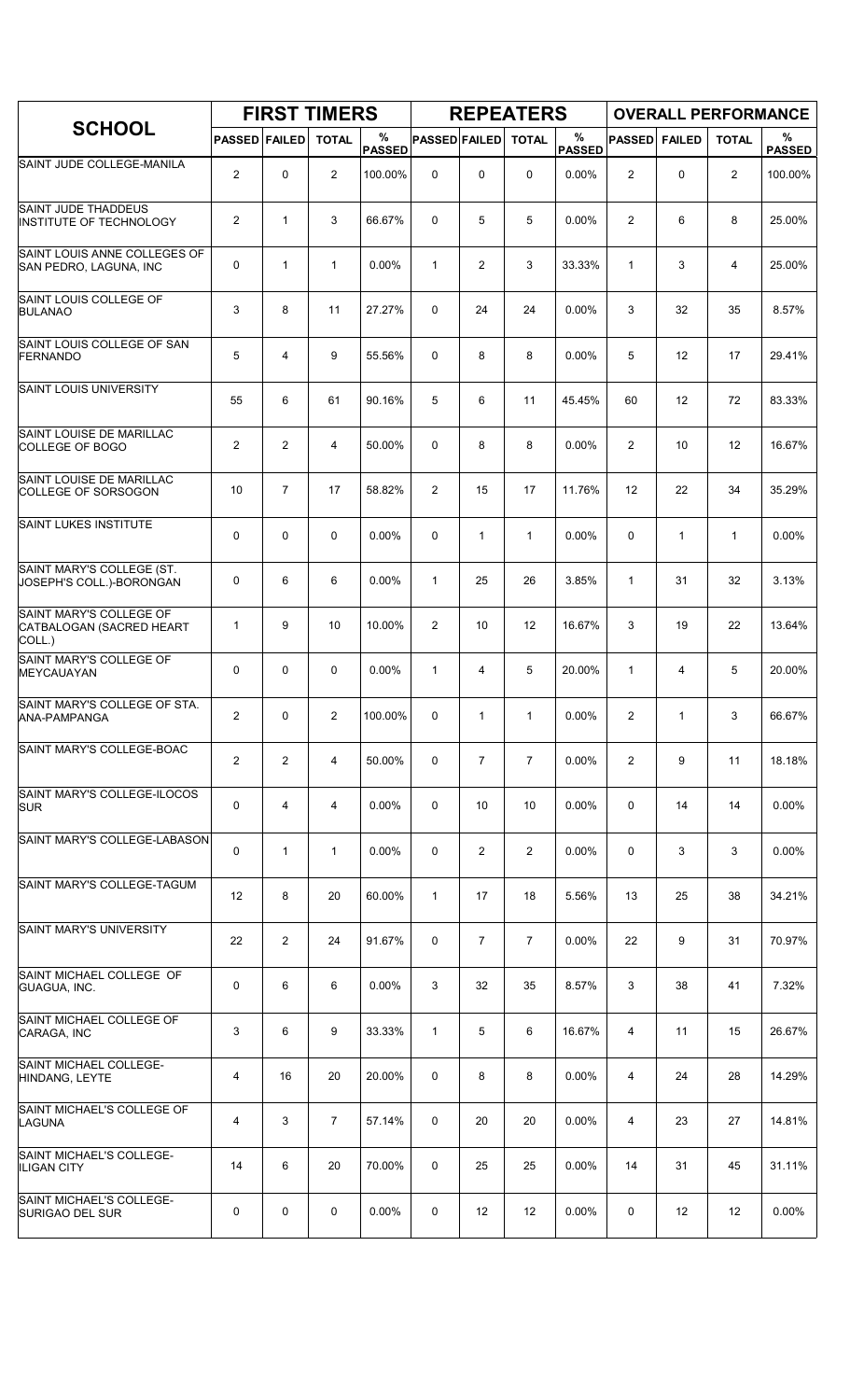|                                                               |                      |                | <b>FIRST TIMERS</b> |                    |                      |                | <b>REPEATERS</b> |                       |                |               | <b>OVERALL PERFORMANCE</b> |                    |
|---------------------------------------------------------------|----------------------|----------------|---------------------|--------------------|----------------------|----------------|------------------|-----------------------|----------------|---------------|----------------------------|--------------------|
| <b>SCHOOL</b>                                                 | <b>PASSED FAILED</b> |                | <b>TOTAL</b>        | %<br><b>PASSED</b> | <b>PASSED FAILED</b> |                | <b>TOTAL</b>     | $\%$<br><b>PASSED</b> | <b>PASSED</b>  | <b>FAILED</b> | <b>TOTAL</b>               | %<br><b>PASSED</b> |
| SAINT JUDE COLLEGE-MANILA                                     | $\overline{2}$       | $\mathbf 0$    | $\overline{2}$      | 100.00%            | 0                    | 0              | $\mathbf 0$      | 0.00%                 | $\overline{2}$ | 0             | $\overline{2}$             | 100.00%            |
| <b>SAINT JUDE THADDEUS</b><br>INSTITUTE OF TECHNOLOGY         | $\overline{2}$       | $\mathbf{1}$   | 3                   | 66.67%             | 0                    | 5              | 5                | 0.00%                 | 2              | 6             | 8                          | 25.00%             |
| SAINT LOUIS ANNE COLLEGES OF<br>SAN PEDRO, LAGUNA, INC        | 0                    | $\mathbf{1}$   | $\mathbf{1}$        | 0.00%              | $\mathbf{1}$         | $\overline{c}$ | 3                | 33.33%                | $\mathbf{1}$   | 3             | 4                          | 25.00%             |
| SAINT LOUIS COLLEGE OF<br><b>BULANAO</b>                      | 3                    | 8              | 11                  | 27.27%             | 0                    | 24             | 24               | 0.00%                 | 3              | 32            | 35                         | 8.57%              |
| SAINT LOUIS COLLEGE OF SAN<br>FERNANDO                        | 5                    | 4              | 9                   | 55.56%             | 0                    | 8              | 8                | 0.00%                 | 5              | 12            | 17                         | 29.41%             |
| <b>SAINT LOUIS UNIVERSITY</b>                                 | 55                   | 6              | 61                  | 90.16%             | 5                    | 6              | 11               | 45.45%                | 60             | 12            | 72                         | 83.33%             |
| SAINT LOUISE DE MARILLAC<br>COLLEGE OF BOGO                   | $\overline{2}$       | 2              | $\overline{4}$      | 50.00%             | 0                    | 8              | 8                | 0.00%                 | $\overline{2}$ | 10            | 12                         | 16.67%             |
| SAINT LOUISE DE MARILLAC<br>COLLEGE OF SORSOGON               | 10                   | $\overline{7}$ | 17                  | 58.82%             | $\overline{2}$       | 15             | 17               | 11.76%                | 12             | 22            | 34                         | 35.29%             |
| SAINT LUKES INSTITUTE                                         | 0                    | $\mathbf 0$    | $\mathbf 0$         | 0.00%              | 0                    | $\mathbf{1}$   | $\mathbf{1}$     | 0.00%                 | $\Omega$       | $\mathbf{1}$  | $\mathbf{1}$               | 0.00%              |
| SAINT MARY'S COLLEGE (ST.<br>JOSEPH'S COLL.)-BORONGAN         | 0                    | 6              | 6                   | 0.00%              | $\mathbf{1}$         | 25             | 26               | 3.85%                 | $\mathbf{1}$   | 31            | 32                         | 3.13%              |
| SAINT MARY'S COLLEGE OF<br>CATBALOGAN (SACRED HEART<br>COLL.) | 1                    | 9              | 10                  | 10.00%             | $\overline{2}$       | 10             | 12               | 16.67%                | 3              | 19            | 22                         | 13.64%             |
| SAINT MARY'S COLLEGE OF<br>MEYCAUAYAN                         | 0                    | $\mathbf 0$    | 0                   | 0.00%              | $\mathbf{1}$         | 4              | 5                | 20.00%                | 1              | 4             | 5                          | 20.00%             |
| SAINT MARY'S COLLEGE OF STA.<br>ANA-PAMPANGA                  | $\overline{2}$       | 0              | $\overline{c}$      | 100.00%            | 0                    | $\mathbf{1}$   | $\mathbf{1}$     | 0.00%                 | 2              | $\mathbf{1}$  | 3                          | 66.67%             |
| SAINT MARY'S COLLEGE-BOAC                                     | $\overline{2}$       | $\overline{2}$ | 4                   | 50.00%             | 0                    | $\overline{7}$ | $\overline{7}$   | 0.00%                 | 2              | 9             | 11                         | 18.18%             |
| SAINT MARY'S COLLEGE-ILOCOS<br><b>SUR</b>                     | 0                    | $\overline{4}$ | 4                   | $0.00\%$           | 0                    | 10             | 10               | 0.00%                 | 0              | 14            | 14                         | 0.00%              |
| SAINT MARY'S COLLEGE-LABASON                                  | 0                    | $\mathbf{1}$   | $\mathbf{1}$        | 0.00%              | 0                    | 2              | $\overline{2}$   | $0.00\%$              | 0              | 3             | 3                          | $0.00\%$           |
| SAINT MARY'S COLLEGE-TAGUM                                    | 12                   | 8              | 20                  | 60.00%             | $\mathbf{1}$         | 17             | 18               | 5.56%                 | 13             | 25            | 38                         | 34.21%             |
| SAINT MARY'S UNIVERSITY                                       | 22                   | $\overline{2}$ | 24                  | 91.67%             | 0                    | $\overline{7}$ | $\overline{7}$   | 0.00%                 | 22             | 9             | 31                         | 70.97%             |
| SAINT MICHAEL COLLEGE OF<br>GUAGUA, INC.                      | 0                    | 6              | 6                   | $0.00\%$           | 3                    | 32             | 35               | 8.57%                 | 3              | 38            | 41                         | 7.32%              |
| SAINT MICHAEL COLLEGE OF<br>CARAGA, INC                       | 3                    | 6              | 9                   | 33.33%             | $\mathbf{1}$         | 5              | 6                | 16.67%                | 4              | 11            | 15                         | 26.67%             |
| SAINT MICHAEL COLLEGE-<br>HINDANG, LEYTE                      | 4                    | 16             | 20                  | 20.00%             | 0                    | 8              | 8                | 0.00%                 | 4              | 24            | 28                         | 14.29%             |
| SAINT MICHAEL'S COLLEGE OF<br>LAGUNA                          | 4                    | 3              | $\overline{7}$      | 57.14%             | 0                    | 20             | 20               | 0.00%                 | 4              | 23            | 27                         | 14.81%             |
| SAINT MICHAEL'S COLLEGE-<br><b>ILIGAN CITY</b>                | 14                   | 6              | 20                  | 70.00%             | 0                    | 25             | 25               | $0.00\%$              | 14             | 31            | 45                         | 31.11%             |
| SAINT MICHAEL'S COLLEGE-<br>SURIGAO DEL SUR                   | 0                    | 0              | 0                   | $0.00\%$           | 0                    | 12             | 12               | 0.00%                 | 0              | 12            | 12                         | 0.00%              |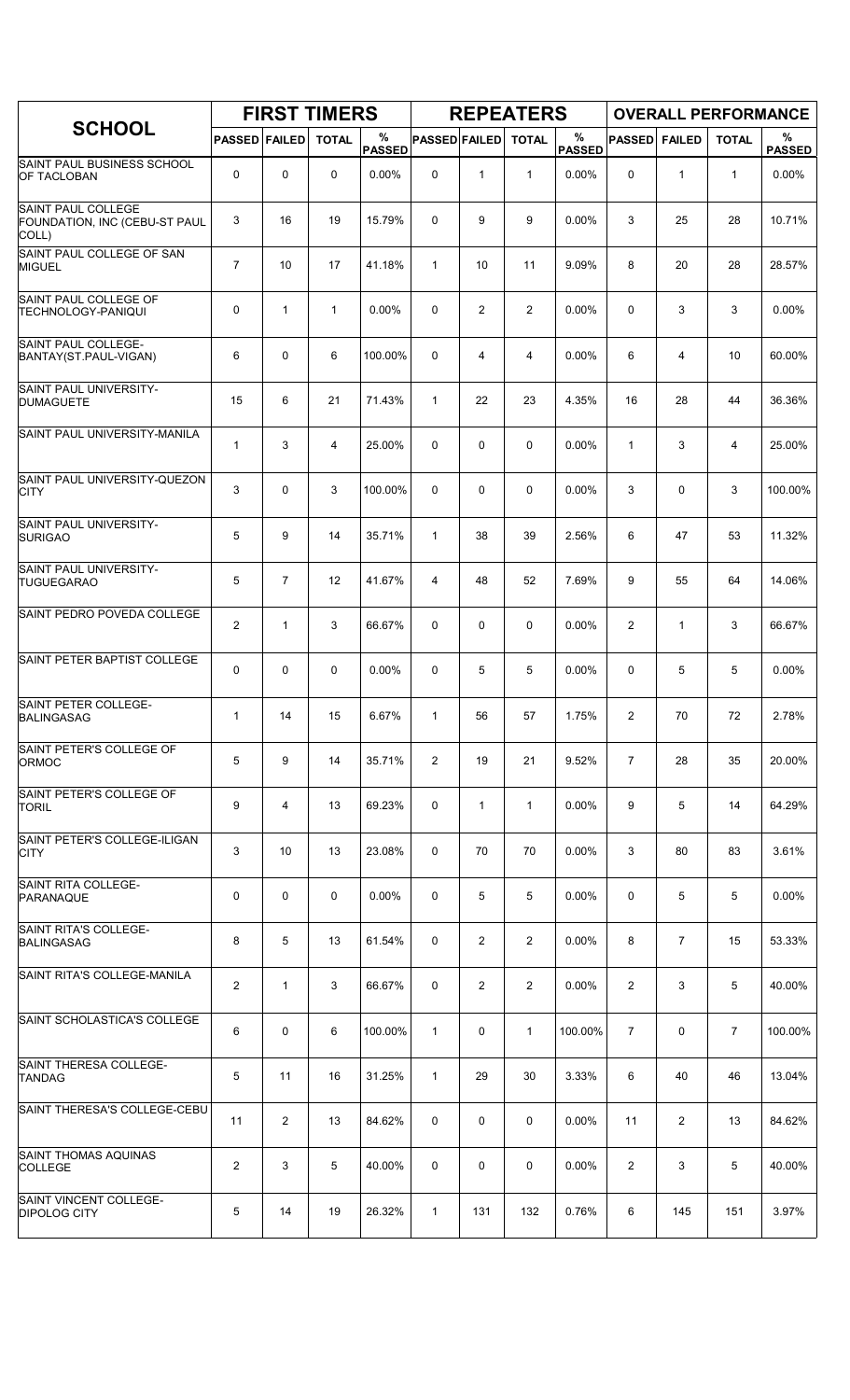|                                                              |                      |                | <b>FIRST TIMERS</b> |                    |                      |                | <b>REPEATERS</b> |                    |                |                |                | <b>OVERALL PERFORMANCE</b> |
|--------------------------------------------------------------|----------------------|----------------|---------------------|--------------------|----------------------|----------------|------------------|--------------------|----------------|----------------|----------------|----------------------------|
| <b>SCHOOL</b>                                                | <b>PASSED FAILED</b> |                | <b>TOTAL</b>        | %<br><b>PASSED</b> | <b>PASSED FAILED</b> |                | <b>TOTAL</b>     | %<br><b>PASSED</b> | <b>PASSED</b>  | <b>FAILED</b>  | <b>TOTAL</b>   | %<br><b>PASSED</b>         |
| SAINT PAUL BUSINESS SCHOOL<br><b>OF TACLOBAN</b>             | 0                    | 0              | 0                   | 0.00%              | $\mathbf 0$          | $\mathbf{1}$   | $\mathbf{1}$     | 0.00%              | 0              | $\mathbf{1}$   | $\mathbf{1}$   | 0.00%                      |
| SAINT PAUL COLLEGE<br>FOUNDATION, INC (CEBU-ST PAUL<br>COLL) | 3                    | 16             | 19                  | 15.79%             | 0                    | 9              | 9                | $0.00\%$           | 3              | 25             | 28             | 10.71%                     |
| SAINT PAUL COLLEGE OF SAN<br><b>MIGUEL</b>                   | $\overline{7}$       | 10             | 17                  | 41.18%             | $\mathbf{1}$         | 10             | 11               | 9.09%              | 8              | 20             | 28             | 28.57%                     |
| SAINT PAUL COLLEGE OF<br><b>TECHNOLOGY-PANIQUI</b>           | 0                    | $\mathbf{1}$   | $\mathbf{1}$        | 0.00%              | 0                    | $\overline{2}$ | $\overline{2}$   | 0.00%              | $\mathbf 0$    | 3              | 3              | 0.00%                      |
| SAINT PAUL COLLEGE-<br>BANTAY(ST.PAUL-VIGAN)                 | 6                    | 0              | 6                   | 100.00%            | 0                    | 4              | $\overline{4}$   | $0.00\%$           | 6              | 4              | 10             | 60.00%                     |
| SAINT PAUL UNIVERSITY-<br><b>DUMAGUETE</b>                   | 15                   | 6              | 21                  | 71.43%             | $\mathbf{1}$         | 22             | 23               | 4.35%              | 16             | 28             | 44             | 36.36%                     |
| SAINT PAUL UNIVERSITY-MANILA                                 | $\mathbf{1}$         | 3              | 4                   | 25.00%             | $\mathbf 0$          | 0              | $\mathbf 0$      | 0.00%              | 1              | 3              | $\overline{4}$ | 25.00%                     |
| SAINT PAUL UNIVERSITY-QUEZON<br><b>CITY</b>                  | 3                    | 0              | 3                   | 100.00%            | 0                    | 0              | 0                | $0.00\%$           | 3              | 0              | 3              | 100.00%                    |
| SAINT PAUL UNIVERSITY-<br><b>SURIGAO</b>                     | 5                    | 9              | 14                  | 35.71%             | $\mathbf{1}$         | 38             | 39               | 2.56%              | 6              | 47             | 53             | 11.32%                     |
| SAINT PAUL UNIVERSITY-<br><b>TUGUEGARAO</b>                  | 5                    | $\overline{7}$ | 12                  | 41.67%             | 4                    | 48             | 52               | 7.69%              | 9              | 55             | 64             | 14.06%                     |
| SAINT PEDRO POVEDA COLLEGE                                   | $\overline{2}$       | $\mathbf{1}$   | 3                   | 66.67%             | 0                    | 0              | 0                | 0.00%              | 2              | $\mathbf{1}$   | 3              | 66.67%                     |
| SAINT PETER BAPTIST COLLEGE                                  | 0                    | 0              | $\mathbf 0$         | 0.00%              | $\mathbf 0$          | 5              | 5                | 0.00%              | 0              | 5              | 5              | 0.00%                      |
| SAINT PETER COLLEGE-<br><b>BALINGASAG</b>                    | $\mathbf{1}$         | 14             | 15                  | 6.67%              | $\mathbf{1}$         | 56             | 57               | 1.75%              | 2              | 70             | 72             | 2.78%                      |
| SAINT PETER'S COLLEGE OF<br>ORMOC                            | 5                    | 9              | 14                  | 35.71%             | 2                    | 19             | 21               | 9.52%              | $\overline{7}$ | 28             | 35             | 20.00%                     |
| SAINT PETER'S COLLEGE OF<br><b>TORIL</b>                     | 9                    | 4              | 13                  | 69.23%             | 0                    | $\mathbf{1}$   | $\mathbf{1}$     | 0.00%              | 9              | 5              | 14             | 64.29%                     |
| SAINT PETER'S COLLEGE-ILIGAN<br><b>CITY</b>                  | 3                    | 10             | 13                  | 23.08%             | 0                    | 70             | 70               | $0.00\%$           | 3              | 80             | 83             | 3.61%                      |
| SAINT RITA COLLEGE-<br>PARANAQUE                             | 0                    | 0              | 0                   | 0.00%              | 0                    | 5              | 5                | 0.00%              | 0              | 5              | 5              | 0.00%                      |
| SAINT RITA'S COLLEGE-<br><b>BALINGASAG</b>                   | 8                    | 5              | 13                  | 61.54%             | 0                    | 2              | $\overline{2}$   | 0.00%              | 8              | $\overline{7}$ | 15             | 53.33%                     |
| SAINT RITA'S COLLEGE-MANILA                                  | 2                    | $\mathbf{1}$   | 3                   | 66.67%             | 0                    | 2              | $\overline{2}$   | $0.00\%$           | $\overline{2}$ | 3              | 5              | 40.00%                     |
| SAINT SCHOLASTICA'S COLLEGE                                  | 6                    | 0              | 6                   | 100.00%            | $\mathbf{1}$         | 0              | $\mathbf{1}$     | 100.00%            | $\overline{7}$ | 0              | $\overline{7}$ | 100.00%                    |
| SAINT THERESA COLLEGE-<br><b>TANDAG</b>                      | 5                    | 11             | 16                  | 31.25%             | $\mathbf{1}$         | 29             | 30               | 3.33%              | 6              | 40             | 46             | 13.04%                     |
| SAINT THERESA'S COLLEGE-CEBU                                 | 11                   | $\overline{2}$ | 13                  | 84.62%             | 0                    | 0              | 0                | 0.00%              | 11             | 2              | 13             | 84.62%                     |
| <b>SAINT THOMAS AQUINAS</b><br><b>COLLEGE</b>                | 2                    | 3              | 5                   | 40.00%             | 0                    | 0              | 0                | 0.00%              | $\overline{2}$ | 3              | 5              | 40.00%                     |
| SAINT VINCENT COLLEGE-<br><b>DIPOLOG CITY</b>                | 5                    | 14             | 19                  | 26.32%             | $\mathbf{1}$         | 131            | 132              | 0.76%              | 6              | 145            | 151            | 3.97%                      |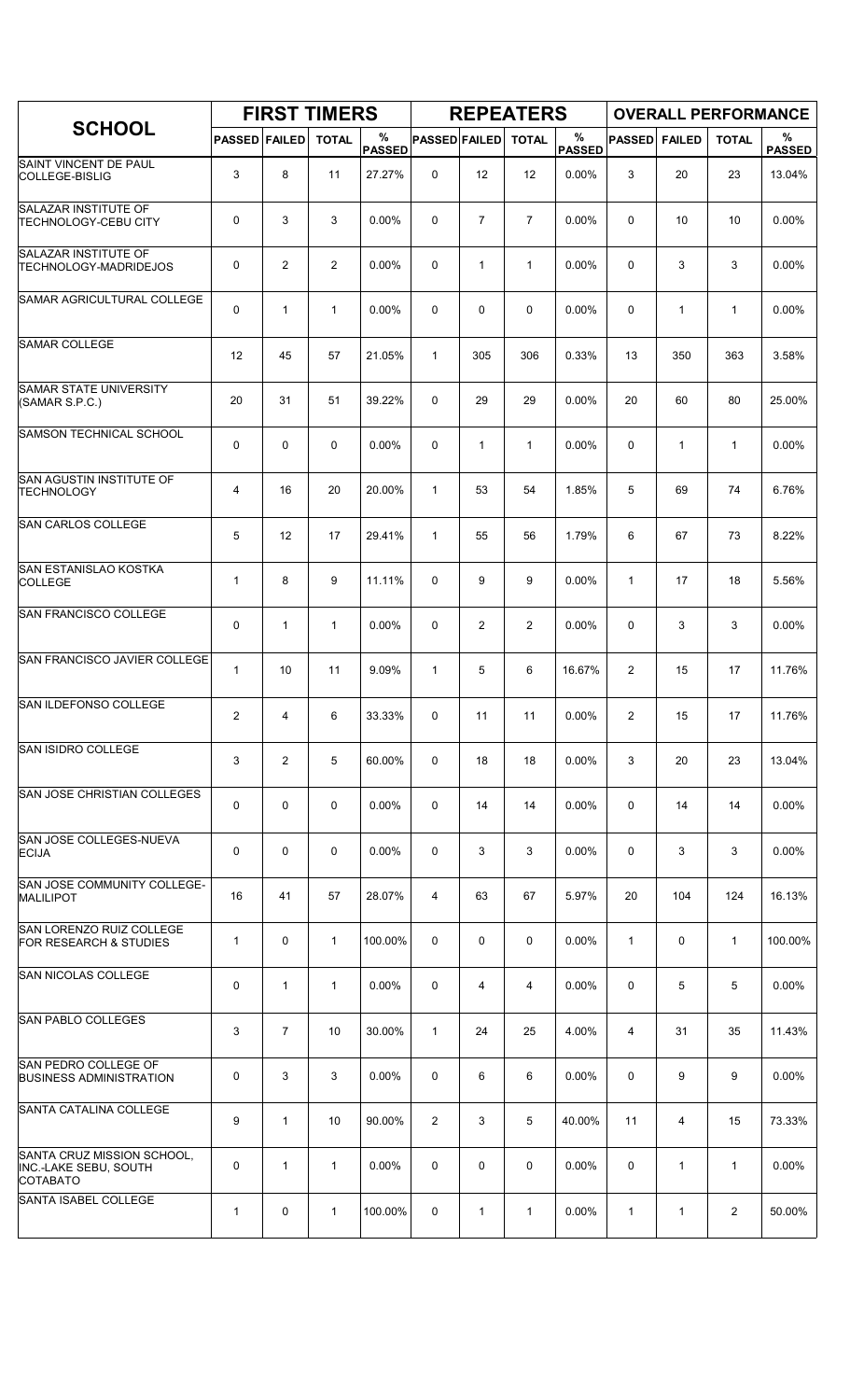|                                                                        |                      |                | <b>FIRST TIMERS</b> |                    |                      |                | <b>REPEATERS</b> |                    |                |               | <b>OVERALL PERFORMANCE</b> |                    |
|------------------------------------------------------------------------|----------------------|----------------|---------------------|--------------------|----------------------|----------------|------------------|--------------------|----------------|---------------|----------------------------|--------------------|
| <b>SCHOOL</b>                                                          | <b>PASSED FAILED</b> |                | <b>TOTAL</b>        | %<br><b>PASSED</b> | <b>PASSED FAILED</b> |                | <b>TOTAL</b>     | %<br><b>PASSED</b> | <b>PASSED</b>  | <b>FAILED</b> | <b>TOTAL</b>               | %<br><b>PASSED</b> |
| SAINT VINCENT DE PAUL<br>COLLEGE-BISLIG                                | 3                    | 8              | 11                  | 27.27%             | $\mathbf 0$          | 12             | 12               | 0.00%              | 3              | 20            | 23                         | 13.04%             |
| SALAZAR INSTITUTE OF<br><b>TECHNOLOGY-CEBU CITY</b>                    | 0                    | 3              | 3                   | 0.00%              | 0                    | $\overline{7}$ | $\overline{7}$   | 0.00%              | 0              | 10            | 10                         | 0.00%              |
| SALAZAR INSTITUTE OF<br><b>TECHNOLOGY-MADRIDEJOS</b>                   | 0                    | 2              | $\overline{2}$      | 0.00%              | 0                    | $\mathbf{1}$   | $\mathbf{1}$     | 0.00%              | 0              | 3             | 3                          | 0.00%              |
| SAMAR AGRICULTURAL COLLEGE                                             | 0                    | 1              | $\mathbf{1}$        | 0.00%              | 0                    | 0              | 0                | 0.00%              | $\mathbf 0$    | $\mathbf{1}$  | $\mathbf{1}$               | 0.00%              |
| <b>SAMAR COLLEGE</b>                                                   | 12                   | 45             | 57                  | 21.05%             | $\mathbf{1}$         | 305            | 306              | 0.33%              | 13             | 350           | 363                        | 3.58%              |
| <b>SAMAR STATE UNIVERSITY</b><br>(SAMAR S.P.C.)                        | 20                   | 31             | 51                  | 39.22%             | 0                    | 29             | 29               | 0.00%              | 20             | 60            | 80                         | 25.00%             |
| <b>SAMSON TECHNICAL SCHOOL</b>                                         | 0                    | 0              | $\mathbf 0$         | 0.00%              | 0                    | $\mathbf{1}$   | $\mathbf{1}$     | 0.00%              | $\mathbf 0$    | $\mathbf{1}$  | $\mathbf{1}$               | 0.00%              |
| SAN AGUSTIN INSTITUTE OF<br><b>TECHNOLOGY</b>                          | 4                    | 16             | 20                  | 20.00%             | $\mathbf{1}$         | 53             | 54               | 1.85%              | 5              | 69            | 74                         | 6.76%              |
| SAN CARLOS COLLEGE                                                     | 5                    | 12             | 17                  | 29.41%             | $\mathbf{1}$         | 55             | 56               | 1.79%              | 6              | 67            | 73                         | 8.22%              |
| SAN ESTANISLAO KOSTKA<br><b>COLLEGE</b>                                | $\mathbf{1}$         | 8              | 9                   | 11.11%             | 0                    | 9              | 9                | 0.00%              | $\mathbf{1}$   | 17            | 18                         | 5.56%              |
| SAN FRANCISCO COLLEGE                                                  | 0                    | 1              | $\mathbf{1}$        | 0.00%              | 0                    | $\overline{2}$ | 2                | 0.00%              | $\mathbf 0$    | 3             | 3                          | 0.00%              |
| <b>SAN FRANCISCO JAVIER COLLEGE</b>                                    | $\mathbf{1}$         | 10             | 11                  | 9.09%              | $\mathbf{1}$         | 5              | 6                | 16.67%             | $\overline{2}$ | 15            | 17                         | 11.76%             |
| SAN ILDEFONSO COLLEGE                                                  | $\overline{2}$       | 4              | 6                   | 33.33%             | 0                    | 11             | 11               | 0.00%              | $\overline{2}$ | 15            | 17                         | 11.76%             |
| SAN ISIDRO COLLEGE                                                     | 3                    | $\overline{2}$ | 5                   | 60.00%             | 0                    | 18             | 18               | 0.00%              | 3              | 20            | 23                         | 13.04%             |
| <b>SAN JOSE CHRISTIAN COLLEGES</b>                                     | 0                    | 0              | $\mathbf 0$         | 0.00%              | 0                    | 14             | 14               | 0.00%              | 0              | 14            | 14                         | 0.00%              |
| SAN JOSE COLLEGES-NUEVA<br><b>ECIJA</b>                                | 0                    | 0              | $\mathbf 0$         | $0.00\%$           | 0                    | 3              | 3                | $0.00\%$           | 0              | 3             | 3                          | $0.00\%$           |
| SAN JOSE COMMUNITY COLLEGE-<br><b>MALILIPOT</b>                        | 16                   | 41             | 57                  | 28.07%             | 4                    | 63             | 67               | 5.97%              | 20             | 104           | 124                        | 16.13%             |
| SAN LORENZO RUIZ COLLEGE<br>FOR RESEARCH & STUDIES                     | $\mathbf{1}$         | $\mathbf 0$    | $\mathbf{1}$        | 100.00%            | 0                    | 0              | 0                | $0.00\%$           | $\mathbf{1}$   | 0             | $\mathbf{1}$               | 100.00%            |
| <b>SAN NICOLAS COLLEGE</b>                                             | 0                    | $\mathbf{1}$   | $\mathbf{1}$        | 0.00%              | 0                    | 4              | 4                | 0.00%              | 0              | 5             | 5                          | $0.00\%$           |
| <b>SAN PABLO COLLEGES</b>                                              | 3                    | $\overline{7}$ | 10                  | 30.00%             | $\mathbf{1}$         | 24             | 25               | 4.00%              | 4              | 31            | 35                         | 11.43%             |
| <b>SAN PEDRO COLLEGE OF</b><br><b>BUSINESS ADMINISTRATION</b>          | 0                    | 3              | 3                   | 0.00%              | 0                    | 6              | 6                | 0.00%              | 0              | 9             | 9                          | 0.00%              |
| SANTA CATALINA COLLEGE                                                 | 9                    | $\mathbf{1}$   | 10                  | 90.00%             | $\overline{2}$       | 3              | 5                | 40.00%             | 11             | 4             | 15                         | 73.33%             |
| SANTA CRUZ MISSION SCHOOL,<br><b>INC.-LAKE SEBU, SOUTH</b><br>COTABATO | 0                    | 1              | $\mathbf{1}$        | 0.00%              | $\Omega$             | 0              | 0                | 0.00%              | 0              | $\mathbf{1}$  | $\mathbf{1}$               | 0.00%              |
| <b>SANTA ISABEL COLLEGE</b>                                            | $\mathbf 1$          | 0              | $\mathbf{1}$        | 100.00%            | 0                    | 1              | $\mathbf{1}$     | $0.00\%$           | $\mathbf{1}$   | $\mathbf{1}$  | $\overline{2}$             | 50.00%             |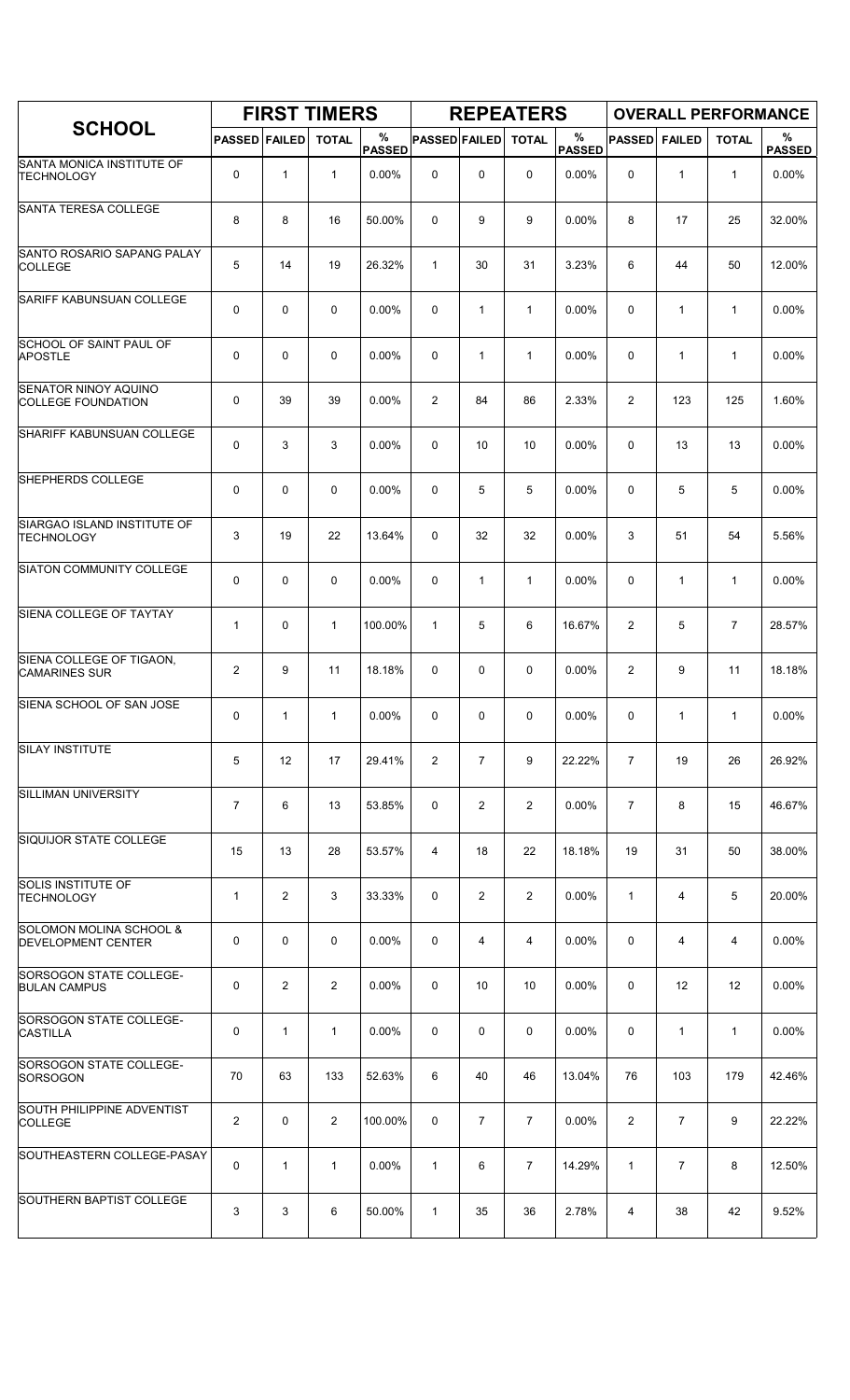|                                                                 |                      |              | <b>FIRST TIMERS</b> |                    |                      |                | <b>REPEATERS</b> |                    |                |                |                | <b>OVERALL PERFORMANCE</b> |
|-----------------------------------------------------------------|----------------------|--------------|---------------------|--------------------|----------------------|----------------|------------------|--------------------|----------------|----------------|----------------|----------------------------|
| <b>SCHOOL</b>                                                   | <b>PASSED FAILED</b> |              | <b>TOTAL</b>        | %<br><b>PASSED</b> | <b>PASSED FAILED</b> |                | <b>TOTAL</b>     | %<br><b>PASSED</b> | <b>PASSED</b>  | <b>FAILED</b>  | <b>TOTAL</b>   | %<br><b>PASSED</b>         |
| SANTA MONICA INSTITUTE OF<br><b>TECHNOLOGY</b>                  | 0                    | $\mathbf{1}$ | $\mathbf{1}$        | 0.00%              | $\mathbf 0$          | 0              | $\mathbf 0$      | 0.00%              | 0              | $\mathbf{1}$   | $\mathbf{1}$   | 0.00%                      |
| <b>SANTA TERESA COLLEGE</b>                                     | 8                    | 8            | 16                  | 50.00%             | 0                    | 9              | 9                | 0.00%              | 8              | 17             | 25             | 32.00%                     |
| SANTO ROSARIO SAPANG PALAY<br><b>COLLEGE</b>                    | 5                    | 14           | 19                  | 26.32%             | $\mathbf{1}$         | 30             | 31               | 3.23%              | 6              | 44             | 50             | 12.00%                     |
| <b>SARIFF KABUNSUAN COLLEGE</b>                                 | 0                    | 0            | $\mathbf 0$         | 0.00%              | 0                    | $\mathbf{1}$   | $\mathbf{1}$     | 0.00%              | $\mathbf 0$    | $\mathbf{1}$   | $\mathbf{1}$   | 0.00%                      |
| SCHOOL OF SAINT PAUL OF<br><b>APOSTLE</b>                       | 0                    | 0            | $\mathbf 0$         | 0.00%              | 0                    | 1              | $\mathbf{1}$     | 0.00%              | $\mathbf 0$    | $\mathbf{1}$   | $\mathbf{1}$   | 0.00%                      |
| <b>SENATOR NINOY AQUINO</b><br><b>COLLEGE FOUNDATION</b>        | 0                    | 39           | 39                  | 0.00%              | $\overline{2}$       | 84             | 86               | 2.33%              | $\overline{2}$ | 123            | 125            | 1.60%                      |
| SHARIFF KABUNSUAN COLLEGE                                       | 0                    | 3            | 3                   | 0.00%              | 0                    | 10             | 10               | 0.00%              | 0              | 13             | 13             | 0.00%                      |
| SHEPHERDS COLLEGE                                               | 0                    | 0            | $\mathbf 0$         | $0.00\%$           | 0                    | 5              | 5                | $0.00\%$           | 0              | 5              | 5              | 0.00%                      |
| SIARGAO ISLAND INSTITUTE OF<br><b>TECHNOLOGY</b>                | 3                    | 19           | 22                  | 13.64%             | 0                    | 32             | 32               | 0.00%              | 3              | 51             | 54             | 5.56%                      |
| SIATON COMMUNITY COLLEGE                                        | 0                    | 0            | $\mathbf 0$         | 0.00%              | 0                    | 1              | $\mathbf{1}$     | 0.00%              | $\mathbf 0$    | $\mathbf{1}$   | $\mathbf{1}$   | 0.00%                      |
| SIENA COLLEGE OF TAYTAY                                         | $\mathbf{1}$         | 0            | $\mathbf{1}$        | 100.00%            | $\mathbf{1}$         | 5              | 6                | 16.67%             | $\overline{2}$ | 5              | $\overline{7}$ | 28.57%                     |
| SIENA COLLEGE OF TIGAON,<br><b>CAMARINES SUR</b>                | 2                    | 9            | 11                  | 18.18%             | 0                    | 0              | 0                | 0.00%              | $\overline{2}$ | 9              | 11             | 18.18%                     |
| SIENA SCHOOL OF SAN JOSE                                        | 0                    | $\mathbf{1}$ | 1                   | 0.00%              | 0                    | 0              | 0                | 0.00%              | 0              | 1              | $\mathbf{1}$   | 0.00%                      |
| <b>SILAY INSTITUTE</b>                                          | 5                    | 12           | 17                  | 29.41%             | $\overline{2}$       | $\overline{7}$ | 9                | 22.22%             | $\overline{7}$ | 19             | 26             | 26.92%                     |
| <b>SILLIMAN UNIVERSITY</b>                                      | 7                    | 6            | 13                  | 53.85%             | 0                    | 2              | $\overline{2}$   | 0.00%              | $\overline{7}$ | 8              | 15             | 46.67%                     |
| SIQUIJOR STATE COLLEGE                                          | 15                   | 13           | 28                  | 53.57%             | 4                    | 18             | 22               | 18.18%             | 19             | 31             | 50             | 38.00%                     |
| <b>SOLIS INSTITUTE OF</b><br>TECHNOLOGY                         | $\mathbf{1}$         | 2            | 3                   | 33.33%             | 0                    | 2              | $\overline{2}$   | 0.00%              | $\mathbf{1}$   | 4              | 5              | 20.00%                     |
| <b>SOLOMON MOLINA SCHOOL &amp;</b><br><b>DEVELOPMENT CENTER</b> | 0                    | 0            | $\mathbf 0$         | 0.00%              | 0                    | 4              | 4                | 0.00%              | 0              | 4              | 4              | 0.00%                      |
| SORSOGON STATE COLLEGE-<br><b>BULAN CAMPUS</b>                  | 0                    | 2            | $\overline{2}$      | 0.00%              | 0                    | 10             | 10               | $0.00\%$           | 0              | 12             | 12             | 0.00%                      |
| SORSOGON STATE COLLEGE-<br><b>CASTILLA</b>                      | 0                    | $\mathbf{1}$ | $\mathbf{1}$        | $0.00\%$           | 0                    | 0              | 0                | $0.00\%$           | 0              | $\mathbf{1}$   | $\mathbf{1}$   | 0.00%                      |
| SORSOGON STATE COLLEGE-<br>SORSOGON                             | 70                   | 63           | 133                 | 52.63%             | 6                    | 40             | 46               | 13.04%             | 76             | 103            | 179            | 42.46%                     |
| SOUTH PHILIPPINE ADVENTIST<br><b>COLLEGE</b>                    | $\overline{2}$       | 0            | $\overline{2}$      | 100.00%            | 0                    | $\overline{7}$ | $\overline{7}$   | 0.00%              | $\overline{2}$ | $\overline{7}$ | 9              | 22.22%                     |
| SOUTHEASTERN COLLEGE-PASAY                                      | 0                    | $\mathbf{1}$ | $\mathbf{1}$        | 0.00%              | $\mathbf{1}$         | 6              | $\overline{7}$   | 14.29%             | 1              | $\overline{7}$ | 8              | 12.50%                     |
| SOUTHERN BAPTIST COLLEGE                                        | 3                    | 3            | 6                   | 50.00%             | $\mathbf{1}$         | 35             | 36               | 2.78%              | 4              | 38             | 42             | 9.52%                      |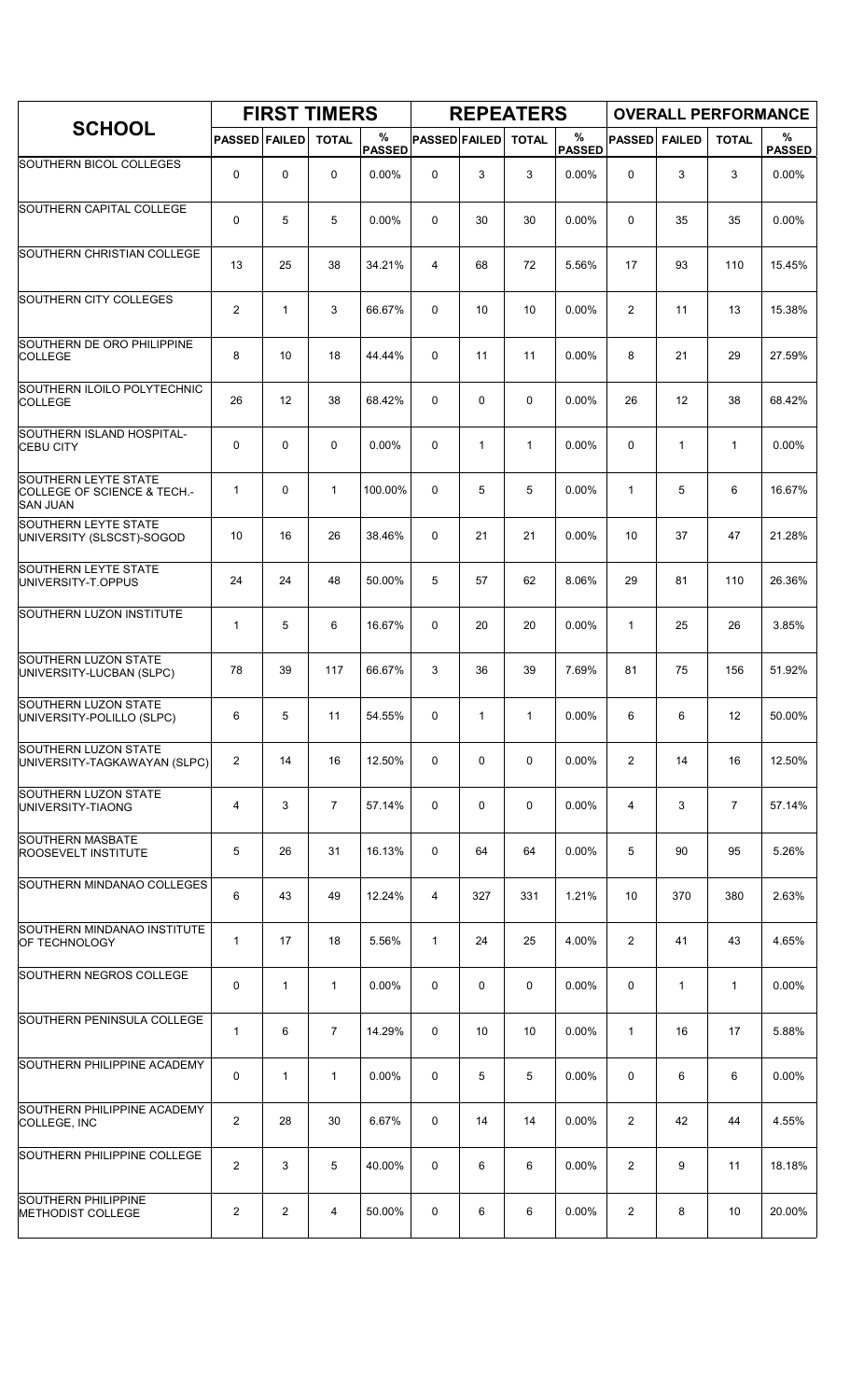|                                                                               |                         |              | <b>FIRST TIMERS</b> |                    |                      |              | <b>REPEATERS</b> |                       |                |               |                | <b>OVERALL PERFORMANCE</b> |
|-------------------------------------------------------------------------------|-------------------------|--------------|---------------------|--------------------|----------------------|--------------|------------------|-----------------------|----------------|---------------|----------------|----------------------------|
| <b>SCHOOL</b>                                                                 | <b>PASSED FAILED</b>    |              | <b>TOTAL</b>        | %<br><b>PASSED</b> | <b>PASSED FAILED</b> |              | <b>TOTAL</b>     | $\%$<br><b>PASSED</b> | <b>PASSED</b>  | <b>FAILED</b> | <b>TOTAL</b>   | %<br><b>PASSED</b>         |
| <b>SOUTHERN BICOL COLLEGES</b>                                                | 0                       | 0            | 0                   | $0.00\%$           | 0                    | 3            | 3                | 0.00%                 | 0              | 3             | 3              | $0.00\%$                   |
| SOUTHERN CAPITAL COLLEGE                                                      | 0                       | 5            | 5                   | 0.00%              | 0                    | 30           | 30               | 0.00%                 | 0              | 35            | 35             | 0.00%                      |
| SOUTHERN CHRISTIAN COLLEGE                                                    | 13                      | 25           | 38                  | 34.21%             | 4                    | 68           | 72               | 5.56%                 | 17             | 93            | 110            | 15.45%                     |
| SOUTHERN CITY COLLEGES                                                        | $\overline{2}$          | $\mathbf{1}$ | 3                   | 66.67%             | 0                    | 10           | 10               | 0.00%                 | $\overline{2}$ | 11            | 13             | 15.38%                     |
| SOUTHERN DE ORO PHILIPPINE<br><b>COLLEGE</b>                                  | 8                       | 10           | 18                  | 44.44%             | $\Omega$             | 11           | 11               | 0.00%                 | 8              | 21            | 29             | 27.59%                     |
| SOUTHERN ILOILO POLYTECHNIC<br><b>COLLEGE</b>                                 | 26                      | 12           | 38                  | 68.42%             | 0                    | 0            | 0                | 0.00%                 | 26             | 12            | 38             | 68.42%                     |
| SOUTHERN ISLAND HOSPITAL-<br><b>CEBU CITY</b>                                 | 0                       | 0            | $\mathbf 0$         | 0.00%              | $\mathbf 0$          | $\mathbf{1}$ | 1                | 0.00%                 | $\mathbf 0$    | $\mathbf{1}$  | $\mathbf{1}$   | 0.00%                      |
| <b>SOUTHERN LEYTE STATE</b><br>COLLEGE OF SCIENCE & TECH.-<br><b>SAN JUAN</b> | $\mathbf{1}$            | $\Omega$     | $\mathbf{1}$        | 100.00%            | $\Omega$             | 5            | 5                | 0.00%                 | $\mathbf{1}$   | 5             | 6              | 16.67%                     |
| <b>SOUTHERN LEYTE STATE</b><br>UNIVERSITY (SLSCST)-SOGOD                      | 10                      | 16           | 26                  | 38.46%             | 0                    | 21           | 21               | 0.00%                 | 10             | 37            | 47             | 21.28%                     |
| <b>SOUTHERN LEYTE STATE</b><br>UNIVERSITY-T.OPPUS                             | 24                      | 24           | 48                  | 50.00%             | 5                    | 57           | 62               | 8.06%                 | 29             | 81            | 110            | 26.36%                     |
| SOUTHERN LUZON INSTITUTE                                                      | $\mathbf{1}$            | 5            | 6                   | 16.67%             | 0                    | 20           | 20               | 0.00%                 | $\mathbf{1}$   | 25            | 26             | 3.85%                      |
| <b>SOUTHERN LUZON STATE</b><br>UNIVERSITY-LUCBAN (SLPC)                       | 78                      | 39           | 117                 | 66.67%             | 3                    | 36           | 39               | 7.69%                 | 81             | 75            | 156            | 51.92%                     |
| <b>SOUTHERN LUZON STATE</b><br>UNIVERSITY-POLILLO (SLPC)                      | 6                       | 5            | 11                  | 54.55%             | 0                    | $\mathbf{1}$ | $\mathbf{1}$     | 0.00%                 | 6              | 6             | 12             | 50.00%                     |
| SOUTHERN LUZON STATE<br>UNIVERSITY-TAGKAWAYAN (SLPC)                          | 2                       | 14           | 16                  | 12.50%             | 0                    | 0            | 0                | 0.00%                 | $\overline{2}$ | 14            | 16             | 12.50%                     |
| SOUTHERN LUZON STATE<br>UNIVERSITY-TIAONG                                     | 4                       | 3            | $\overline{7}$      | 57.14%             | 0                    | 0            | 0                | 0.00%                 | $\overline{4}$ | 3             | $\overline{7}$ | 57.14%                     |
| SOUTHERN MASBATE<br>ROOSEVELT INSTITUTE                                       | 5                       | 26           | 31                  | 16.13%             | 0                    | 64           | 64               | 0.00%                 | 5              | 90            | 95             | 5.26%                      |
| SOUTHERN MINDANAO COLLEGES                                                    | 6                       | 43           | 49                  | 12.24%             | 4                    | 327          | 331              | 1.21%                 | 10             | 370           | 380            | 2.63%                      |
| SOUTHERN MINDANAO INSTITUTE<br>OF TECHNOLOGY                                  | $\mathbf{1}$            | 17           | 18                  | 5.56%              | $\mathbf{1}$         | 24           | 25               | 4.00%                 | $\overline{2}$ | 41            | 43             | 4.65%                      |
| SOUTHERN NEGROS COLLEGE                                                       | 0                       | $\mathbf{1}$ | $\mathbf{1}$        | 0.00%              | 0                    | 0            | 0                | 0.00%                 | 0              | $\mathbf{1}$  | $\mathbf{1}$   | 0.00%                      |
| SOUTHERN PENINSULA COLLEGE                                                    | $\mathbf 1$             | 6            | $\overline{7}$      | 14.29%             | 0                    | 10           | 10               | 0.00%                 | $\mathbf{1}$   | 16            | 17             | 5.88%                      |
| SOUTHERN PHILIPPINE ACADEMY                                                   | 0                       | $\mathbf{1}$ | $\mathbf{1}$        | 0.00%              | 0                    | 5            | 5                | 0.00%                 | 0              | 6             | 6              | 0.00%                      |
| SOUTHERN PHILIPPINE ACADEMY<br>COLLEGE, INC                                   | $\overline{\mathbf{c}}$ | 28           | 30                  | 6.67%              | 0                    | 14           | 14               | 0.00%                 | $\overline{2}$ | 42            | 44             | 4.55%                      |
| SOUTHERN PHILIPPINE COLLEGE                                                   | $\overline{2}$          | 3            | 5                   | 40.00%             | 0                    | 6            | 6                | 0.00%                 | $\overline{2}$ | 9             | 11             | 18.18%                     |
| <b>SOUTHERN PHILIPPINE</b><br><b>METHODIST COLLEGE</b>                        | 2                       | 2            | 4                   | 50.00%             | 0                    | 6            | 6                | 0.00%                 | $\overline{2}$ | 8             | 10             | 20.00%                     |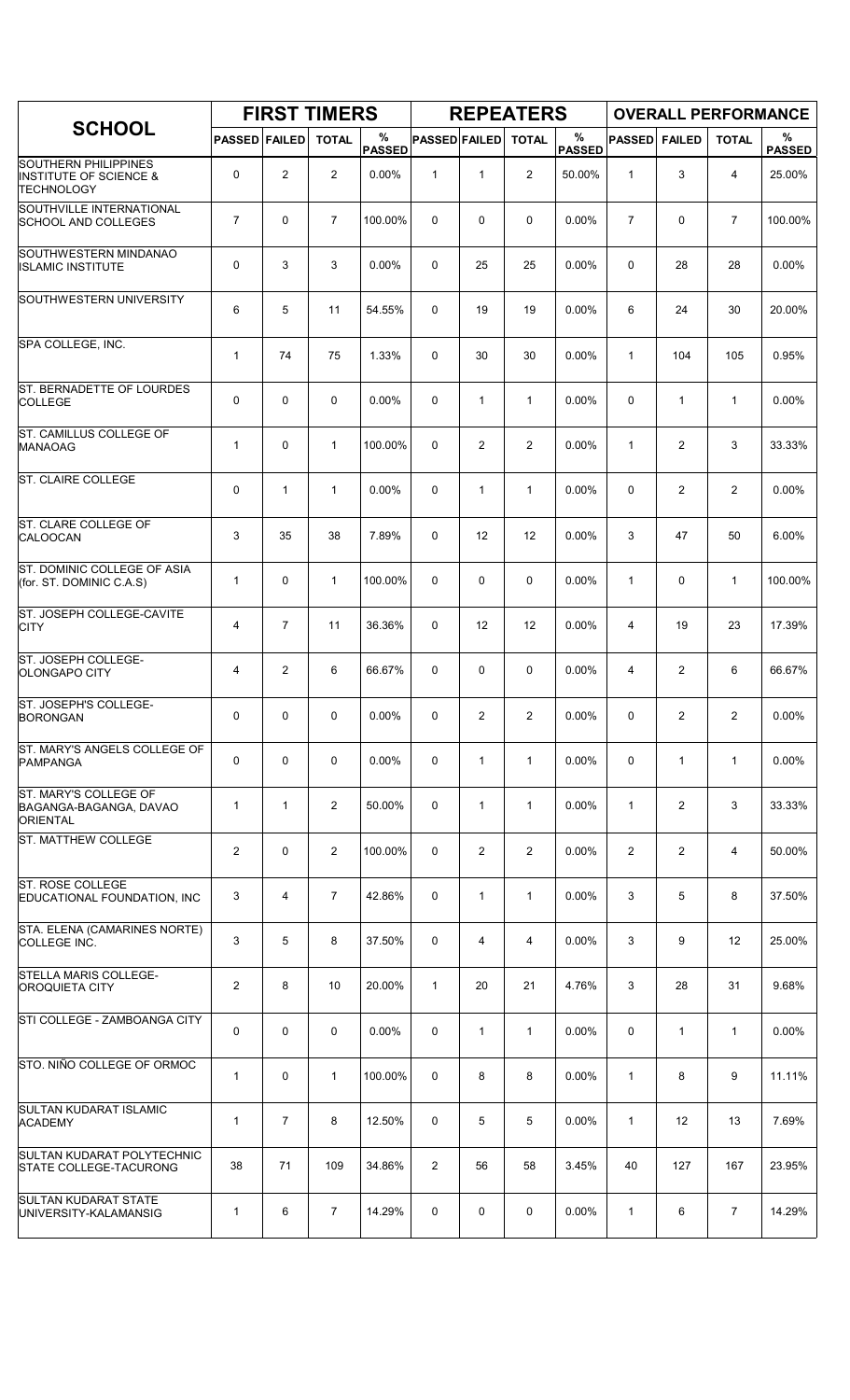|                                                                                       |                      |                | <b>FIRST TIMERS</b> |                    |                      |                | <b>REPEATERS</b> |                       |                |                |                | <b>OVERALL PERFORMANCE</b> |
|---------------------------------------------------------------------------------------|----------------------|----------------|---------------------|--------------------|----------------------|----------------|------------------|-----------------------|----------------|----------------|----------------|----------------------------|
| <b>SCHOOL</b>                                                                         | <b>PASSED FAILED</b> |                | <b>TOTAL</b>        | %<br><b>PASSED</b> | <b>PASSED FAILED</b> |                | <b>TOTAL</b>     | $\%$<br><b>PASSED</b> | <b>PASSED</b>  | <b>FAILED</b>  | <b>TOTAL</b>   | %<br><b>PASSED</b>         |
| <b>SOUTHERN PHILIPPINES</b><br><b>INSTITUTE OF SCIENCE &amp;</b><br><b>TECHNOLOGY</b> | 0                    | $\overline{c}$ | $\overline{2}$      | 0.00%              | $\mathbf{1}$         | 1              | $\overline{2}$   | 50.00%                | $\mathbf{1}$   | 3              | 4              | 25.00%                     |
| SOUTHVILLE INTERNATIONAL<br><b>SCHOOL AND COLLEGES</b>                                | 7                    | 0              | $\overline{7}$      | 100.00%            | 0                    | 0              | 0                | 0.00%                 | $\overline{7}$ | 0              | $\overline{7}$ | 100.00%                    |
| SOUTHWESTERN MINDANAO<br><b>ISLAMIC INSTITUTE</b>                                     | 0                    | 3              | 3                   | 0.00%              | 0                    | 25             | 25               | 0.00%                 | 0              | 28             | 28             | 0.00%                      |
| SOUTHWESTERN UNIVERSITY                                                               | 6                    | 5              | 11                  | 54.55%             | 0                    | 19             | 19               | 0.00%                 | 6              | 24             | 30             | 20.00%                     |
| SPA COLLEGE, INC.                                                                     | $\mathbf{1}$         | 74             | 75                  | 1.33%              | 0                    | 30             | 30               | 0.00%                 | $\mathbf{1}$   | 104            | 105            | 0.95%                      |
| ST. BERNADETTE OF LOURDES<br><b>COLLEGE</b>                                           | 0                    | 0              | $\mathbf 0$         | 0.00%              | 0                    | $\mathbf{1}$   | $\mathbf{1}$     | 0.00%                 | 0              | $\mathbf{1}$   | $\mathbf{1}$   | 0.00%                      |
| ST. CAMILLUS COLLEGE OF<br><b>MANAOAG</b>                                             | $\mathbf{1}$         | 0              | $\mathbf{1}$        | 100.00%            | $\mathbf 0$          | $\overline{c}$ | $\overline{2}$   | 0.00%                 | $\mathbf{1}$   | $\overline{c}$ | 3              | 33.33%                     |
| ST. CLAIRE COLLEGE                                                                    | 0                    | $\mathbf{1}$   | $\mathbf{1}$        | $0.00\%$           | 0                    | $\mathbf{1}$   | $\mathbf{1}$     | 0.00%                 | 0              | $\overline{2}$ | 2              | $0.00\%$                   |
| ST. CLARE COLLEGE OF<br>CALOOCAN                                                      | 3                    | 35             | 38                  | 7.89%              | 0                    | 12             | 12               | 0.00%                 | 3              | 47             | 50             | 6.00%                      |
| ST. DOMINIC COLLEGE OF ASIA<br>(for. ST. DOMINIC C.A.S)                               | $\mathbf{1}$         | 0              | $\mathbf{1}$        | 100.00%            | 0                    | 0              | 0                | 0.00%                 | $\mathbf{1}$   | 0              | $\mathbf{1}$   | 100.00%                    |
| ST. JOSEPH COLLEGE-CAVITE<br><b>CITY</b>                                              | 4                    | $\overline{7}$ | 11                  | 36.36%             | 0                    | 12             | 12               | 0.00%                 | $\overline{4}$ | 19             | 23             | 17.39%                     |
| ST. JOSEPH COLLEGE-<br><b>OLONGAPO CITY</b>                                           | 4                    | $\overline{2}$ | 6                   | 66.67%             | $\mathbf 0$          | 0              | 0                | 0.00%                 | $\overline{4}$ | $\overline{c}$ | 6              | 66.67%                     |
| ST. JOSEPH'S COLLEGE-<br><b>BORONGAN</b>                                              | 0                    | 0              | 0                   | 0.00%              | 0                    | 2              | $\overline{2}$   | 0.00%                 | $\Omega$       | 2              | $\overline{2}$ | 0.00%                      |
| ST. MARY'S ANGELS COLLEGE OF<br><b>PAMPANGA</b>                                       | 0                    | 0              | $\mathbf 0$         | 0.00%              | 0                    | $\mathbf{1}$   | $\mathbf{1}$     | $0.00\%$              | 0              | $\mathbf{1}$   | $\mathbf{1}$   | 0.00%                      |
| ST. MARY'S COLLEGE OF<br>BAGANGA-BAGANGA, DAVAO<br><b>ORIENTAL</b>                    | $\mathbf{1}$         | $\mathbf{1}$   | $\overline{2}$      | 50.00%             | 0                    | $\mathbf{1}$   | $\mathbf{1}$     | 0.00%                 | $\mathbf{1}$   | $\overline{c}$ | 3              | 33.33%                     |
| ST. MATTHEW COLLEGE                                                                   | $\overline{2}$       | 0              | $\overline{2}$      | 100.00%            | $\Omega$             | 2              | $\overline{2}$   | 0.00%                 | $\overline{2}$ | $\overline{2}$ | 4              | 50.00%                     |
| <b>ST. ROSE COLLEGE</b><br>EDUCATIONAL FOUNDATION, INC                                | 3                    | 4              | $\overline{7}$      | 42.86%             | 0                    | 1              | $\mathbf{1}$     | 0.00%                 | 3              | 5              | 8              | 37.50%                     |
| STA. ELENA (CAMARINES NORTE)<br>COLLEGE INC.                                          | 3                    | 5              | 8                   | 37.50%             | 0                    | 4              | 4                | 0.00%                 | 3              | 9              | 12             | 25.00%                     |
| STELLA MARIS COLLEGE-<br><b>OROQUIETA CITY</b>                                        | $\overline{2}$       | 8              | 10                  | 20.00%             | $\mathbf{1}$         | 20             | 21               | 4.76%                 | 3              | 28             | 31             | 9.68%                      |
| STI COLLEGE - ZAMBOANGA CITY                                                          | 0                    | 0              | $\mathbf 0$         | $0.00\%$           | 0                    | $\mathbf{1}$   | $\mathbf{1}$     | $0.00\%$              | 0              | $\mathbf{1}$   | $\mathbf{1}$   | 0.00%                      |
| STO. NIÑO COLLEGE OF ORMOC                                                            | $\mathbf{1}$         | 0              | $\mathbf{1}$        | 100.00%            | 0                    | 8              | 8                | 0.00%                 | $\mathbf{1}$   | 8              | 9              | 11.11%                     |
| SULTAN KUDARAT ISLAMIC<br><b>ACADEMY</b>                                              | $\mathbf{1}$         | $\overline{7}$ | 8                   | 12.50%             | 0                    | 5              | 5                | 0.00%                 | $\mathbf{1}$   | 12             | 13             | 7.69%                      |
| SULTAN KUDARAT POLYTECHNIC<br><b>STATE COLLEGE-TACURONG</b>                           | 38                   | 71             | 109                 | 34.86%             | $\overline{2}$       | 56             | 58               | 3.45%                 | 40             | 127            | 167            | 23.95%                     |
| <b>SULTAN KUDARAT STATE</b><br>UNIVERSITY-KALAMANSIG                                  | 1                    | 6              | $\overline{7}$      | 14.29%             | 0                    | 0              | 0                | 0.00%                 | 1              | 6              | 7              | 14.29%                     |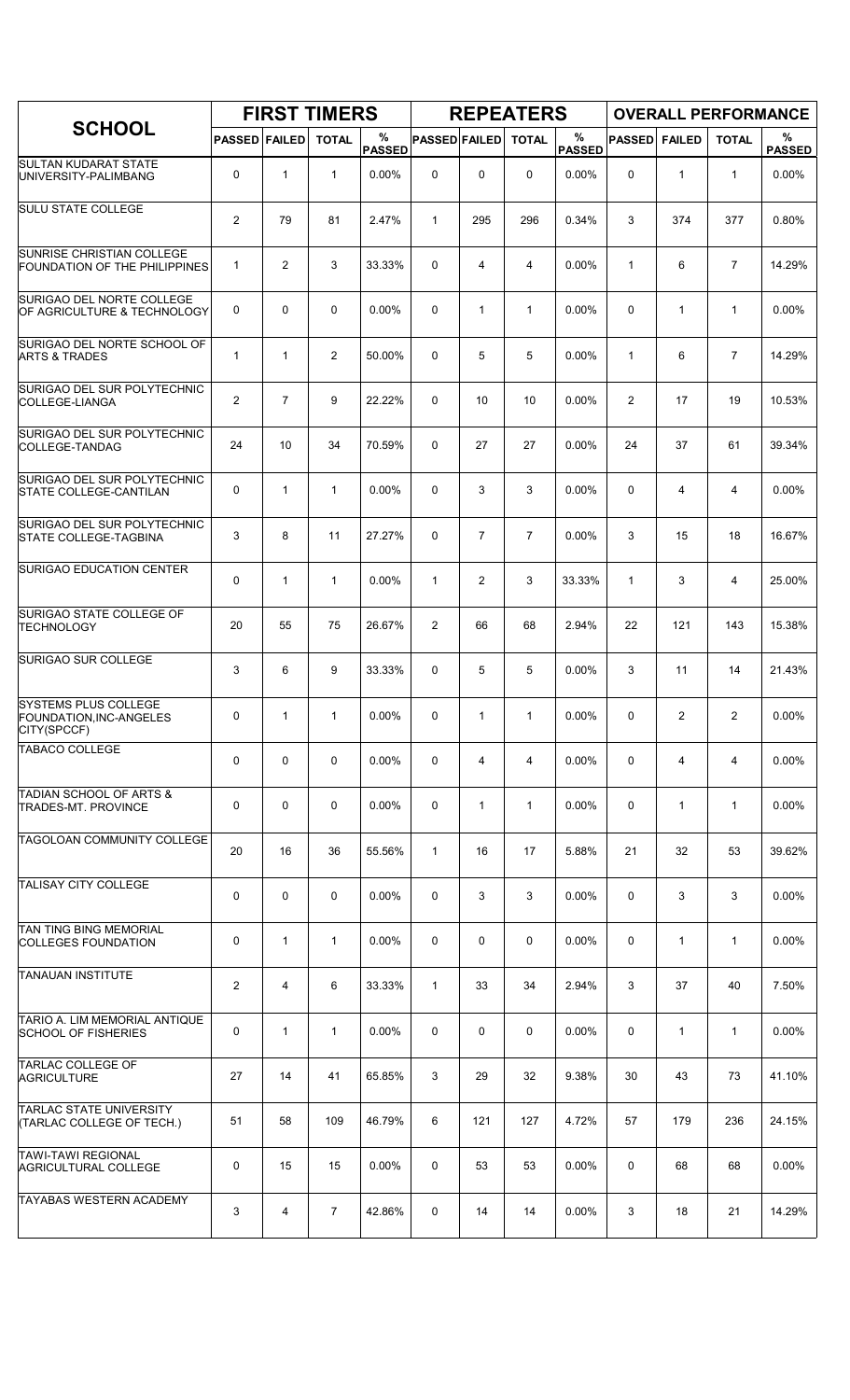|                                                                       |                         |                | <b>FIRST TIMERS</b> |                    |                      |                | <b>REPEATERS</b> |                    |               |               |                | <b>OVERALL PERFORMANCE</b> |
|-----------------------------------------------------------------------|-------------------------|----------------|---------------------|--------------------|----------------------|----------------|------------------|--------------------|---------------|---------------|----------------|----------------------------|
| <b>SCHOOL</b>                                                         | <b>PASSED FAILED</b>    |                | <b>TOTAL</b>        | %<br><b>PASSED</b> | <b>PASSED FAILED</b> |                | <b>TOTAL</b>     | %<br><b>PASSED</b> | <b>PASSED</b> | <b>FAILED</b> | <b>TOTAL</b>   | $\%$<br><b>PASSED</b>      |
| <b>SULTAN KUDARAT STATE</b><br>UNIVERSITY-PALIMBANG                   | 0                       | $\mathbf{1}$   | $\mathbf{1}$        | 0.00%              | $\mathbf 0$          | 0              | $\mathbf 0$      | 0.00%              | $\Omega$      | $\mathbf{1}$  | $\mathbf{1}$   | 0.00%                      |
| <b>SULU STATE COLLEGE</b>                                             | $\overline{2}$          | 79             | 81                  | 2.47%              | $\mathbf{1}$         | 295            | 296              | 0.34%              | 3             | 374           | 377            | 0.80%                      |
| SUNRISE CHRISTIAN COLLEGE<br>FOUNDATION OF THE PHILIPPINES            | $\mathbf{1}$            | 2              | 3                   | 33.33%             | 0                    | 4              | 4                | 0.00%              | $\mathbf{1}$  | 6             | $\overline{7}$ | 14.29%                     |
| SURIGAO DEL NORTE COLLEGE<br>OF AGRICULTURE & TECHNOLOGY              | 0                       | 0              | $\mathbf 0$         | 0.00%              | 0                    | $\mathbf{1}$   | $\mathbf{1}$     | 0.00%              | $\Omega$      | $\mathbf{1}$  | $\mathbf{1}$   | 0.00%                      |
| SURIGAO DEL NORTE SCHOOL OF<br><b>ARTS &amp; TRADES</b>               | $\mathbf{1}$            | 1              | $\overline{2}$      | 50.00%             | 0                    | 5              | 5                | 0.00%              | 1             | 6             | $\overline{7}$ | 14.29%                     |
| SURIGAO DEL SUR POLYTECHNIC<br>COLLEGE-LIANGA                         | $\overline{2}$          | $\overline{7}$ | 9                   | 22.22%             | 0                    | 10             | 10               | 0.00%              | 2             | 17            | 19             | 10.53%                     |
| SURIGAO DEL SUR POLYTECHNIC<br>COLLEGE-TANDAG                         | 24                      | 10             | 34                  | 70.59%             | 0                    | 27             | 27               | 0.00%              | 24            | 37            | 61             | 39.34%                     |
| SURIGAO DEL SUR POLYTECHNIC<br><b>STATE COLLEGE-CANTILAN</b>          | 0                       | 1              | $\mathbf{1}$        | 0.00%              | 0                    | 3              | 3                | 0.00%              | 0             | 4             | 4              | 0.00%                      |
| SURIGAO DEL SUR POLYTECHNIC<br><b>STATE COLLEGE-TAGBINA</b>           | 3                       | 8              | 11                  | 27.27%             | 0                    | $\overline{7}$ | $\overline{7}$   | 0.00%              | 3             | 15            | 18             | 16.67%                     |
| <b>SURIGAO EDUCATION CENTER</b>                                       | 0                       | $\mathbf{1}$   | 1                   | 0.00%              | $\mathbf{1}$         | $\overline{2}$ | 3                | 33.33%             | $\mathbf{1}$  | 3             | 4              | 25.00%                     |
| SURIGAO STATE COLLEGE OF<br>TECHNOLOGY                                | 20                      | 55             | 75                  | 26.67%             | 2                    | 66             | 68               | 2.94%              | 22            | 121           | 143            | 15.38%                     |
| SURIGAO SUR COLLEGE                                                   | 3                       | 6              | 9                   | 33.33%             | 0                    | 5              | 5                | 0.00%              | 3             | 11            | 14             | 21.43%                     |
| <b>SYSTEMS PLUS COLLEGE</b><br>FOUNDATION, INC-ANGELES<br>CITY(SPCCF) | 0                       | $\mathbf{1}$   | $\mathbf{1}$        | 0.00%              | 0                    | 1              | $\mathbf{1}$     | $0.00\%$           | $\Omega$      | 2             | 2              | $0.00\%$                   |
| <b>TABACO COLLEGE</b>                                                 | 0                       | 0              | $\mathbf 0$         | 0.00%              | 0                    | 4              | 4                | 0.00%              | 0             | 4             | $\overline{4}$ | 0.00%                      |
| <b>TADIAN SCHOOL OF ARTS &amp;</b><br><b>TRADES-MT. PROVINCE</b>      | 0                       | 0              | $\mathbf 0$         | $0.00\%$           | 0                    | $\mathbf{1}$   | $\mathbf{1}$     | 0.00%              | 0             | $\mathbf{1}$  | $\mathbf{1}$   | 0.00%                      |
| TAGOLOAN COMMUNITY COLLEGE                                            | 20                      | 16             | 36                  | 55.56%             | $\mathbf{1}$         | 16             | 17               | 5.88%              | 21            | 32            | 53             | 39.62%                     |
| <b>TALISAY CITY COLLEGE</b>                                           | 0                       | 0              | 0                   | 0.00%              | 0                    | 3              | 3                | 0.00%              | 0             | 3             | 3              | 0.00%                      |
| <b>TAN TING BING MEMORIAL</b><br><b>COLLEGES FOUNDATION</b>           | 0                       | $\mathbf{1}$   | $\mathbf{1}$        | $0.00\%$           | 0                    | 0              | 0                | 0.00%              | 0             | $\mathbf{1}$  | $\mathbf{1}$   | 0.00%                      |
| <b>TANAUAN INSTITUTE</b>                                              | $\overline{\mathbf{c}}$ | 4              | 6                   | 33.33%             | $\mathbf{1}$         | 33             | 34               | 2.94%              | 3             | 37            | 40             | 7.50%                      |
| TARIO A. LIM MEMORIAL ANTIQUE<br><b>SCHOOL OF FISHERIES</b>           | 0                       | $\mathbf{1}$   | $\mathbf{1}$        | 0.00%              | 0                    | 0              | 0                | 0.00%              | 0             | $\mathbf{1}$  | $\mathbf{1}$   | 0.00%                      |
| <b>TARLAC COLLEGE OF</b><br>AGRICULTURE                               | 27                      | 14             | 41                  | 65.85%             | 3                    | 29             | 32               | 9.38%              | 30            | 43            | 73             | 41.10%                     |
| <b>TARLAC STATE UNIVERSITY</b><br>(TARLAC COLLEGE OF TECH.)           | 51                      | 58             | 109                 | 46.79%             | 6                    | 121            | 127              | 4.72%              | 57            | 179           | 236            | 24.15%                     |
| <b>TAWI-TAWI REGIONAL</b><br><b>AGRICULTURAL COLLEGE</b>              | 0                       | 15             | 15                  | 0.00%              | 0                    | 53             | 53               | 0.00%              | 0             | 68            | 68             | 0.00%                      |
| <b>TAYABAS WESTERN ACADEMY</b>                                        | 3                       | 4              | $\overline{7}$      | 42.86%             | 0                    | 14             | 14               | 0.00%              | 3             | 18            | 21             | 14.29%                     |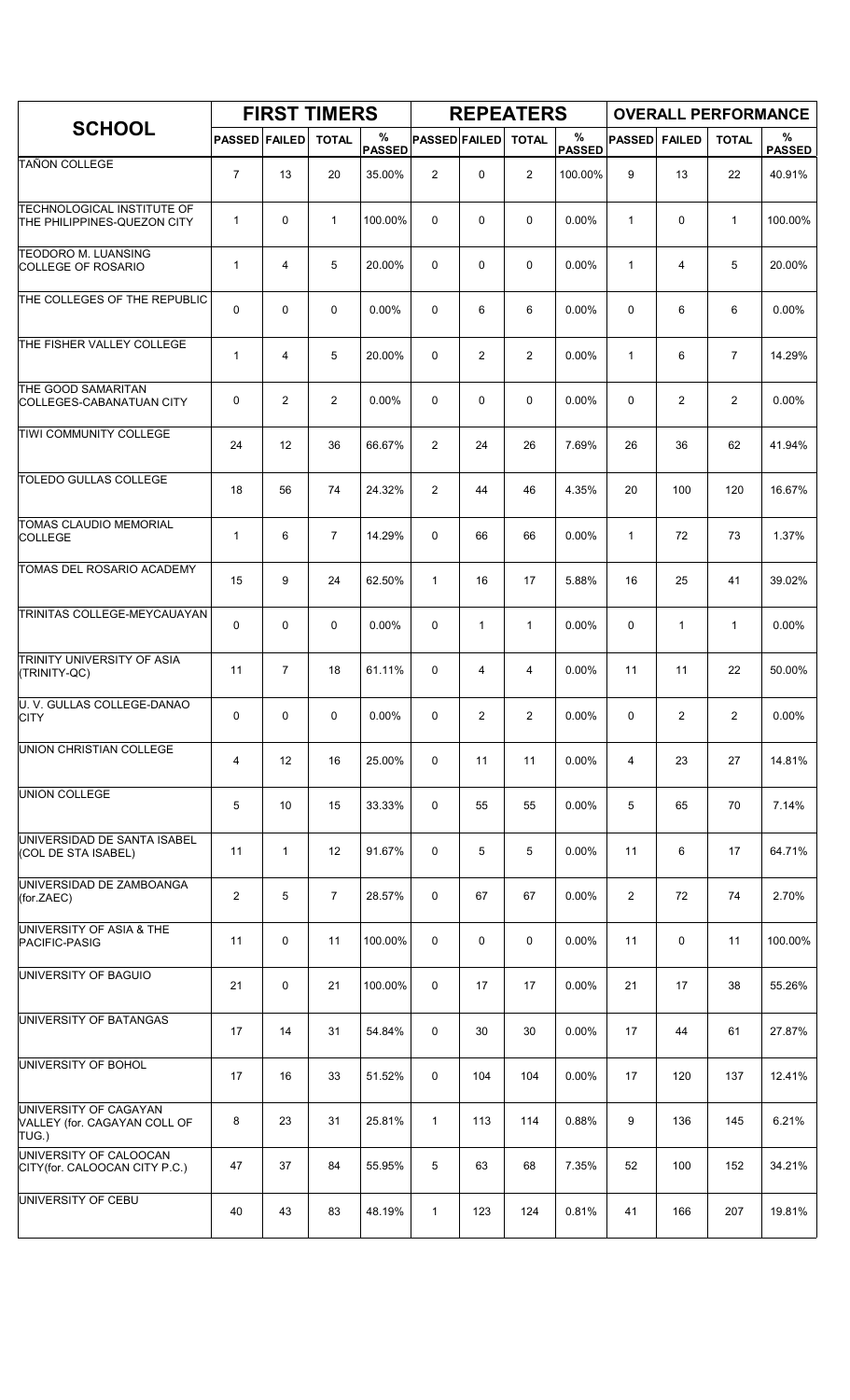|                                                                  |                      |                | <b>FIRST TIMERS</b> |                    |                      |                | <b>REPEATERS</b> |                    |                |                | <b>OVERALL PERFORMANCE</b> |                    |
|------------------------------------------------------------------|----------------------|----------------|---------------------|--------------------|----------------------|----------------|------------------|--------------------|----------------|----------------|----------------------------|--------------------|
| <b>SCHOOL</b>                                                    | <b>PASSED FAILED</b> |                | <b>TOTAL</b>        | %<br><b>PASSED</b> | <b>PASSED FAILED</b> |                | <b>TOTAL</b>     | %<br><b>PASSED</b> | <b>PASSED</b>  | <b>FAILED</b>  | <b>TOTAL</b>               | %<br><b>PASSED</b> |
| <b>TAÑON COLLEGE</b>                                             | $\overline{7}$       | 13             | 20                  | 35.00%             | $\overline{c}$       | 0              | 2                | 100.00%            | 9              | 13             | 22                         | 40.91%             |
| <b>TECHNOLOGICAL INSTITUTE OF</b><br>THE PHILIPPINES-QUEZON CITY | $\mathbf{1}$         | 0              | $\mathbf{1}$        | 100.00%            | $\Omega$             | $\mathbf 0$    | 0                | 0.00%              | $\mathbf{1}$   | 0              | $\mathbf{1}$               | 100.00%            |
| <b>TEODORO M. LUANSING</b><br><b>COLLEGE OF ROSARIO</b>          | $\mathbf{1}$         | 4              | 5                   | 20.00%             | 0                    | $\mathbf 0$    | 0                | 0.00%              | $\mathbf{1}$   | 4              | 5                          | 20.00%             |
| THE COLLEGES OF THE REPUBLIC                                     | 0                    | 0              | 0                   | 0.00%              | 0                    | 6              | 6                | $0.00\%$           | 0              | 6              | 6                          | 0.00%              |
| THE FISHER VALLEY COLLEGE                                        | $\mathbf{1}$         | 4              | 5                   | 20.00%             | $\Omega$             | $\overline{2}$ | $\overline{2}$   | 0.00%              | $\mathbf{1}$   | 6              | $\overline{7}$             | 14.29%             |
| THE GOOD SAMARITAN<br>COLLEGES-CABANATUAN CITY                   | 0                    | $\overline{c}$ | $\overline{2}$      | 0.00%              | 0                    | $\mathbf 0$    | 0                | 0.00%              | 0              | $\overline{2}$ | $\overline{c}$             | 0.00%              |
| TIWI COMMUNITY COLLEGE                                           | 24                   | 12             | 36                  | 66.67%             | $\overline{2}$       | 24             | 26               | 7.69%              | 26             | 36             | 62                         | 41.94%             |
| <b>TOLEDO GULLAS COLLEGE</b>                                     | 18                   | 56             | 74                  | 24.32%             | $\overline{2}$       | 44             | 46               | 4.35%              | 20             | 100            | 120                        | 16.67%             |
| <b>TOMAS CLAUDIO MEMORIAL</b><br><b>COLLEGE</b>                  | $\mathbf{1}$         | 6              | $\overline{7}$      | 14.29%             | 0                    | 66             | 66               | 0.00%              | $\mathbf{1}$   | 72             | 73                         | 1.37%              |
| TOMAS DEL ROSARIO ACADEMY                                        | 15                   | 9              | 24                  | 62.50%             | $\mathbf{1}$         | 16             | 17               | 5.88%              | 16             | 25             | 41                         | 39.02%             |
| TRINITAS COLLEGE-MEYCAUAYAN                                      | 0                    | 0              | 0                   | 0.00%              | 0                    | $\mathbf{1}$   | $\mathbf{1}$     | 0.00%              | 0              | $\mathbf{1}$   | $\mathbf{1}$               | 0.00%              |
| TRINITY UNIVERSITY OF ASIA<br>(TRINITY-QC)                       | 11                   | $\overline{7}$ | 18                  | 61.11%             | 0                    | $\overline{4}$ | 4                | 0.00%              | 11             | 11             | 22                         | 50.00%             |
| U. V. GULLAS COLLEGE-DANAO<br><b>CITY</b>                        | 0                    | 0              | 0                   | 0.00%              | 0                    | $\overline{c}$ | 2                | 0.00%              | 0              | 2              | $\overline{c}$             | $0.00\%$           |
| UNION CHRISTIAN COLLEGE                                          | 4                    | 12             | 16                  | 25.00%             | 0                    | 11             | 11               | 0.00%              | 4              | 23             | 27                         | 14.81%             |
| <b>UNION COLLEGE</b>                                             | 5                    | 10             | 15                  | 33.33%             | 0                    | 55             | 55               | 0.00%              | 5              | 65             | 70                         | 7.14%              |
| UNIVERSIDAD DE SANTA ISABEL<br>(COL DE STA ISABEL)               | 11                   | $\mathbf{1}$   | 12                  | 91.67%             | 0                    | 5              | 5                | 0.00%              | 11             | 6              | 17                         | 64.71%             |
| UNIVERSIDAD DE ZAMBOANGA<br>(for.ZAEC)                           | $\overline{2}$       | 5              | $\overline{7}$      | 28.57%             | 0                    | 67             | 67               | $0.00\%$           | $\overline{2}$ | 72             | 74                         | 2.70%              |
| UNIVERSITY OF ASIA & THE<br>PACIFIC-PASIG                        | 11                   | 0              | 11                  | 100.00%            | 0                    | 0              | 0                | 0.00%              | 11             | 0              | 11                         | 100.00%            |
| UNIVERSITY OF BAGUIO                                             | 21                   | 0              | 21                  | 100.00%            | 0                    | 17             | 17               | 0.00%              | 21             | 17             | 38                         | 55.26%             |
| UNIVERSITY OF BATANGAS                                           | 17                   | 14             | 31                  | 54.84%             | 0                    | 30             | 30               | $0.00\%$           | 17             | 44             | 61                         | 27.87%             |
| UNIVERSITY OF BOHOL                                              | 17                   | 16             | 33                  | 51.52%             | 0                    | 104            | 104              | 0.00%              | 17             | 120            | 137                        | 12.41%             |
| UNIVERSITY OF CAGAYAN<br>VALLEY (for. CAGAYAN COLL OF<br>TUG.)   | 8                    | 23             | 31                  | 25.81%             | $\mathbf{1}$         | 113            | 114              | 0.88%              | 9              | 136            | 145                        | 6.21%              |
| UNIVERSITY OF CALOOCAN<br>CITY(for. CALOOCAN CITY P.C.)          | 47                   | 37             | 84                  | 55.95%             | 5                    | 63             | 68               | 7.35%              | 52             | 100            | 152                        | 34.21%             |
| UNIVERSITY OF CEBU                                               | 40                   | 43             | 83                  | 48.19%             | $\mathbf{1}$         | 123            | 124              | 0.81%              | 41             | 166            | 207                        | 19.81%             |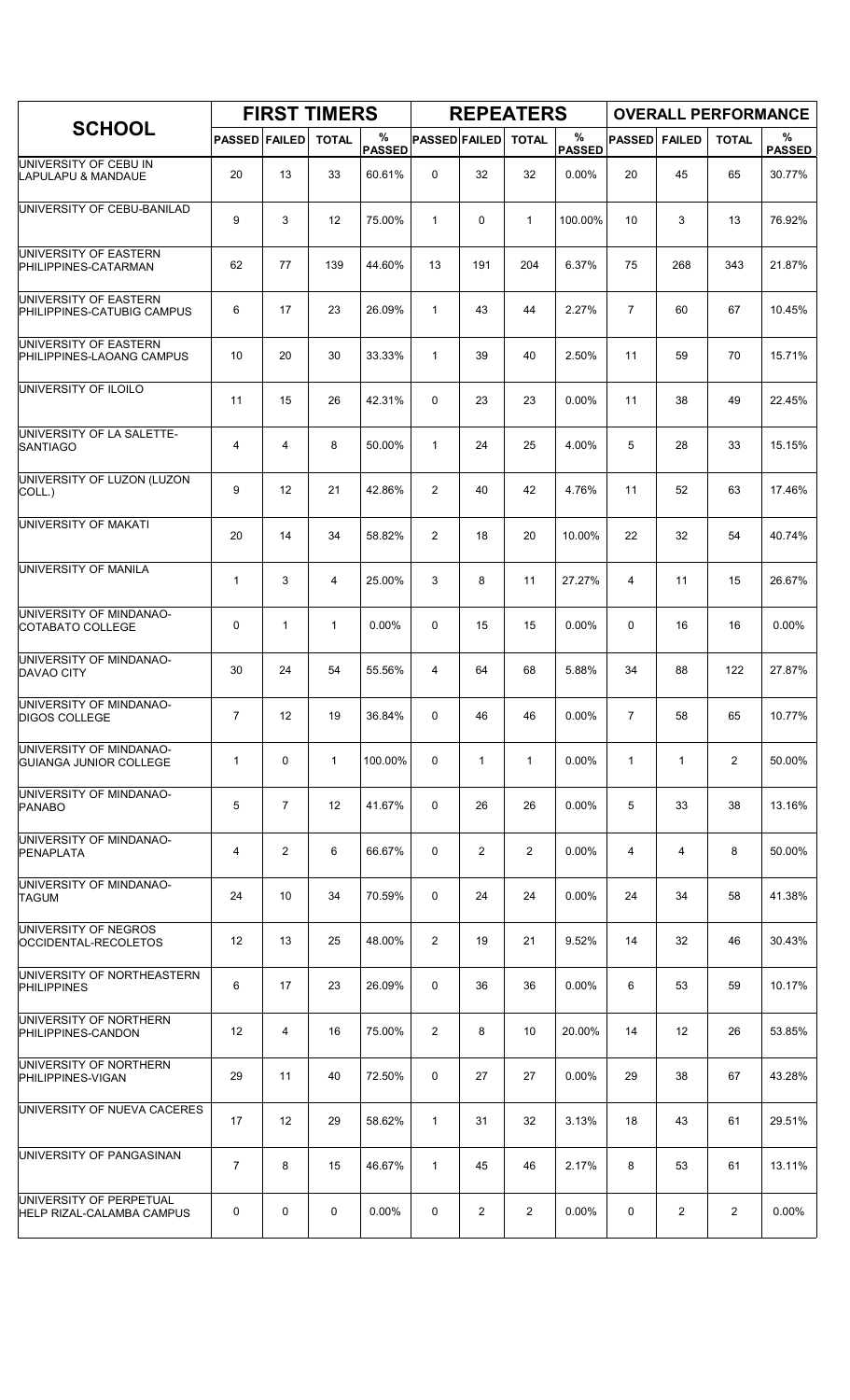|                                                      |                      |                   | <b>FIRST TIMERS</b> |                    |                      |                | <b>REPEATERS</b> |                    |                |               | <b>OVERALL PERFORMANCE</b> |                       |
|------------------------------------------------------|----------------------|-------------------|---------------------|--------------------|----------------------|----------------|------------------|--------------------|----------------|---------------|----------------------------|-----------------------|
| <b>SCHOOL</b>                                        | <b>PASSED FAILED</b> |                   | <b>TOTAL</b>        | %<br><b>PASSED</b> | <b>PASSED FAILED</b> |                | <b>TOTAL</b>     | %<br><b>PASSED</b> | <b>PASSED</b>  | <b>FAILED</b> | <b>TOTAL</b>               | $\%$<br><b>PASSED</b> |
| UNIVERSITY OF CEBU IN<br>LAPULAPU & MANDAUE          | 20                   | 13                | 33                  | 60.61%             | $\Omega$             | 32             | 32               | 0.00%              | 20             | 45            | 65                         | 30.77%                |
| UNIVERSITY OF CEBU-BANILAD                           | 9                    | 3                 | 12                  | 75.00%             | $\mathbf{1}$         | 0              | $\mathbf{1}$     | 100.00%            | 10             | 3             | 13                         | 76.92%                |
| UNIVERSITY OF EASTERN<br>PHILIPPINES-CATARMAN        | 62                   | 77                | 139                 | 44.60%             | 13                   | 191            | 204              | 6.37%              | 75             | 268           | 343                        | 21.87%                |
| UNIVERSITY OF EASTERN<br>PHILIPPINES-CATUBIG CAMPUS  | 6                    | 17                | 23                  | 26.09%             | $\mathbf{1}$         | 43             | 44               | 2.27%              | $\overline{7}$ | 60            | 67                         | 10.45%                |
| UNIVERSITY OF EASTERN<br>PHILIPPINES-LAOANG CAMPUS   | 10                   | 20                | 30                  | 33.33%             | $\mathbf{1}$         | 39             | 40               | 2.50%              | 11             | 59            | 70                         | 15.71%                |
| UNIVERSITY OF ILOILO                                 | 11                   | 15                | 26                  | 42.31%             | 0                    | 23             | 23               | 0.00%              | 11             | 38            | 49                         | 22.45%                |
| UNIVERSITY OF LA SALETTE-<br><b>SANTIAGO</b>         | 4                    | 4                 | 8                   | 50.00%             | $\mathbf{1}$         | 24             | 25               | 4.00%              | 5              | 28            | 33                         | 15.15%                |
| UNIVERSITY OF LUZON (LUZON<br>COLL.)                 | 9                    | 12                | 21                  | 42.86%             | $\overline{2}$       | 40             | 42               | 4.76%              | 11             | 52            | 63                         | 17.46%                |
| UNIVERSITY OF MAKATI                                 | 20                   | 14                | 34                  | 58.82%             | 2                    | 18             | 20               | 10.00%             | 22             | 32            | 54                         | 40.74%                |
| UNIVERSITY OF MANILA                                 | $\mathbf 1$          | 3                 | $\overline{4}$      | 25.00%             | 3                    | 8              | 11               | 27.27%             | 4              | 11            | 15                         | 26.67%                |
| UNIVERSITY OF MINDANAO-<br>COTABATO COLLEGE          | 0                    | 1                 | $\mathbf{1}$        | 0.00%              | 0                    | 15             | 15               | 0.00%              | $\mathbf 0$    | 16            | 16                         | 0.00%                 |
| UNIVERSITY OF MINDANAO-<br><b>DAVAO CITY</b>         | 30                   | 24                | 54                  | 55.56%             | 4                    | 64             | 68               | 5.88%              | 34             | 88            | 122                        | 27.87%                |
| UNIVERSITY OF MINDANAO-<br><b>DIGOS COLLEGE</b>      | $\overline{7}$       | 12                | 19                  | 36.84%             | 0                    | 46             | 46               | 0.00%              | $\overline{7}$ | 58            | 65                         | 10.77%                |
| UNIVERSITY OF MINDANAO-<br>GUIANGA JUNIOR COLLEGE    | $\mathbf{1}$         | $\mathbf 0$       | $\mathbf{1}$        | 100.00%            | 0                    | $\mathbf{1}$   | $\mathbf{1}$     | 0.00%              | $\mathbf{1}$   | $\mathbf{1}$  | $\overline{2}$             | 50.00%                |
| UNIVERSITY OF MINDANAO-<br><b>PANABO</b>             | 5                    | $\overline{7}$    | 12                  | 41.67%             | 0                    | 26             | 26               | $0.00\%$           | 5              | 33            | 38                         | 13.16%                |
| UNIVERSITY OF MINDANAO-<br>PENAPLATA                 | 4                    | $\overline{2}$    | 6                   | 66.67%             | 0                    | $\overline{2}$ | $\overline{2}$   | $0.00\%$           | 4              | 4             | 8                          | 50.00%                |
| UNIVERSITY OF MINDANAO-<br><b>TAGUM</b>              | 24                   | 10                | 34                  | 70.59%             | 0                    | 24             | 24               | 0.00%              | 24             | 34            | 58                         | 41.38%                |
| UNIVERSITY OF NEGROS<br>OCCIDENTAL-RECOLETOS         | 12                   | 13                | 25                  | 48.00%             | $\overline{2}$       | 19             | 21               | 9.52%              | 14             | 32            | 46                         | 30.43%                |
| UNIVERSITY OF NORTHEASTERN<br><b>PHILIPPINES</b>     | 6                    | 17                | 23                  | 26.09%             | 0                    | 36             | 36               | $0.00\%$           | 6              | 53            | 59                         | 10.17%                |
| UNIVERSITY OF NORTHERN<br>PHILIPPINES-CANDON         | 12                   | 4                 | 16                  | 75.00%             | $\overline{2}$       | 8              | 10               | 20.00%             | 14             | 12            | 26                         | 53.85%                |
| UNIVERSITY OF NORTHERN<br>PHILIPPINES-VIGAN          | 29                   | 11                | 40                  | 72.50%             | 0                    | 27             | 27               | 0.00%              | 29             | 38            | 67                         | 43.28%                |
| UNIVERSITY OF NUEVA CACERES                          | 17                   | $12 \overline{ }$ | 29                  | 58.62%             | $\mathbf{1}$         | 31             | 32               | 3.13%              | 18             | 43            | 61                         | 29.51%                |
| UNIVERSITY OF PANGASINAN                             | $\overline{7}$       | 8                 | 15                  | 46.67%             | $\mathbf{1}$         | 45             | 46               | 2.17%              | 8              | 53            | 61                         | 13.11%                |
| UNIVERSITY OF PERPETUAL<br>HELP RIZAL-CALAMBA CAMPUS | 0                    | 0                 | 0                   | $0.00\%$           | 0                    | $\overline{2}$ | $\overline{2}$   | $0.00\%$           | 0              | $\mathbf{2}$  | $\overline{2}$             | $0.00\%$              |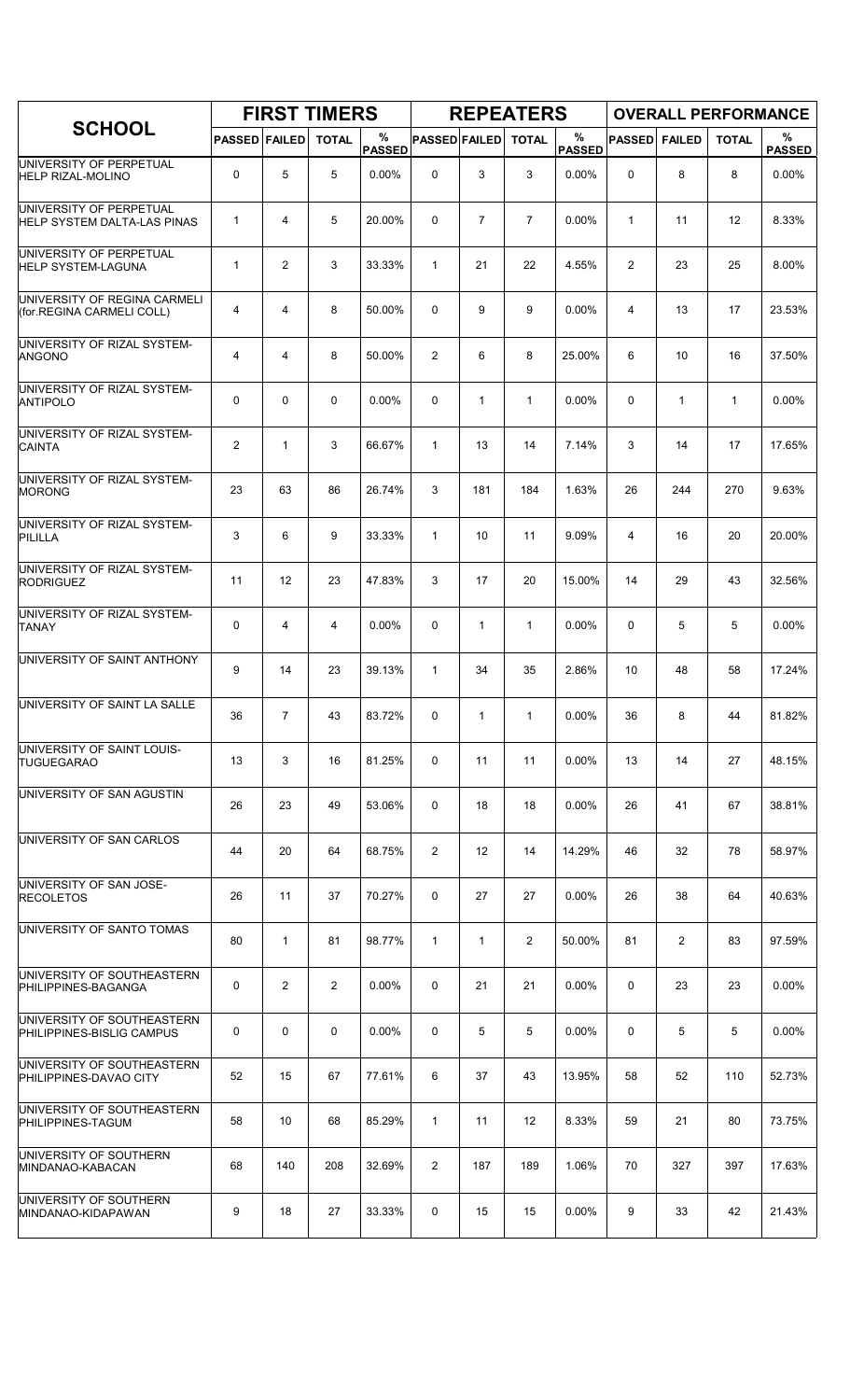|                                                               |                      |                | <b>FIRST TIMERS</b> |                    |                      |                   | <b>REPEATERS</b> |                    |               |                | <b>OVERALL PERFORMANCE</b> |                    |
|---------------------------------------------------------------|----------------------|----------------|---------------------|--------------------|----------------------|-------------------|------------------|--------------------|---------------|----------------|----------------------------|--------------------|
| <b>SCHOOL</b>                                                 | <b>PASSED FAILED</b> |                | <b>TOTAL</b>        | %<br><b>PASSED</b> | <b>PASSED FAILED</b> |                   | <b>TOTAL</b>     | %<br><b>PASSED</b> | <b>PASSED</b> | <b>FAILED</b>  | <b>TOTAL</b>               | %<br><b>PASSED</b> |
| UNIVERSITY OF PERPETUAL<br>HELP RIZAL-MOLINO                  | 0                    | 5              | 5                   | 0.00%              | 0                    | 3                 | 3                | 0.00%              | $\mathbf 0$   | 8              | 8                          | 0.00%              |
| UNIVERSITY OF PERPETUAL<br><b>HELP SYSTEM DALTA-LAS PINAS</b> | 1                    | 4              | 5                   | 20.00%             | 0                    | $\overline{7}$    | $\overline{7}$   | 0.00%              | $\mathbf{1}$  | 11             | 12                         | 8.33%              |
| UNIVERSITY OF PERPETUAL<br><b>HELP SYSTEM-LAGUNA</b>          | 1                    | $\overline{2}$ | 3                   | 33.33%             | $\mathbf{1}$         | 21                | 22               | 4.55%              | 2             | 23             | 25                         | 8.00%              |
| UNIVERSITY OF REGINA CARMELI<br>(for.REGINA CARMELI COLL)     | 4                    | 4              | 8                   | 50.00%             | 0                    | 9                 | 9                | 0.00%              | 4             | 13             | 17                         | 23.53%             |
| UNIVERSITY OF RIZAL SYSTEM-<br><b>ANGONO</b>                  | 4                    | 4              | 8                   | 50.00%             | 2                    | 6                 | 8                | 25.00%             | 6             | 10             | 16                         | 37.50%             |
| UNIVERSITY OF RIZAL SYSTEM-<br><b>ANTIPOLO</b>                | 0                    | $\mathbf 0$    | $\mathbf 0$         | 0.00%              | 0                    | $\mathbf{1}$      | $\mathbf{1}$     | 0.00%              | 0             | $\mathbf{1}$   | $\mathbf{1}$               | 0.00%              |
| UNIVERSITY OF RIZAL SYSTEM-<br><b>CAINTA</b>                  | $\overline{2}$       | $\mathbf{1}$   | 3                   | 66.67%             | $\mathbf{1}$         | 13                | 14               | 7.14%              | 3             | 14             | 17                         | 17.65%             |
| UNIVERSITY OF RIZAL SYSTEM-<br><b>MORONG</b>                  | 23                   | 63             | 86                  | 26.74%             | 3                    | 181               | 184              | 1.63%              | 26            | 244            | 270                        | 9.63%              |
| UNIVERSITY OF RIZAL SYSTEM-<br>PILILLA                        | 3                    | 6              | 9                   | 33.33%             | $\mathbf{1}$         | 10                | 11               | 9.09%              | 4             | 16             | 20                         | 20.00%             |
| UNIVERSITY OF RIZAL SYSTEM-<br><b>RODRIGUEZ</b>               | 11                   | 12             | 23                  | 47.83%             | 3                    | 17                | 20               | 15.00%             | 14            | 29             | 43                         | 32.56%             |
| UNIVERSITY OF RIZAL SYSTEM-<br><b>TANAY</b>                   | 0                    | 4              | 4                   | 0.00%              | 0                    | 1                 | $\mathbf{1}$     | 0.00%              | 0             | 5              | 5                          | $0.00\%$           |
| UNIVERSITY OF SAINT ANTHONY                                   | 9                    | 14             | 23                  | 39.13%             | $\mathbf{1}$         | 34                | 35               | 2.86%              | 10            | 48             | 58                         | 17.24%             |
| UNIVERSITY OF SAINT LA SALLE                                  | 36                   | $\overline{7}$ | 43                  | 83.72%             | 0                    | 1                 | $\mathbf{1}$     | 0.00%              | 36            | 8              | 44                         | 81.82%             |
| UNIVERSITY OF SAINT LOUIS-<br><b>TUGUEGARAO</b>               | 13                   | 3              | 16                  | 81.25%             | 0                    | 11                | 11               | $0.00\%$           | 13            | 14             | 27                         | 48.15%             |
| UNIVERSITY OF SAN AGUSTIN                                     | 26                   | 23             | 49                  | 53.06%             | 0                    | 18                | 18               | 0.00%              | 26            | 41             | 67                         | 38.81%             |
| UNIVERSITY OF SAN CARLOS                                      | 44                   | 20             | 64                  | 68.75%             | $\overline{2}$       | $12 \overline{ }$ | 14               | 14.29%             | 46            | 32             | 78                         | 58.97%             |
| UNIVERSITY OF SAN JOSE-<br><b>RECOLETOS</b>                   | 26                   | 11             | 37                  | 70.27%             | 0                    | 27                | 27               | 0.00%              | 26            | 38             | 64                         | 40.63%             |
| UNIVERSITY OF SANTO TOMAS                                     | 80                   | $\mathbf{1}$   | 81                  | 98.77%             | $\mathbf{1}$         | $\mathbf{1}$      | $\overline{2}$   | 50.00%             | 81            | $\overline{2}$ | 83                         | 97.59%             |
| UNIVERSITY OF SOUTHEASTERN<br>PHILIPPINES-BAGANGA             | 0                    | $\overline{2}$ | $\overline{2}$      | $0.00\%$           | 0                    | 21                | 21               | 0.00%              | 0             | 23             | 23                         | $0.00\%$           |
| UNIVERSITY OF SOUTHEASTERN<br>PHILIPPINES-BISLIG CAMPUS       | 0                    | 0              | 0                   | 0.00%              | 0                    | 5                 | 5                | $0.00\%$           | 0             | 5              | 5                          | 0.00%              |
| UNIVERSITY OF SOUTHEASTERN<br>PHILIPPINES-DAVAO CITY          | 52                   | 15             | 67                  | 77.61%             | 6                    | 37                | 43               | 13.95%             | 58            | 52             | 110                        | 52.73%             |
| UNIVERSITY OF SOUTHEASTERN<br>PHILIPPINES-TAGUM               | 58                   | 10             | 68                  | 85.29%             | 1                    | 11                | 12               | 8.33%              | 59            | 21             | 80                         | 73.75%             |
| UNIVERSITY OF SOUTHERN<br>MINDANAO-KABACAN                    | 68                   | 140            | 208                 | 32.69%             | $\overline{2}$       | 187               | 189              | 1.06%              | 70            | 327            | 397                        | 17.63%             |
| UNIVERSITY OF SOUTHERN<br>MINDANAO-KIDAPAWAN                  | 9                    | 18             | 27                  | 33.33%             | 0                    | 15                | 15               | 0.00%              | 9             | 33             | 42                         | 21.43%             |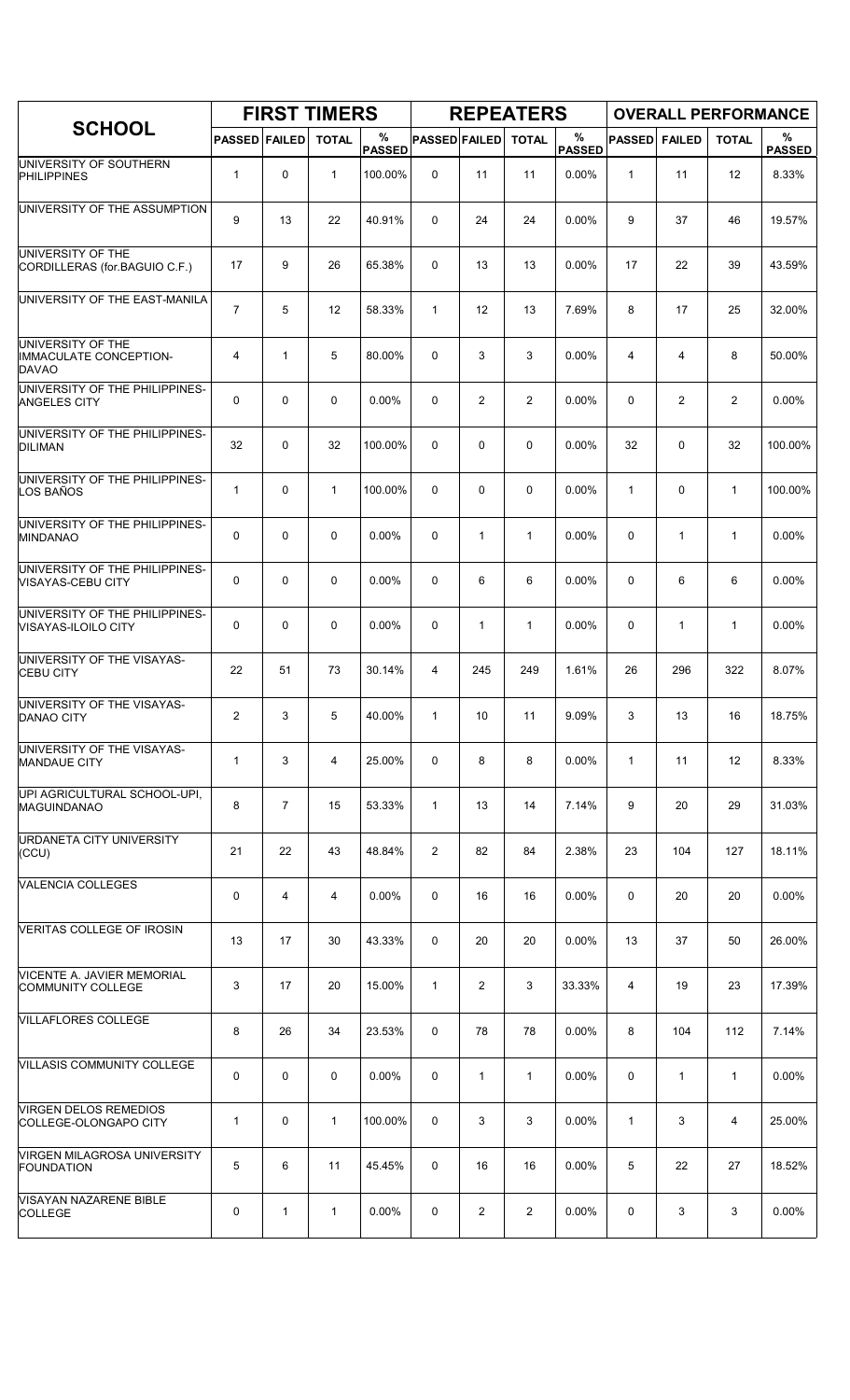|                                                                    |                      |                | <b>FIRST TIMERS</b> |                    |                      |                | <b>REPEATERS</b> |                       |               |                | <b>OVERALL PERFORMANCE</b> |                    |
|--------------------------------------------------------------------|----------------------|----------------|---------------------|--------------------|----------------------|----------------|------------------|-----------------------|---------------|----------------|----------------------------|--------------------|
| <b>SCHOOL</b>                                                      | <b>PASSED FAILED</b> |                | <b>TOTAL</b>        | %<br><b>PASSED</b> | <b>PASSED FAILED</b> |                | <b>TOTAL</b>     | $\%$<br><b>PASSED</b> | <b>PASSED</b> | <b>FAILED</b>  | <b>TOTAL</b>               | %<br><b>PASSED</b> |
| UNIVERSITY OF SOUTHERN<br><b>PHILIPPINES</b>                       | $\mathbf{1}$         | 0              | $\mathbf{1}$        | 100.00%            | 0                    | 11             | 11               | 0.00%                 | $\mathbf{1}$  | 11             | 12                         | 8.33%              |
| UNIVERSITY OF THE ASSUMPTION                                       | 9                    | 13             | 22                  | 40.91%             | 0                    | 24             | 24               | 0.00%                 | 9             | 37             | 46                         | 19.57%             |
| UNIVERSITY OF THE<br>CORDILLERAS (for BAGUIO C.F.)                 | 17                   | 9              | 26                  | 65.38%             | 0                    | 13             | 13               | 0.00%                 | 17            | 22             | 39                         | 43.59%             |
| UNIVERSITY OF THE EAST-MANILA                                      | $\overline{7}$       | 5              | 12                  | 58.33%             | $\mathbf{1}$         | 12             | 13               | 7.69%                 | 8             | 17             | 25                         | 32.00%             |
| UNIVERSITY OF THE<br><b>IMMACULATE CONCEPTION-</b><br><b>DAVAO</b> | 4                    | $\mathbf{1}$   | 5                   | 80.00%             | 0                    | 3              | 3                | 0.00%                 | 4             | 4              | 8                          | 50.00%             |
| UNIVERSITY OF THE PHILIPPINES-<br><b>ANGELES CITY</b>              | $\mathbf 0$          | $\mathbf 0$    | 0                   | 0.00%              | 0                    | $\overline{c}$ | 2                | 0.00%                 | 0             | $\overline{2}$ | $\overline{2}$             | 0.00%              |
| UNIVERSITY OF THE PHILIPPINES-<br><b>DILIMAN</b>                   | 32                   | $\mathbf 0$    | 32                  | 100.00%            | 0                    | 0              | 0                | 0.00%                 | 32            | 0              | 32                         | 100.00%            |
| UNIVERSITY OF THE PHILIPPINES-<br>LOS BAÑOS                        | $\mathbf{1}$         | 0              | $\mathbf{1}$        | 100.00%            | 0                    | 0              | 0                | 0.00%                 | $\mathbf{1}$  | $\mathbf 0$    | $\mathbf{1}$               | 100.00%            |
| UNIVERSITY OF THE PHILIPPINES-<br>MINDANAO                         | 0                    | $\mathbf 0$    | $\mathbf 0$         | 0.00%              | 0                    | $\mathbf{1}$   | $\mathbf{1}$     | 0.00%                 | $\mathbf 0$   | $\mathbf{1}$   | $\mathbf{1}$               | 0.00%              |
| UNIVERSITY OF THE PHILIPPINES-<br>VISAYAS-CEBU CITY                | 0                    | $\mathbf 0$    | $\mathbf 0$         | 0.00%              | 0                    | 6              | 6                | 0.00%                 | 0             | 6              | 6                          | 0.00%              |
| UNIVERSITY OF THE PHILIPPINES-<br>VISAYAS-ILOILO CITY              | 0                    | $\mathbf 0$    | 0                   | 0.00%              | 0                    | $\mathbf{1}$   | $\mathbf{1}$     | 0.00%                 | 0             | $\mathbf{1}$   | $\mathbf{1}$               | 0.00%              |
| UNIVERSITY OF THE VISAYAS-<br><b>CEBU CITY</b>                     | 22                   | 51             | 73                  | 30.14%             | 4                    | 245            | 249              | 1.61%                 | 26            | 296            | 322                        | 8.07%              |
| UNIVERSITY OF THE VISAYAS-<br><b>DANAO CITY</b>                    | 2                    | 3              | 5                   | 40.00%             | $\mathbf{1}$         | 10             | 11               | 9.09%                 | 3             | 13             | 16                         | 18.75%             |
| UNIVERSITY OF THE VISAYAS-<br><b>MANDAUE CITY</b>                  | 1                    | 3              | 4                   | 25.00%             | 0                    | 8              | 8                | 0.00%                 | $\mathbf{1}$  | 11             | 12                         | 8.33%              |
| UPI AGRICULTURAL SCHOOL-UPI,<br>MAGUINDANAO                        | 8                    | $\overline{7}$ | 15                  | 53.33%             | $\mathbf{1}$         | 13             | 14               | 7.14%                 | 9             | 20             | 29                         | 31.03%             |
| <b>URDANETA CITY UNIVERSITY</b><br>(CCU)                           | 21                   | 22             | 43                  | 48.84%             | $\overline{2}$       | 82             | 84               | 2.38%                 | 23            | 104            | 127                        | 18.11%             |
| <b>VALENCIA COLLEGES</b>                                           | 0                    | 4              | 4                   | 0.00%              | 0                    | 16             | 16               | 0.00%                 | 0             | 20             | 20                         | 0.00%              |
| VERITAS COLLEGE OF IROSIN                                          | 13                   | 17             | 30                  | 43.33%             | 0                    | 20             | 20               | 0.00%                 | 13            | 37             | 50                         | 26.00%             |
| VICENTE A. JAVIER MEMORIAL<br>COMMUNITY COLLEGE                    | 3                    | 17             | 20                  | 15.00%             | $\mathbf{1}$         | 2              | 3                | 33.33%                | 4             | 19             | 23                         | 17.39%             |
| <b>VILLAFLORES COLLEGE</b>                                         | 8                    | 26             | 34                  | 23.53%             | 0                    | 78             | 78               | $0.00\%$              | 8             | 104            | 112                        | 7.14%              |
| <b>VILLASIS COMMUNITY COLLEGE</b>                                  | 0                    | 0              | 0                   | 0.00%              | 0                    | $\mathbf{1}$   | $\mathbf{1}$     | 0.00%                 | 0             | $\mathbf{1}$   | $\mathbf{1}$               | 0.00%              |
| <b>VIRGEN DELOS REMEDIOS</b><br>COLLEGE-OLONGAPO CITY              | 1                    | 0              | 1                   | 100.00%            | 0                    | 3              | 3                | 0.00%                 | $\mathbf{1}$  | 3              | 4                          | 25.00%             |
| VIRGEN MILAGROSA UNIVERSITY<br><b>FOUNDATION</b>                   | 5                    | 6              | 11                  | 45.45%             | 0                    | 16             | 16               | $0.00\%$              | 5             | 22             | 27                         | 18.52%             |
| <b>VISAYAN NAZARENE BIBLE</b><br><b>COLLEGE</b>                    | 0                    | $\mathbf{1}$   | $\mathbf{1}$        | $0.00\%$           | 0                    | 2              | $\overline{c}$   | 0.00%                 | 0             | 3              | 3                          | 0.00%              |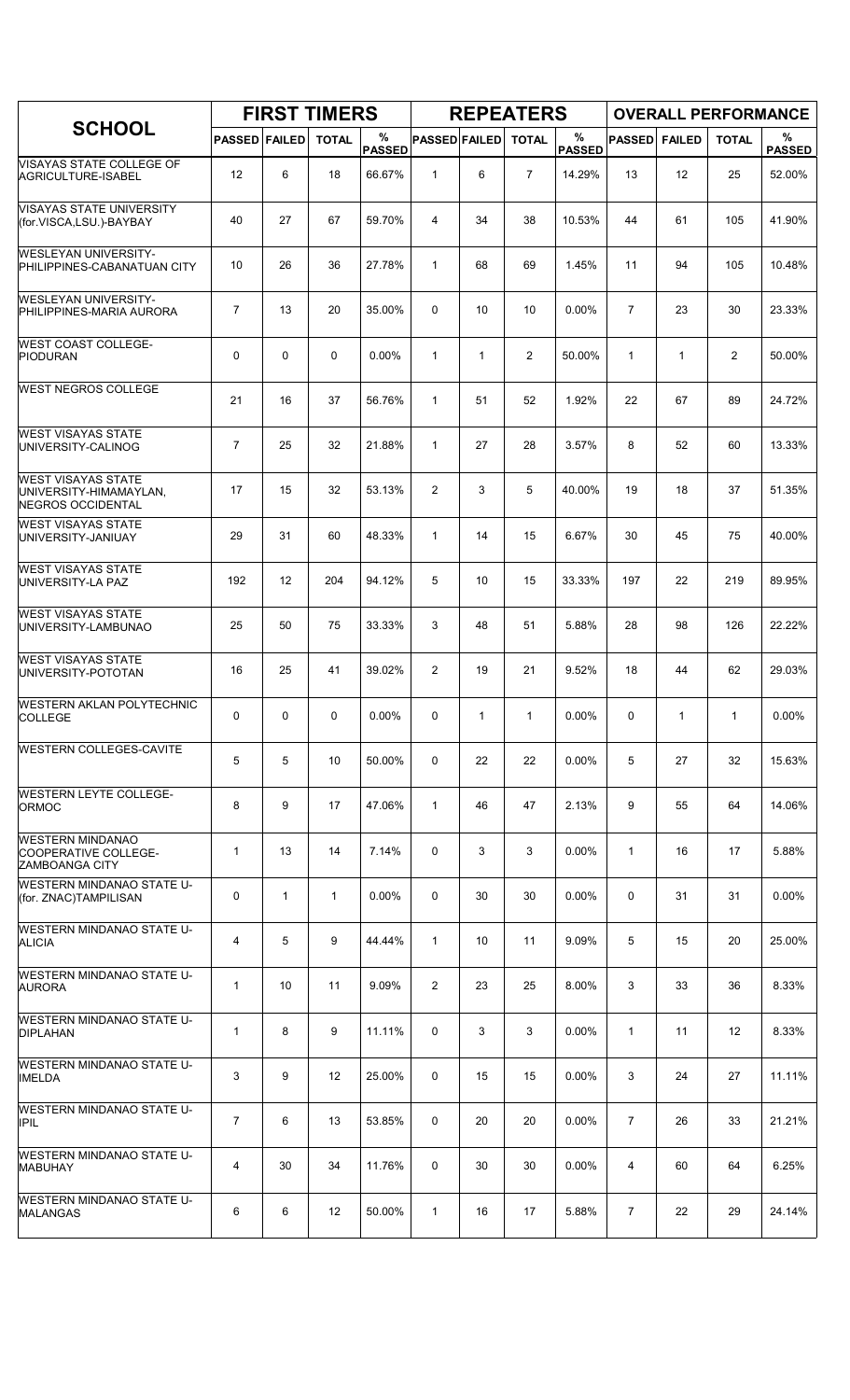| <b>SCHOOL</b>                                                            | <b>FIRST TIMERS</b>  |              |              |                    | <b>REPEATERS</b>     |              |                |                    | <b>OVERALL PERFORMANCE</b> |               |                |                    |
|--------------------------------------------------------------------------|----------------------|--------------|--------------|--------------------|----------------------|--------------|----------------|--------------------|----------------------------|---------------|----------------|--------------------|
|                                                                          | <b>PASSED FAILED</b> |              | <b>TOTAL</b> | %<br><b>PASSED</b> | <b>PASSED FAILED</b> |              | <b>TOTAL</b>   | %<br><b>PASSED</b> | <b>PASSED</b>              | <b>FAILED</b> | <b>TOTAL</b>   | %<br><b>PASSED</b> |
| VISAYAS STATE COLLEGE OF<br>AGRICULTURE-ISABEL                           | 12                   | 6            | 18           | 66.67%             | $\mathbf{1}$         | 6            | $\overline{7}$ | 14.29%             | 13                         | 12            | 25             | 52.00%             |
| <b>VISAYAS STATE UNIVERSITY</b><br>(for.VISCA,LSU.)-BAYBAY               | 40                   | 27           | 67           | 59.70%             | 4                    | 34           | 38             | 10.53%             | 44                         | 61            | 105            | 41.90%             |
| <b>WESLEYAN UNIVERSITY-</b><br>PHILIPPINES-CABANATUAN CITY               | 10                   | 26           | 36           | 27.78%             | $\mathbf{1}$         | 68           | 69             | 1.45%              | 11                         | 94            | 105            | 10.48%             |
| <b>WESLEYAN UNIVERSITY-</b><br>PHILIPPINES-MARIA AURORA                  | 7                    | 13           | 20           | 35.00%             | 0                    | 10           | 10             | 0.00%              | $\overline{7}$             | 23            | 30             | 23.33%             |
| <b>WEST COAST COLLEGE-</b><br><b>PIODURAN</b>                            | 0                    | 0            | $\mathbf 0$  | 0.00%              | $\mathbf{1}$         | $\mathbf{1}$ | $\overline{2}$ | 50.00%             | $\mathbf{1}$               | $\mathbf{1}$  | $\overline{c}$ | 50.00%             |
| <b>WEST NEGROS COLLEGE</b>                                               | 21                   | 16           | 37           | 56.76%             | $\mathbf{1}$         | 51           | 52             | 1.92%              | 22                         | 67            | 89             | 24.72%             |
| <b>WEST VISAYAS STATE</b><br>UNIVERSITY-CALINOG                          | $\overline{7}$       | 25           | 32           | 21.88%             | $\mathbf{1}$         | 27           | 28             | 3.57%              | 8                          | 52            | 60             | 13.33%             |
| <b>WEST VISAYAS STATE</b><br>UNIVERSITY-HIMAMAYLAN,<br>NEGROS OCCIDENTAL | 17                   | 15           | 32           | 53.13%             | $\overline{2}$       | 3            | 5              | 40.00%             | 19                         | 18            | 37             | 51.35%             |
| <b>WEST VISAYAS STATE</b><br>UNIVERSITY-JANIUAY                          | 29                   | 31           | 60           | 48.33%             | $\mathbf{1}$         | 14           | 15             | 6.67%              | 30                         | 45            | 75             | 40.00%             |
| <b>WEST VISAYAS STATE</b><br>UNIVERSITY-LA PAZ                           | 192                  | 12           | 204          | 94.12%             | 5                    | 10           | 15             | 33.33%             | 197                        | 22            | 219            | 89.95%             |
| <b>WEST VISAYAS STATE</b><br>UNIVERSITY-LAMBUNAO                         | 25                   | 50           | 75           | 33.33%             | 3                    | 48           | 51             | 5.88%              | 28                         | 98            | 126            | 22.22%             |
| <b>WEST VISAYAS STATE</b><br>UNIVERSITY-POTOTAN                          | 16                   | 25           | 41           | 39.02%             | $\overline{2}$       | 19           | 21             | 9.52%              | 18                         | 44            | 62             | 29.03%             |
| <b>WESTERN AKLAN POLYTECHNIC</b><br><b>COLLEGE</b>                       | 0                    | 0            | $\mathbf 0$  | 0.00%              | 0                    | $\mathbf{1}$ | $\mathbf{1}$   | 0.00%              | 0                          | 1             | $\mathbf{1}$   | $0.00\%$           |
| <b>WESTERN COLLEGES-CAVITE</b>                                           | 5                    | 5            | 10           | 50.00%             | 0                    | 22           | 22             | $0.00\%$           | 5                          | 27            | 32             | 15.63%             |
| <b>WESTERN LEYTE COLLEGE-</b><br>ORMOC                                   | 8                    | 9            | 17           | 47.06%             | $\mathbf{1}$         | 46           | 47             | 2.13%              | 9                          | 55            | 64             | 14.06%             |
| <b>WESTERN MINDANAO</b><br>COOPERATIVE COLLEGE-<br><b>ZAMBOANGA CITY</b> | $\mathbf{1}$         | 13           | 14           | 7.14%              | 0                    | 3            | 3              | 0.00%              | $\mathbf{1}$               | 16            | 17             | 5.88%              |
| <b>WESTERN MINDANAO STATE U-</b><br>(for. ZNAC)TAMPILISAN                | 0                    | $\mathbf{1}$ | 1            | $0.00\%$           | 0                    | 30           | 30             | $0.00\%$           | 0                          | 31            | 31             | 0.00%              |
| <b>WESTERN MINDANAO STATE U-</b><br>ALICIA                               | 4                    | 5            | 9            | 44.44%             | $\mathbf{1}$         | 10           | 11             | 9.09%              | 5                          | 15            | 20             | 25.00%             |
| <b>WESTERN MINDANAO STATE U-</b><br><b>AURORA</b>                        | $\mathbf{1}$         | 10           | 11           | 9.09%              | $\overline{2}$       | 23           | 25             | 8.00%              | 3                          | 33            | 36             | 8.33%              |
| WESTERN MINDANAO STATE U-<br><b>DIPLAHAN</b>                             | 1                    | 8            | 9            | 11.11%             | 0                    | 3            | 3              | $0.00\%$           | $\mathbf{1}$               | 11            | 12             | 8.33%              |
| WESTERN MINDANAO STATE U-<br><b>IMELDA</b>                               | 3                    | 9            | 12           | 25.00%             | 0                    | 15           | 15             | 0.00%              | 3                          | 24            | 27             | 11.11%             |
| WESTERN MINDANAO STATE U-<br><b>IPIL</b>                                 | $\overline{7}$       | 6            | 13           | 53.85%             | 0                    | 20           | 20             | 0.00%              | $\overline{7}$             | 26            | 33             | 21.21%             |
| WESTERN MINDANAO STATE U-<br><b>MABUHAY</b>                              | 4                    | 30           | 34           | 11.76%             | 0                    | 30           | 30             | 0.00%              | 4                          | 60            | 64             | 6.25%              |
| <b>WESTERN MINDANAO STATE U-</b><br><b>MALANGAS</b>                      | 6                    | 6            | 12           | 50.00%             | $\mathbf{1}$         | 16           | 17             | 5.88%              | 7                          | 22            | 29             | 24.14%             |